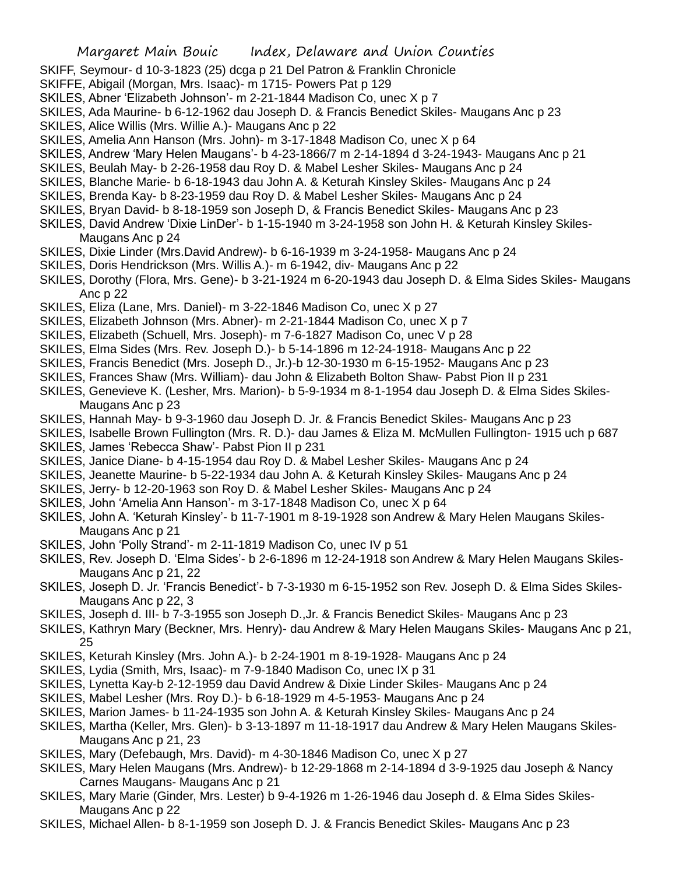- SKIFF, Seymour- d 10-3-1823 (25) dcga p 21 Del Patron & Franklin Chronicle
- SKIFFE, Abigail (Morgan, Mrs. Isaac)- m 1715- Powers Pat p 129
- SKILES, Abner 'Elizabeth Johnson'- m 2-21-1844 Madison Co, unec X p 7
- SKILES, Ada Maurine- b 6-12-1962 dau Joseph D. & Francis Benedict Skiles- Maugans Anc p 23
- SKILES, Alice Willis (Mrs. Willie A.)- Maugans Anc p 22
- SKILES, Amelia Ann Hanson (Mrs. John)- m 3-17-1848 Madison Co, unec X p 64
- SKILES, Andrew 'Mary Helen Maugans'- b 4-23-1866/7 m 2-14-1894 d 3-24-1943- Maugans Anc p 21
- SKILES, Beulah May- b 2-26-1958 dau Roy D. & Mabel Lesher Skiles- Maugans Anc p 24
- SKILES, Blanche Marie- b 6-18-1943 dau John A. & Keturah Kinsley Skiles- Maugans Anc p 24
- SKILES, Brenda Kay- b 8-23-1959 dau Roy D. & Mabel Lesher Skiles- Maugans Anc p 24
- SKILES, Bryan David- b 8-18-1959 son Joseph D, & Francis Benedict Skiles- Maugans Anc p 23
- SKILES, David Andrew 'Dixie LinDer'- b 1-15-1940 m 3-24-1958 son John H. & Keturah Kinsley Skiles-Maugans Anc p 24
- SKILES, Dixie Linder (Mrs.David Andrew)- b 6-16-1939 m 3-24-1958- Maugans Anc p 24
- SKILES, Doris Hendrickson (Mrs. Willis A.)- m 6-1942, div- Maugans Anc p 22
- SKILES, Dorothy (Flora, Mrs. Gene)- b 3-21-1924 m 6-20-1943 dau Joseph D. & Elma Sides Skiles- Maugans Anc p 22
- SKILES, Eliza (Lane, Mrs. Daniel)- m 3-22-1846 Madison Co, unec X p 27
- SKILES, Elizabeth Johnson (Mrs. Abner)- m 2-21-1844 Madison Co, unec X p 7
- SKILES, Elizabeth (Schuell, Mrs. Joseph)- m 7-6-1827 Madison Co, unec V p 28
- SKILES, Elma Sides (Mrs. Rev. Joseph D.)- b 5-14-1896 m 12-24-1918- Maugans Anc p 22
- SKILES, Francis Benedict (Mrs. Joseph D., Jr.)-b 12-30-1930 m 6-15-1952- Maugans Anc p 23
- SKILES, Frances Shaw (Mrs. William)- dau John & Elizabeth Bolton Shaw- Pabst Pion II p 231
- SKILES, Genevieve K. (Lesher, Mrs. Marion)- b 5-9-1934 m 8-1-1954 dau Joseph D. & Elma Sides Skiles-Maugans Anc p 23
- SKILES, Hannah May- b 9-3-1960 dau Joseph D. Jr. & Francis Benedict Skiles- Maugans Anc p 23
- SKILES, Isabelle Brown Fullington (Mrs. R. D.)- dau James & Eliza M. McMullen Fullington- 1915 uch p 687 SKILES, James 'Rebecca Shaw'- Pabst Pion II p 231
- SKILES, Janice Diane- b 4-15-1954 dau Roy D. & Mabel Lesher Skiles- Maugans Anc p 24
- SKILES, Jeanette Maurine- b 5-22-1934 dau John A. & Keturah Kinsley Skiles- Maugans Anc p 24
- SKILES, Jerry- b 12-20-1963 son Roy D. & Mabel Lesher Skiles- Maugans Anc p 24
- SKILES, John 'Amelia Ann Hanson'- m 3-17-1848 Madison Co, unec X p 64
- SKILES, John A. 'Keturah Kinsley'- b 11-7-1901 m 8-19-1928 son Andrew & Mary Helen Maugans Skiles-Maugans Anc p 21
- SKILES, John 'Polly Strand'- m 2-11-1819 Madison Co, unec IV p 51
- SKILES, Rev. Joseph D. 'Elma Sides'- b 2-6-1896 m 12-24-1918 son Andrew & Mary Helen Maugans Skiles-Maugans Anc p 21, 22
- SKILES, Joseph D. Jr. 'Francis Benedict'- b 7-3-1930 m 6-15-1952 son Rev. Joseph D. & Elma Sides Skiles-Maugans Anc p 22, 3
- SKILES, Joseph d. III- b 7-3-1955 son Joseph D.,Jr. & Francis Benedict Skiles- Maugans Anc p 23
- SKILES, Kathryn Mary (Beckner, Mrs. Henry)- dau Andrew & Mary Helen Maugans Skiles- Maugans Anc p 21, 25
- SKILES, Keturah Kinsley (Mrs. John A.)- b 2-24-1901 m 8-19-1928- Maugans Anc p 24
- SKILES, Lydia (Smith, Mrs, Isaac)- m 7-9-1840 Madison Co, unec IX p 31
- SKILES, Lynetta Kay-b 2-12-1959 dau David Andrew & Dixie Linder Skiles- Maugans Anc p 24
- SKILES, Mabel Lesher (Mrs. Roy D.)- b 6-18-1929 m 4-5-1953- Maugans Anc p 24
- SKILES, Marion James- b 11-24-1935 son John A. & Keturah Kinsley Skiles- Maugans Anc p 24
- SKILES, Martha (Keller, Mrs. Glen)- b 3-13-1897 m 11-18-1917 dau Andrew & Mary Helen Maugans Skiles-Maugans Anc p 21, 23
- SKILES, Mary (Defebaugh, Mrs. David) m 4-30-1846 Madison Co, unec X p 27
- SKILES, Mary Helen Maugans (Mrs. Andrew)- b 12-29-1868 m 2-14-1894 d 3-9-1925 dau Joseph & Nancy Carnes Maugans- Maugans Anc p 21
- SKILES, Mary Marie (Ginder, Mrs. Lester) b 9-4-1926 m 1-26-1946 dau Joseph d. & Elma Sides Skiles-Maugans Anc p 22
- SKILES, Michael Allen- b 8-1-1959 son Joseph D. J. & Francis Benedict Skiles- Maugans Anc p 23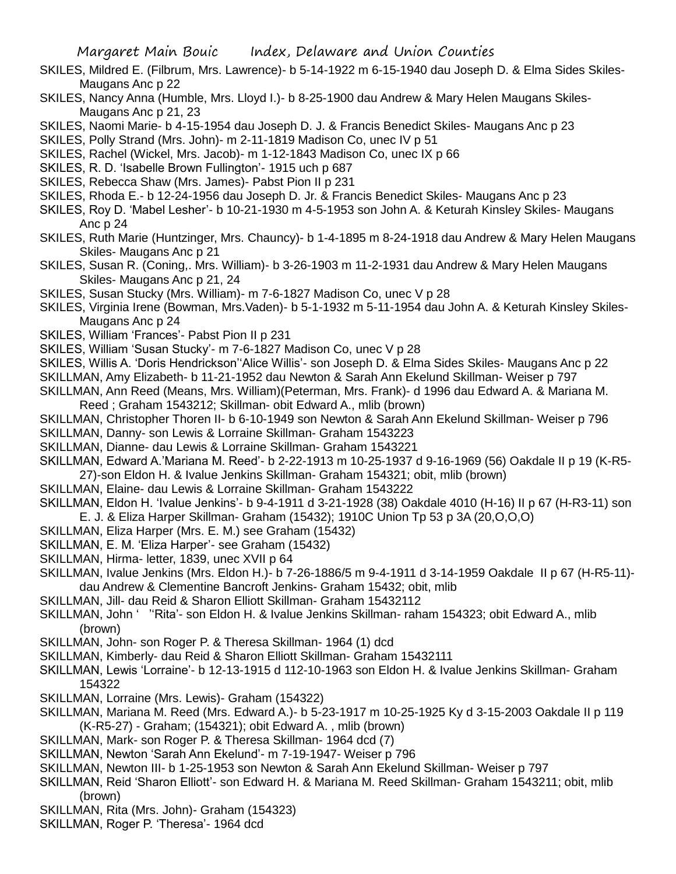- SKILES, Mildred E. (Filbrum, Mrs. Lawrence)- b 5-14-1922 m 6-15-1940 dau Joseph D. & Elma Sides Skiles-Maugans Anc p 22
- SKILES, Nancy Anna (Humble, Mrs. Lloyd I.)- b 8-25-1900 dau Andrew & Mary Helen Maugans Skiles-Maugans Anc p 21, 23
- SKILES, Naomi Marie- b 4-15-1954 dau Joseph D. J. & Francis Benedict Skiles- Maugans Anc p 23
- SKILES, Polly Strand (Mrs. John)- m 2-11-1819 Madison Co, unec IV p 51
- SKILES, Rachel (Wickel, Mrs. Jacob)- m 1-12-1843 Madison Co, unec IX p 66
- SKILES, R. D. 'Isabelle Brown Fullington'- 1915 uch p 687
- SKILES, Rebecca Shaw (Mrs. James)- Pabst Pion II p 231
- SKILES, Rhoda E.- b 12-24-1956 dau Joseph D. Jr. & Francis Benedict Skiles- Maugans Anc p 23
- SKILES, Roy D. 'Mabel Lesher'- b 10-21-1930 m 4-5-1953 son John A. & Keturah Kinsley Skiles- Maugans Anc p 24
- SKILES, Ruth Marie (Huntzinger, Mrs. Chauncy)- b 1-4-1895 m 8-24-1918 dau Andrew & Mary Helen Maugans Skiles- Maugans Anc p 21
- SKILES, Susan R. (Coning,. Mrs. William)- b 3-26-1903 m 11-2-1931 dau Andrew & Mary Helen Maugans Skiles- Maugans Anc p 21, 24
- SKILES, Susan Stucky (Mrs. William)- m 7-6-1827 Madison Co, unec V p 28
- SKILES, Virginia Irene (Bowman, Mrs.Vaden)- b 5-1-1932 m 5-11-1954 dau John A. & Keturah Kinsley Skiles-Maugans Anc p 24
- SKILES, William 'Frances'- Pabst Pion II p 231
- SKILES, William 'Susan Stucky'- m 7-6-1827 Madison Co, unec V p 28
- SKILES, Willis A. 'Doris Hendrickson''Alice Willis'- son Joseph D. & Elma Sides Skiles- Maugans Anc p 22
- SKILLMAN, Amy Elizabeth- b 11-21-1952 dau Newton & Sarah Ann Ekelund Skillman- Weiser p 797
- SKILLMAN, Ann Reed (Means, Mrs. William)(Peterman, Mrs. Frank)- d 1996 dau Edward A. & Mariana M. Reed ; Graham 1543212; Skillman- obit Edward A., mlib (brown)
- SKILLMAN, Christopher Thoren II- b 6-10-1949 son Newton & Sarah Ann Ekelund Skillman- Weiser p 796
- SKILLMAN, Danny- son Lewis & Lorraine Skillman- Graham 1543223
- SKILLMAN, Dianne- dau Lewis & Lorraine Skillman- Graham 1543221
- SKILLMAN, Edward A.'Mariana M. Reed'- b 2-22-1913 m 10-25-1937 d 9-16-1969 (56) Oakdale II p 19 (K-R5- 27)-son Eldon H. & Ivalue Jenkins Skillman- Graham 154321; obit, mlib (brown)
- SKILLMAN, Elaine- dau Lewis & Lorraine Skillman- Graham 1543222
- SKILLMAN, Eldon H. 'Ivalue Jenkins'- b 9-4-1911 d 3-21-1928 (38) Oakdale 4010 (H-16) II p 67 (H-R3-11) son E. J. & Eliza Harper Skillman- Graham (15432); 1910C Union Tp 53 p 3A (20,O,O,O)
- SKILLMAN, Eliza Harper (Mrs. E. M.) see Graham (15432)
- SKILLMAN, E. M. 'Eliza Harper'- see Graham (15432)
- SKILLMAN, Hirma- letter, 1839, unec XVII p 64
- SKILLMAN, Ivalue Jenkins (Mrs. Eldon H.)- b 7-26-1886/5 m 9-4-1911 d 3-14-1959 Oakdale II p 67 (H-R5-11) dau Andrew & Clementine Bancroft Jenkins- Graham 15432; obit, mlib
- SKILLMAN, Jill- dau Reid & Sharon Elliott Skillman- Graham 15432112
- SKILLMAN, John ' ''Rita'- son Eldon H. & Ivalue Jenkins Skillman- raham 154323; obit Edward A., mlib (brown)
- SKILLMAN, John- son Roger P. & Theresa Skillman- 1964 (1) dcd
- SKILLMAN, Kimberly- dau Reid & Sharon Elliott Skillman- Graham 15432111
- SKILLMAN, Lewis 'Lorraine'- b 12-13-1915 d 112-10-1963 son Eldon H. & Ivalue Jenkins Skillman- Graham 154322
- SKILLMAN, Lorraine (Mrs. Lewis)- Graham (154322)
- SKILLMAN, Mariana M. Reed (Mrs. Edward A.)- b 5-23-1917 m 10-25-1925 Ky d 3-15-2003 Oakdale II p 119 (K-R5-27) - Graham; (154321); obit Edward A. , mlib (brown)
- SKILLMAN, Mark- son Roger P. & Theresa Skillman- 1964 dcd (7)
- SKILLMAN, Newton 'Sarah Ann Ekelund'- m 7-19-1947- Weiser p 796
- SKILLMAN, Newton III- b 1-25-1953 son Newton & Sarah Ann Ekelund Skillman- Weiser p 797
- SKILLMAN, Reid 'Sharon Elliott'- son Edward H. & Mariana M. Reed Skillman- Graham 1543211; obit, mlib (brown)
- SKILLMAN, Rita (Mrs. John)- Graham (154323)
- SKILLMAN, Roger P. 'Theresa'- 1964 dcd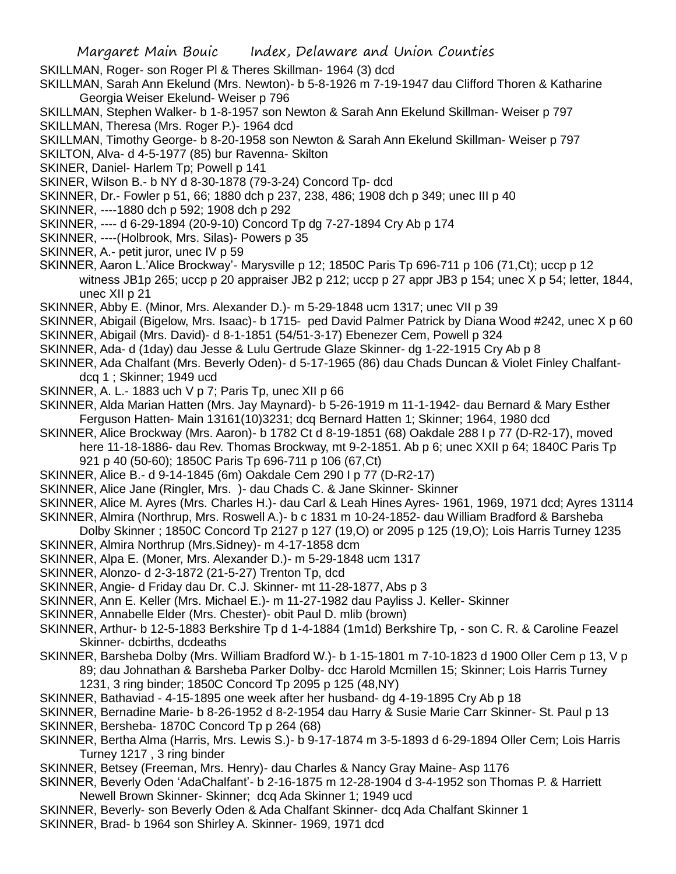SKILLMAN, Roger- son Roger Pl & Theres Skillman- 1964 (3) dcd

SKILLMAN, Sarah Ann Ekelund (Mrs. Newton)- b 5-8-1926 m 7-19-1947 dau Clifford Thoren & Katharine Georgia Weiser Ekelund- Weiser p 796

SKILLMAN, Stephen Walker- b 1-8-1957 son Newton & Sarah Ann Ekelund Skillman- Weiser p 797 SKILLMAN, Theresa (Mrs. Roger P.)- 1964 dcd

SKILLMAN, Timothy George- b 8-20-1958 son Newton & Sarah Ann Ekelund Skillman- Weiser p 797

SKILTON, Alva- d 4-5-1977 (85) bur Ravenna- Skilton

SKINER, Daniel- Harlem Tp; Powell p 141

SKINER, Wilson B.- b NY d 8-30-1878 (79-3-24) Concord Tp- dcd

SKINNER, Dr.- Fowler p 51, 66; 1880 dch p 237, 238, 486; 1908 dch p 349; unec III p 40

SKINNER, ----1880 dch p 592; 1908 dch p 292

- SKINNER, ---- d 6-29-1894 (20-9-10) Concord Tp dg 7-27-1894 Cry Ab p 174
- SKINNER, ----(Holbrook, Mrs. Silas)- Powers p 35
- SKINNER, A.- petit juror, unec IV p 59

SKINNER, Aaron L.'Alice Brockway'- Marysville p 12; 1850C Paris Tp 696-711 p 106 (71,Ct); uccp p 12 witness JB1p 265; uccp p 20 appraiser JB2 p 212; uccp p 27 appr JB3 p 154; unec X p 54; letter, 1844, unec XII p 21

SKINNER, Abby E. (Minor, Mrs. Alexander D.)- m 5-29-1848 ucm 1317; unec VII p 39

- SKINNER, Abigail (Bigelow, Mrs. Isaac)- b 1715- ped David Palmer Patrick by Diana Wood #242, unec X p 60 SKINNER, Abigail (Mrs. David)- d 8-1-1851 (54/51-3-17) Ebenezer Cem, Powell p 324
- SKINNER, Ada- d (1day) dau Jesse & Lulu Gertrude Glaze Skinner- dg 1-22-1915 Cry Ab p 8

SKINNER, Ada Chalfant (Mrs. Beverly Oden)- d 5-17-1965 (86) dau Chads Duncan & Violet Finley Chalfantdcq 1 ; Skinner; 1949 ucd

- SKINNER, A. L.- 1883 uch V p 7; Paris Tp, unec XII p 66
- SKINNER, Alda Marian Hatten (Mrs. Jay Maynard)- b 5-26-1919 m 11-1-1942- dau Bernard & Mary Esther Ferguson Hatten- Main 13161(10)3231; dcq Bernard Hatten 1; Skinner; 1964, 1980 dcd
- SKINNER, Alice Brockway (Mrs. Aaron)- b 1782 Ct d 8-19-1851 (68) Oakdale 288 I p 77 (D-R2-17), moved here 11-18-1886- dau Rev. Thomas Brockway, mt 9-2-1851. Ab p 6; unec XXII p 64; 1840C Paris Tp 921 p 40 (50-60); 1850C Paris Tp 696-711 p 106 (67,Ct)
- SKINNER, Alice B.- d 9-14-1845 (6m) Oakdale Cem 290 I p 77 (D-R2-17)
- SKINNER, Alice Jane (Ringler, Mrs. )- dau Chads C. & Jane Skinner- Skinner

SKINNER, Alice M. Ayres (Mrs. Charles H.)- dau Carl & Leah Hines Ayres- 1961, 1969, 1971 dcd; Ayres 13114

- SKINNER, Almira (Northrup, Mrs. Roswell A.)- b c 1831 m 10-24-1852- dau William Bradford & Barsheba Dolby Skinner ; 1850C Concord Tp 2127 p 127 (19,O) or 2095 p 125 (19,O); Lois Harris Turney 1235
- SKINNER, Almira Northrup (Mrs.Sidney)- m 4-17-1858 dcm
- SKINNER, Alpa E. (Moner, Mrs. Alexander D.)- m 5-29-1848 ucm 1317
- SKINNER, Alonzo- d 2-3-1872 (21-5-27) Trenton Tp, dcd
- SKINNER, Angie- d Friday dau Dr. C.J. Skinner- mt 11-28-1877, Abs p 3
- SKINNER, Ann E. Keller (Mrs. Michael E.)- m 11-27-1982 dau Payliss J. Keller- Skinner
- SKINNER, Annabelle Elder (Mrs. Chester)- obit Paul D. mlib (brown)
- SKINNER, Arthur- b 12-5-1883 Berkshire Tp d 1-4-1884 (1m1d) Berkshire Tp, son C. R. & Caroline Feazel Skinner- dcbirths, dcdeaths
- SKINNER, Barsheba Dolby (Mrs. William Bradford W.)- b 1-15-1801 m 7-10-1823 d 1900 Oller Cem p 13, V p 89; dau Johnathan & Barsheba Parker Dolby- dcc Harold Mcmillen 15; Skinner; Lois Harris Turney
	- 1231, 3 ring binder; 1850C Concord Tp 2095 p 125 (48,NY)
- SKINNER, Bathaviad 4-15-1895 one week after her husband- dg 4-19-1895 Cry Ab p 18
- SKINNER, Bernadine Marie- b 8-26-1952 d 8-2-1954 dau Harry & Susie Marie Carr Skinner- St. Paul p 13

SKINNER, Bersheba- 1870C Concord Tp p 264 (68)

- SKINNER, Bertha Alma (Harris, Mrs. Lewis S.)- b 9-17-1874 m 3-5-1893 d 6-29-1894 Oller Cem; Lois Harris Turney 1217 , 3 ring binder
- SKINNER, Betsey (Freeman, Mrs. Henry)- dau Charles & Nancy Gray Maine- Asp 1176
- SKINNER, Beverly Oden 'AdaChalfant'- b 2-16-1875 m 12-28-1904 d 3-4-1952 son Thomas P. & Harriett Newell Brown Skinner- Skinner; dcq Ada Skinner 1; 1949 ucd
- SKINNER, Beverly- son Beverly Oden & Ada Chalfant Skinner- dcq Ada Chalfant Skinner 1
- SKINNER, Brad- b 1964 son Shirley A. Skinner- 1969, 1971 dcd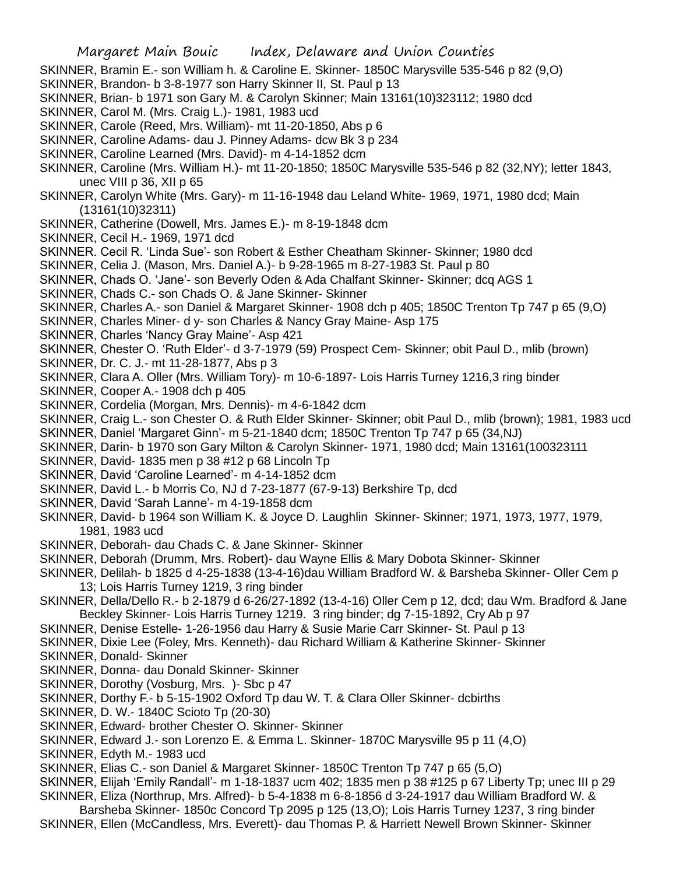- SKINNER, Bramin E.- son William h. & Caroline E. Skinner- 1850C Marysville 535-546 p 82 (9,O)
- SKINNER, Brandon- b 3-8-1977 son Harry Skinner II, St. Paul p 13
- SKINNER, Brian- b 1971 son Gary M. & Carolyn Skinner; Main 13161(10)323112; 1980 dcd
- SKINNER, Carol M. (Mrs. Craig L.)- 1981, 1983 ucd
- SKINNER, Carole (Reed, Mrs. William)- mt 11-20-1850, Abs p 6
- SKINNER, Caroline Adams- dau J. Pinney Adams- dcw Bk 3 p 234
- SKINNER, Caroline Learned (Mrs. David)- m 4-14-1852 dcm
- SKINNER, Caroline (Mrs. William H.)- mt 11-20-1850; 1850C Marysville 535-546 p 82 (32,NY); letter 1843, unec VIII p 36, XII p 65
- SKINNER, Carolyn White (Mrs. Gary)- m 11-16-1948 dau Leland White- 1969, 1971, 1980 dcd; Main (13161(10)32311)
- SKINNER, Catherine (Dowell, Mrs. James E.)- m 8-19-1848 dcm
- SKINNER, Cecil H.- 1969, 1971 dcd
- SKINNER. Cecil R. 'Linda Sue'- son Robert & Esther Cheatham Skinner- Skinner; 1980 dcd
- SKINNER, Celia J. (Mason, Mrs. Daniel A.)- b 9-28-1965 m 8-27-1983 St. Paul p 80
- SKINNER, Chads O. 'Jane'- son Beverly Oden & Ada Chalfant Skinner- Skinner; dcq AGS 1
- SKINNER, Chads C.- son Chads O. & Jane Skinner- Skinner
- SKINNER, Charles A.- son Daniel & Margaret Skinner- 1908 dch p 405; 1850C Trenton Tp 747 p 65 (9,O)
- SKINNER, Charles Miner- d y- son Charles & Nancy Gray Maine- Asp 175
- SKINNER, Charles 'Nancy Gray Maine'- Asp 421
- SKINNER, Chester O. 'Ruth Elder'- d 3-7-1979 (59) Prospect Cem- Skinner; obit Paul D., mlib (brown)
- SKINNER, Dr. C. J.- mt 11-28-1877, Abs p 3
- SKINNER, Clara A. Oller (Mrs. William Tory)- m 10-6-1897- Lois Harris Turney 1216,3 ring binder
- SKINNER, Cooper A.- 1908 dch p 405
- SKINNER, Cordelia (Morgan, Mrs. Dennis)- m 4-6-1842 dcm
- SKINNER, Craig L.- son Chester O. & Ruth Elder Skinner- Skinner; obit Paul D., mlib (brown); 1981, 1983 ucd
- SKINNER, Daniel 'Margaret Ginn'- m 5-21-1840 dcm; 1850C Trenton Tp 747 p 65 (34,NJ)
- SKINNER, Darin- b 1970 son Gary Milton & Carolyn Skinner- 1971, 1980 dcd; Main 13161(100323111
- SKINNER, David- 1835 men p 38 #12 p 68 Lincoln Tp
- SKINNER, David 'Caroline Learned'- m 4-14-1852 dcm
- SKINNER, David L.- b Morris Co, NJ d 7-23-1877 (67-9-13) Berkshire Tp, dcd
- SKINNER, David 'Sarah Lanne'- m 4-19-1858 dcm
- SKINNER, David- b 1964 son William K. & Joyce D. Laughlin Skinner- Skinner; 1971, 1973, 1977, 1979, 1981, 1983 ucd
- SKINNER, Deborah- dau Chads C. & Jane Skinner- Skinner
- SKINNER, Deborah (Drumm, Mrs. Robert)- dau Wayne Ellis & Mary Dobota Skinner- Skinner
- SKINNER, Delilah- b 1825 d 4-25-1838 (13-4-16)dau William Bradford W. & Barsheba Skinner- Oller Cem p 13; Lois Harris Turney 1219, 3 ring binder
- SKINNER, Della/Dello R.- b 2-1879 d 6-26/27-1892 (13-4-16) Oller Cem p 12, dcd; dau Wm. Bradford & Jane Beckley Skinner- Lois Harris Turney 1219. 3 ring binder; dg 7-15-1892, Cry Ab p 97
- SKINNER, Denise Estelle- 1-26-1956 dau Harry & Susie Marie Carr Skinner- St. Paul p 13
- SKINNER, Dixie Lee (Foley, Mrs. Kenneth)- dau Richard William & Katherine Skinner- Skinner
- SKINNER, Donald- Skinner
- SKINNER, Donna- dau Donald Skinner- Skinner
- SKINNER, Dorothy (Vosburg, Mrs. )- Sbc p 47
- SKINNER, Dorthy F.- b 5-15-1902 Oxford Tp dau W. T. & Clara Oller Skinner- dcbirths
- SKINNER, D. W.- 1840C Scioto Tp (20-30)
- SKINNER, Edward- brother Chester O. Skinner- Skinner
- SKINNER, Edward J.- son Lorenzo E. & Emma L. Skinner- 1870C Marysville 95 p 11 (4,O)
- SKINNER, Edyth M.- 1983 ucd
- SKINNER, Elias C.- son Daniel & Margaret Skinner- 1850C Trenton Tp 747 p 65 (5,O)
- SKINNER, Elijah 'Emily Randall'- m 1-18-1837 ucm 402; 1835 men p 38 #125 p 67 Liberty Tp; unec III p 29
- SKINNER, Eliza (Northrup, Mrs. Alfred)- b 5-4-1838 m 6-8-1856 d 3-24-1917 dau William Bradford W. &
- Barsheba Skinner- 1850c Concord Tp 2095 p 125 (13,O); Lois Harris Turney 1237, 3 ring binder SKINNER, Ellen (McCandless, Mrs. Everett)- dau Thomas P. & Harriett Newell Brown Skinner- Skinner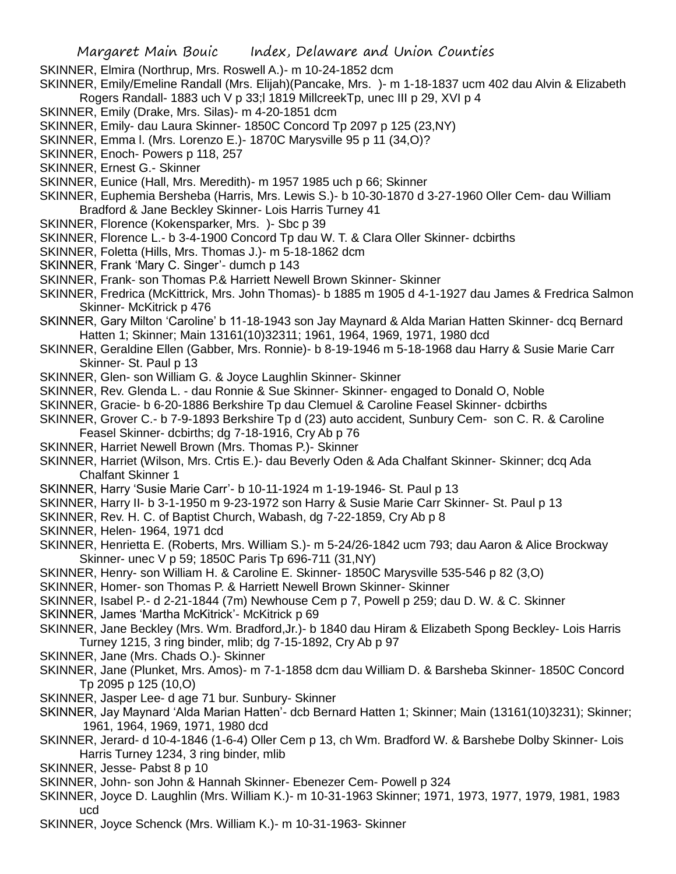SKINNER, Elmira (Northrup, Mrs. Roswell A.)- m 10-24-1852 dcm

SKINNER, Emily/Emeline Randall (Mrs. Elijah)(Pancake, Mrs. )- m 1-18-1837 ucm 402 dau Alvin & Elizabeth Rogers Randall- 1883 uch V p 33;l 1819 MillcreekTp, unec III p 29, XVI p 4

- SKINNER, Emily (Drake, Mrs. Silas)- m 4-20-1851 dcm
- SKINNER, Emily- dau Laura Skinner- 1850C Concord Tp 2097 p 125 (23,NY)
- SKINNER, Emma l. (Mrs. Lorenzo E.)- 1870C Marysville 95 p 11 (34,O)?
- SKINNER, Enoch- Powers p 118, 257
- SKINNER, Ernest G.- Skinner
- SKINNER, Eunice (Hall, Mrs. Meredith)- m 1957 1985 uch p 66; Skinner
- SKINNER, Euphemia Bersheba (Harris, Mrs. Lewis S.)- b 10-30-1870 d 3-27-1960 Oller Cem- dau William Bradford & Jane Beckley Skinner- Lois Harris Turney 41
- SKINNER, Florence (Kokensparker, Mrs. )- Sbc p 39
- SKINNER, Florence L.- b 3-4-1900 Concord Tp dau W. T. & Clara Oller Skinner- dcbirths
- SKINNER, Foletta (Hills, Mrs. Thomas J.)- m 5-18-1862 dcm
- SKINNER, Frank 'Mary C. Singer'- dumch p 143
- SKINNER, Frank- son Thomas P.& Harriett Newell Brown Skinner- Skinner
- SKINNER, Fredrica (McKittrick, Mrs. John Thomas)- b 1885 m 1905 d 4-1-1927 dau James & Fredrica Salmon Skinner- McKitrick p 476
- SKINNER, Gary Milton 'Caroline' b 11-18-1943 son Jay Maynard & Alda Marian Hatten Skinner- dcq Bernard Hatten 1; Skinner; Main 13161(10)32311; 1961, 1964, 1969, 1971, 1980 dcd
- SKINNER, Geraldine Ellen (Gabber, Mrs. Ronnie)- b 8-19-1946 m 5-18-1968 dau Harry & Susie Marie Carr Skinner- St. Paul p 13
- SKINNER, Glen- son William G. & Joyce Laughlin Skinner- Skinner
- SKINNER, Rev. Glenda L. dau Ronnie & Sue Skinner- Skinner- engaged to Donald O, Noble
- SKINNER, Gracie- b 6-20-1886 Berkshire Tp dau Clemuel & Caroline Feasel Skinner- dcbirths
- SKINNER, Grover C.- b 7-9-1893 Berkshire Tp d (23) auto accident, Sunbury Cem- son C. R. & Caroline Feasel Skinner- dcbirths; dg 7-18-1916, Cry Ab p 76
- SKINNER, Harriet Newell Brown (Mrs. Thomas P.)- Skinner
- SKINNER, Harriet (Wilson, Mrs. Crtis E.)- dau Beverly Oden & Ada Chalfant Skinner- Skinner; dcq Ada Chalfant Skinner 1
- SKINNER, Harry 'Susie Marie Carr'- b 10-11-1924 m 1-19-1946- St. Paul p 13
- SKINNER, Harry II- b 3-1-1950 m 9-23-1972 son Harry & Susie Marie Carr Skinner- St. Paul p 13
- SKINNER, Rev. H. C. of Baptist Church, Wabash, dg 7-22-1859, Cry Ab p 8
- SKINNER, Helen- 1964, 1971 dcd
- SKINNER, Henrietta E. (Roberts, Mrs. William S.)- m 5-24/26-1842 ucm 793; dau Aaron & Alice Brockway Skinner- unec V p 59; 1850C Paris Tp 696-711 (31,NY)
- SKINNER, Henry- son William H. & Caroline E. Skinner- 1850C Marysville 535-546 p 82 (3,O)
- SKINNER, Homer- son Thomas P. & Harriett Newell Brown Skinner- Skinner
- SKINNER, Isabel P.- d 2-21-1844 (7m) Newhouse Cem p 7, Powell p 259; dau D. W. & C. Skinner
- SKINNER, James 'Martha McKitrick'- McKitrick p 69
- SKINNER, Jane Beckley (Mrs. Wm. Bradford,Jr.)- b 1840 dau Hiram & Elizabeth Spong Beckley- Lois Harris Turney 1215, 3 ring binder, mlib; dg 7-15-1892, Cry Ab p 97
- SKINNER, Jane (Mrs. Chads O.)- Skinner
- SKINNER, Jane (Plunket, Mrs. Amos)- m 7-1-1858 dcm dau William D. & Barsheba Skinner- 1850C Concord Tp 2095 p 125 (10,O)
- SKINNER, Jasper Lee- d age 71 bur. Sunbury- Skinner
- SKINNER, Jay Maynard 'Alda Marian Hatten'- dcb Bernard Hatten 1; Skinner; Main (13161(10)3231); Skinner; 1961, 1964, 1969, 1971, 1980 dcd
- SKINNER, Jerard- d 10-4-1846 (1-6-4) Oller Cem p 13, ch Wm. Bradford W. & Barshebe Dolby Skinner- Lois Harris Turney 1234, 3 ring binder, mlib
- SKINNER, Jesse- Pabst 8 p 10
- SKINNER, John- son John & Hannah Skinner- Ebenezer Cem- Powell p 324
- SKINNER, Joyce D. Laughlin (Mrs. William K.)- m 10-31-1963 Skinner; 1971, 1973, 1977, 1979, 1981, 1983 ucd
- SKINNER, Joyce Schenck (Mrs. William K.)- m 10-31-1963- Skinner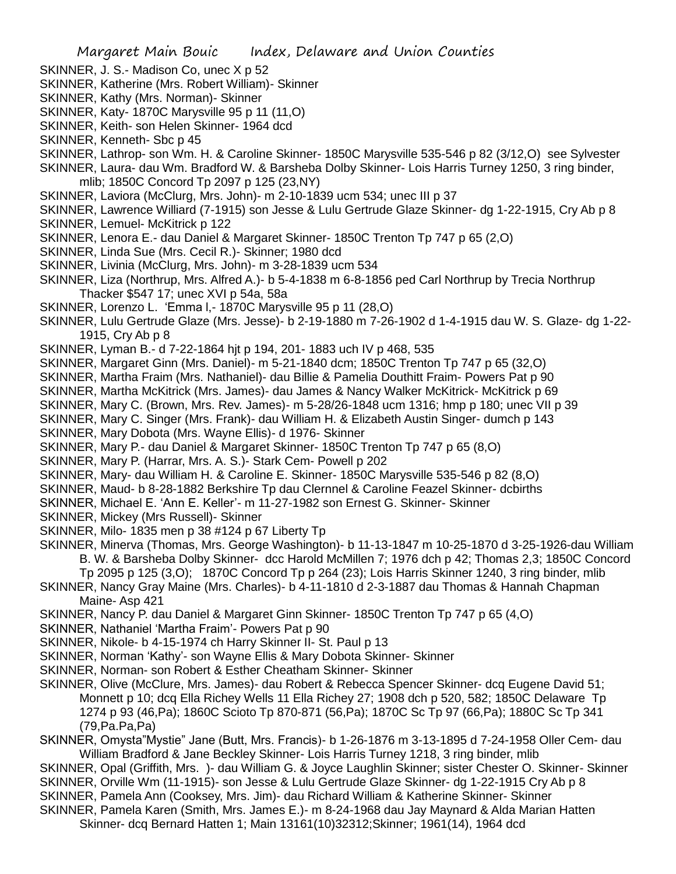- SKINNER, J. S.- Madison Co, unec X p 52
- SKINNER, Katherine (Mrs. Robert William)- Skinner
- SKINNER, Kathy (Mrs. Norman)- Skinner
- SKINNER, Katy- 1870C Marysville 95 p 11 (11,O)
- SKINNER, Keith- son Helen Skinner- 1964 dcd
- SKINNER, Kenneth- Sbc p 45
- SKINNER, Lathrop- son Wm. H. & Caroline Skinner- 1850C Marysville 535-546 p 82 (3/12,O) see Sylvester
- SKINNER, Laura- dau Wm. Bradford W. & Barsheba Dolby Skinner- Lois Harris Turney 1250, 3 ring binder, mlib; 1850C Concord Tp 2097 p 125 (23,NY)
- SKINNER, Laviora (McClurg, Mrs. John)- m 2-10-1839 ucm 534; unec III p 37
- SKINNER, Lawrence Williard (7-1915) son Jesse & Lulu Gertrude Glaze Skinner- dg 1-22-1915, Cry Ab p 8
- SKINNER, Lemuel- McKitrick p 122
- SKINNER, Lenora E.- dau Daniel & Margaret Skinner- 1850C Trenton Tp 747 p 65 (2,O)
- SKINNER, Linda Sue (Mrs. Cecil R.)- Skinner; 1980 dcd
- SKINNER, Livinia (McClurg, Mrs. John)- m 3-28-1839 ucm 534
- SKINNER, Liza (Northrup, Mrs. Alfred A.)- b 5-4-1838 m 6-8-1856 ped Carl Northrup by Trecia Northrup Thacker \$547 17; unec XVI p 54a, 58a
- SKINNER, Lorenzo L. 'Emma l,- 1870C Marysville 95 p 11 (28,O)
- SKINNER, Lulu Gertrude Glaze (Mrs. Jesse)- b 2-19-1880 m 7-26-1902 d 1-4-1915 dau W. S. Glaze- dg 1-22- 1915, Cry Ab p 8
- SKINNER, Lyman B.- d 7-22-1864 hjt p 194, 201- 1883 uch IV p 468, 535
- SKINNER, Margaret Ginn (Mrs. Daniel)- m 5-21-1840 dcm; 1850C Trenton Tp 747 p 65 (32,O)
- SKINNER, Martha Fraim (Mrs. Nathaniel)- dau Billie & Pamelia Douthitt Fraim- Powers Pat p 90
- SKINNER, Martha McKitrick (Mrs. James)- dau James & Nancy Walker McKitrick- McKitrick p 69
- SKINNER, Mary C. (Brown, Mrs. Rev. James)- m 5-28/26-1848 ucm 1316; hmp p 180; unec VII p 39
- SKINNER, Mary C. Singer (Mrs. Frank)- dau William H. & Elizabeth Austin Singer- dumch p 143
- SKINNER, Mary Dobota (Mrs. Wayne Ellis)- d 1976- Skinner
- SKINNER, Mary P.- dau Daniel & Margaret Skinner- 1850C Trenton Tp 747 p 65 (8,O)
- SKINNER, Mary P. (Harrar, Mrs. A. S.)- Stark Cem- Powell p 202
- SKINNER, Mary- dau William H. & Caroline E. Skinner- 1850C Marysville 535-546 p 82 (8,O)
- SKINNER, Maud- b 8-28-1882 Berkshire Tp dau Clernnel & Caroline Feazel Skinner- dcbirths
- SKINNER, Michael E. 'Ann E. Keller'- m 11-27-1982 son Ernest G. Skinner- Skinner
- SKINNER, Mickey (Mrs Russell)- Skinner
- SKINNER, Milo- 1835 men p 38 #124 p 67 Liberty Tp
- SKINNER, Minerva (Thomas, Mrs. George Washington)- b 11-13-1847 m 10-25-1870 d 3-25-1926-dau William B. W. & Barsheba Dolby Skinner- dcc Harold McMillen 7; 1976 dch p 42; Thomas 2,3; 1850C Concord
	- Tp 2095 p 125 (3,O); 1870C Concord Tp p 264 (23); Lois Harris Skinner 1240, 3 ring binder, mlib
- SKINNER, Nancy Gray Maine (Mrs. Charles)- b 4-11-1810 d 2-3-1887 dau Thomas & Hannah Chapman Maine- Asp 421
- SKINNER, Nancy P. dau Daniel & Margaret Ginn Skinner- 1850C Trenton Tp 747 p 65 (4,O)
- SKINNER, Nathaniel 'Martha Fraim'- Powers Pat p 90
- SKINNER, Nikole- b 4-15-1974 ch Harry Skinner II- St. Paul p 13
- SKINNER, Norman 'Kathy'- son Wayne Ellis & Mary Dobota Skinner- Skinner
- SKINNER, Norman- son Robert & Esther Cheatham Skinner- Skinner
- SKINNER, Olive (McClure, Mrs. James)- dau Robert & Rebecca Spencer Skinner- dcq Eugene David 51; Monnett p 10; dcq Ella Richey Wells 11 Ella Richey 27; 1908 dch p 520, 582; 1850C Delaware Tp 1274 p 93 (46,Pa); 1860C Scioto Tp 870-871 (56,Pa); 1870C Sc Tp 97 (66,Pa); 1880C Sc Tp 341 (79,Pa.Pa,Pa)

SKINNER, Omysta"Mystie" Jane (Butt, Mrs. Francis)- b 1-26-1876 m 3-13-1895 d 7-24-1958 Oller Cem- dau William Bradford & Jane Beckley Skinner- Lois Harris Turney 1218, 3 ring binder, mlib

- SKINNER, Opal (Griffith, Mrs. )- dau William G. & Joyce Laughlin Skinner; sister Chester O. Skinner- Skinner SKINNER, Orville Wm (11-1915)- son Jesse & Lulu Gertrude Glaze Skinner- dg 1-22-1915 Cry Ab p 8
- SKINNER, Pamela Ann (Cooksey, Mrs. Jim)- dau Richard William & Katherine Skinner- Skinner
- SKINNER, Pamela Karen (Smith, Mrs. James E.)- m 8-24-1968 dau Jay Maynard & Alda Marian Hatten Skinner- dcq Bernard Hatten 1; Main 13161(10)32312;Skinner; 1961(14), 1964 dcd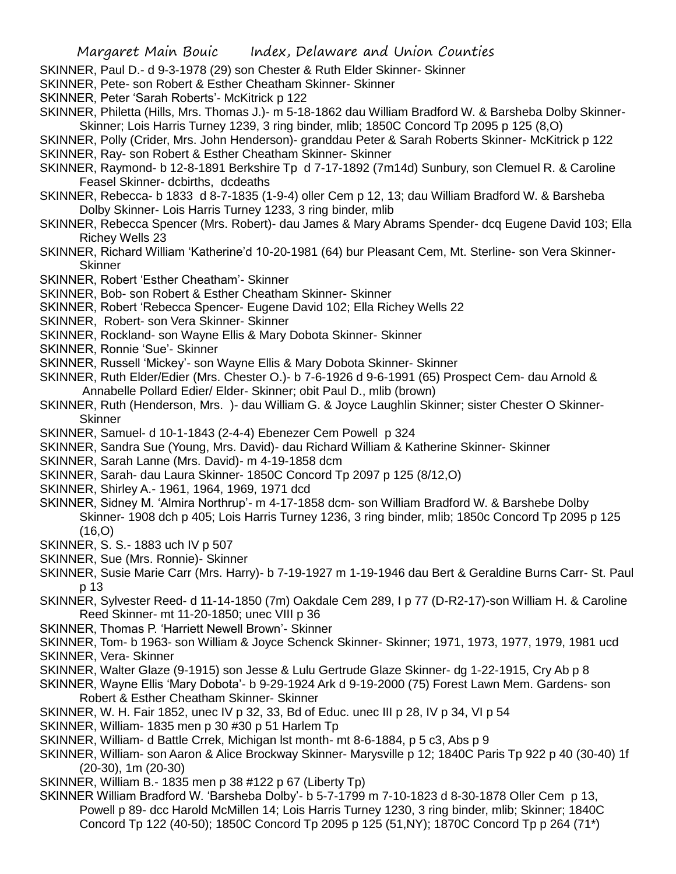- SKINNER, Paul D.- d 9-3-1978 (29) son Chester & Ruth Elder Skinner- Skinner
- SKINNER, Pete- son Robert & Esther Cheatham Skinner- Skinner
- SKINNER, Peter 'Sarah Roberts'- McKitrick p 122
- SKINNER, Philetta (Hills, Mrs. Thomas J.)- m 5-18-1862 dau William Bradford W. & Barsheba Dolby Skinner-Skinner; Lois Harris Turney 1239, 3 ring binder, mlib; 1850C Concord Tp 2095 p 125 (8,O)
- SKINNER, Polly (Crider, Mrs. John Henderson)- granddau Peter & Sarah Roberts Skinner- McKitrick p 122 SKINNER, Ray- son Robert & Esther Cheatham Skinner- Skinner
- SKINNER, Raymond- b 12-8-1891 Berkshire Tp d 7-17-1892 (7m14d) Sunbury, son Clemuel R. & Caroline Feasel Skinner- dcbirths, dcdeaths
- SKINNER, Rebecca- b 1833 d 8-7-1835 (1-9-4) oller Cem p 12, 13; dau William Bradford W. & Barsheba Dolby Skinner- Lois Harris Turney 1233, 3 ring binder, mlib
- SKINNER, Rebecca Spencer (Mrs. Robert)- dau James & Mary Abrams Spender- dcq Eugene David 103; Ella Richey Wells 23
- SKINNER, Richard William 'Katherine'd 10-20-1981 (64) bur Pleasant Cem, Mt. Sterline- son Vera Skinner-Skinner
- SKINNER, Robert 'Esther Cheatham'- Skinner
- SKINNER, Bob- son Robert & Esther Cheatham Skinner- Skinner
- SKINNER, Robert 'Rebecca Spencer- Eugene David 102; Ella Richey Wells 22
- SKINNER, Robert- son Vera Skinner- Skinner
- SKINNER, Rockland- son Wayne Ellis & Mary Dobota Skinner- Skinner
- SKINNER, Ronnie 'Sue'- Skinner
- SKINNER, Russell 'Mickey'- son Wayne Ellis & Mary Dobota Skinner- Skinner
- SKINNER, Ruth Elder/Edier (Mrs. Chester O.)- b 7-6-1926 d 9-6-1991 (65) Prospect Cem- dau Arnold & Annabelle Pollard Edier/ Elder- Skinner; obit Paul D., mlib (brown)
- SKINNER, Ruth (Henderson, Mrs. )- dau William G. & Joyce Laughlin Skinner; sister Chester O Skinner-**Skinner**
- SKINNER, Samuel- d 10-1-1843 (2-4-4) Ebenezer Cem Powell p 324
- SKINNER, Sandra Sue (Young, Mrs. David)- dau Richard William & Katherine Skinner- Skinner
- SKINNER, Sarah Lanne (Mrs. David)- m 4-19-1858 dcm
- SKINNER, Sarah- dau Laura Skinner- 1850C Concord Tp 2097 p 125 (8/12,O)
- SKINNER, Shirley A.- 1961, 1964, 1969, 1971 dcd
- SKINNER, Sidney M. 'Almira Northrup'- m 4-17-1858 dcm- son William Bradford W. & Barshebe Dolby Skinner- 1908 dch p 405; Lois Harris Turney 1236, 3 ring binder, mlib; 1850c Concord Tp 2095 p 125  $(16.0)$
- SKINNER, S. S.- 1883 uch IV p 507
- SKINNER, Sue (Mrs. Ronnie)- Skinner
- SKINNER, Susie Marie Carr (Mrs. Harry)- b 7-19-1927 m 1-19-1946 dau Bert & Geraldine Burns Carr- St. Paul p 13
- SKINNER, Sylvester Reed- d 11-14-1850 (7m) Oakdale Cem 289, I p 77 (D-R2-17)-son William H. & Caroline Reed Skinner- mt 11-20-1850; unec VIII p 36
- SKINNER, Thomas P. 'Harriett Newell Brown'- Skinner
- SKINNER, Tom- b 1963- son William & Joyce Schenck Skinner- Skinner; 1971, 1973, 1977, 1979, 1981 ucd
- SKINNER, Vera- Skinner
- SKINNER, Walter Glaze (9-1915) son Jesse & Lulu Gertrude Glaze Skinner- dg 1-22-1915, Cry Ab p 8
- SKINNER, Wayne Ellis 'Mary Dobota'- b 9-29-1924 Ark d 9-19-2000 (75) Forest Lawn Mem. Gardens- son Robert & Esther Cheatham Skinner- Skinner
- SKINNER, W. H. Fair 1852, unec IV p 32, 33, Bd of Educ. unec III p 28, IV p 34, VI p 54
- SKINNER, William- 1835 men p 30 #30 p 51 Harlem Tp
- SKINNER, William- d Battle Crrek, Michigan lst month- mt 8-6-1884, p 5 c3, Abs p 9
- SKINNER, William- son Aaron & Alice Brockway Skinner- Marysville p 12; 1840C Paris Tp 922 p 40 (30-40) 1f (20-30), 1m (20-30)
- SKINNER, William B.- 1835 men p 38 #122 p 67 (Liberty Tp)
- SKINNER William Bradford W. 'Barsheba Dolby'- b 5-7-1799 m 7-10-1823 d 8-30-1878 Oller Cem p 13, Powell p 89- dcc Harold McMillen 14; Lois Harris Turney 1230, 3 ring binder, mlib; Skinner; 1840C Concord Tp 122 (40-50); 1850C Concord Tp 2095 p 125 (51,NY); 1870C Concord Tp p 264 (71\*)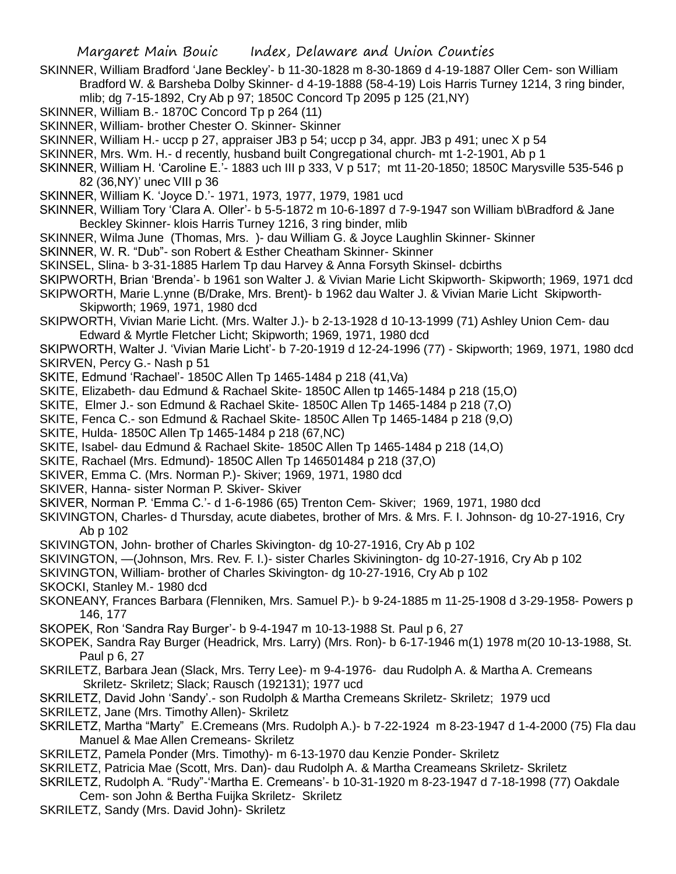- SKINNER, William Bradford 'Jane Beckley'- b 11-30-1828 m 8-30-1869 d 4-19-1887 Oller Cem- son William Bradford W. & Barsheba Dolby Skinner- d 4-19-1888 (58-4-19) Lois Harris Turney 1214, 3 ring binder, mlib; dg 7-15-1892, Cry Ab p 97; 1850C Concord Tp 2095 p 125 (21,NY)
- SKINNER, William B.- 1870C Concord Tp p 264 (11)
- SKINNER, William- brother Chester O. Skinner- Skinner
- SKINNER, William H.- uccp p 27, appraiser JB3 p 54; uccp p 34, appr. JB3 p 491; unec X p 54
- SKINNER, Mrs. Wm. H.- d recently, husband built Congregational church- mt 1-2-1901, Ab p 1
- SKINNER, William H. 'Caroline E.'- 1883 uch III p 333, V p 517; mt 11-20-1850; 1850C Marysville 535-546 p 82 (36,NY)' unec VIII p 36
- SKINNER, William K. 'Joyce D.'- 1971, 1973, 1977, 1979, 1981 ucd
- SKINNER, William Tory 'Clara A. Oller'- b 5-5-1872 m 10-6-1897 d 7-9-1947 son William b\Bradford & Jane Beckley Skinner- klois Harris Turney 1216, 3 ring binder, mlib
- SKINNER, Wilma June (Thomas, Mrs. )- dau William G. & Joyce Laughlin Skinner- Skinner
- SKINNER, W. R. "Dub"- son Robert & Esther Cheatham Skinner- Skinner
- SKINSEL, Slina- b 3-31-1885 Harlem Tp dau Harvey & Anna Forsyth Skinsel- dcbirths
- SKIPWORTH, Brian 'Brenda'- b 1961 son Walter J. & Vivian Marie Licht Skipworth- Skipworth; 1969, 1971 dcd
- SKIPWORTH, Marie L.ynne (B/Drake, Mrs. Brent)- b 1962 dau Walter J. & Vivian Marie Licht Skipworth-Skipworth; 1969, 1971, 1980 dcd
- SKIPWORTH, Vivian Marie Licht. (Mrs. Walter J.)- b 2-13-1928 d 10-13-1999 (71) Ashley Union Cem- dau Edward & Myrtle Fletcher Licht; Skipworth; 1969, 1971, 1980 dcd
- SKIPWORTH, Walter J. 'Vivian Marie Licht'- b 7-20-1919 d 12-24-1996 (77) Skipworth; 1969, 1971, 1980 dcd SKIRVEN, Percy G.- Nash p 51
- SKITE, Edmund 'Rachael'- 1850C Allen Tp 1465-1484 p 218 (41,Va)
- SKITE, Elizabeth- dau Edmund & Rachael Skite- 1850C Allen tp 1465-1484 p 218 (15,O)
- SKITE, Elmer J.- son Edmund & Rachael Skite- 1850C Allen Tp 1465-1484 p 218 (7,O)
- SKITE, Fenca C.- son Edmund & Rachael Skite- 1850C Allen Tp 1465-1484 p 218 (9,O)
- SKITE, Hulda- 1850C Allen Tp 1465-1484 p 218 (67,NC)
- SKITE, Isabel- dau Edmund & Rachael Skite- 1850C Allen Tp 1465-1484 p 218 (14,O)
- SKITE, Rachael (Mrs. Edmund)- 1850C Allen Tp 146501484 p 218 (37,O)
- SKIVER, Emma C. (Mrs. Norman P.)- Skiver; 1969, 1971, 1980 dcd
- SKIVER, Hanna- sister Norman P. Skiver- Skiver
- SKIVER, Norman P. 'Emma C.'- d 1-6-1986 (65) Trenton Cem- Skiver; 1969, 1971, 1980 dcd
- SKIVINGTON, Charles- d Thursday, acute diabetes, brother of Mrs. & Mrs. F. I. Johnson- dg 10-27-1916, Cry Ab p 102
- SKIVINGTON, John- brother of Charles Skivington- dg 10-27-1916, Cry Ab p 102
- SKIVINGTON, —(Johnson, Mrs. Rev. F. I.)- sister Charles Skivinington- dg 10-27-1916, Cry Ab p 102
- SKIVINGTON, William- brother of Charles Skivington- dg 10-27-1916, Cry Ab p 102
- SKOCKI, Stanley M.- 1980 dcd
- SKONEANY, Frances Barbara (Flenniken, Mrs. Samuel P.)- b 9-24-1885 m 11-25-1908 d 3-29-1958- Powers p 146, 177
- SKOPEK, Ron 'Sandra Ray Burger'- b 9-4-1947 m 10-13-1988 St. Paul p 6, 27
- SKOPEK, Sandra Ray Burger (Headrick, Mrs. Larry) (Mrs. Ron)- b 6-17-1946 m(1) 1978 m(20 10-13-1988, St. Paul p 6, 27
- SKRILETZ, Barbara Jean (Slack, Mrs. Terry Lee)- m 9-4-1976- dau Rudolph A. & Martha A. Cremeans Skriletz- Skriletz; Slack; Rausch (192131); 1977 ucd
- SKRILETZ, David John 'Sandy'.- son Rudolph & Martha Cremeans Skriletz- Skriletz; 1979 ucd
- SKRILETZ, Jane (Mrs. Timothy Allen)- Skriletz
- SKRILETZ, Martha "Marty" E.Cremeans (Mrs. Rudolph A.)- b 7-22-1924 m 8-23-1947 d 1-4-2000 (75) Fla dau Manuel & Mae Allen Cremeans- Skriletz
- SKRILETZ, Pamela Ponder (Mrs. Timothy)- m 6-13-1970 dau Kenzie Ponder- Skriletz
- SKRILETZ, Patricia Mae (Scott, Mrs. Dan)- dau Rudolph A. & Martha Creameans Skriletz- Skriletz
- SKRILETZ, Rudolph A. "Rudy"-'Martha E. Cremeans'- b 10-31-1920 m 8-23-1947 d 7-18-1998 (77) Oakdale Cem- son John & Bertha Fuijka Skriletz- Skriletz
- SKRILETZ, Sandy (Mrs. David John)- Skriletz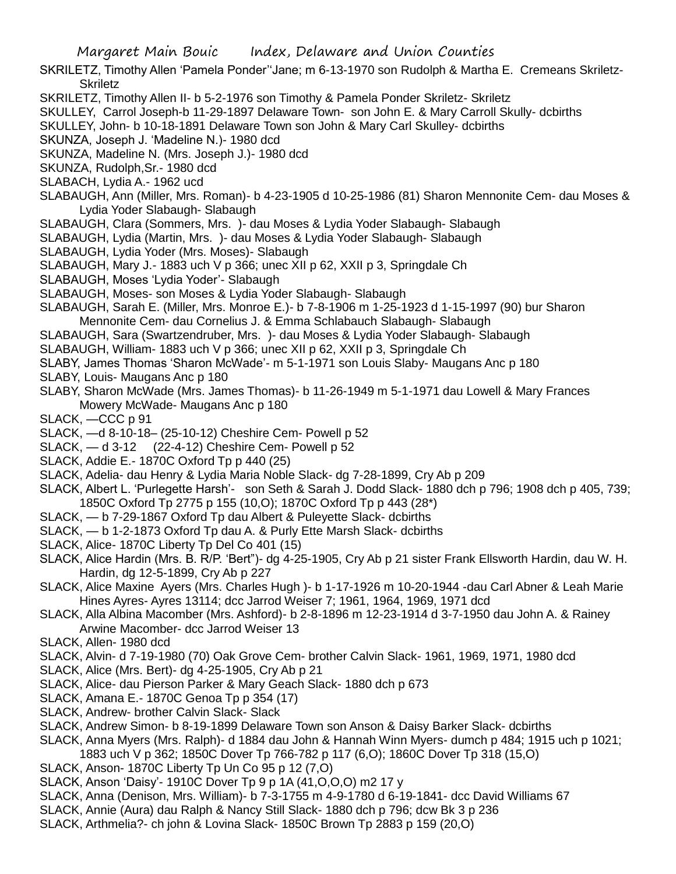- SKRILETZ, Timothy Allen 'Pamela Ponder''Jane; m 6-13-1970 son Rudolph & Martha E. Cremeans Skriletz-**Skriletz**
- SKRILETZ, Timothy Allen II- b 5-2-1976 son Timothy & Pamela Ponder Skriletz- Skriletz
- SKULLEY, Carrol Joseph-b 11-29-1897 Delaware Town- son John E. & Mary Carroll Skully- dcbirths

SKULLEY, John- b 10-18-1891 Delaware Town son John & Mary Carl Skulley- dcbirths

SKUNZA, Joseph J. 'Madeline N.)- 1980 dcd

SKUNZA, Madeline N. (Mrs. Joseph J.)- 1980 dcd

SKUNZA, Rudolph,Sr.- 1980 dcd

SLABACH, Lydia A.- 1962 ucd

- SLABAUGH, Ann (Miller, Mrs. Roman)- b 4-23-1905 d 10-25-1986 (81) Sharon Mennonite Cem- dau Moses & Lydia Yoder Slabaugh- Slabaugh
- SLABAUGH, Clara (Sommers, Mrs. )- dau Moses & Lydia Yoder Slabaugh- Slabaugh
- SLABAUGH, Lydia (Martin, Mrs. )- dau Moses & Lydia Yoder Slabaugh- Slabaugh
- SLABAUGH, Lydia Yoder (Mrs. Moses)- Slabaugh
- SLABAUGH, Mary J.- 1883 uch V p 366; unec XII p 62, XXII p 3, Springdale Ch
- SLABAUGH, Moses 'Lydia Yoder'- Slabaugh
- SLABAUGH, Moses- son Moses & Lydia Yoder Slabaugh- Slabaugh
- SLABAUGH, Sarah E. (Miller, Mrs. Monroe E.)- b 7-8-1906 m 1-25-1923 d 1-15-1997 (90) bur Sharon Mennonite Cem- dau Cornelius J. & Emma Schlabauch Slabaugh- Slabaugh
- SLABAUGH, Sara (Swartzendruber, Mrs. )- dau Moses & Lydia Yoder Slabaugh- Slabaugh
- SLABAUGH, William- 1883 uch V p 366; unec XII p 62, XXII p 3, Springdale Ch
- SLABY, James Thomas 'Sharon McWade'- m 5-1-1971 son Louis Slaby- Maugans Anc p 180
- SLABY, Louis- Maugans Anc p 180
- SLABY, Sharon McWade (Mrs. James Thomas)- b 11-26-1949 m 5-1-1971 dau Lowell & Mary Frances Mowery McWade- Maugans Anc p 180

SLACK, —CCC p 91

- SLACK, —d 8-10-18– (25-10-12) Cheshire Cem- Powell p 52
- SLACK, d 3-12 (22-4-12) Cheshire Cem- Powell p 52
- SLACK, Addie E.- 1870C Oxford Tp p 440 (25)
- SLACK, Adelia- dau Henry & Lydia Maria Noble Slack- dg 7-28-1899, Cry Ab p 209
- SLACK, Albert L. 'Purlegette Harsh'- son Seth & Sarah J. Dodd Slack- 1880 dch p 796; 1908 dch p 405, 739; 1850C Oxford Tp 2775 p 155 (10,O); 1870C Oxford Tp p 443 (28\*)
- SLACK, b 7-29-1867 Oxford Tp dau Albert & Puleyette Slack- dcbirths
- SLACK, b 1-2-1873 Oxford Tp dau A. & Purly Ette Marsh Slack- dcbirths
- SLACK, Alice- 1870C Liberty Tp Del Co 401 (15)
- SLACK, Alice Hardin (Mrs. B. R/P. 'Bert")- dg 4-25-1905, Cry Ab p 21 sister Frank Ellsworth Hardin, dau W. H. Hardin, dg 12-5-1899, Cry Ab p 227
- SLACK, Alice Maxine Ayers (Mrs. Charles Hugh )- b 1-17-1926 m 10-20-1944 -dau Carl Abner & Leah Marie Hines Ayres- Ayres 13114; dcc Jarrod Weiser 7; 1961, 1964, 1969, 1971 dcd
- SLACK, Alla Albina Macomber (Mrs. Ashford)- b 2-8-1896 m 12-23-1914 d 3-7-1950 dau John A. & Rainey Arwine Macomber- dcc Jarrod Weiser 13
- SLACK, Allen- 1980 dcd
- SLACK, Alvin- d 7-19-1980 (70) Oak Grove Cem- brother Calvin Slack- 1961, 1969, 1971, 1980 dcd
- SLACK, Alice (Mrs. Bert)- dg 4-25-1905, Cry Ab p 21
- SLACK, Alice- dau Pierson Parker & Mary Geach Slack- 1880 dch p 673
- SLACK, Amana E.- 1870C Genoa Tp p 354 (17)
- SLACK, Andrew- brother Calvin Slack- Slack
- SLACK, Andrew Simon- b 8-19-1899 Delaware Town son Anson & Daisy Barker Slack- dcbirths
- SLACK, Anna Myers (Mrs. Ralph)- d 1884 dau John & Hannah Winn Myers- dumch p 484; 1915 uch p 1021;
- 1883 uch V p 362; 1850C Dover Tp 766-782 p 117 (6,O); 1860C Dover Tp 318 (15,O)
- SLACK, Anson- 1870C Liberty Tp Un Co 95 p 12 (7,O)
- SLACK, Anson 'Daisy'- 1910C Dover Tp 9 p 1A (41,O,O,O) m2 17 y
- SLACK, Anna (Denison, Mrs. William)- b 7-3-1755 m 4-9-1780 d 6-19-1841- dcc David Williams 67
- SLACK, Annie (Aura) dau Ralph & Nancy Still Slack- 1880 dch p 796; dcw Bk 3 p 236
- SLACK, Arthmelia?- ch john & Lovina Slack- 1850C Brown Tp 2883 p 159 (20,O)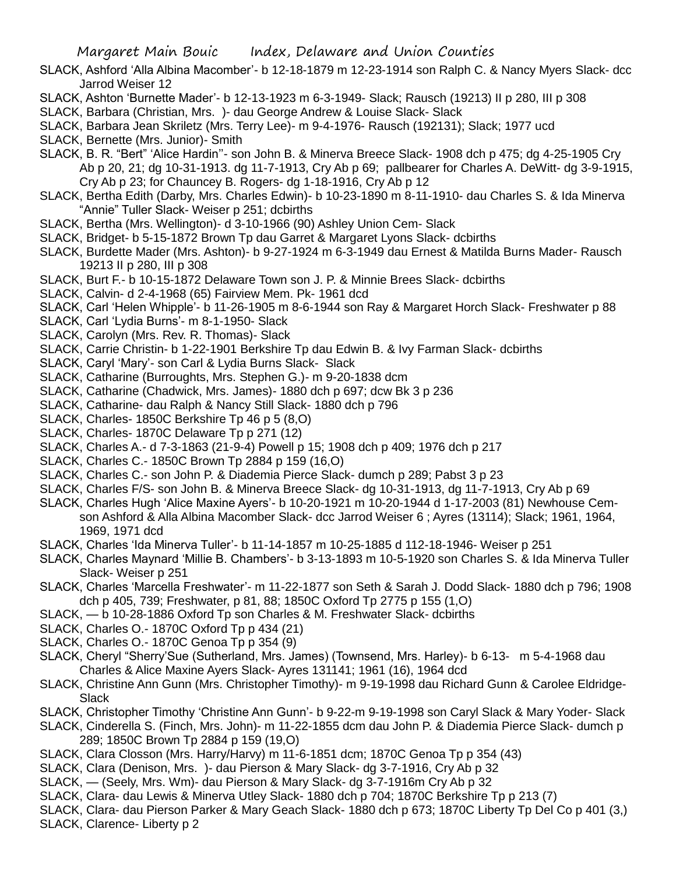- SLACK, Ashford 'Alla Albina Macomber'- b 12-18-1879 m 12-23-1914 son Ralph C. & Nancy Myers Slack- dcc Jarrod Weiser 12
- SLACK, Ashton 'Burnette Mader'- b 12-13-1923 m 6-3-1949- Slack; Rausch (19213) II p 280, III p 308
- SLACK, Barbara (Christian, Mrs. )- dau George Andrew & Louise Slack- Slack
- SLACK, Barbara Jean Skriletz (Mrs. Terry Lee)- m 9-4-1976- Rausch (192131); Slack; 1977 ucd
- SLACK, Bernette (Mrs. Junior)- Smith
- SLACK, B. R. "Bert" 'Alice Hardin''- son John B. & Minerva Breece Slack- 1908 dch p 475; dg 4-25-1905 Cry Ab p 20, 21; dg 10-31-1913. dg 11-7-1913, Cry Ab p 69; pallbearer for Charles A. DeWitt- dg 3-9-1915, Cry Ab p 23; for Chauncey B. Rogers- dg 1-18-1916, Cry Ab p 12
- SLACK, Bertha Edith (Darby, Mrs. Charles Edwin)- b 10-23-1890 m 8-11-1910- dau Charles S. & Ida Minerva "Annie" Tuller Slack- Weiser p 251; dcbirths
- SLACK, Bertha (Mrs. Wellington)- d 3-10-1966 (90) Ashley Union Cem- Slack
- SLACK, Bridget- b 5-15-1872 Brown Tp dau Garret & Margaret Lyons Slack- dcbirths
- SLACK, Burdette Mader (Mrs. Ashton)- b 9-27-1924 m 6-3-1949 dau Ernest & Matilda Burns Mader- Rausch 19213 II p 280, III p 308
- SLACK, Burt F.- b 10-15-1872 Delaware Town son J. P. & Minnie Brees Slack- dcbirths
- SLACK, Calvin- d 2-4-1968 (65) Fairview Mem. Pk- 1961 dcd
- SLACK, Carl 'Helen Whipple'- b 11-26-1905 m 8-6-1944 son Ray & Margaret Horch Slack- Freshwater p 88
- SLACK, Carl 'Lydia Burns'- m 8-1-1950- Slack
- SLACK, Carolyn (Mrs. Rev. R. Thomas)- Slack
- SLACK, Carrie Christin- b 1-22-1901 Berkshire Tp dau Edwin B. & Ivy Farman Slack- dcbirths
- SLACK, Caryl 'Mary'- son Carl & Lydia Burns Slack- Slack
- SLACK, Catharine (Burroughts, Mrs. Stephen G.)- m 9-20-1838 dcm
- SLACK, Catharine (Chadwick, Mrs. James)- 1880 dch p 697; dcw Bk 3 p 236
- SLACK, Catharine- dau Ralph & Nancy Still Slack- 1880 dch p 796
- SLACK, Charles- 1850C Berkshire Tp 46 p 5 (8,O)
- SLACK, Charles- 1870C Delaware Tp p 271 (12)
- SLACK, Charles A.- d 7-3-1863 (21-9-4) Powell p 15; 1908 dch p 409; 1976 dch p 217
- SLACK, Charles C.- 1850C Brown Tp 2884 p 159 (16,O)
- SLACK, Charles C.- son John P. & Diademia Pierce Slack- dumch p 289; Pabst 3 p 23
- SLACK, Charles F/S- son John B. & Minerva Breece Slack- dg 10-31-1913, dg 11-7-1913, Cry Ab p 69
- SLACK, Charles Hugh 'Alice Maxine Ayers'- b 10-20-1921 m 10-20-1944 d 1-17-2003 (81) Newhouse Cemson Ashford & Alla Albina Macomber Slack- dcc Jarrod Weiser 6 ; Ayres (13114); Slack; 1961, 1964, 1969, 1971 dcd
- SLACK, Charles 'Ida Minerva Tuller'- b 11-14-1857 m 10-25-1885 d 112-18-1946- Weiser p 251
- SLACK, Charles Maynard 'Millie B. Chambers'- b 3-13-1893 m 10-5-1920 son Charles S. & Ida Minerva Tuller Slack- Weiser p 251
- SLACK, Charles 'Marcella Freshwater'- m 11-22-1877 son Seth & Sarah J. Dodd Slack- 1880 dch p 796; 1908 dch p 405, 739; Freshwater, p 81, 88; 1850C Oxford Tp 2775 p 155 (1,O)
- SLACK, b 10-28-1886 Oxford Tp son Charles & M. Freshwater Slack- dcbirths
- SLACK, Charles O.- 1870C Oxford Tp p 434 (21)
- SLACK, Charles O.- 1870C Genoa Tp p 354 (9)
- SLACK, Cheryl "Sherry'Sue (Sutherland, Mrs. James) (Townsend, Mrs. Harley)- b 6-13- m 5-4-1968 dau Charles & Alice Maxine Ayers Slack- Ayres 131141; 1961 (16), 1964 dcd
- SLACK, Christine Ann Gunn (Mrs. Christopher Timothy)- m 9-19-1998 dau Richard Gunn & Carolee Eldridge-**Slack**
- SLACK, Christopher Timothy 'Christine Ann Gunn'- b 9-22-m 9-19-1998 son Caryl Slack & Mary Yoder- Slack
- SLACK, Cinderella S. (Finch, Mrs. John)- m 11-22-1855 dcm dau John P. & Diademia Pierce Slack- dumch p 289; 1850C Brown Tp 2884 p 159 (19,O)
- SLACK, Clara Closson (Mrs. Harry/Harvy) m 11-6-1851 dcm; 1870C Genoa Tp p 354 (43)
- SLACK, Clara (Denison, Mrs. )- dau Pierson & Mary Slack- dg 3-7-1916, Cry Ab p 32
- SLACK, (Seely, Mrs. Wm)- dau Pierson & Mary Slack- dg 3-7-1916m Cry Ab p 32
- SLACK, Clara- dau Lewis & Minerva Utley Slack- 1880 dch p 704; 1870C Berkshire Tp p 213 (7)
- SLACK, Clara- dau Pierson Parker & Mary Geach Slack- 1880 dch p 673; 1870C Liberty Tp Del Co p 401 (3,)
- SLACK, Clarence- Liberty p 2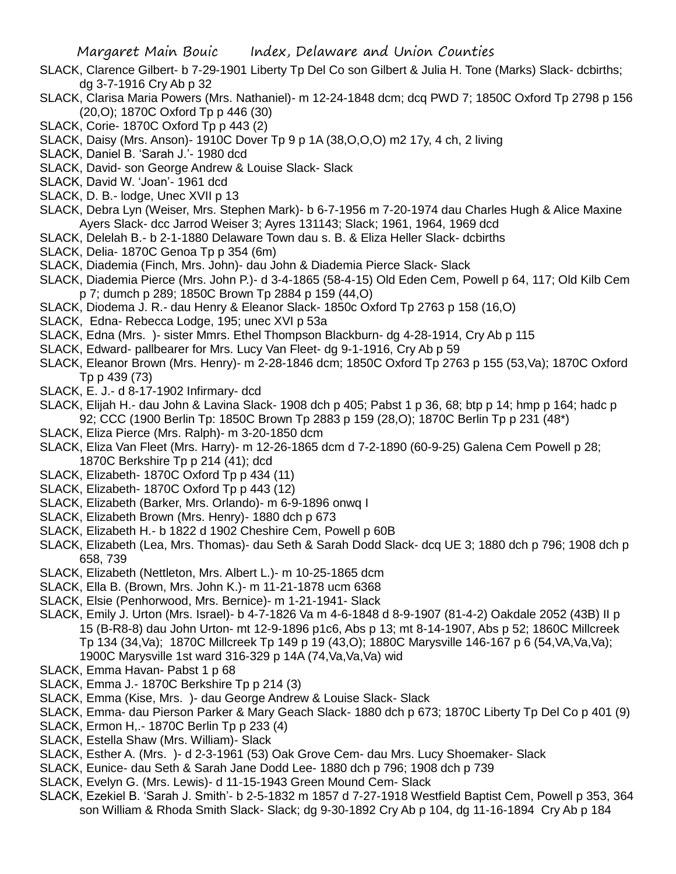- SLACK, Clarence Gilbert- b 7-29-1901 Liberty Tp Del Co son Gilbert & Julia H. Tone (Marks) Slack- dcbirths; dg 3-7-1916 Cry Ab p 32
- SLACK, Clarisa Maria Powers (Mrs. Nathaniel)- m 12-24-1848 dcm; dcq PWD 7; 1850C Oxford Tp 2798 p 156 (20,O); 1870C Oxford Tp p 446 (30)
- SLACK, Corie- 1870C Oxford Tp p 443 (2)
- SLACK, Daisy (Mrs. Anson)- 1910C Dover Tp 9 p 1A (38,O,O,O) m2 17y, 4 ch, 2 living
- SLACK, Daniel B. 'Sarah J.'- 1980 dcd
- SLACK, David- son George Andrew & Louise Slack- Slack
- SLACK, David W. 'Joan'- 1961 dcd
- SLACK, D. B.- lodge, Unec XVII p 13
- SLACK, Debra Lyn (Weiser, Mrs. Stephen Mark)- b 6-7-1956 m 7-20-1974 dau Charles Hugh & Alice Maxine Ayers Slack- dcc Jarrod Weiser 3; Ayres 131143; Slack; 1961, 1964, 1969 dcd
- SLACK, Delelah B.- b 2-1-1880 Delaware Town dau s. B. & Eliza Heller Slack- dcbirths
- SLACK, Delia- 1870C Genoa Tp p 354 (6m)
- SLACK, Diademia (Finch, Mrs. John)- dau John & Diademia Pierce Slack- Slack
- SLACK, Diademia Pierce (Mrs. John P.)- d 3-4-1865 (58-4-15) Old Eden Cem, Powell p 64, 117; Old Kilb Cem p 7; dumch p 289; 1850C Brown Tp 2884 p 159 (44,O)
- SLACK, Diodema J. R.- dau Henry & Eleanor Slack- 1850c Oxford Tp 2763 p 158 (16,O)
- SLACK, Edna- Rebecca Lodge, 195; unec XVI p 53a
- SLACK, Edna (Mrs. )- sister Mmrs. Ethel Thompson Blackburn- dg 4-28-1914, Cry Ab p 115
- SLACK, Edward- pallbearer for Mrs. Lucy Van Fleet- dg 9-1-1916, Cry Ab p 59
- SLACK, Eleanor Brown (Mrs. Henry)- m 2-28-1846 dcm; 1850C Oxford Tp 2763 p 155 (53,Va); 1870C Oxford Tp p 439 (73)
- SLACK, E. J.- d 8-17-1902 Infirmary- dcd
- SLACK, Elijah H.- dau John & Lavina Slack- 1908 dch p 405; Pabst 1 p 36, 68; btp p 14; hmp p 164; hadc p 92; CCC (1900 Berlin Tp: 1850C Brown Tp 2883 p 159 (28,O); 1870C Berlin Tp p 231 (48\*)
- SLACK, Eliza Pierce (Mrs. Ralph)- m 3-20-1850 dcm
- SLACK, Eliza Van Fleet (Mrs. Harry)- m 12-26-1865 dcm d 7-2-1890 (60-9-25) Galena Cem Powell p 28; 1870C Berkshire Tp p 214 (41); dcd
- SLACK, Elizabeth- 1870C Oxford Tp p 434 (11)
- SLACK, Elizabeth- 1870C Oxford Tp p 443 (12)
- SLACK, Elizabeth (Barker, Mrs. Orlando)- m 6-9-1896 onwq I
- SLACK, Elizabeth Brown (Mrs. Henry)- 1880 dch p 673
- SLACK, Elizabeth H.- b 1822 d 1902 Cheshire Cem, Powell p 60B
- SLACK, Elizabeth (Lea, Mrs. Thomas)- dau Seth & Sarah Dodd Slack- dcq UE 3; 1880 dch p 796; 1908 dch p 658, 739
- SLACK, Elizabeth (Nettleton, Mrs. Albert L.)- m 10-25-1865 dcm
- SLACK, Ella B. (Brown, Mrs. John K.)- m 11-21-1878 ucm 6368
- SLACK, Elsie (Penhorwood, Mrs. Bernice)- m 1-21-1941- Slack
- SLACK, Emily J. Urton (Mrs. Israel)- b 4-7-1826 Va m 4-6-1848 d 8-9-1907 (81-4-2) Oakdale 2052 (43B) II p 15 (B-R8-8) dau John Urton- mt 12-9-1896 p1c6, Abs p 13; mt 8-14-1907, Abs p 52; 1860C Millcreek Tp 134 (34,Va); 1870C Millcreek Tp 149 p 19 (43,O); 1880C Marysville 146-167 p 6 (54,VA,Va,Va); 1900C Marysville 1st ward 316-329 p 14A (74,Va,Va,Va) wid
- SLACK, Emma Havan- Pabst 1 p 68
- SLACK, Emma J.- 1870C Berkshire Tp p 214 (3)
- SLACK, Emma (Kise, Mrs. )- dau George Andrew & Louise Slack- Slack
- SLACK, Emma- dau Pierson Parker & Mary Geach Slack- 1880 dch p 673; 1870C Liberty Tp Del Co p 401 (9)
- SLACK, Ermon H,.- 1870C Berlin Tp p 233 (4)
- SLACK, Estella Shaw (Mrs. William)- Slack
- SLACK, Esther A. (Mrs. )- d 2-3-1961 (53) Oak Grove Cem- dau Mrs. Lucy Shoemaker- Slack
- SLACK, Eunice- dau Seth & Sarah Jane Dodd Lee- 1880 dch p 796; 1908 dch p 739
- SLACK, Evelyn G. (Mrs. Lewis)- d 11-15-1943 Green Mound Cem- Slack
- SLACK, Ezekiel B. 'Sarah J. Smith'- b 2-5-1832 m 1857 d 7-27-1918 Westfield Baptist Cem, Powell p 353, 364 son William & Rhoda Smith Slack- Slack; dg 9-30-1892 Cry Ab p 104, dg 11-16-1894 Cry Ab p 184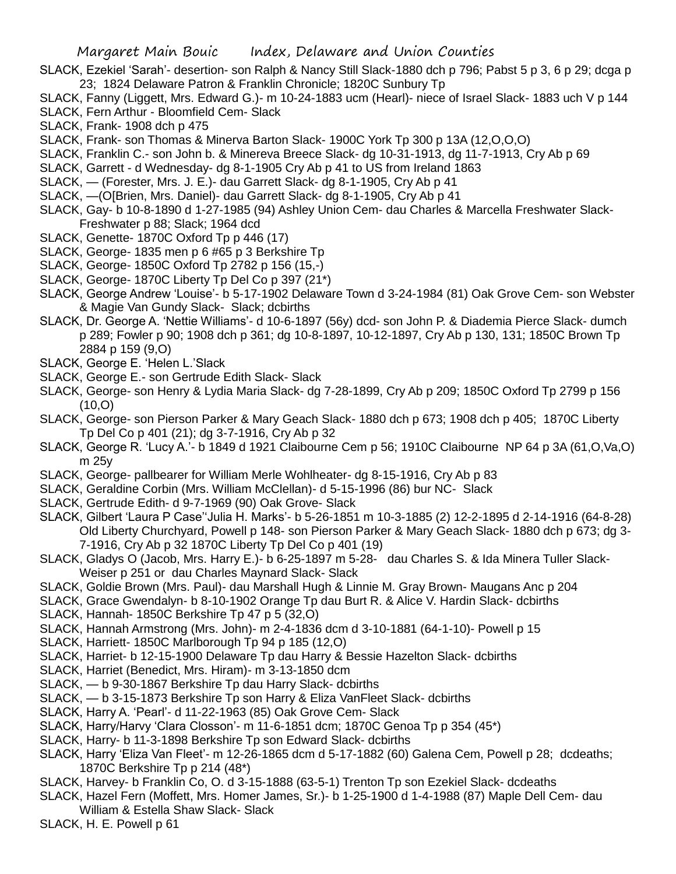- SLACK, Ezekiel 'Sarah'- desertion- son Ralph & Nancy Still Slack-1880 dch p 796; Pabst 5 p 3, 6 p 29; dcga p 23; 1824 Delaware Patron & Franklin Chronicle; 1820C Sunbury Tp
- SLACK, Fanny (Liggett, Mrs. Edward G.)- m 10-24-1883 ucm (Hearl)- niece of Israel Slack- 1883 uch V p 144 SLACK, Fern Arthur - Bloomfield Cem- Slack
- SLACK, Frank- 1908 dch p 475
- SLACK, Frank- son Thomas & Minerva Barton Slack- 1900C York Tp 300 p 13A (12,O,O,O)
- SLACK, Franklin C.- son John b. & Minereva Breece Slack- dg 10-31-1913, dg 11-7-1913, Cry Ab p 69
- SLACK, Garrett d Wednesday- dg 8-1-1905 Cry Ab p 41 to US from Ireland 1863
- SLACK, (Forester, Mrs. J. E.)- dau Garrett Slack- dg 8-1-1905, Cry Ab p 41
- SLACK, —(O[Brien, Mrs. Daniel)- dau Garrett Slack- dg 8-1-1905, Cry Ab p 41
- SLACK, Gay- b 10-8-1890 d 1-27-1985 (94) Ashley Union Cem- dau Charles & Marcella Freshwater Slack-Freshwater p 88; Slack; 1964 dcd
- SLACK, Genette- 1870C Oxford Tp p 446 (17)
- SLACK, George- 1835 men p 6 #65 p 3 Berkshire Tp
- SLACK, George- 1850C Oxford Tp 2782 p 156 (15,-)
- SLACK, George- 1870C Liberty Tp Del Co p 397 (21\*)
- SLACK, George Andrew 'Louise'- b 5-17-1902 Delaware Town d 3-24-1984 (81) Oak Grove Cem- son Webster & Magie Van Gundy Slack- Slack; dcbirths
- SLACK, Dr. George A. 'Nettie Williams'- d 10-6-1897 (56y) dcd- son John P. & Diademia Pierce Slack- dumch p 289; Fowler p 90; 1908 dch p 361; dg 10-8-1897, 10-12-1897, Cry Ab p 130, 131; 1850C Brown Tp 2884 p 159 (9,O)
- SLACK, George E. 'Helen L.'Slack
- SLACK, George E.- son Gertrude Edith Slack- Slack
- SLACK, George- son Henry & Lydia Maria Slack- dg 7-28-1899, Cry Ab p 209; 1850C Oxford Tp 2799 p 156  $(10, 0)$
- SLACK, George- son Pierson Parker & Mary Geach Slack- 1880 dch p 673; 1908 dch p 405; 1870C Liberty Tp Del Co p 401 (21); dg 3-7-1916, Cry Ab p 32
- SLACK, George R. 'Lucy A.'- b 1849 d 1921 Claibourne Cem p 56; 1910C Claibourne NP 64 p 3A (61,O,Va,O) m 25y
- SLACK, George- pallbearer for William Merle Wohlheater- dg 8-15-1916, Cry Ab p 83
- SLACK, Geraldine Corbin (Mrs. William McClellan)- d 5-15-1996 (86) bur NC- Slack
- SLACK, Gertrude Edith- d 9-7-1969 (90) Oak Grove- Slack
- SLACK, Gilbert 'Laura P Case''Julia H. Marks'- b 5-26-1851 m 10-3-1885 (2) 12-2-1895 d 2-14-1916 (64-8-28) Old Liberty Churchyard, Powell p 148- son Pierson Parker & Mary Geach Slack- 1880 dch p 673; dg 3- 7-1916, Cry Ab p 32 1870C Liberty Tp Del Co p 401 (19)
- SLACK, Gladys O (Jacob, Mrs. Harry E.)- b 6-25-1897 m 5-28- dau Charles S. & Ida Minera Tuller Slack-Weiser p 251 or dau Charles Maynard Slack- Slack
- SLACK, Goldie Brown (Mrs. Paul)- dau Marshall Hugh & Linnie M. Gray Brown- Maugans Anc p 204
- SLACK, Grace Gwendalyn- b 8-10-1902 Orange Tp dau Burt R. & Alice V. Hardin Slack- dcbirths
- SLACK, Hannah- 1850C Berkshire Tp 47 p 5 (32,O)
- SLACK, Hannah Armstrong (Mrs. John)- m 2-4-1836 dcm d 3-10-1881 (64-1-10)- Powell p 15
- SLACK, Harriett- 1850C Marlborough Tp 94 p 185 (12,O)
- SLACK, Harriet- b 12-15-1900 Delaware Tp dau Harry & Bessie Hazelton Slack- dcbirths
- SLACK, Harriet (Benedict, Mrs. Hiram)- m 3-13-1850 dcm
- SLACK, b 9-30-1867 Berkshire Tp dau Harry Slack- dcbirths
- SLACK, b 3-15-1873 Berkshire Tp son Harry & Eliza VanFleet Slack- dcbirths
- SLACK, Harry A. 'Pearl'- d 11-22-1963 (85) Oak Grove Cem- Slack
- SLACK, Harry/Harvy 'Clara Closson'- m 11-6-1851 dcm; 1870C Genoa Tp p 354 (45\*)
- SLACK, Harry- b 11-3-1898 Berkshire Tp son Edward Slack- dcbirths
- SLACK, Harry 'Eliza Van Fleet'- m 12-26-1865 dcm d 5-17-1882 (60) Galena Cem, Powell p 28; dcdeaths; 1870C Berkshire Tp p 214 (48\*)
- SLACK, Harvey- b Franklin Co, O. d 3-15-1888 (63-5-1) Trenton Tp son Ezekiel Slack- dcdeaths
- SLACK, Hazel Fern (Moffett, Mrs. Homer James, Sr.)- b 1-25-1900 d 1-4-1988 (87) Maple Dell Cem- dau William & Estella Shaw Slack- Slack
- SLACK, H. E. Powell p 61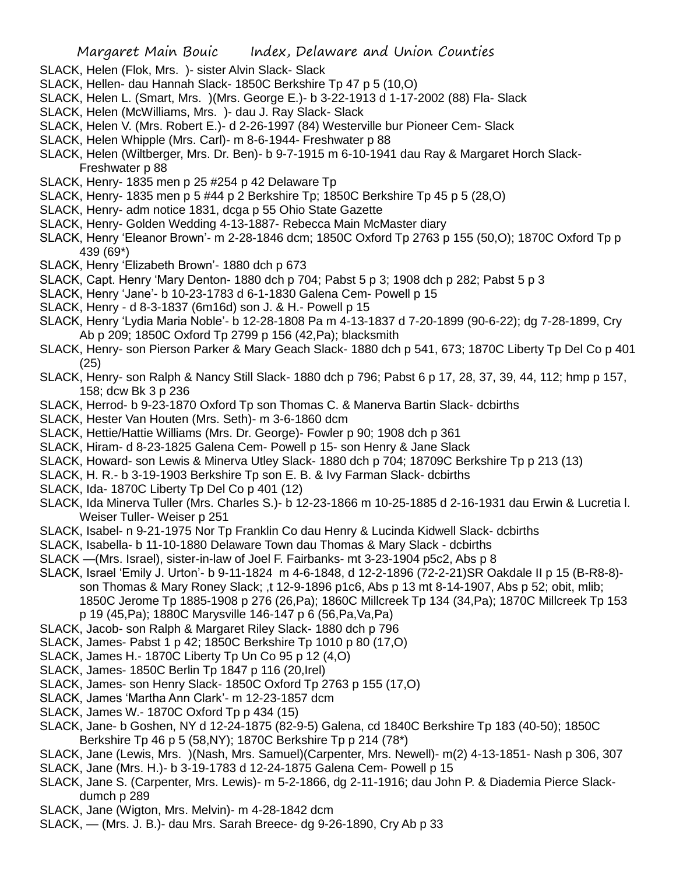- SLACK, Helen (Flok, Mrs. )- sister Alvin Slack- Slack
- SLACK, Hellen- dau Hannah Slack- 1850C Berkshire Tp 47 p 5 (10,O)
- SLACK, Helen L. (Smart, Mrs. )(Mrs. George E.)- b 3-22-1913 d 1-17-2002 (88) Fla- Slack
- SLACK, Helen (McWilliams, Mrs. )- dau J. Ray Slack- Slack
- SLACK, Helen V. (Mrs. Robert E.)- d 2-26-1997 (84) Westerville bur Pioneer Cem- Slack
- SLACK, Helen Whipple (Mrs. Carl)- m 8-6-1944- Freshwater p 88
- SLACK, Helen (Wiltberger, Mrs. Dr. Ben)- b 9-7-1915 m 6-10-1941 dau Ray & Margaret Horch Slack-Freshwater p 88
- SLACK, Henry- 1835 men p 25 #254 p 42 Delaware Tp
- SLACK, Henry- 1835 men p 5 #44 p 2 Berkshire Tp; 1850C Berkshire Tp 45 p 5 (28,O)
- SLACK, Henry- adm notice 1831, dcga p 55 Ohio State Gazette
- SLACK, Henry- Golden Wedding 4-13-1887- Rebecca Main McMaster diary
- SLACK, Henry 'Eleanor Brown'- m 2-28-1846 dcm; 1850C Oxford Tp 2763 p 155 (50,O); 1870C Oxford Tp p 439 (69\*)
- SLACK, Henry 'Elizabeth Brown'- 1880 dch p 673
- SLACK, Capt. Henry 'Mary Denton- 1880 dch p 704; Pabst 5 p 3; 1908 dch p 282; Pabst 5 p 3
- SLACK, Henry 'Jane'- b 10-23-1783 d 6-1-1830 Galena Cem- Powell p 15
- SLACK, Henry d 8-3-1837 (6m16d) son J. & H.- Powell p 15
- SLACK, Henry 'Lydia Maria Noble'- b 12-28-1808 Pa m 4-13-1837 d 7-20-1899 (90-6-22); dg 7-28-1899, Cry Ab p 209; 1850C Oxford Tp 2799 p 156 (42,Pa); blacksmith
- SLACK, Henry- son Pierson Parker & Mary Geach Slack- 1880 dch p 541, 673; 1870C Liberty Tp Del Co p 401 (25)
- SLACK, Henry- son Ralph & Nancy Still Slack- 1880 dch p 796; Pabst 6 p 17, 28, 37, 39, 44, 112; hmp p 157, 158; dcw Bk 3 p 236
- SLACK, Herrod- b 9-23-1870 Oxford Tp son Thomas C. & Manerva Bartin Slack- dcbirths
- SLACK, Hester Van Houten (Mrs. Seth)- m 3-6-1860 dcm
- SLACK, Hettie/Hattie Williams (Mrs. Dr. George)- Fowler p 90; 1908 dch p 361
- SLACK, Hiram- d 8-23-1825 Galena Cem- Powell p 15- son Henry & Jane Slack
- SLACK, Howard- son Lewis & Minerva Utley Slack- 1880 dch p 704; 18709C Berkshire Tp p 213 (13)
- SLACK, H. R.- b 3-19-1903 Berkshire Tp son E. B. & Ivy Farman Slack- dcbirths
- SLACK, Ida- 1870C Liberty Tp Del Co p 401 (12)
- SLACK, Ida Minerva Tuller (Mrs. Charles S.)- b 12-23-1866 m 10-25-1885 d 2-16-1931 dau Erwin & Lucretia l. Weiser Tuller- Weiser p 251
- SLACK, Isabel- n 9-21-1975 Nor Tp Franklin Co dau Henry & Lucinda Kidwell Slack- dcbirths
- SLACK, Isabella- b 11-10-1880 Delaware Town dau Thomas & Mary Slack dcbirths
- SLACK —(Mrs. Israel), sister-in-law of Joel F. Fairbanks- mt 3-23-1904 p5c2, Abs p 8
- SLACK, Israel 'Emily J. Urton'- b 9-11-1824 m 4-6-1848, d 12-2-1896 (72-2-21)SR Oakdale II p 15 (B-R8-8) son Thomas & Mary Roney Slack; ,t 12-9-1896 p1c6, Abs p 13 mt 8-14-1907, Abs p 52; obit, mlib; 1850C Jerome Tp 1885-1908 p 276 (26,Pa); 1860C Millcreek Tp 134 (34,Pa); 1870C Millcreek Tp 153 p 19 (45,Pa); 1880C Marysville 146-147 p 6 (56,Pa,Va,Pa)
- SLACK, Jacob- son Ralph & Margaret Riley Slack- 1880 dch p 796
- SLACK, James- Pabst 1 p 42; 1850C Berkshire Tp 1010 p 80 (17,O)
- SLACK, James H.- 1870C Liberty Tp Un Co 95 p 12 (4,O)
- SLACK, James- 1850C Berlin Tp 1847 p 116 (20,Irel)
- SLACK, James- son Henry Slack- 1850C Oxford Tp 2763 p 155 (17,O)
- SLACK, James 'Martha Ann Clark'- m 12-23-1857 dcm
- SLACK, James W.- 1870C Oxford Tp p 434 (15)
- SLACK, Jane- b Goshen, NY d 12-24-1875 (82-9-5) Galena, cd 1840C Berkshire Tp 183 (40-50); 1850C Berkshire Tp 46 p 5 (58,NY); 1870C Berkshire Tp p 214 (78\*)
- SLACK, Jane (Lewis, Mrs. )(Nash, Mrs. Samuel)(Carpenter, Mrs. Newell)- m(2) 4-13-1851- Nash p 306, 307 SLACK, Jane (Mrs. H.)- b 3-19-1783 d 12-24-1875 Galena Cem- Powell p 15
- SLACK, Jane S. (Carpenter, Mrs. Lewis)- m 5-2-1866, dg 2-11-1916; dau John P. & Diademia Pierce Slackdumch p 289
- SLACK, Jane (Wigton, Mrs. Melvin)- m 4-28-1842 dcm
- SLACK, (Mrs. J. B.)- dau Mrs. Sarah Breece- dg 9-26-1890, Cry Ab p 33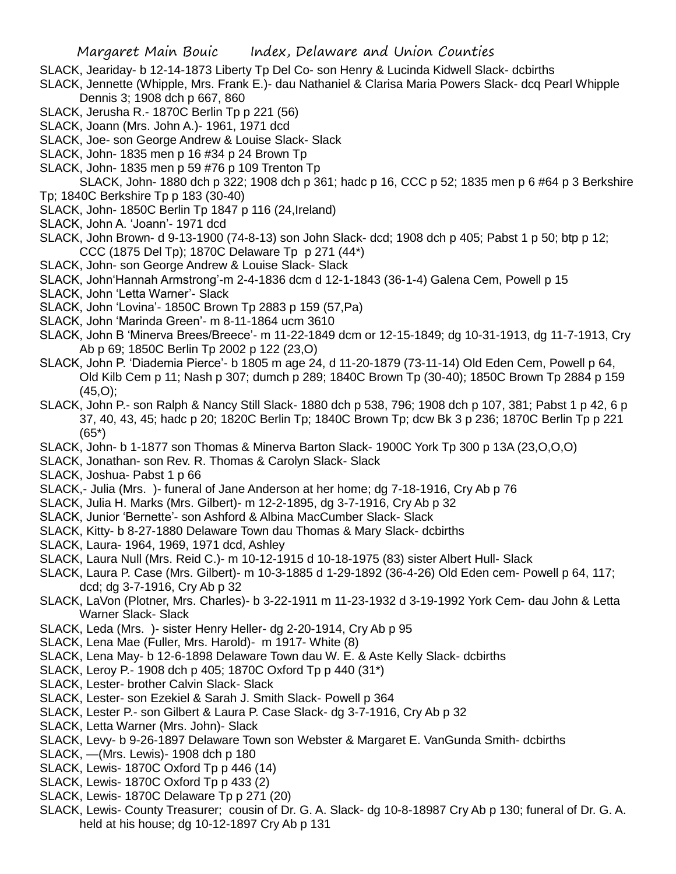- SLACK, Jeariday- b 12-14-1873 Liberty Tp Del Co- son Henry & Lucinda Kidwell Slack- dcbirths
- SLACK, Jennette (Whipple, Mrs. Frank E.)- dau Nathaniel & Clarisa Maria Powers Slack- dcq Pearl Whipple Dennis 3; 1908 dch p 667, 860
- SLACK, Jerusha R.- 1870C Berlin Tp p 221 (56)
- SLACK, Joann (Mrs. John A.)- 1961, 1971 dcd
- SLACK, Joe- son George Andrew & Louise Slack- Slack
- SLACK, John- 1835 men p 16 #34 p 24 Brown Tp
- SLACK, John- 1835 men p 59 #76 p 109 Trenton Tp
- SLACK, John- 1880 dch p 322; 1908 dch p 361; hadc p 16, CCC p 52; 1835 men p 6 #64 p 3 Berkshire Tp; 1840C Berkshire Tp p 183 (30-40)
- SLACK, John- 1850C Berlin Tp 1847 p 116 (24,Ireland)
- SLACK, John A. 'Joann'- 1971 dcd
- SLACK, John Brown- d 9-13-1900 (74-8-13) son John Slack- dcd; 1908 dch p 405; Pabst 1 p 50; btp p 12; CCC (1875 Del Tp); 1870C Delaware Tp p 271 (44\*)
- SLACK, John- son George Andrew & Louise Slack- Slack
- SLACK, John'Hannah Armstrong'-m 2-4-1836 dcm d 12-1-1843 (36-1-4) Galena Cem, Powell p 15
- SLACK, John 'Letta Warner'- Slack
- SLACK, John 'Lovina'- 1850C Brown Tp 2883 p 159 (57,Pa)
- SLACK, John 'Marinda Green'- m 8-11-1864 ucm 3610
- SLACK, John B 'Minerva Brees/Breece'- m 11-22-1849 dcm or 12-15-1849; dg 10-31-1913, dg 11-7-1913, Cry Ab p 69; 1850C Berlin Tp 2002 p 122 (23,O)
- SLACK, John P. 'Diademia Pierce'- b 1805 m age 24, d 11-20-1879 (73-11-14) Old Eden Cem, Powell p 64, Old Kilb Cem p 11; Nash p 307; dumch p 289; 1840C Brown Tp (30-40); 1850C Brown Tp 2884 p 159  $(45.0)$ ;
- SLACK, John P.- son Ralph & Nancy Still Slack- 1880 dch p 538, 796; 1908 dch p 107, 381; Pabst 1 p 42, 6 p 37, 40, 43, 45; hadc p 20; 1820C Berlin Tp; 1840C Brown Tp; dcw Bk 3 p 236; 1870C Berlin Tp p 221 (65\*)
- SLACK, John- b 1-1877 son Thomas & Minerva Barton Slack- 1900C York Tp 300 p 13A (23,O,O,O)
- SLACK, Jonathan- son Rev. R. Thomas & Carolyn Slack- Slack
- SLACK, Joshua- Pabst 1 p 66
- SLACK,- Julia (Mrs. )- funeral of Jane Anderson at her home; dg 7-18-1916, Cry Ab p 76
- SLACK, Julia H. Marks (Mrs. Gilbert)- m 12-2-1895, dg 3-7-1916, Cry Ab p 32
- SLACK, Junior 'Bernette'- son Ashford & Albina MacCumber Slack- Slack
- SLACK, Kitty- b 8-27-1880 Delaware Town dau Thomas & Mary Slack- dcbirths
- SLACK, Laura- 1964, 1969, 1971 dcd, Ashley
- SLACK, Laura Null (Mrs. Reid C.)- m 10-12-1915 d 10-18-1975 (83) sister Albert Hull- Slack
- SLACK, Laura P. Case (Mrs. Gilbert)- m 10-3-1885 d 1-29-1892 (36-4-26) Old Eden cem- Powell p 64, 117; dcd; dg 3-7-1916, Cry Ab p 32
- SLACK, LaVon (Plotner, Mrs. Charles)- b 3-22-1911 m 11-23-1932 d 3-19-1992 York Cem- dau John & Letta Warner Slack- Slack
- SLACK, Leda (Mrs. )- sister Henry Heller- dg 2-20-1914, Cry Ab p 95
- SLACK, Lena Mae (Fuller, Mrs. Harold)- m 1917- White (8)
- SLACK, Lena May- b 12-6-1898 Delaware Town dau W. E. & Aste Kelly Slack- dcbirths
- SLACK, Leroy P.- 1908 dch p 405; 1870C Oxford Tp p 440 (31\*)
- SLACK, Lester- brother Calvin Slack- Slack
- SLACK, Lester- son Ezekiel & Sarah J. Smith Slack- Powell p 364
- SLACK, Lester P.- son Gilbert & Laura P. Case Slack- dg 3-7-1916, Cry Ab p 32
- SLACK, Letta Warner (Mrs. John)- Slack
- SLACK, Levy- b 9-26-1897 Delaware Town son Webster & Margaret E. VanGunda Smith- dcbirths
- SLACK, —(Mrs. Lewis)- 1908 dch p 180
- SLACK, Lewis- 1870C Oxford Tp p 446 (14)
- SLACK, Lewis- 1870C Oxford Tp p 433 (2)
- SLACK, Lewis- 1870C Delaware Tp p 271 (20)
- SLACK, Lewis- County Treasurer; cousin of Dr. G. A. Slack- dg 10-8-18987 Cry Ab p 130; funeral of Dr. G. A. held at his house; dg 10-12-1897 Cry Ab p 131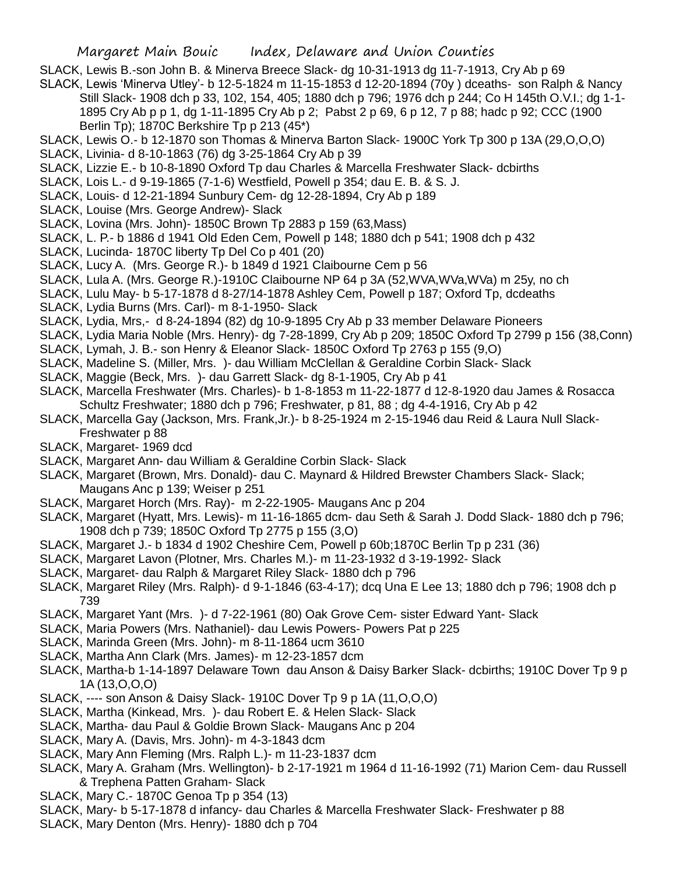- SLACK, Lewis B.-son John B. & Minerva Breece Slack- dg 10-31-1913 dg 11-7-1913, Cry Ab p 69
- SLACK, Lewis 'Minerva Utley'- b 12-5-1824 m 11-15-1853 d 12-20-1894 (70y ) dceaths- son Ralph & Nancy Still Slack- 1908 dch p 33, 102, 154, 405; 1880 dch p 796; 1976 dch p 244; Co H 145th O.V.I.; dg 1-1- 1895 Cry Ab p p 1, dg 1-11-1895 Cry Ab p 2; Pabst 2 p 69, 6 p 12, 7 p 88; hadc p 92; CCC (1900 Berlin Tp); 1870C Berkshire Tp p 213 (45\*)
- SLACK, Lewis O.- b 12-1870 son Thomas & Minerva Barton Slack- 1900C York Tp 300 p 13A (29,O,O,O)
- SLACK, Livinia- d 8-10-1863 (76) dg 3-25-1864 Cry Ab p 39
- SLACK, Lizzie E.- b 10-8-1890 Oxford Tp dau Charles & Marcella Freshwater Slack- dcbirths
- SLACK, Lois L.- d 9-19-1865 (7-1-6) Westfield, Powell p 354; dau E. B. & S. J.
- SLACK, Louis- d 12-21-1894 Sunbury Cem- dg 12-28-1894, Cry Ab p 189
- SLACK, Louise (Mrs. George Andrew)- Slack
- SLACK, Lovina (Mrs. John)- 1850C Brown Tp 2883 p 159 (63,Mass)
- SLACK, L. P.- b 1886 d 1941 Old Eden Cem, Powell p 148; 1880 dch p 541; 1908 dch p 432
- SLACK, Lucinda- 1870C liberty Tp Del Co p 401 (20)
- SLACK, Lucy A. (Mrs. George R.)- b 1849 d 1921 Claibourne Cem p 56
- SLACK, Lula A. (Mrs. George R.)-1910C Claibourne NP 64 p 3A (52,WVA,WVa,WVa) m 25y, no ch
- SLACK, Lulu May- b 5-17-1878 d 8-27/14-1878 Ashley Cem, Powell p 187; Oxford Tp, dcdeaths
- SLACK, Lydia Burns (Mrs. Carl)- m 8-1-1950- Slack
- SLACK, Lydia, Mrs,- d 8-24-1894 (82) dg 10-9-1895 Cry Ab p 33 member Delaware Pioneers
- SLACK, Lydia Maria Noble (Mrs. Henry)- dg 7-28-1899, Cry Ab p 209; 1850C Oxford Tp 2799 p 156 (38,Conn)
- SLACK, Lymah, J. B.- son Henry & Eleanor Slack- 1850C Oxford Tp 2763 p 155 (9,O)
- SLACK, Madeline S. (Miller, Mrs. )- dau William McClellan & Geraldine Corbin Slack- Slack
- SLACK, Maggie (Beck, Mrs. )- dau Garrett Slack- dg 8-1-1905, Cry Ab p 41
- SLACK, Marcella Freshwater (Mrs. Charles)- b 1-8-1853 m 11-22-1877 d 12-8-1920 dau James & Rosacca Schultz Freshwater; 1880 dch p 796; Freshwater, p 81, 88 ; dg 4-4-1916, Cry Ab p 42
- SLACK, Marcella Gay (Jackson, Mrs. Frank,Jr.)- b 8-25-1924 m 2-15-1946 dau Reid & Laura Null Slack-Freshwater p 88
- SLACK, Margaret- 1969 dcd
- SLACK, Margaret Ann- dau William & Geraldine Corbin Slack- Slack
- SLACK, Margaret (Brown, Mrs. Donald)- dau C. Maynard & Hildred Brewster Chambers Slack- Slack; Maugans Anc p 139; Weiser p 251
- SLACK, Margaret Horch (Mrs. Ray)- m 2-22-1905- Maugans Anc p 204
- SLACK, Margaret (Hyatt, Mrs. Lewis)- m 11-16-1865 dcm- dau Seth & Sarah J. Dodd Slack- 1880 dch p 796; 1908 dch p 739; 1850C Oxford Tp 2775 p 155 (3,O)
- SLACK, Margaret J.- b 1834 d 1902 Cheshire Cem, Powell p 60b;1870C Berlin Tp p 231 (36)
- SLACK, Margaret Lavon (Plotner, Mrs. Charles M.)- m 11-23-1932 d 3-19-1992- Slack
- SLACK, Margaret- dau Ralph & Margaret Riley Slack- 1880 dch p 796
- SLACK, Margaret Riley (Mrs. Ralph)- d 9-1-1846 (63-4-17); dcq Una E Lee 13; 1880 dch p 796; 1908 dch p 739
- SLACK, Margaret Yant (Mrs. )- d 7-22-1961 (80) Oak Grove Cem- sister Edward Yant- Slack
- SLACK, Maria Powers (Mrs. Nathaniel)- dau Lewis Powers- Powers Pat p 225
- SLACK, Marinda Green (Mrs. John)- m 8-11-1864 ucm 3610
- SLACK, Martha Ann Clark (Mrs. James)- m 12-23-1857 dcm
- SLACK, Martha-b 1-14-1897 Delaware Town dau Anson & Daisy Barker Slack- dcbirths; 1910C Dover Tp 9 p 1A (13,O,O,O)
- SLACK, ---- son Anson & Daisy Slack- 1910C Dover Tp 9 p 1A (11,O,O,O)
- SLACK, Martha (Kinkead, Mrs. )- dau Robert E. & Helen Slack- Slack
- SLACK, Martha- dau Paul & Goldie Brown Slack- Maugans Anc p 204
- SLACK, Mary A. (Davis, Mrs. John)- m 4-3-1843 dcm
- SLACK, Mary Ann Fleming (Mrs. Ralph L.)- m 11-23-1837 dcm
- SLACK, Mary A. Graham (Mrs. Wellington)- b 2-17-1921 m 1964 d 11-16-1992 (71) Marion Cem- dau Russell & Trephena Patten Graham- Slack
- SLACK, Mary C.- 1870C Genoa Tp p 354 (13)
- SLACK, Mary- b 5-17-1878 d infancy- dau Charles & Marcella Freshwater Slack- Freshwater p 88
- SLACK, Mary Denton (Mrs. Henry)- 1880 dch p 704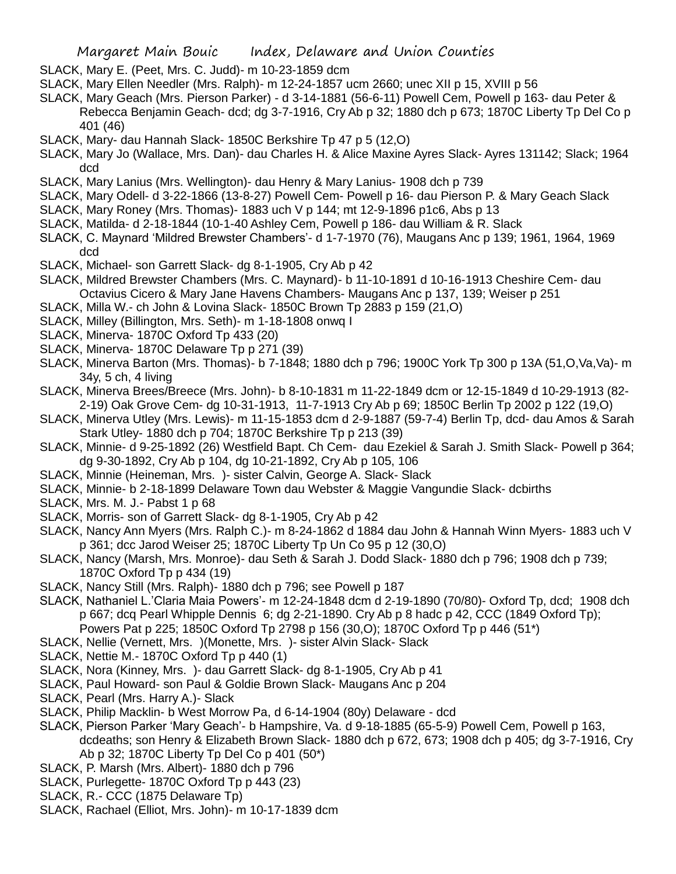- SLACK, Mary E. (Peet, Mrs. C. Judd)- m 10-23-1859 dcm
- SLACK, Mary Ellen Needler (Mrs. Ralph)- m 12-24-1857 ucm 2660; unec XII p 15, XVIII p 56
- SLACK, Mary Geach (Mrs. Pierson Parker) d 3-14-1881 (56-6-11) Powell Cem, Powell p 163- dau Peter & Rebecca Benjamin Geach- dcd; dg 3-7-1916, Cry Ab p 32; 1880 dch p 673; 1870C Liberty Tp Del Co p 401 (46)
- SLACK, Mary- dau Hannah Slack- 1850C Berkshire Tp 47 p 5 (12,O)
- SLACK, Mary Jo (Wallace, Mrs. Dan)- dau Charles H. & Alice Maxine Ayres Slack- Ayres 131142; Slack; 1964 dcd
- SLACK, Mary Lanius (Mrs. Wellington)- dau Henry & Mary Lanius- 1908 dch p 739
- SLACK, Mary Odell- d 3-22-1866 (13-8-27) Powell Cem- Powell p 16- dau Pierson P. & Mary Geach Slack
- SLACK, Mary Roney (Mrs. Thomas)- 1883 uch V p 144; mt 12-9-1896 p1c6, Abs p 13
- SLACK, Matilda- d 2-18-1844 (10-1-40 Ashley Cem, Powell p 186- dau William & R. Slack
- SLACK, C. Maynard 'Mildred Brewster Chambers'- d 1-7-1970 (76), Maugans Anc p 139; 1961, 1964, 1969 dcd
- SLACK, Michael- son Garrett Slack- dg 8-1-1905, Cry Ab p 42
- SLACK, Mildred Brewster Chambers (Mrs. C. Maynard)- b 11-10-1891 d 10-16-1913 Cheshire Cem- dau Octavius Cicero & Mary Jane Havens Chambers- Maugans Anc p 137, 139; Weiser p 251
- SLACK, Milla W.- ch John & Lovina Slack- 1850C Brown Tp 2883 p 159 (21,O)
- SLACK, Milley (Billington, Mrs. Seth)- m 1-18-1808 onwq I
- SLACK, Minerva- 1870C Oxford Tp 433 (20)
- SLACK, Minerva- 1870C Delaware Tp p 271 (39)
- SLACK, Minerva Barton (Mrs. Thomas)- b 7-1848; 1880 dch p 796; 1900C York Tp 300 p 13A (51,O,Va,Va)- m 34y, 5 ch, 4 living
- SLACK, Minerva Brees/Breece (Mrs. John)- b 8-10-1831 m 11-22-1849 dcm or 12-15-1849 d 10-29-1913 (82- 2-19) Oak Grove Cem- dg 10-31-1913, 11-7-1913 Cry Ab p 69; 1850C Berlin Tp 2002 p 122 (19,O)
- SLACK, Minerva Utley (Mrs. Lewis)- m 11-15-1853 dcm d 2-9-1887 (59-7-4) Berlin Tp, dcd- dau Amos & Sarah Stark Utley- 1880 dch p 704; 1870C Berkshire Tp p 213 (39)
- SLACK, Minnie- d 9-25-1892 (26) Westfield Bapt. Ch Cem- dau Ezekiel & Sarah J. Smith Slack- Powell p 364; dg 9-30-1892, Cry Ab p 104, dg 10-21-1892, Cry Ab p 105, 106
- SLACK, Minnie (Heineman, Mrs. )- sister Calvin, George A. Slack- Slack
- SLACK, Minnie- b 2-18-1899 Delaware Town dau Webster & Maggie Vangundie Slack- dcbirths
- SLACK, Mrs. M. J.- Pabst 1 p 68
- SLACK, Morris- son of Garrett Slack- dg 8-1-1905, Cry Ab p 42
- SLACK, Nancy Ann Myers (Mrs. Ralph C.)- m 8-24-1862 d 1884 dau John & Hannah Winn Myers- 1883 uch V p 361; dcc Jarod Weiser 25; 1870C Liberty Tp Un Co 95 p 12 (30,O)
- SLACK, Nancy (Marsh, Mrs. Monroe)- dau Seth & Sarah J. Dodd Slack- 1880 dch p 796; 1908 dch p 739; 1870C Oxford Tp p 434 (19)
- SLACK, Nancy Still (Mrs. Ralph)- 1880 dch p 796; see Powell p 187
- SLACK, Nathaniel L.'Claria Maia Powers'- m 12-24-1848 dcm d 2-19-1890 (70/80)- Oxford Tp, dcd; 1908 dch p 667; dcq Pearl Whipple Dennis 6; dg 2-21-1890. Cry Ab p 8 hadc p 42, CCC (1849 Oxford Tp);
	- Powers Pat p 225; 1850C Oxford Tp 2798 p 156 (30,O); 1870C Oxford Tp p 446 (51\*)
- SLACK, Nellie (Vernett, Mrs. )(Monette, Mrs. )- sister Alvin Slack- Slack
- SLACK, Nettie M.- 1870C Oxford Tp p 440 (1)
- SLACK, Nora (Kinney, Mrs. )- dau Garrett Slack- dg 8-1-1905, Cry Ab p 41
- SLACK, Paul Howard- son Paul & Goldie Brown Slack- Maugans Anc p 204
- SLACK, Pearl (Mrs. Harry A.)- Slack
- SLACK, Philip Macklin- b West Morrow Pa, d 6-14-1904 (80y) Delaware dcd
- SLACK, Pierson Parker 'Mary Geach'- b Hampshire, Va. d 9-18-1885 (65-5-9) Powell Cem, Powell p 163, dcdeaths; son Henry & Elizabeth Brown Slack- 1880 dch p 672, 673; 1908 dch p 405; dg 3-7-1916, Cry
	- Ab p 32; 1870C Liberty Tp Del Co p 401 (50\*)
- SLACK, P. Marsh (Mrs. Albert)- 1880 dch p 796
- SLACK, Purlegette- 1870C Oxford Tp p 443 (23)
- SLACK, R.- CCC (1875 Delaware Tp)
- SLACK, Rachael (Elliot, Mrs. John)- m 10-17-1839 dcm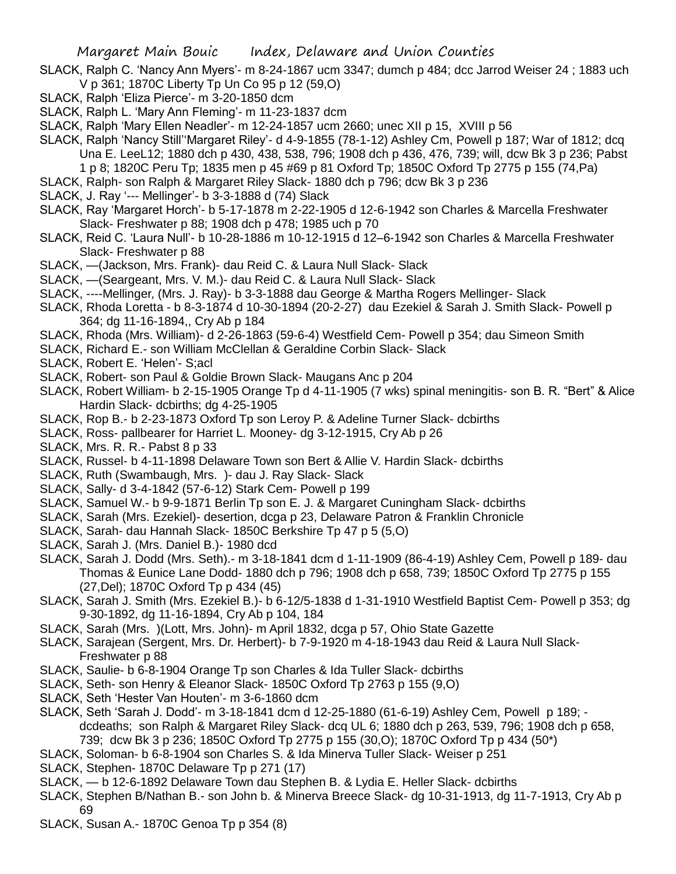- SLACK, Ralph C. 'Nancy Ann Myers'- m 8-24-1867 ucm 3347; dumch p 484; dcc Jarrod Weiser 24 ; 1883 uch V p 361; 1870C Liberty Tp Un Co 95 p 12 (59,O)
- SLACK, Ralph 'Eliza Pierce'- m 3-20-1850 dcm
- SLACK, Ralph L. 'Mary Ann Fleming'- m 11-23-1837 dcm
- SLACK, Ralph 'Mary Ellen Neadler'- m 12-24-1857 ucm 2660; unec XII p 15, XVIII p 56
- SLACK, Ralph 'Nancy Still''Margaret Riley'- d 4-9-1855 (78-1-12) Ashley Cm, Powell p 187; War of 1812; dcq Una E. LeeL12; 1880 dch p 430, 438, 538, 796; 1908 dch p 436, 476, 739; will, dcw Bk 3 p 236; Pabst 1 p 8; 1820C Peru Tp; 1835 men p 45 #69 p 81 Oxford Tp; 1850C Oxford Tp 2775 p 155 (74,Pa)
- SLACK, Ralph- son Ralph & Margaret Riley Slack- 1880 dch p 796; dcw Bk 3 p 236
- SLACK, J. Ray '--- Mellinger'- b 3-3-1888 d (74) Slack
- SLACK, Ray 'Margaret Horch'- b 5-17-1878 m 2-22-1905 d 12-6-1942 son Charles & Marcella Freshwater Slack- Freshwater p 88; 1908 dch p 478; 1985 uch p 70
- SLACK, Reid C. 'Laura Null'- b 10-28-1886 m 10-12-1915 d 12–6-1942 son Charles & Marcella Freshwater Slack- Freshwater p 88
- SLACK, —(Jackson, Mrs. Frank)- dau Reid C. & Laura Null Slack- Slack
- SLACK, —(Seargeant, Mrs. V. M.)- dau Reid C. & Laura Null Slack- Slack
- SLACK, ----Mellinger, (Mrs. J. Ray)- b 3-3-1888 dau George & Martha Rogers Mellinger- Slack
- SLACK, Rhoda Loretta b 8-3-1874 d 10-30-1894 (20-2-27) dau Ezekiel & Sarah J. Smith Slack- Powell p 364; dg 11-16-1894,, Cry Ab p 184
- SLACK, Rhoda (Mrs. William)- d 2-26-1863 (59-6-4) Westfield Cem- Powell p 354; dau Simeon Smith
- SLACK, Richard E.- son William McClellan & Geraldine Corbin Slack- Slack
- SLACK, Robert E. 'Helen'- S;acl
- SLACK, Robert- son Paul & Goldie Brown Slack- Maugans Anc p 204
- SLACK, Robert William- b 2-15-1905 Orange Tp d 4-11-1905 (7 wks) spinal meningitis- son B. R. "Bert" & Alice Hardin Slack- dcbirths; dg 4-25-1905
- SLACK, Rop B.- b 2-23-1873 Oxford Tp son Leroy P. & Adeline Turner Slack- dcbirths
- SLACK, Ross- pallbearer for Harriet L. Mooney- dg 3-12-1915, Cry Ab p 26
- SLACK, Mrs. R. R.- Pabst 8 p 33
- SLACK, Russel- b 4-11-1898 Delaware Town son Bert & Allie V. Hardin Slack- dcbirths
- SLACK, Ruth (Swambaugh, Mrs. )- dau J. Ray Slack- Slack
- SLACK, Sally- d 3-4-1842 (57-6-12) Stark Cem- Powell p 199
- SLACK, Samuel W.- b 9-9-1871 Berlin Tp son E. J. & Margaret Cuningham Slack- dcbirths
- SLACK, Sarah (Mrs. Ezekiel)- desertion, dcga p 23, Delaware Patron & Franklin Chronicle
- SLACK, Sarah- dau Hannah Slack- 1850C Berkshire Tp 47 p 5 (5,O)
- SLACK, Sarah J. (Mrs. Daniel B.)- 1980 dcd
- SLACK, Sarah J. Dodd (Mrs. Seth).- m 3-18-1841 dcm d 1-11-1909 (86-4-19) Ashley Cem, Powell p 189- dau Thomas & Eunice Lane Dodd- 1880 dch p 796; 1908 dch p 658, 739; 1850C Oxford Tp 2775 p 155 (27,Del); 1870C Oxford Tp p 434 (45)
- SLACK, Sarah J. Smith (Mrs. Ezekiel B.)- b 6-12/5-1838 d 1-31-1910 Westfield Baptist Cem- Powell p 353; dg 9-30-1892, dg 11-16-1894, Cry Ab p 104, 184
- SLACK, Sarah (Mrs. )(Lott, Mrs. John)- m April 1832, dcga p 57, Ohio State Gazette
- SLACK, Sarajean (Sergent, Mrs. Dr. Herbert)- b 7-9-1920 m 4-18-1943 dau Reid & Laura Null Slack-Freshwater p 88
- SLACK, Saulie- b 6-8-1904 Orange Tp son Charles & Ida Tuller Slack- dcbirths
- SLACK, Seth- son Henry & Eleanor Slack- 1850C Oxford Tp 2763 p 155 (9,O)
- SLACK, Seth 'Hester Van Houten'- m 3-6-1860 dcm
- SLACK, Seth 'Sarah J. Dodd'- m 3-18-1841 dcm d 12-25-1880 (61-6-19) Ashley Cem, Powell p 189; dcdeaths; son Ralph & Margaret Riley Slack- dcq UL 6; 1880 dch p 263, 539, 796; 1908 dch p 658, 739; dcw Bk 3 p 236; 1850C Oxford Tp 2775 p 155 (30,O); 1870C Oxford Tp p 434 (50\*)
- SLACK, Soloman- b 6-8-1904 son Charles S. & Ida Minerva Tuller Slack- Weiser p 251
- SLACK, Stephen- 1870C Delaware Tp p 271 (17)
- SLACK, b 12-6-1892 Delaware Town dau Stephen B. & Lydia E. Heller Slack- dcbirths
- SLACK, Stephen B/Nathan B.- son John b. & Minerva Breece Slack- dg 10-31-1913, dg 11-7-1913, Cry Ab p 69
- SLACK, Susan A.- 1870C Genoa Tp p 354 (8)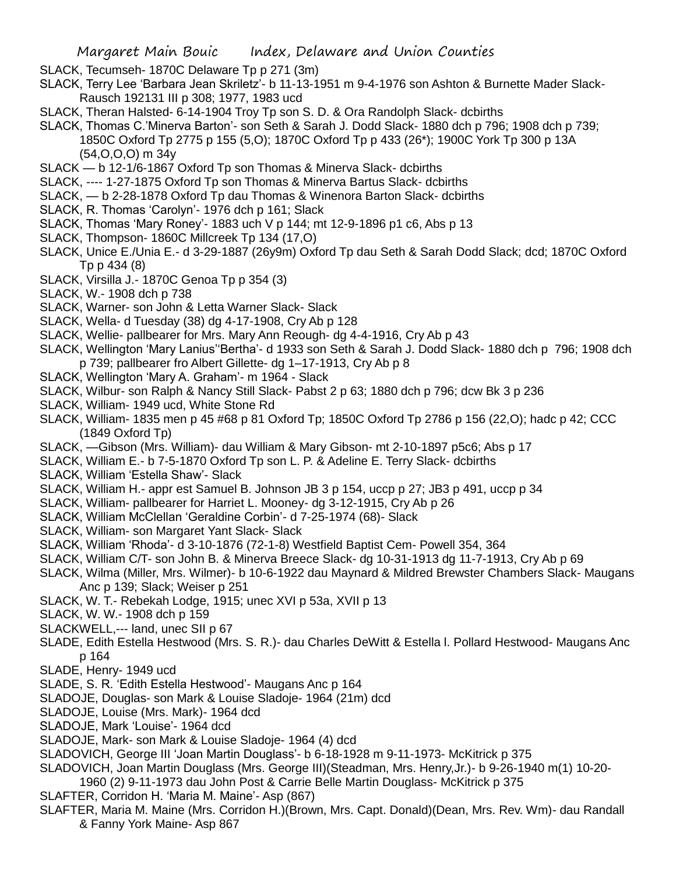- Margaret Main Bouic Index, Delaware and Union Counties
- SLACK, Tecumseh- 1870C Delaware Tp p 271 (3m)
- SLACK, Terry Lee 'Barbara Jean Skriletz'- b 11-13-1951 m 9-4-1976 son Ashton & Burnette Mader Slack-Rausch 192131 III p 308; 1977, 1983 ucd
- SLACK, Theran Halsted- 6-14-1904 Troy Tp son S. D. & Ora Randolph Slack- dcbirths
- SLACK, Thomas C.'Minerva Barton'- son Seth & Sarah J. Dodd Slack- 1880 dch p 796; 1908 dch p 739; 1850C Oxford Tp 2775 p 155 (5,O); 1870C Oxford Tp p 433 (26\*); 1900C York Tp 300 p 13A
	- (54,O,O,O) m 34y
- SLACK b 12-1/6-1867 Oxford Tp son Thomas & Minerva Slack- dcbirths
- SLACK, ---- 1-27-1875 Oxford Tp son Thomas & Minerva Bartus Slack- dcbirths
- SLACK, b 2-28-1878 Oxford Tp dau Thomas & Winenora Barton Slack- dcbirths
- SLACK, R. Thomas 'Carolyn'- 1976 dch p 161; Slack
- SLACK, Thomas 'Mary Roney'- 1883 uch V p 144; mt 12-9-1896 p1 c6, Abs p 13
- SLACK, Thompson- 1860C Millcreek Tp 134 (17,O)
- SLACK, Unice E./Unia E.- d 3-29-1887 (26y9m) Oxford Tp dau Seth & Sarah Dodd Slack; dcd; 1870C Oxford Tp p 434 (8)
- SLACK, Virsilla J.- 1870C Genoa Tp p 354 (3)
- SLACK, W.- 1908 dch p 738
- SLACK, Warner- son John & Letta Warner Slack- Slack
- SLACK, Wella- d Tuesday (38) dg 4-17-1908, Cry Ab p 128
- SLACK, Wellie- pallbearer for Mrs. Mary Ann Reough- dg 4-4-1916, Cry Ab p 43
- SLACK, Wellington 'Mary Lanius''Bertha'- d 1933 son Seth & Sarah J. Dodd Slack- 1880 dch p 796; 1908 dch p 739; pallbearer fro Albert Gillette- dg 1–17-1913, Cry Ab p 8
- SLACK, Wellington 'Mary A. Graham'- m 1964 Slack
- SLACK, Wilbur- son Ralph & Nancy Still Slack- Pabst 2 p 63; 1880 dch p 796; dcw Bk 3 p 236
- SLACK, William- 1949 ucd, White Stone Rd
- SLACK, William- 1835 men p 45 #68 p 81 Oxford Tp; 1850C Oxford Tp 2786 p 156 (22,O); hadc p 42; CCC (1849 Oxford Tp)
- SLACK, —Gibson (Mrs. William)- dau William & Mary Gibson- mt 2-10-1897 p5c6; Abs p 17
- SLACK, William E.- b 7-5-1870 Oxford Tp son L. P. & Adeline E. Terry Slack- dcbirths
- SLACK, William 'Estella Shaw'- Slack
- SLACK, William H.- appr est Samuel B. Johnson JB 3 p 154, uccp p 27; JB3 p 491, uccp p 34
- SLACK, William- pallbearer for Harriet L. Mooney- dg 3-12-1915, Cry Ab p 26
- SLACK, William McClellan 'Geraldine Corbin'- d 7-25-1974 (68)- Slack
- SLACK, William- son Margaret Yant Slack- Slack
- SLACK, William 'Rhoda'- d 3-10-1876 (72-1-8) Westfield Baptist Cem- Powell 354, 364
- SLACK, William C/T- son John B. & Minerva Breece Slack- dg 10-31-1913 dg 11-7-1913, Cry Ab p 69
- SLACK, Wilma (Miller, Mrs. Wilmer)- b 10-6-1922 dau Maynard & Mildred Brewster Chambers Slack- Maugans Anc p 139; Slack; Weiser p 251
- SLACK, W. T.- Rebekah Lodge, 1915; unec XVI p 53a, XVII p 13
- SLACK, W. W.- 1908 dch p 159
- SLACKWELL,--- land, unec SII p 67
- SLADE, Edith Estella Hestwood (Mrs. S. R.)- dau Charles DeWitt & Estella l. Pollard Hestwood- Maugans Anc p 164
- SLADE, Henry- 1949 ucd
- SLADE, S. R. 'Edith Estella Hestwood'- Maugans Anc p 164
- SLADOJE, Douglas- son Mark & Louise Sladoje- 1964 (21m) dcd
- SLADOJE, Louise (Mrs. Mark)- 1964 dcd
- SLADOJE, Mark 'Louise'- 1964 dcd
- SLADOJE, Mark- son Mark & Louise Sladoje- 1964 (4) dcd
- SLADOVICH, George III 'Joan Martin Douglass'- b 6-18-1928 m 9-11-1973- McKitrick p 375
- SLADOVICH, Joan Martin Douglass (Mrs. George III)(Steadman, Mrs. Henry,Jr.)- b 9-26-1940 m(1) 10-20- 1960 (2) 9-11-1973 dau John Post & Carrie Belle Martin Douglass- McKitrick p 375
- SLAFTER, Corridon H. 'Maria M. Maine'- Asp (867)
- SLAFTER, Maria M. Maine (Mrs. Corridon H.)(Brown, Mrs. Capt. Donald)(Dean, Mrs. Rev. Wm)- dau Randall & Fanny York Maine- Asp 867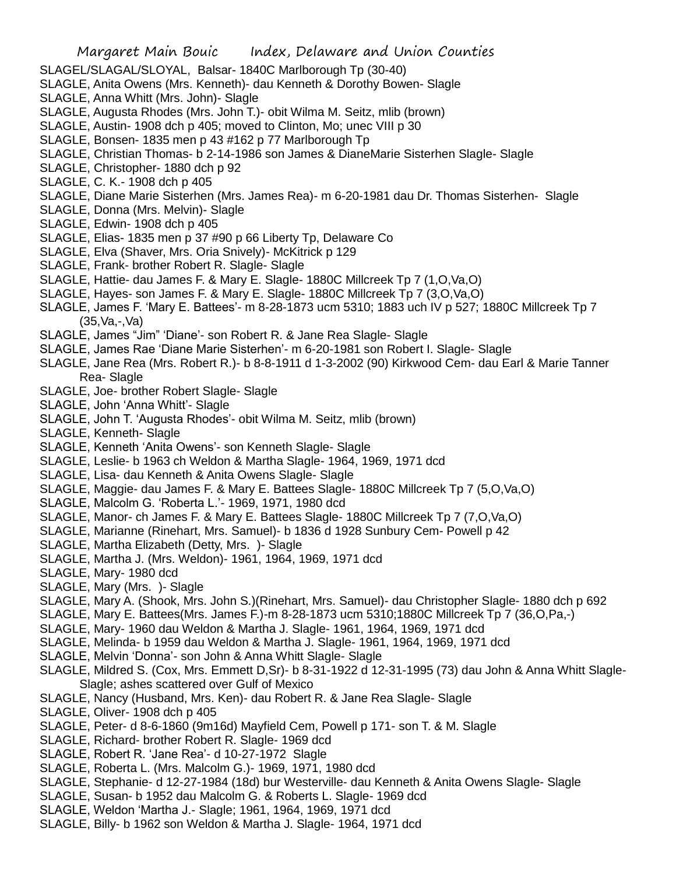- SLAGEL/SLAGAL/SLOYAL, Balsar- 1840C Marlborough Tp (30-40)
- SLAGLE, Anita Owens (Mrs. Kenneth)- dau Kenneth & Dorothy Bowen- Slagle
- SLAGLE, Anna Whitt (Mrs. John)- Slagle
- SLAGLE, Augusta Rhodes (Mrs. John T.)- obit Wilma M. Seitz, mlib (brown)
- SLAGLE, Austin- 1908 dch p 405; moved to Clinton, Mo; unec VIII p 30
- SLAGLE, Bonsen- 1835 men p 43 #162 p 77 Marlborough Tp
- SLAGLE, Christian Thomas- b 2-14-1986 son James & DianeMarie Sisterhen Slagle- Slagle
- SLAGLE, Christopher- 1880 dch p 92
- SLAGLE, C. K.- 1908 dch p 405
- SLAGLE, Diane Marie Sisterhen (Mrs. James Rea)- m 6-20-1981 dau Dr. Thomas Sisterhen- Slagle
- SLAGLE, Donna (Mrs. Melvin)- Slagle
- SLAGLE, Edwin- 1908 dch p 405
- SLAGLE, Elias- 1835 men p 37 #90 p 66 Liberty Tp, Delaware Co
- SLAGLE, Elva (Shaver, Mrs. Oria Snively)- McKitrick p 129
- SLAGLE, Frank- brother Robert R. Slagle- Slagle
- SLAGLE, Hattie- dau James F. & Mary E. Slagle- 1880C Millcreek Tp 7 (1,O,Va,O)
- SLAGLE, Hayes- son James F. & Mary E. Slagle- 1880C Millcreek Tp 7 (3,O,Va,O)
- SLAGLE, James F. 'Mary E. Battees'- m 8-28-1873 ucm 5310; 1883 uch IV p 527; 1880C Millcreek Tp 7 (35,Va,-,Va)
- SLAGLE, James "Jim" 'Diane'- son Robert R. & Jane Rea Slagle- Slagle
- SLAGLE, James Rae 'Diane Marie Sisterhen'- m 6-20-1981 son Robert I. Slagle- Slagle
- SLAGLE, Jane Rea (Mrs. Robert R.)- b 8-8-1911 d 1-3-2002 (90) Kirkwood Cem- dau Earl & Marie Tanner Rea- Slagle
- SLAGLE, Joe- brother Robert Slagle- Slagle
- SLAGLE, John 'Anna Whitt'- Slagle
- SLAGLE, John T. 'Augusta Rhodes'- obit Wilma M. Seitz, mlib (brown)
- SLAGLE, Kenneth- Slagle
- SLAGLE, Kenneth 'Anita Owens'- son Kenneth Slagle- Slagle
- SLAGLE, Leslie- b 1963 ch Weldon & Martha Slagle- 1964, 1969, 1971 dcd
- SLAGLE, Lisa- dau Kenneth & Anita Owens Slagle- Slagle
- SLAGLE, Maggie- dau James F. & Mary E. Battees Slagle- 1880C Millcreek Tp 7 (5,O,Va,O)
- SLAGLE, Malcolm G. 'Roberta L.'- 1969, 1971, 1980 dcd
- SLAGLE, Manor- ch James F. & Mary E. Battees Slagle- 1880C Millcreek Tp 7 (7,O,Va,O)
- SLAGLE, Marianne (Rinehart, Mrs. Samuel)- b 1836 d 1928 Sunbury Cem- Powell p 42
- SLAGLE, Martha Elizabeth (Detty, Mrs. )- Slagle
- SLAGLE, Martha J. (Mrs. Weldon)- 1961, 1964, 1969, 1971 dcd
- SLAGLE, Mary- 1980 dcd
- SLAGLE, Mary (Mrs. )- Slagle
- SLAGLE, Mary A. (Shook, Mrs. John S.)(Rinehart, Mrs. Samuel)- dau Christopher Slagle- 1880 dch p 692
- SLAGLE, Mary E. Battees(Mrs. James F.)-m 8-28-1873 ucm 5310;1880C Millcreek Tp 7 (36,O,Pa,-)
- SLAGLE, Mary- 1960 dau Weldon & Martha J. Slagle- 1961, 1964, 1969, 1971 dcd
- SLAGLE, Melinda- b 1959 dau Weldon & Martha J. Slagle- 1961, 1964, 1969, 1971 dcd
- SLAGLE, Melvin 'Donna'- son John & Anna Whitt Slagle- Slagle
- SLAGLE, Mildred S. (Cox, Mrs. Emmett D,Sr)- b 8-31-1922 d 12-31-1995 (73) dau John & Anna Whitt Slagle-Slagle; ashes scattered over Gulf of Mexico
- SLAGLE, Nancy (Husband, Mrs. Ken)- dau Robert R. & Jane Rea Slagle- Slagle
- SLAGLE, Oliver- 1908 dch p 405
- SLAGLE, Peter- d 8-6-1860 (9m16d) Mayfield Cem, Powell p 171- son T. & M. Slagle
- SLAGLE, Richard- brother Robert R. Slagle- 1969 dcd
- SLAGLE, Robert R. 'Jane Rea'- d 10-27-1972 Slagle
- SLAGLE, Roberta L. (Mrs. Malcolm G.)- 1969, 1971, 1980 dcd
- SLAGLE, Stephanie- d 12-27-1984 (18d) bur Westerville- dau Kenneth & Anita Owens Slagle- Slagle
- SLAGLE, Susan- b 1952 dau Malcolm G. & Roberts L. Slagle- 1969 dcd
- SLAGLE, Weldon 'Martha J.- Slagle; 1961, 1964, 1969, 1971 dcd
- SLAGLE, Billy- b 1962 son Weldon & Martha J. Slagle- 1964, 1971 dcd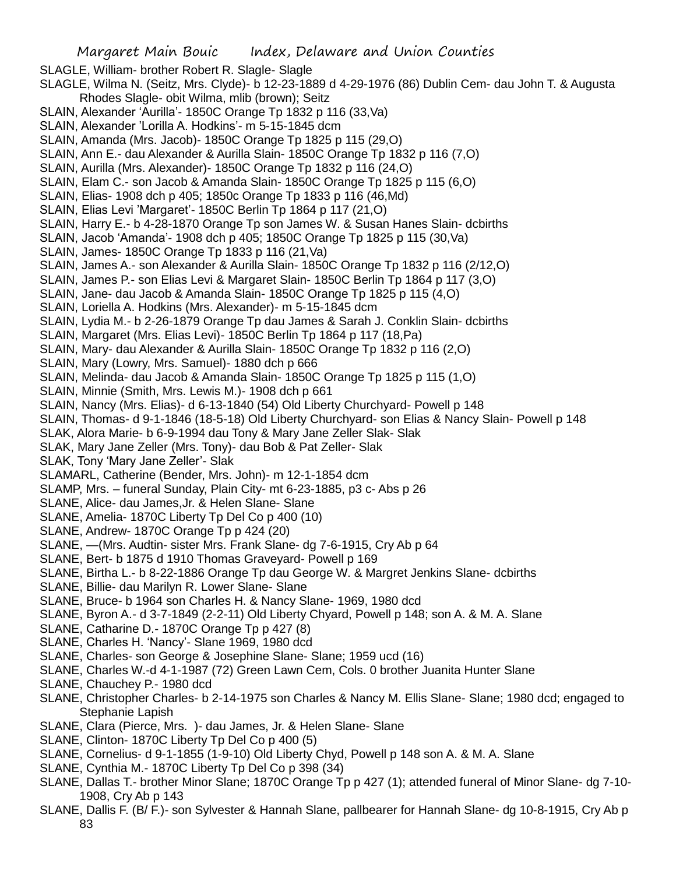Margaret Main Bouic Index, Delaware and Union Counties SLAGLE, William- brother Robert R. Slagle- Slagle SLAGLE, Wilma N. (Seitz, Mrs. Clyde)- b 12-23-1889 d 4-29-1976 (86) Dublin Cem- dau John T. & Augusta Rhodes Slagle- obit Wilma, mlib (brown); Seitz SLAIN, Alexander 'Aurilla'- 1850C Orange Tp 1832 p 116 (33,Va) SLAIN, Alexander 'Lorilla A. Hodkins'- m 5-15-1845 dcm SLAIN, Amanda (Mrs. Jacob)- 1850C Orange Tp 1825 p 115 (29,O) SLAIN, Ann E.- dau Alexander & Aurilla Slain- 1850C Orange Tp 1832 p 116 (7,O) SLAIN, Aurilla (Mrs. Alexander)- 1850C Orange Tp 1832 p 116 (24,O) SLAIN, Elam C.- son Jacob & Amanda Slain- 1850C Orange Tp 1825 p 115 (6,O) SLAIN, Elias- 1908 dch p 405; 1850c Orange Tp 1833 p 116 (46,Md) SLAIN, Elias Levi 'Margaret'- 1850C Berlin Tp 1864 p 117 (21,O) SLAIN, Harry E.- b 4-28-1870 Orange Tp son James W. & Susan Hanes Slain- dcbirths SLAIN, Jacob 'Amanda'- 1908 dch p 405; 1850C Orange Tp 1825 p 115 (30,Va) SLAIN, James- 1850C Orange Tp 1833 p 116 (21,Va) SLAIN, James A.- son Alexander & Aurilla Slain- 1850C Orange Tp 1832 p 116 (2/12,O) SLAIN, James P.- son Elias Levi & Margaret Slain- 1850C Berlin Tp 1864 p 117 (3,O) SLAIN, Jane- dau Jacob & Amanda Slain- 1850C Orange Tp 1825 p 115 (4,O) SLAIN, Loriella A. Hodkins (Mrs. Alexander)- m 5-15-1845 dcm SLAIN, Lydia M.- b 2-26-1879 Orange Tp dau James & Sarah J. Conklin Slain- dcbirths SLAIN, Margaret (Mrs. Elias Levi)- 1850C Berlin Tp 1864 p 117 (18,Pa) SLAIN, Mary- dau Alexander & Aurilla Slain- 1850C Orange Tp 1832 p 116 (2,O) SLAIN, Mary (Lowry, Mrs. Samuel)- 1880 dch p 666 SLAIN, Melinda- dau Jacob & Amanda Slain- 1850C Orange Tp 1825 p 115 (1,O) SLAIN, Minnie (Smith, Mrs. Lewis M.)- 1908 dch p 661 SLAIN, Nancy (Mrs. Elias)- d 6-13-1840 (54) Old Liberty Churchyard- Powell p 148 SLAIN, Thomas- d 9-1-1846 (18-5-18) Old Liberty Churchyard- son Elias & Nancy Slain- Powell p 148 SLAK, Alora Marie- b 6-9-1994 dau Tony & Mary Jane Zeller Slak- Slak SLAK, Mary Jane Zeller (Mrs. Tony)- dau Bob & Pat Zeller- Slak SLAK, Tony 'Mary Jane Zeller'- Slak SLAMARL, Catherine (Bender, Mrs. John)- m 12-1-1854 dcm SLAMP, Mrs. – funeral Sunday, Plain City- mt 6-23-1885, p3 c- Abs p 26 SLANE, Alice- dau James,Jr. & Helen Slane- Slane SLANE, Amelia- 1870C Liberty Tp Del Co p 400 (10) SLANE, Andrew- 1870C Orange Tp p 424 (20) SLANE, —(Mrs. Audtin- sister Mrs. Frank Slane- dg 7-6-1915, Cry Ab p 64 SLANE, Bert- b 1875 d 1910 Thomas Graveyard- Powell p 169 SLANE, Birtha L.- b 8-22-1886 Orange Tp dau George W. & Margret Jenkins Slane- dcbirths SLANE, Billie- dau Marilyn R. Lower Slane- Slane SLANE, Bruce- b 1964 son Charles H. & Nancy Slane- 1969, 1980 dcd SLANE, Byron A.- d 3-7-1849 (2-2-11) Old Liberty Chyard, Powell p 148; son A. & M. A. Slane SLANE, Catharine D.-1870C Orange Tp p 427 (8) SLANE, Charles H. 'Nancy'- Slane 1969, 1980 dcd SLANE, Charles- son George & Josephine Slane- Slane; 1959 ucd (16) SLANE, Charles W.-d 4-1-1987 (72) Green Lawn Cem, Cols. 0 brother Juanita Hunter Slane SLANE, Chauchey P.- 1980 dcd SLANE, Christopher Charles- b 2-14-1975 son Charles & Nancy M. Ellis Slane- Slane; 1980 dcd; engaged to Stephanie Lapish SLANE, Clara (Pierce, Mrs. )- dau James, Jr. & Helen Slane- Slane SLANE, Clinton- 1870C Liberty Tp Del Co p 400 (5)

- SLANE, Cornelius- d 9-1-1855 (1-9-10) Old Liberty Chyd, Powell p 148 son A. & M. A. Slane
- SLANE, Cynthia M.- 1870C Liberty Tp Del Co p 398 (34)
- SLANE, Dallas T.- brother Minor Slane; 1870C Orange Tp p 427 (1); attended funeral of Minor Slane- dg 7-10- 1908, Cry Ab p 143
- SLANE, Dallis F. (B/ F.)- son Sylvester & Hannah Slane, pallbearer for Hannah Slane- dg 10-8-1915, Cry Ab p 83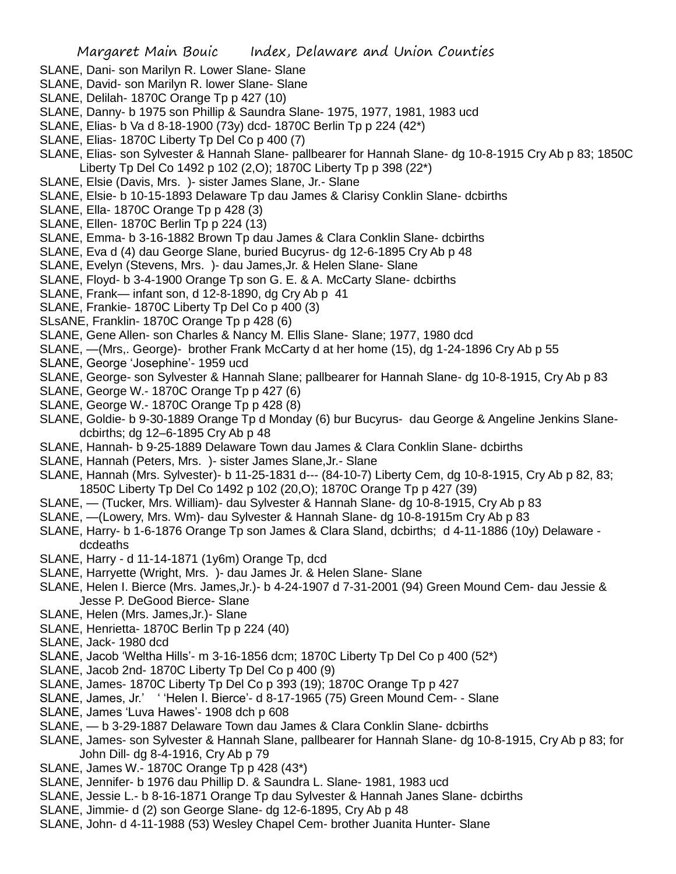- SLANE, Dani- son Marilyn R. Lower Slane- Slane
- SLANE, David- son Marilyn R. lower Slane- Slane
- SLANE, Delilah- 1870C Orange Tp p 427 (10)
- SLANE, Danny- b 1975 son Phillip & Saundra Slane- 1975, 1977, 1981, 1983 ucd
- SLANE, Elias- b Va d 8-18-1900 (73y) dcd- 1870C Berlin Tp p 224 (42\*)
- SLANE, Elias- 1870C Liberty Tp Del Co p 400 (7)
- SLANE, Elias- son Sylvester & Hannah Slane- pallbearer for Hannah Slane- dg 10-8-1915 Cry Ab p 83; 1850C Liberty Tp Del Co 1492 p 102 (2,O); 1870C Liberty Tp p 398 (22\*)
- SLANE, Elsie (Davis, Mrs. )- sister James Slane, Jr.- Slane
- SLANE, Elsie- b 10-15-1893 Delaware Tp dau James & Clarisy Conklin Slane- dcbirths
- SLANE, Ella- 1870C Orange Tp p 428 (3)
- SLANE, Ellen- 1870C Berlin Tp p 224 (13)
- SLANE, Emma- b 3-16-1882 Brown Tp dau James & Clara Conklin Slane- dcbirths
- SLANE, Eva d (4) dau George Slane, buried Bucyrus- dg 12-6-1895 Cry Ab p 48
- SLANE, Evelyn (Stevens, Mrs. )- dau James,Jr. & Helen Slane- Slane
- SLANE, Floyd- b 3-4-1900 Orange Tp son G. E. & A. McCarty Slane- dcbirths
- SLANE, Frank— infant son, d 12-8-1890, dg Cry Ab p 41
- SLANE, Frankie- 1870C Liberty Tp Del Co p 400 (3)
- SLsANE, Franklin- 1870C Orange Tp p 428 (6)
- SLANE, Gene Allen- son Charles & Nancy M. Ellis Slane- Slane; 1977, 1980 dcd
- SLANE, —(Mrs,. George)- brother Frank McCarty d at her home (15), dg 1-24-1896 Cry Ab p 55
- SLANE, George 'Josephine'- 1959 ucd
- SLANE, George- son Sylvester & Hannah Slane; pallbearer for Hannah Slane- dg 10-8-1915, Cry Ab p 83
- SLANE, George W.- 1870C Orange Tp p 427 (6)
- SLANE, George W.- 1870C Orange Tp p 428 (8)
- SLANE, Goldie- b 9-30-1889 Orange Tp d Monday (6) bur Bucyrus- dau George & Angeline Jenkins Slanedcbirths; dg 12–6-1895 Cry Ab p 48
- SLANE, Hannah- b 9-25-1889 Delaware Town dau James & Clara Conklin Slane- dcbirths
- SLANE, Hannah (Peters, Mrs. )- sister James Slane,Jr.- Slane
- SLANE, Hannah (Mrs. Sylvester)- b 11-25-1831 d--- (84-10-7) Liberty Cem, dg 10-8-1915, Cry Ab p 82, 83; 1850C Liberty Tp Del Co 1492 p 102 (20,O); 1870C Orange Tp p 427 (39)
- SLANE, (Tucker, Mrs. William)- dau Sylvester & Hannah Slane- dg 10-8-1915, Cry Ab p 83
- SLANE, —(Lowery, Mrs. Wm)- dau Sylvester & Hannah Slane- dg 10-8-1915m Cry Ab p 83
- SLANE, Harry- b 1-6-1876 Orange Tp son James & Clara Sland, dcbirths; d 4-11-1886 (10y) Delaware dcdeaths
- SLANE, Harry d 11-14-1871 (1y6m) Orange Tp, dcd
- SLANE, Harryette (Wright, Mrs. )- dau James Jr. & Helen Slane- Slane
- SLANE, Helen I. Bierce (Mrs. James,Jr.)- b 4-24-1907 d 7-31-2001 (94) Green Mound Cem- dau Jessie & Jesse P. DeGood Bierce- Slane
- SLANE, Helen (Mrs. James,Jr.)- Slane
- SLANE, Henrietta- 1870C Berlin Tp p 224 (40)
- SLANE, Jack- 1980 dcd
- SLANE, Jacob 'Weltha Hills'- m 3-16-1856 dcm; 1870C Liberty Tp Del Co p 400 (52\*)
- SLANE, Jacob 2nd- 1870C Liberty Tp Del Co p 400 (9)
- SLANE, James- 1870C Liberty Tp Del Co p 393 (19); 1870C Orange Tp p 427
- SLANE, James, Jr.' ' 'Helen I. Bierce'- d 8-17-1965 (75) Green Mound Cem- Slane
- SLANE, James 'Luva Hawes'- 1908 dch p 608
- SLANE, b 3-29-1887 Delaware Town dau James & Clara Conklin Slane- dcbirths
- SLANE, James- son Sylvester & Hannah Slane, pallbearer for Hannah Slane- dg 10-8-1915, Cry Ab p 83; for John Dill- dg 8-4-1916, Cry Ab p 79
- SLANE, James W.- 1870C Orange Tp p 428 (43\*)
- SLANE, Jennifer- b 1976 dau Phillip D. & Saundra L. Slane- 1981, 1983 ucd
- SLANE, Jessie L.- b 8-16-1871 Orange Tp dau Sylvester & Hannah Janes Slane- dcbirths
- SLANE, Jimmie- d (2) son George Slane- dg 12-6-1895, Cry Ab p 48
- SLANE, John- d 4-11-1988 (53) Wesley Chapel Cem- brother Juanita Hunter- Slane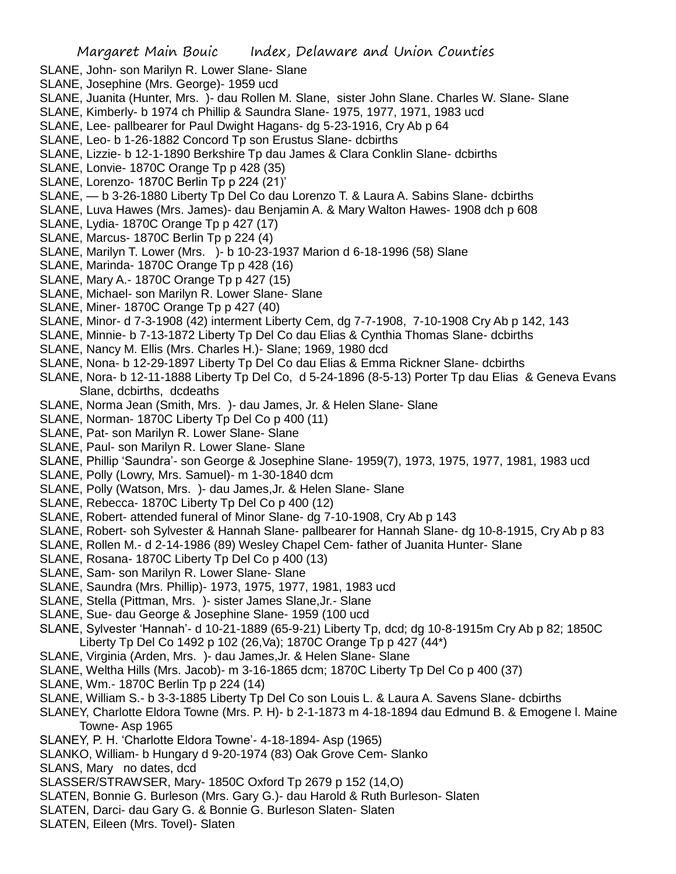- SLANE, John- son Marilyn R. Lower Slane- Slane
- SLANE, Josephine (Mrs. George)- 1959 ucd
- SLANE, Juanita (Hunter, Mrs. )- dau Rollen M. Slane, sister John Slane. Charles W. Slane- Slane
- SLANE, Kimberly- b 1974 ch Phillip & Saundra Slane- 1975, 1977, 1971, 1983 ucd
- SLANE, Lee- pallbearer for Paul Dwight Hagans- dg 5-23-1916, Cry Ab p 64
- SLANE, Leo- b 1-26-1882 Concord Tp son Erustus Slane- dcbirths
- SLANE, Lizzie- b 12-1-1890 Berkshire Tp dau James & Clara Conklin Slane- dcbirths
- SLANE, Lonvie- 1870C Orange Tp p 428 (35)
- SLANE, Lorenzo- 1870C Berlin Tp p 224 (21)'
- SLANE, b 3-26-1880 Liberty Tp Del Co dau Lorenzo T. & Laura A. Sabins Slane- dcbirths
- SLANE, Luva Hawes (Mrs. James)- dau Benjamin A. & Mary Walton Hawes- 1908 dch p 608
- SLANE, Lydia- 1870C Orange Tp p 427 (17)
- SLANE, Marcus- 1870C Berlin Tp p 224 (4)
- SLANE, Marilyn T. Lower (Mrs. )- b 10-23-1937 Marion d 6-18-1996 (58) Slane
- SLANE, Marinda- 1870C Orange Tp p 428 (16)
- SLANE, Mary A.- 1870C Orange Tp p 427 (15)
- SLANE, Michael- son Marilyn R. Lower Slane- Slane
- SLANE, Miner- 1870C Orange Tp p 427 (40)
- SLANE, Minor- d 7-3-1908 (42) interment Liberty Cem, dg 7-7-1908, 7-10-1908 Cry Ab p 142, 143
- SLANE, Minnie- b 7-13-1872 Liberty Tp Del Co dau Elias & Cynthia Thomas Slane- dcbirths
- SLANE, Nancy M. Ellis (Mrs. Charles H.)- Slane; 1969, 1980 dcd
- SLANE, Nona- b 12-29-1897 Liberty Tp Del Co dau Elias & Emma Rickner Slane- dcbirths
- SLANE, Nora- b 12-11-1888 Liberty Tp Del Co, d 5-24-1896 (8-5-13) Porter Tp dau Elias & Geneva Evans Slane, dcbirths, dcdeaths
- SLANE, Norma Jean (Smith, Mrs. )- dau James, Jr. & Helen Slane- Slane
- SLANE, Norman- 1870C Liberty Tp Del Co p 400 (11)
- SLANE, Pat- son Marilyn R. Lower Slane- Slane
- SLANE, Paul- son Marilyn R. Lower Slane- Slane
- SLANE, Phillip 'Saundra'- son George & Josephine Slane- 1959(7), 1973, 1975, 1977, 1981, 1983 ucd
- SLANE, Polly (Lowry, Mrs. Samuel)- m 1-30-1840 dcm
- SLANE, Polly (Watson, Mrs. )- dau James,Jr. & Helen Slane- Slane
- SLANE, Rebecca- 1870C Liberty Tp Del Co p 400 (12)
- SLANE, Robert- attended funeral of Minor Slane- dg 7-10-1908, Cry Ab p 143
- SLANE, Robert- soh Sylvester & Hannah Slane- pallbearer for Hannah Slane- dg 10-8-1915, Cry Ab p 83
- SLANE, Rollen M.- d 2-14-1986 (89) Wesley Chapel Cem- father of Juanita Hunter- Slane
- SLANE, Rosana- 1870C Liberty Tp Del Co p 400 (13)
- SLANE, Sam- son Marilyn R. Lower Slane- Slane
- SLANE, Saundra (Mrs. Phillip)- 1973, 1975, 1977, 1981, 1983 ucd
- SLANE, Stella (Pittman, Mrs. )- sister James Slane,Jr.- Slane
- SLANE, Sue- dau George & Josephine Slane- 1959 (100 ucd
- SLANE, Sylvester 'Hannah'- d 10-21-1889 (65-9-21) Liberty Tp, dcd; dg 10-8-1915m Cry Ab p 82; 1850C Liberty Tp Del Co 1492 p 102 (26,Va); 1870C Orange Tp p 427 (44\*)
- SLANE, Virginia (Arden, Mrs. )- dau James,Jr. & Helen Slane- Slane
- SLANE, Weltha Hills (Mrs. Jacob)- m 3-16-1865 dcm; 1870C Liberty Tp Del Co p 400 (37)
- SLANE, Wm.- 1870C Berlin Tp p 224 (14)
- SLANE, William S.- b 3-3-1885 Liberty Tp Del Co son Louis L. & Laura A. Savens Slane- dcbirths
- SLANEY, Charlotte Eldora Towne (Mrs. P. H)- b 2-1-1873 m 4-18-1894 dau Edmund B. & Emogene l. Maine Towne- Asp 1965
- SLANEY, P. H. 'Charlotte Eldora Towne'- 4-18-1894- Asp (1965)
- SLANKO, William- b Hungary d 9-20-1974 (83) Oak Grove Cem- Slanko
- SLANS, Mary no dates, dcd
- SLASSER/STRAWSER, Mary- 1850C Oxford Tp 2679 p 152 (14,O)
- SLATEN, Bonnie G. Burleson (Mrs. Gary G.)- dau Harold & Ruth Burleson- Slaten
- SLATEN, Darci- dau Gary G. & Bonnie G. Burleson Slaten- Slaten
- SLATEN, Eileen (Mrs. Tovel)- Slaten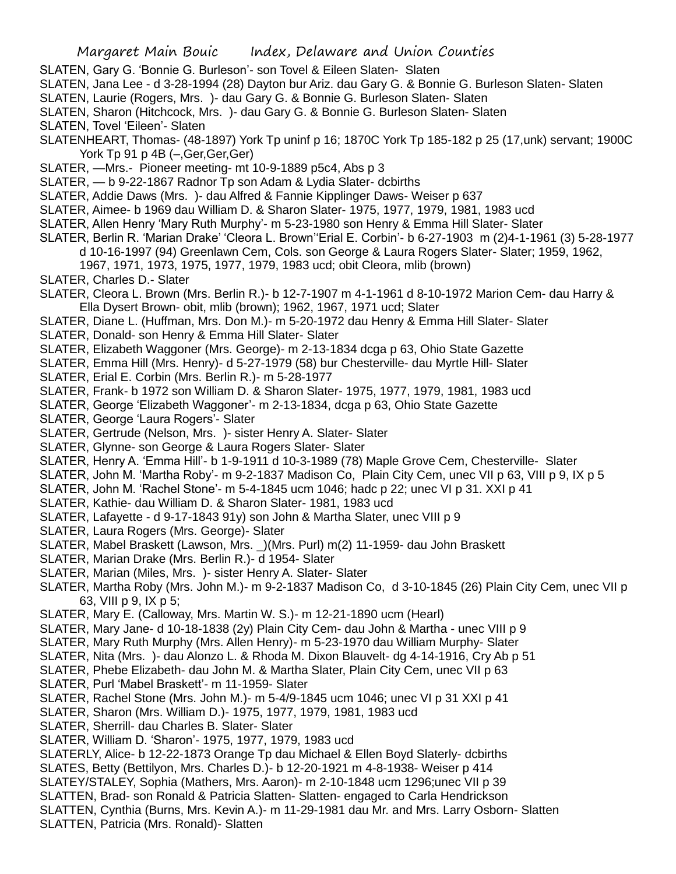- SLATEN, Gary G. 'Bonnie G. Burleson'- son Tovel & Eileen Slaten- Slaten
- SLATEN, Jana Lee d 3-28-1994 (28) Dayton bur Ariz. dau Gary G. & Bonnie G. Burleson Slaten- Slaten
- SLATEN, Laurie (Rogers, Mrs. )- dau Gary G. & Bonnie G. Burleson Slaten- Slaten
- SLATEN, Sharon (Hitchcock, Mrs. )- dau Gary G. & Bonnie G. Burleson Slaten- Slaten SLATEN, Tovel 'Eileen'- Slaten
- SLATENHEART, Thomas- (48-1897) York Tp uninf p 16; 1870C York Tp 185-182 p 25 (17,unk) servant; 1900C
	- York Tp 91 p 4B (-, Ger, Ger, Ger)
- SLATER, —Mrs.- Pioneer meeting- mt 10-9-1889 p5c4, Abs p 3
- SLATER, b 9-22-1867 Radnor Tp son Adam & Lydia Slater- dcbirths
- SLATER, Addie Daws (Mrs. )- dau Alfred & Fannie Kipplinger Daws- Weiser p 637
- SLATER, Aimee- b 1969 dau William D. & Sharon Slater- 1975, 1977, 1979, 1981, 1983 ucd
- SLATER, Allen Henry 'Mary Ruth Murphy'- m 5-23-1980 son Henry & Emma Hill Slater- Slater
- SLATER, Berlin R. 'Marian Drake' 'Cleora L. Brown''Erial E. Corbin'- b 6-27-1903 m (2)4-1-1961 (3) 5-28-1977
	- d 10-16-1997 (94) Greenlawn Cem, Cols. son George & Laura Rogers Slater- Slater; 1959, 1962,
		- 1967, 1971, 1973, 1975, 1977, 1979, 1983 ucd; obit Cleora, mlib (brown)
- SLATER, Charles D.- Slater
- SLATER, Cleora L. Brown (Mrs. Berlin R.)- b 12-7-1907 m 4-1-1961 d 8-10-1972 Marion Cem- dau Harry & Ella Dysert Brown- obit, mlib (brown); 1962, 1967, 1971 ucd; Slater
- SLATER, Diane L. (Huffman, Mrs. Don M.)- m 5-20-1972 dau Henry & Emma Hill Slater- Slater
- SLATER, Donald- son Henry & Emma Hill Slater- Slater
- SLATER, Elizabeth Waggoner (Mrs. George)- m 2-13-1834 dcga p 63, Ohio State Gazette
- SLATER, Emma Hill (Mrs. Henry)- d 5-27-1979 (58) bur Chesterville- dau Myrtle Hill- Slater
- SLATER, Erial E. Corbin (Mrs. Berlin R.)- m 5-28-1977
- SLATER, Frank- b 1972 son William D. & Sharon Slater- 1975, 1977, 1979, 1981, 1983 ucd
- SLATER, George 'Elizabeth Waggoner'- m 2-13-1834, dcga p 63, Ohio State Gazette
- SLATER, George 'Laura Rogers'- Slater
- SLATER, Gertrude (Nelson, Mrs. )- sister Henry A. Slater- Slater
- SLATER, Glynne- son George & Laura Rogers Slater- Slater
- SLATER, Henry A. 'Emma Hill'- b 1-9-1911 d 10-3-1989 (78) Maple Grove Cem, Chesterville- Slater
- SLATER, John M. 'Martha Roby'- m 9-2-1837 Madison Co, Plain City Cem, unec VII p 63, VIII p 9, IX p 5
- SLATER, John M. 'Rachel Stone'- m 5-4-1845 ucm 1046; hadc p 22; unec VI p 31. XXI p 41
- SLATER, Kathie- dau William D. & Sharon Slater- 1981, 1983 ucd
- SLATER, Lafayette d 9-17-1843 91y) son John & Martha Slater, unec VIII p 9
- SLATER, Laura Rogers (Mrs. George)- Slater
- SLATER, Mabel Braskett (Lawson, Mrs. \_)(Mrs. Purl) m(2) 11-1959- dau John Braskett
- SLATER, Marian Drake (Mrs. Berlin R.)- d 1954- Slater
- SLATER, Marian (Miles, Mrs. )- sister Henry A. Slater- Slater
- SLATER, Martha Roby (Mrs. John M.)- m 9-2-1837 Madison Co, d 3-10-1845 (26) Plain City Cem, unec VII p 63, VIII p 9, IX p 5;
- SLATER, Mary E. (Calloway, Mrs. Martin W. S.)- m 12-21-1890 ucm (Hearl)
- SLATER, Mary Jane- d 10-18-1838 (2y) Plain City Cem- dau John & Martha unec VIII p 9
- SLATER, Mary Ruth Murphy (Mrs. Allen Henry)- m 5-23-1970 dau William Murphy- Slater
- SLATER, Nita (Mrs. )- dau Alonzo L. & Rhoda M. Dixon Blauvelt- dg 4-14-1916, Cry Ab p 51
- SLATER, Phebe Elizabeth- dau John M. & Martha Slater, Plain City Cem, unec VII p 63
- SLATER, Purl 'Mabel Braskett'- m 11-1959- Slater
- SLATER, Rachel Stone (Mrs. John M.)- m 5-4/9-1845 ucm 1046; unec VI p 31 XXI p 41
- SLATER, Sharon (Mrs. William D.)- 1975, 1977, 1979, 1981, 1983 ucd
- SLATER, Sherrill- dau Charles B. Slater- Slater
- SLATER, William D. 'Sharon'- 1975, 1977, 1979, 1983 ucd
- SLATERLY, Alice- b 12-22-1873 Orange Tp dau Michael & Ellen Boyd Slaterly- dcbirths
- SLATES, Betty (Bettilyon, Mrs. Charles D.)- b 12-20-1921 m 4-8-1938- Weiser p 414
- SLATEY/STALEY, Sophia (Mathers, Mrs. Aaron)- m 2-10-1848 ucm 1296;unec VII p 39
- SLATTEN, Brad- son Ronald & Patricia Slatten- Slatten- engaged to Carla Hendrickson
- SLATTEN, Cynthia (Burns, Mrs. Kevin A.)- m 11-29-1981 dau Mr. and Mrs. Larry Osborn- Slatten SLATTEN, Patricia (Mrs. Ronald)- Slatten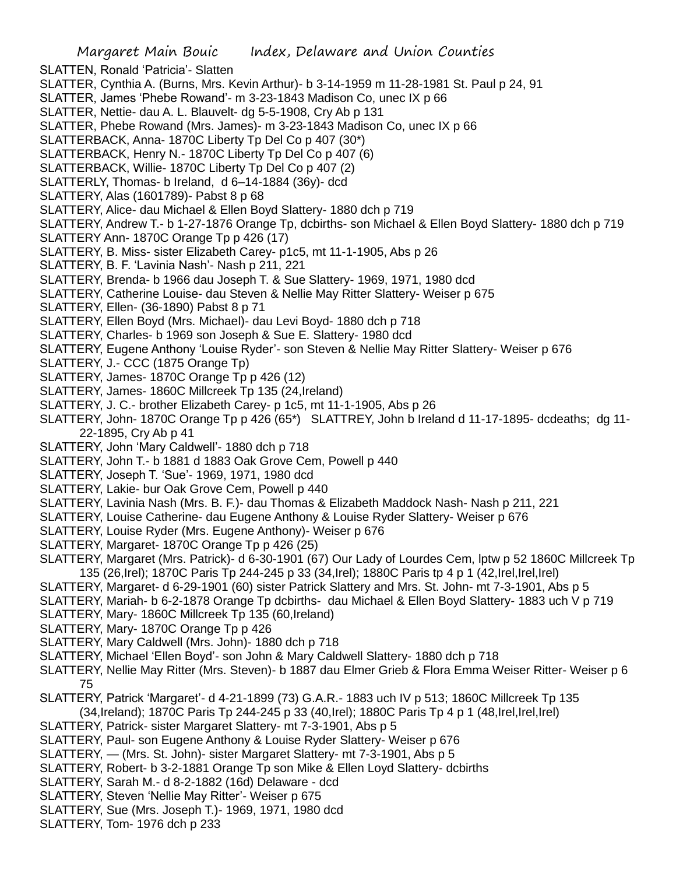SLATTEN, Ronald 'Patricia'- Slatten SLATTER, Cynthia A. (Burns, Mrs. Kevin Arthur)- b 3-14-1959 m 11-28-1981 St. Paul p 24, 91 SLATTER, James 'Phebe Rowand'- m 3-23-1843 Madison Co, unec IX p 66 SLATTER, Nettie- dau A. L. Blauvelt- dg 5-5-1908, Cry Ab p 131 SLATTER, Phebe Rowand (Mrs. James)- m 3-23-1843 Madison Co, unec IX p 66 SLATTERBACK, Anna- 1870C Liberty Tp Del Co p 407 (30\*) SLATTERBACK, Henry N.- 1870C Liberty Tp Del Co p 407 (6) SLATTERBACK, Willie- 1870C Liberty Tp Del Co p 407 (2) SLATTERLY, Thomas- b Ireland, d 6–14-1884 (36y)- dcd SLATTERY, Alas (1601789)- Pabst 8 p 68 SLATTERY, Alice- dau Michael & Ellen Boyd Slattery- 1880 dch p 719 SLATTERY, Andrew T.- b 1-27-1876 Orange Tp, dcbirths- son Michael & Ellen Boyd Slattery- 1880 dch p 719 SLATTERY Ann- 1870C Orange Tp p 426 (17) SLATTERY, B. Miss- sister Elizabeth Carey- p1c5, mt 11-1-1905, Abs p 26 SLATTERY, B. F. 'Lavinia Nash'- Nash p 211, 221 SLATTERY, Brenda- b 1966 dau Joseph T. & Sue Slattery- 1969, 1971, 1980 dcd SLATTERY, Catherine Louise- dau Steven & Nellie May Ritter Slattery- Weiser p 675 SLATTERY, Ellen- (36-1890) Pabst 8 p 71 SLATTERY, Ellen Boyd (Mrs. Michael)- dau Levi Boyd- 1880 dch p 718 SLATTERY, Charles- b 1969 son Joseph & Sue E. Slattery- 1980 dcd SLATTERY, Eugene Anthony 'Louise Ryder'- son Steven & Nellie May Ritter Slattery- Weiser p 676 SLATTERY, J.- CCC (1875 Orange Tp) SLATTERY, James- 1870C Orange Tp p 426 (12) SLATTERY, James- 1860C Millcreek Tp 135 (24,Ireland) SLATTERY, J. C.- brother Elizabeth Carey- p 1c5, mt 11-1-1905, Abs p 26 SLATTERY, John- 1870C Orange Tp p 426 (65\*) SLATTREY, John b Ireland d 11-17-1895- dcdeaths; dg 11- 22-1895, Cry Ab p 41 SLATTERY, John 'Mary Caldwell'- 1880 dch p 718 SLATTERY, John T.- b 1881 d 1883 Oak Grove Cem, Powell p 440 SLATTERY, Joseph T. 'Sue'- 1969, 1971, 1980 dcd SLATTERY, Lakie- bur Oak Grove Cem, Powell p 440 SLATTERY, Lavinia Nash (Mrs. B. F.)- dau Thomas & Elizabeth Maddock Nash- Nash p 211, 221 SLATTERY, Louise Catherine- dau Eugene Anthony & Louise Ryder Slattery- Weiser p 676 SLATTERY, Louise Ryder (Mrs. Eugene Anthony)- Weiser p 676 SLATTERY, Margaret- 1870C Orange Tp p 426 (25) SLATTERY, Margaret (Mrs. Patrick)- d 6-30-1901 (67) Our Lady of Lourdes Cem, lptw p 52 1860C Millcreek Tp 135 (26,Irel); 1870C Paris Tp 244-245 p 33 (34,Irel); 1880C Paris tp 4 p 1 (42,Irel,Irel,Irel) SLATTERY, Margaret- d 6-29-1901 (60) sister Patrick Slattery and Mrs. St. John- mt 7-3-1901, Abs p 5 SLATTERY, Mariah- b 6-2-1878 Orange Tp dcbirths- dau Michael & Ellen Boyd Slattery- 1883 uch V p 719 SLATTERY, Mary- 1860C Millcreek Tp 135 (60,Ireland) SLATTERY, Mary- 1870C Orange Tp p 426 SLATTERY, Mary Caldwell (Mrs. John)- 1880 dch p 718 SLATTERY, Michael 'Ellen Boyd'- son John & Mary Caldwell Slattery- 1880 dch p 718 SLATTERY, Nellie May Ritter (Mrs. Steven)- b 1887 dau Elmer Grieb & Flora Emma Weiser Ritter- Weiser p 6 75 SLATTERY, Patrick 'Margaret'- d 4-21-1899 (73) G.A.R.- 1883 uch IV p 513; 1860C Millcreek Tp 135 (34,Ireland); 1870C Paris Tp 244-245 p 33 (40,Irel); 1880C Paris Tp 4 p 1 (48,Irel,Irel,Irel) SLATTERY, Patrick- sister Margaret Slattery- mt 7-3-1901, Abs p 5 SLATTERY, Paul- son Eugene Anthony & Louise Ryder Slattery- Weiser p 676 SLATTERY, — (Mrs. St. John)- sister Margaret Slattery- mt 7-3-1901, Abs p 5 SLATTERY, Robert- b 3-2-1881 Orange Tp son Mike & Ellen Loyd Slattery- dcbirths SLATTERY, Sarah M.- d 8-2-1882 (16d) Delaware - dcd

- SLATTERY, Steven 'Nellie May Ritter'- Weiser p 675
- SLATTERY, Sue (Mrs. Joseph T.)- 1969, 1971, 1980 dcd
- SLATTERY, Tom- 1976 dch p 233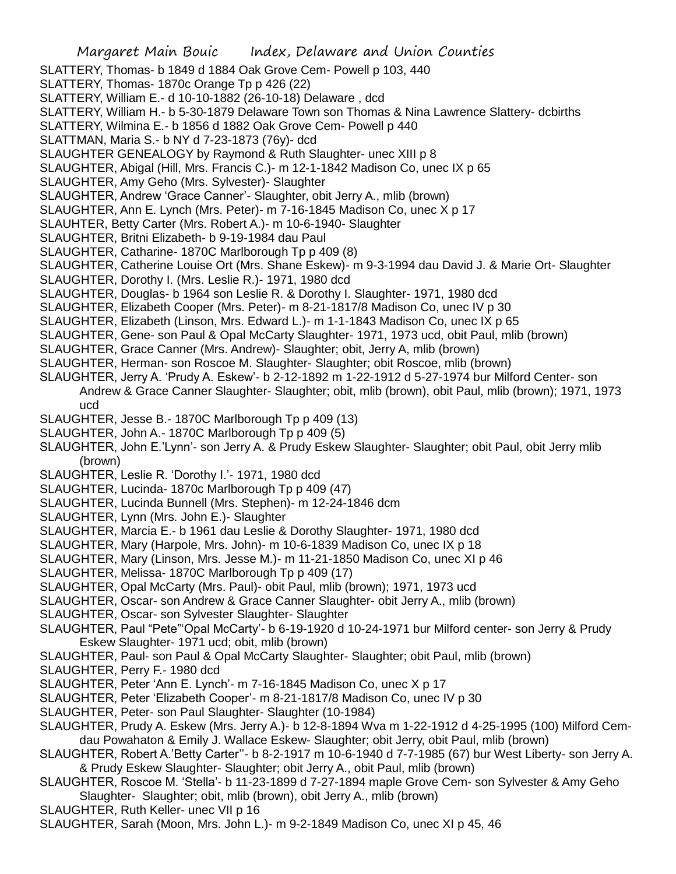Margaret Main Bouic Index, Delaware and Union Counties SLATTERY, Thomas- b 1849 d 1884 Oak Grove Cem- Powell p 103, 440 SLATTERY, Thomas- 1870c Orange Tp p 426 (22) SLATTERY, William E.- d 10-10-1882 (26-10-18) Delaware , dcd SLATTERY, William H.- b 5-30-1879 Delaware Town son Thomas & Nina Lawrence Slattery- dcbirths SLATTERY, Wilmina E.- b 1856 d 1882 Oak Grove Cem- Powell p 440 SLATTMAN, Maria S.- b NY d 7-23-1873 (76y)- dcd SLAUGHTER GENEALOGY by Raymond & Ruth Slaughter- unec XIII p 8 SLAUGHTER, Abigal (Hill, Mrs. Francis C.)- m 12-1-1842 Madison Co, unec IX p 65 SLAUGHTER, Amy Geho (Mrs. Sylvester)- Slaughter SLAUGHTER, Andrew 'Grace Canner'- Slaughter, obit Jerry A., mlib (brown) SLAUGHTER, Ann E. Lynch (Mrs. Peter)- m 7-16-1845 Madison Co, unec X p 17 SLAUHTER, Betty Carter (Mrs. Robert A.)- m 10-6-1940- Slaughter SLAUGHTER, Britni Elizabeth- b 9-19-1984 dau Paul SLAUGHTER, Catharine- 1870C Marlborough Tp p 409 (8) SLAUGHTER, Catherine Louise Ort (Mrs. Shane Eskew)- m 9-3-1994 dau David J. & Marie Ort- Slaughter SLAUGHTER, Dorothy I. (Mrs. Leslie R.)- 1971, 1980 dcd SLAUGHTER, Douglas- b 1964 son Leslie R. & Dorothy I. Slaughter- 1971, 1980 dcd SLAUGHTER, Elizabeth Cooper (Mrs. Peter)- m 8-21-1817/8 Madison Co, unec IV p 30 SLAUGHTER, Elizabeth (Linson, Mrs. Edward L.)- m 1-1-1843 Madison Co, unec IX p 65 SLAUGHTER, Gene- son Paul & Opal McCarty Slaughter- 1971, 1973 ucd, obit Paul, mlib (brown) SLAUGHTER, Grace Canner (Mrs. Andrew)- Slaughter; obit, Jerry A, mlib (brown) SLAUGHTER, Herman- son Roscoe M. Slaughter- Slaughter; obit Roscoe, mlib (brown) SLAUGHTER, Jerry A. 'Prudy A. Eskew'- b 2-12-1892 m 1-22-1912 d 5-27-1974 bur Milford Center- son Andrew & Grace Canner Slaughter- Slaughter; obit, mlib (brown), obit Paul, mlib (brown); 1971, 1973 ucd SLAUGHTER, Jesse B.- 1870C Marlborough Tp p 409 (13) SLAUGHTER, John A.- 1870C Marlborough Tp p 409 (5) SLAUGHTER, John E.'Lynn'- son Jerry A. & Prudy Eskew Slaughter- Slaughter; obit Paul, obit Jerry mlib (brown) SLAUGHTER, Leslie R. 'Dorothy I.'- 1971, 1980 dcd SLAUGHTER, Lucinda- 1870c Marlborough Tp p 409 (47) SLAUGHTER, Lucinda Bunnell (Mrs. Stephen)- m 12-24-1846 dcm SLAUGHTER, Lynn (Mrs. John E.)- Slaughter SLAUGHTER, Marcia E.- b 1961 dau Leslie & Dorothy Slaughter- 1971, 1980 dcd SLAUGHTER, Mary (Harpole, Mrs. John)- m 10-6-1839 Madison Co, unec IX p 18 SLAUGHTER, Mary (Linson, Mrs. Jesse M.)- m 11-21-1850 Madison Co, unec XI p 46 SLAUGHTER, Melissa- 1870C Marlborough Tp p 409 (17) SLAUGHTER, Opal McCarty (Mrs. Paul)- obit Paul, mlib (brown); 1971, 1973 ucd SLAUGHTER, Oscar- son Andrew & Grace Canner Slaughter- obit Jerry A., mlib (brown) SLAUGHTER, Oscar- son Sylvester Slaughter- Slaughter SLAUGHTER, Paul "Pete"'Opal McCarty'- b 6-19-1920 d 10-24-1971 bur Milford center- son Jerry & Prudy Eskew Slaughter- 1971 ucd; obit, mlib (brown) SLAUGHTER, Paul- son Paul & Opal McCarty Slaughter- Slaughter; obit Paul, mlib (brown) SLAUGHTER, Perry F.- 1980 dcd SLAUGHTER, Peter 'Ann E. Lynch'- m 7-16-1845 Madison Co, unec X p 17 SLAUGHTER, Peter 'Elizabeth Cooper'- m 8-21-1817/8 Madison Co, unec IV p 30 SLAUGHTER, Peter- son Paul Slaughter- Slaughter (10-1984) SLAUGHTER, Prudy A. Eskew (Mrs. Jerry A.)- b 12-8-1894 Wva m 1-22-1912 d 4-25-1995 (100) Milford Cemdau Powahaton & Emily J. Wallace Eskew- Slaughter; obit Jerry, obit Paul, mlib (brown) SLAUGHTER, Robert A.'Betty Carter''- b 8-2-1917 m 10-6-1940 d 7-7-1985 (67) bur West Liberty- son Jerry A. & Prudy Eskew Slaughter- Slaughter; obit Jerry A., obit Paul, mlib (brown) SLAUGHTER, Roscoe M. 'Stella'- b 11-23-1899 d 7-27-1894 maple Grove Cem- son Sylvester & Amy Geho Slaughter- Slaughter; obit, mlib (brown), obit Jerry A., mlib (brown) SLAUGHTER, Ruth Keller- unec VII p 16 SLAUGHTER, Sarah (Moon, Mrs. John L.)- m 9-2-1849 Madison Co, unec XI p 45, 46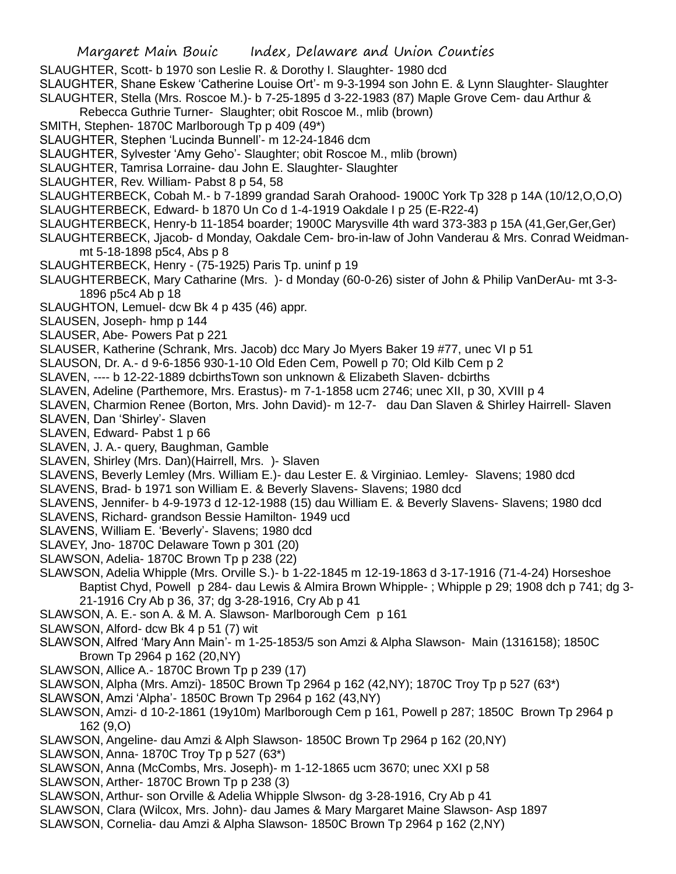SLAUGHTER, Scott- b 1970 son Leslie R. & Dorothy I. Slaughter- 1980 dcd

SLAUGHTER, Shane Eskew 'Catherine Louise Ort'- m 9-3-1994 son John E. & Lynn Slaughter- Slaughter SLAUGHTER, Stella (Mrs. Roscoe M.)- b 7-25-1895 d 3-22-1983 (87) Maple Grove Cem- dau Arthur &

- Rebecca Guthrie Turner- Slaughter; obit Roscoe M., mlib (brown)
- SMITH, Stephen- 1870C Marlborough Tp p 409 (49\*)
- SLAUGHTER, Stephen 'Lucinda Bunnell'- m 12-24-1846 dcm
- SLAUGHTER, Sylvester 'Amy Geho'- Slaughter; obit Roscoe M., mlib (brown)
- SLAUGHTER, Tamrisa Lorraine- dau John E. Slaughter- Slaughter
- SLAUGHTER, Rev. William- Pabst 8 p 54, 58
- SLAUGHTERBECK, Cobah M.- b 7-1899 grandad Sarah Orahood- 1900C York Tp 328 p 14A (10/12,O,O,O)
- SLAUGHTERBECK, Edward- b 1870 Un Co d 1-4-1919 Oakdale I p 25 (E-R22-4)
- SLAUGHTERBECK, Henry-b 11-1854 boarder; 1900C Marysville 4th ward 373-383 p 15A (41,Ger,Ger,Ger)
- SLAUGHTERBECK, Jjacob- d Monday, Oakdale Cem- bro-in-law of John Vanderau & Mrs. Conrad Weidmanmt 5-18-1898 p5c4, Abs p 8
- SLAUGHTERBECK, Henry (75-1925) Paris Tp. uninf p 19
- SLAUGHTERBECK, Mary Catharine (Mrs. )- d Monday (60-0-26) sister of John & Philip VanDerAu- mt 3-3- 1896 p5c4 Ab p 18
- SLAUGHTON, Lemuel- dcw Bk 4 p 435 (46) appr.
- SLAUSEN, Joseph- hmp p 144
- SLAUSER, Abe- Powers Pat p 221
- SLAUSER, Katherine (Schrank, Mrs. Jacob) dcc Mary Jo Myers Baker 19 #77, unec VI p 51
- SLAUSON, Dr. A.- d 9-6-1856 930-1-10 Old Eden Cem, Powell p 70; Old Kilb Cem p 2
- SLAVEN, ---- b 12-22-1889 dcbirthsTown son unknown & Elizabeth Slaven- dcbirths
- SLAVEN, Adeline (Parthemore, Mrs. Erastus)- m 7-1-1858 ucm 2746; unec XII, p 30, XVIII p 4
- SLAVEN, Charmion Renee (Borton, Mrs. John David)- m 12-7- dau Dan Slaven & Shirley Hairrell- Slaven
- SLAVEN, Dan 'Shirley'- Slaven
- SLAVEN, Edward- Pabst 1 p 66
- SLAVEN, J. A.- query, Baughman, Gamble
- SLAVEN, Shirley (Mrs. Dan)(Hairrell, Mrs. )- Slaven
- SLAVENS, Beverly Lemley (Mrs. William E.)- dau Lester E. & Virginiao. Lemley- Slavens; 1980 dcd
- SLAVENS, Brad- b 1971 son William E. & Beverly Slavens- Slavens; 1980 dcd
- SLAVENS, Jennifer- b 4-9-1973 d 12-12-1988 (15) dau William E. & Beverly Slavens- Slavens; 1980 dcd SLAVENS, Richard- grandson Bessie Hamilton- 1949 ucd
- SLAVENS, William E. 'Beverly'- Slavens; 1980 dcd
- SLAVEY, Jno- 1870C Delaware Town p 301 (20)
- SLAWSON, Adelia- 1870C Brown Tp p 238 (22)
- SLAWSON, Adelia Whipple (Mrs. Orville S.)- b 1-22-1845 m 12-19-1863 d 3-17-1916 (71-4-24) Horseshoe Baptist Chyd, Powell p 284- dau Lewis & Almira Brown Whipple- ; Whipple p 29; 1908 dch p 741; dg 3- 21-1916 Cry Ab p 36, 37; dg 3-28-1916, Cry Ab p 41
- SLAWSON, A. E.- son A. & M. A. Slawson- Marlborough Cem p 161
- SLAWSON, Alford- dcw Bk 4 p 51 (7) wit
- SLAWSON, Alfred 'Mary Ann Main'- m 1-25-1853/5 son Amzi & Alpha Slawson- Main (1316158); 1850C Brown Tp 2964 p 162 (20,NY)
- SLAWSON, Allice A.- 1870C Brown Tp p 239 (17)
- SLAWSON, Alpha (Mrs. Amzi)- 1850C Brown Tp 2964 p 162 (42,NY); 1870C Troy Tp p 527 (63\*)
- SLAWSON, Amzi 'Alpha'- 1850C Brown Tp 2964 p 162 (43,NY)
- SLAWSON, Amzi- d 10-2-1861 (19y10m) Marlborough Cem p 161, Powell p 287; 1850C Brown Tp 2964 p 162 (9,O)
- SLAWSON, Angeline- dau Amzi & Alph Slawson- 1850C Brown Tp 2964 p 162 (20,NY)
- SLAWSON, Anna- 1870C Troy Tp p 527 (63\*)
- SLAWSON, Anna (McCombs, Mrs. Joseph)- m 1-12-1865 ucm 3670; unec XXI p 58
- SLAWSON, Arther- 1870C Brown Tp p 238 (3)
- SLAWSON, Arthur- son Orville & Adelia Whipple Slwson- dg 3-28-1916, Cry Ab p 41
- SLAWSON, Clara (Wilcox, Mrs. John)- dau James & Mary Margaret Maine Slawson- Asp 1897
- SLAWSON, Cornelia- dau Amzi & Alpha Slawson- 1850C Brown Tp 2964 p 162 (2,NY)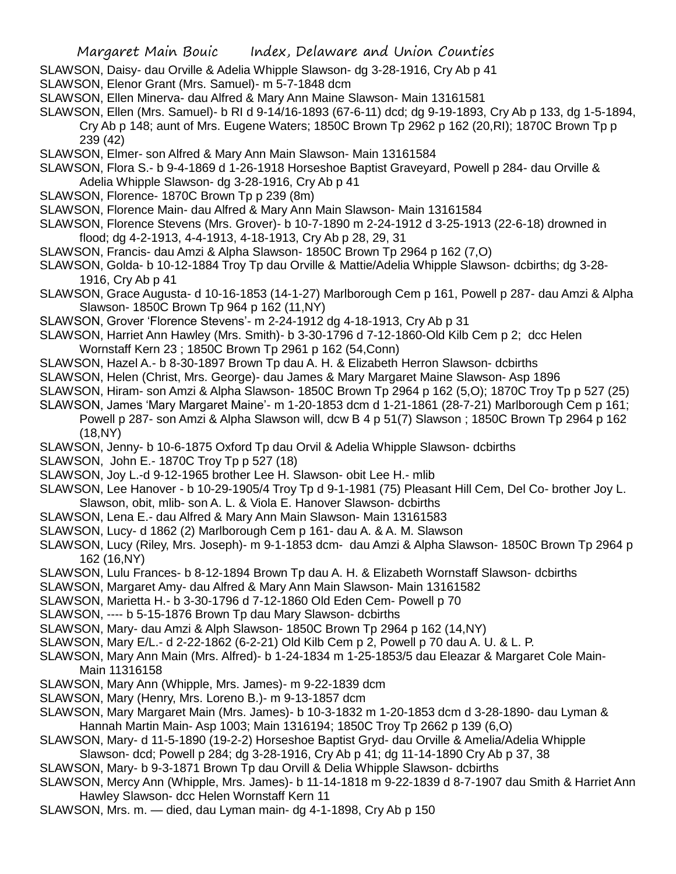- SLAWSON, Daisy- dau Orville & Adelia Whipple Slawson- dg 3-28-1916, Cry Ab p 41
- SLAWSON, Elenor Grant (Mrs. Samuel)- m 5-7-1848 dcm
- SLAWSON, Ellen Minerva- dau Alfred & Mary Ann Maine Slawson- Main 13161581
- SLAWSON, Ellen (Mrs. Samuel)- b RI d 9-14/16-1893 (67-6-11) dcd; dg 9-19-1893, Cry Ab p 133, dg 1-5-1894, Cry Ab p 148; aunt of Mrs. Eugene Waters; 1850C Brown Tp 2962 p 162 (20,RI); 1870C Brown Tp p 239 (42)
- SLAWSON, Elmer- son Alfred & Mary Ann Main Slawson- Main 13161584
- SLAWSON, Flora S.- b 9-4-1869 d 1-26-1918 Horseshoe Baptist Graveyard, Powell p 284- dau Orville & Adelia Whipple Slawson- dg 3-28-1916, Cry Ab p 41
- SLAWSON, Florence- 1870C Brown Tp p 239 (8m)
- SLAWSON, Florence Main- dau Alfred & Mary Ann Main Slawson- Main 13161584
- SLAWSON, Florence Stevens (Mrs. Grover)- b 10-7-1890 m 2-24-1912 d 3-25-1913 (22-6-18) drowned in flood; dg 4-2-1913, 4-4-1913, 4-18-1913, Cry Ab p 28, 29, 31
- SLAWSON, Francis- dau Amzi & Alpha Slawson- 1850C Brown Tp 2964 p 162 (7,O)
- SLAWSON, Golda- b 10-12-1884 Troy Tp dau Orville & Mattie/Adelia Whipple Slawson- dcbirths; dg 3-28- 1916, Cry Ab p 41
- SLAWSON, Grace Augusta- d 10-16-1853 (14-1-27) Marlborough Cem p 161, Powell p 287- dau Amzi & Alpha Slawson- 1850C Brown Tp 964 p 162 (11,NY)
- SLAWSON, Grover 'Florence Stevens'- m 2-24-1912 dg 4-18-1913, Cry Ab p 31
- SLAWSON, Harriet Ann Hawley (Mrs. Smith)- b 3-30-1796 d 7-12-1860-Old Kilb Cem p 2; dcc Helen Wornstaff Kern 23 ; 1850C Brown Tp 2961 p 162 (54,Conn)
- SLAWSON, Hazel A.- b 8-30-1897 Brown Tp dau A. H. & Elizabeth Herron Slawson- dcbirths
- SLAWSON, Helen (Christ, Mrs. George)- dau James & Mary Margaret Maine Slawson- Asp 1896
- SLAWSON, Hiram- son Amzi & Alpha Slawson- 1850C Brown Tp 2964 p 162 (5,O); 1870C Troy Tp p 527 (25)
- SLAWSON, James 'Mary Margaret Maine'- m 1-20-1853 dcm d 1-21-1861 (28-7-21) Marlborough Cem p 161; Powell p 287- son Amzi & Alpha Slawson will, dcw B 4 p 51(7) Slawson ; 1850C Brown Tp 2964 p 162 (18,NY)
- SLAWSON, Jenny- b 10-6-1875 Oxford Tp dau Orvil & Adelia Whipple Slawson- dcbirths
- SLAWSON, John E.- 1870C Troy Tp p 527 (18)
- SLAWSON, Joy L.-d 9-12-1965 brother Lee H. Slawson- obit Lee H.- mlib
- SLAWSON, Lee Hanover b 10-29-1905/4 Troy Tp d 9-1-1981 (75) Pleasant Hill Cem, Del Co- brother Joy L. Slawson, obit, mlib- son A. L. & Viola E. Hanover Slawson- dcbirths
- SLAWSON, Lena E.- dau Alfred & Mary Ann Main Slawson- Main 13161583
- SLAWSON, Lucy- d 1862 (2) Marlborough Cem p 161- dau A. & A. M. Slawson
- SLAWSON, Lucy (Riley, Mrs. Joseph)- m 9-1-1853 dcm- dau Amzi & Alpha Slawson- 1850C Brown Tp 2964 p 162 (16,NY)
- SLAWSON, Lulu Frances- b 8-12-1894 Brown Tp dau A. H. & Elizabeth Wornstaff Slawson- dcbirths
- SLAWSON, Margaret Amy- dau Alfred & Mary Ann Main Slawson- Main 13161582
- SLAWSON, Marietta H.- b 3-30-1796 d 7-12-1860 Old Eden Cem- Powell p 70
- SLAWSON, ---- b 5-15-1876 Brown Tp dau Mary Slawson- dcbirths
- SLAWSON, Mary- dau Amzi & Alph Slawson- 1850C Brown Tp 2964 p 162 (14,NY)
- SLAWSON, Mary E/L.- d 2-22-1862 (6-2-21) Old Kilb Cem p 2, Powell p 70 dau A. U. & L. P.
- SLAWSON, Mary Ann Main (Mrs. Alfred)- b 1-24-1834 m 1-25-1853/5 dau Eleazar & Margaret Cole Main-Main 11316158
- SLAWSON, Mary Ann (Whipple, Mrs. James)- m 9-22-1839 dcm
- SLAWSON, Mary (Henry, Mrs. Loreno B.)- m 9-13-1857 dcm
- SLAWSON, Mary Margaret Main (Mrs. James)- b 10-3-1832 m 1-20-1853 dcm d 3-28-1890- dau Lyman & Hannah Martin Main- Asp 1003; Main 1316194; 1850C Troy Tp 2662 p 139 (6,O)
- SLAWSON, Mary- d 11-5-1890 (19-2-2) Horseshoe Baptist Gryd- dau Orville & Amelia/Adelia Whipple
- Slawson- dcd; Powell p 284; dg 3-28-1916, Cry Ab p 41; dg 11-14-1890 Cry Ab p 37, 38
- SLAWSON, Mary- b 9-3-1871 Brown Tp dau Orvill & Delia Whipple Slawson- dcbirths
- SLAWSON, Mercy Ann (Whipple, Mrs. James)- b 11-14-1818 m 9-22-1839 d 8-7-1907 dau Smith & Harriet Ann Hawley Slawson- dcc Helen Wornstaff Kern 11
- SLAWSON, Mrs. m. died, dau Lyman main- dg 4-1-1898, Cry Ab p 150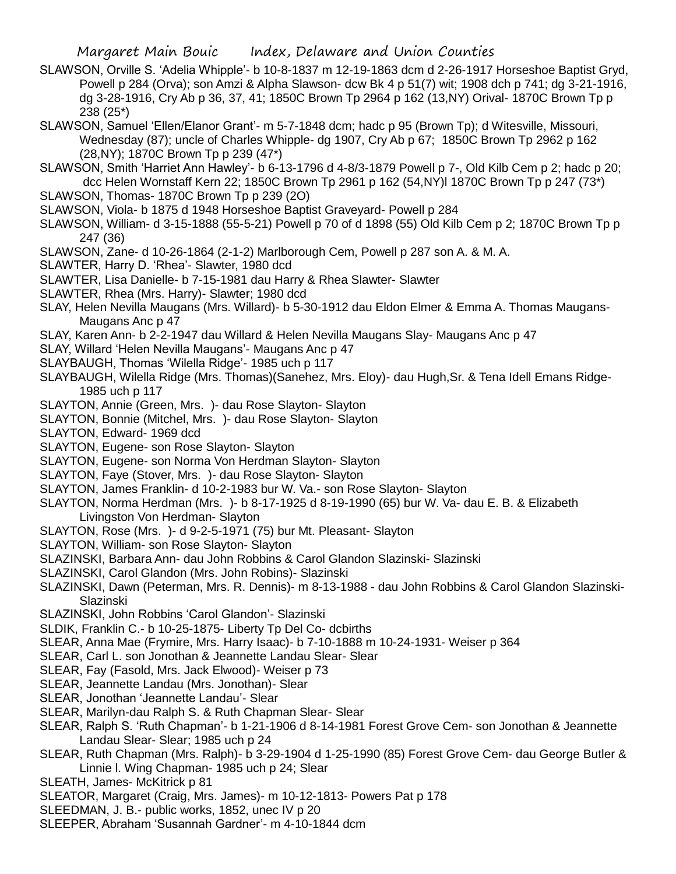- SLAWSON, Orville S. 'Adelia Whipple'- b 10-8-1837 m 12-19-1863 dcm d 2-26-1917 Horseshoe Baptist Gryd, Powell p 284 (Orva); son Amzi & Alpha Slawson- dcw Bk 4 p 51(7) wit; 1908 dch p 741; dg 3-21-1916, dg 3-28-1916, Cry Ab p 36, 37, 41; 1850C Brown Tp 2964 p 162 (13,NY) Orival- 1870C Brown Tp p 238 (25\*)
- SLAWSON, Samuel 'Ellen/Elanor Grant'- m 5-7-1848 dcm; hadc p 95 (Brown Tp); d Witesville, Missouri, Wednesday (87); uncle of Charles Whipple- dg 1907, Cry Ab p 67; 1850C Brown Tp 2962 p 162 (28,NY); 1870C Brown Tp p 239 (47\*)
- SLAWSON, Smith 'Harriet Ann Hawley'- b 6-13-1796 d 4-8/3-1879 Powell p 7-, Old Kilb Cem p 2; hadc p 20; dcc Helen Wornstaff Kern 22; 1850C Brown Tp 2961 p 162 (54,NY)l 1870C Brown Tp p 247 (73\*)
- SLAWSON, Thomas- 1870C Brown Tp p 239 (2O)
- SLAWSON, Viola- b 1875 d 1948 Horseshoe Baptist Graveyard- Powell p 284
- SLAWSON, William- d 3-15-1888 (55-5-21) Powell p 70 of d 1898 (55) Old Kilb Cem p 2; 1870C Brown Tp p 247 (36)
- SLAWSON, Zane- d 10-26-1864 (2-1-2) Marlborough Cem, Powell p 287 son A. & M. A.
- SLAWTER, Harry D. 'Rhea'- Slawter, 1980 dcd
- SLAWTER, Lisa Danielle- b 7-15-1981 dau Harry & Rhea Slawter- Slawter
- SLAWTER, Rhea (Mrs. Harry)- Slawter; 1980 dcd
- SLAY, Helen Nevilla Maugans (Mrs. Willard)- b 5-30-1912 dau Eldon Elmer & Emma A. Thomas Maugans-Maugans Anc p 47
- SLAY, Karen Ann- b 2-2-1947 dau Willard & Helen Nevilla Maugans Slay- Maugans Anc p 47
- SLAY, Willard 'Helen Nevilla Maugans'- Maugans Anc p 47
- SLAYBAUGH, Thomas 'Wilella Ridge'- 1985 uch p 117
- SLAYBAUGH, Wilella Ridge (Mrs. Thomas)(Sanehez, Mrs. Eloy)- dau Hugh,Sr. & Tena Idell Emans Ridge-1985 uch p 117
- SLAYTON, Annie (Green, Mrs. )- dau Rose Slayton- Slayton
- SLAYTON, Bonnie (Mitchel, Mrs. )- dau Rose Slayton- Slayton
- SLAYTON, Edward- 1969 dcd
- SLAYTON, Eugene- son Rose Slayton- Slayton
- SLAYTON, Eugene- son Norma Von Herdman Slayton- Slayton
- SLAYTON, Faye (Stover, Mrs. )- dau Rose Slayton- Slayton
- SLAYTON, James Franklin- d 10-2-1983 bur W. Va.- son Rose Slayton- Slayton
- SLAYTON, Norma Herdman (Mrs. )- b 8-17-1925 d 8-19-1990 (65) bur W. Va- dau E. B. & Elizabeth Livingston Von Herdman- Slayton
- SLAYTON, Rose (Mrs. )- d 9-2-5-1971 (75) bur Mt. Pleasant- Slayton
- SLAYTON, William- son Rose Slayton- Slayton
- SLAZINSKI, Barbara Ann- dau John Robbins & Carol Glandon Slazinski- Slazinski
- SLAZINSKI, Carol Glandon (Mrs. John Robins)- Slazinski
- SLAZINSKI, Dawn (Peterman, Mrs. R. Dennis)- m 8-13-1988 dau John Robbins & Carol Glandon Slazinski-Slazinski
- SLAZINSKI, John Robbins 'Carol Glandon'- Slazinski
- SLDIK, Franklin C.- b 10-25-1875- Liberty Tp Del Co- dcbirths
- SLEAR, Anna Mae (Frymire, Mrs. Harry Isaac)- b 7-10-1888 m 10-24-1931- Weiser p 364
- SLEAR, Carl L. son Jonothan & Jeannette Landau Slear- Slear
- SLEAR, Fay (Fasold, Mrs. Jack Elwood)- Weiser p 73
- SLEAR, Jeannette Landau (Mrs. Jonothan)- Slear
- SLEAR, Jonothan 'Jeannette Landau'- Slear
- SLEAR, Marilyn-dau Ralph S. & Ruth Chapman Slear- Slear
- SLEAR, Ralph S. 'Ruth Chapman'- b 1-21-1906 d 8-14-1981 Forest Grove Cem- son Jonothan & Jeannette Landau Slear- Slear; 1985 uch p 24
- SLEAR, Ruth Chapman (Mrs. Ralph)- b 3-29-1904 d 1-25-1990 (85) Forest Grove Cem- dau George Butler & Linnie l. Wing Chapman- 1985 uch p 24; Slear
- SLEATH, James- McKitrick p 81
- SLEATOR, Margaret (Craig, Mrs. James)- m 10-12-1813- Powers Pat p 178
- SLEEDMAN, J. B.- public works, 1852, unec IV p 20
- SLEEPER, Abraham 'Susannah Gardner'- m 4-10-1844 dcm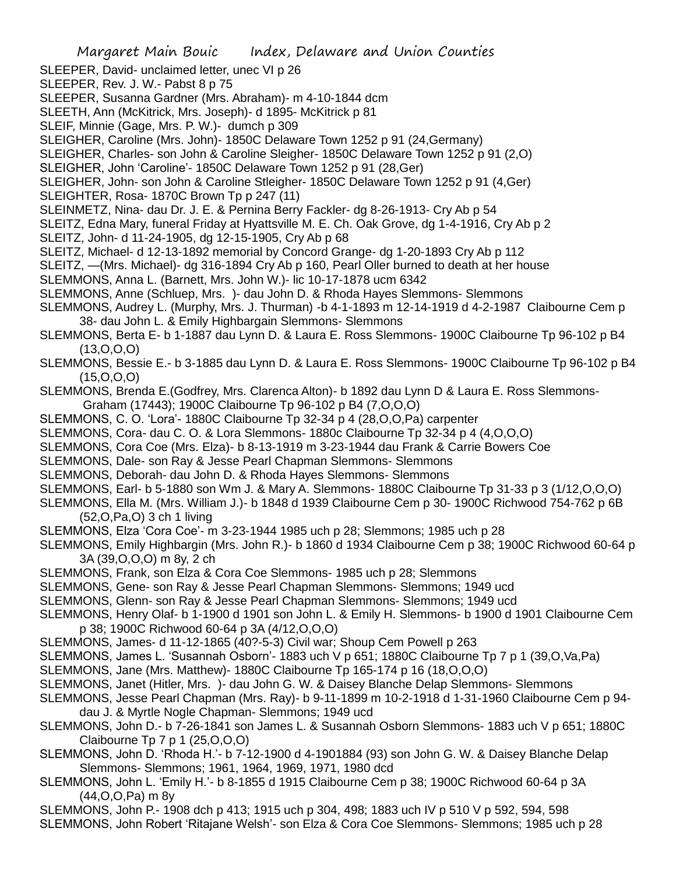- Margaret Main Bouic Index, Delaware and Union Counties SLEEPER, David- unclaimed letter, unec VI p 26 SLEEPER, Rev. J. W.- Pabst 8 p 75 SLEEPER, Susanna Gardner (Mrs. Abraham)- m 4-10-1844 dcm SLEETH, Ann (McKitrick, Mrs. Joseph)- d 1895- McKitrick p 81 SLEIF, Minnie (Gage, Mrs. P. W.)- dumch p 309 SLEIGHER, Caroline (Mrs. John)- 1850C Delaware Town 1252 p 91 (24,Germany) SLEIGHER, Charles- son John & Caroline Sleigher- 1850C Delaware Town 1252 p 91 (2,O) SLEIGHER, John 'Caroline'- 1850C Delaware Town 1252 p 91 (28,Ger) SLEIGHER, John- son John & Caroline Stleigher- 1850C Delaware Town 1252 p 91 (4,Ger) SLEIGHTER, Rosa-1870C Brown Tp p 247 (11) SLEINMETZ, Nina- dau Dr. J. E. & Pernina Berry Fackler- dg 8-26-1913- Cry Ab p 54 SLEITZ, Edna Mary, funeral Friday at Hyattsville M. E. Ch. Oak Grove, dg 1-4-1916, Cry Ab p 2 SLEITZ, John- d 11-24-1905, dg 12-15-1905, Cry Ab p 68 SLEITZ, Michael- d 12-13-1892 memorial by Concord Grange- dg 1-20-1893 Cry Ab p 112 SLEITZ, —(Mrs. Michael)- dg 316-1894 Cry Ab p 160, Pearl Oller burned to death at her house SLEMMONS, Anna L. (Barnett, Mrs. John W.)- lic 10-17-1878 ucm 6342 SLEMMONS, Anne (Schluep, Mrs. )- dau John D. & Rhoda Hayes Slemmons- Slemmons SLEMMONS, Audrey L. (Murphy, Mrs. J. Thurman) -b 4-1-1893 m 12-14-1919 d 4-2-1987 Claibourne Cem p 38- dau John L. & Emily Highbargain Slemmons- Slemmons SLEMMONS, Berta E- b 1-1887 dau Lynn D. & Laura E. Ross Slemmons- 1900C Claibourne Tp 96-102 p B4  $(13,0,0,0)$ SLEMMONS, Bessie E.- b 3-1885 dau Lynn D. & Laura E. Ross Slemmons- 1900C Claibourne Tp 96-102 p B4 (15,O,O,O) SLEMMONS, Brenda E.(Godfrey, Mrs. Clarenca Alton)- b 1892 dau Lynn D & Laura E. Ross Slemmons-Graham (17443); 1900C Claibourne Tp 96-102 p B4 (7,O,O,O) SLEMMONS, C. O. 'Lora'- 1880C Claibourne Tp 32-34 p 4 (28,O,O,Pa) carpenter SLEMMONS, Cora- dau C. O. & Lora Slemmons- 1880c Claibourne Tp 32-34 p 4 (4,O,O,O) SLEMMONS, Cora Coe (Mrs. Elza)- b 8-13-1919 m 3-23-1944 dau Frank & Carrie Bowers Coe SLEMMONS, Dale- son Ray & Jesse Pearl Chapman Slemmons- Slemmons SLEMMONS, Deborah- dau John D. & Rhoda Hayes Slemmons- Slemmons SLEMMONS, Earl- b 5-1880 son Wm J. & Mary A. Slemmons- 1880C Claibourne Tp 31-33 p 3 (1/12,O,O,O) SLEMMONS, Ella M. (Mrs. William J.)- b 1848 d 1939 Claibourne Cem p 30- 1900C Richwood 754-762 p 6B (52,O,Pa,O) 3 ch 1 living SLEMMONS, Elza 'Cora Coe'- m 3-23-1944 1985 uch p 28; Slemmons; 1985 uch p 28 SLEMMONS, Emily Highbargin (Mrs. John R.)- b 1860 d 1934 Claibourne Cem p 38; 1900C Richwood 60-64 p 3A (39,O,O,O) m 8y, 2 ch SLEMMONS, Frank, son Elza & Cora Coe Slemmons- 1985 uch p 28; Slemmons SLEMMONS, Gene- son Ray & Jesse Pearl Chapman Slemmons- Slemmons; 1949 ucd SLEMMONS, Glenn- son Ray & Jesse Pearl Chapman Slemmons- Slemmons; 1949 ucd SLEMMONS, Henry Olaf- b 1-1900 d 1901 son John L. & Emily H. Slemmons- b 1900 d 1901 Claibourne Cem p 38; 1900C Richwood 60-64 p 3A (4/12,O,O,O) SLEMMONS, James- d 11-12-1865 (40?-5-3) Civil war; Shoup Cem Powell p 263 SLEMMONS, James L. 'Susannah Osborn'- 1883 uch V p 651; 1880C Claibourne Tp 7 p 1 (39,O,Va,Pa) SLEMMONS, Jane (Mrs. Matthew)- 1880C Claibourne Tp 165-174 p 16 (18,O,O,O) SLEMMONS, Janet (Hitler, Mrs. )- dau John G. W. & Daisey Blanche Delap Slemmons- Slemmons SLEMMONS, Jesse Pearl Chapman (Mrs. Ray)- b 9-11-1899 m 10-2-1918 d 1-31-1960 Claibourne Cem p 94 dau J. & Myrtle Nogle Chapman- Slemmons; 1949 ucd SLEMMONS, John D.- b 7-26-1841 son James L. & Susannah Osborn Slemmons- 1883 uch V p 651; 1880C Claibourne Tp 7 p 1 (25,O,O,O) SLEMMONS, John D. 'Rhoda H.'- b 7-12-1900 d 4-1901884 (93) son John G. W. & Daisey Blanche Delap Slemmons- Slemmons; 1961, 1964, 1969, 1971, 1980 dcd SLEMMONS, John L. 'Emily H.'- b 8-1855 d 1915 Claibourne Cem p 38; 1900C Richwood 60-64 p 3A (44,O,O,Pa) m 8y SLEMMONS, John P.- 1908 dch p 413; 1915 uch p 304, 498; 1883 uch IV p 510 V p 592, 594, 598
- SLEMMONS, John Robert 'Ritajane Welsh'- son Elza & Cora Coe Slemmons- Slemmons; 1985 uch p 28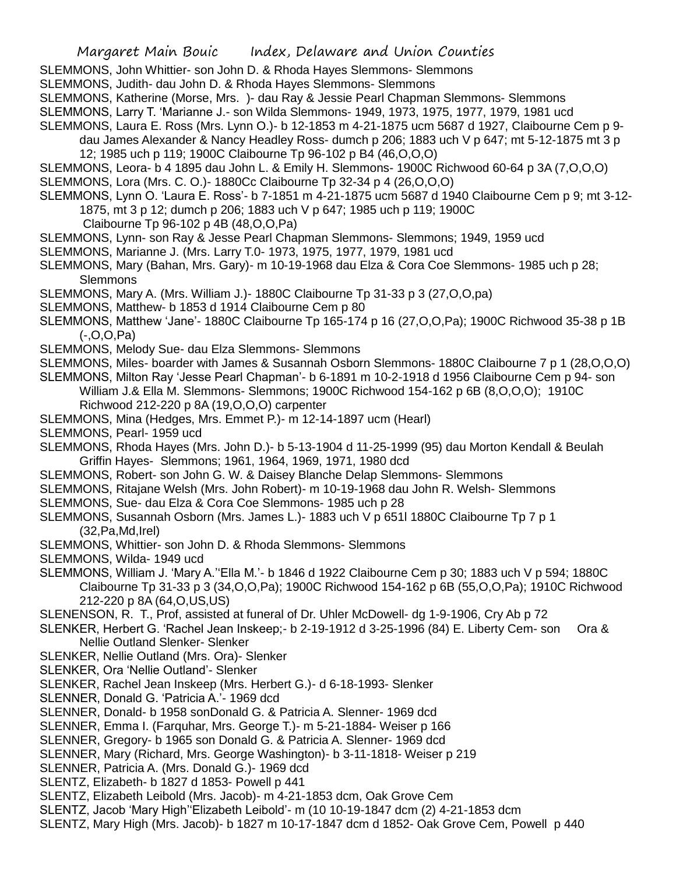- SLEMMONS, John Whittier- son John D. & Rhoda Hayes Slemmons- Slemmons
- SLEMMONS, Judith- dau John D. & Rhoda Hayes Slemmons- Slemmons
- SLEMMONS, Katherine (Morse, Mrs. )- dau Ray & Jessie Pearl Chapman Slemmons- Slemmons
- SLEMMONS, Larry T. 'Marianne J.- son Wilda Slemmons- 1949, 1973, 1975, 1977, 1979, 1981 ucd
- SLEMMONS, Laura E. Ross (Mrs. Lynn O.)- b 12-1853 m 4-21-1875 ucm 5687 d 1927, Claibourne Cem p 9 dau James Alexander & Nancy Headley Ross- dumch p 206; 1883 uch V p 647; mt 5-12-1875 mt 3 p
	- 12; 1985 uch p 119; 1900C Claibourne Tp 96-102 p B4 (46,O,O,O)
- SLEMMONS, Leora- b 4 1895 dau John L. & Emily H. Slemmons- 1900C Richwood 60-64 p 3A (7,O,O,O) SLEMMONS, Lora (Mrs. C. O.)- 1880Cc Claibourne Tp 32-34 p 4 (26,O,O,O)
- SLEMMONS, Lynn O. 'Laura E. Ross'- b 7-1851 m 4-21-1875 ucm 5687 d 1940 Claibourne Cem p 9; mt 3-12- 1875, mt 3 p 12; dumch p 206; 1883 uch V p 647; 1985 uch p 119; 1900C
	- Claibourne Tp 96-102 p 4B (48,O,O,Pa)
- SLEMMONS, Lynn- son Ray & Jesse Pearl Chapman Slemmons- Slemmons; 1949, 1959 ucd
- SLEMMONS, Marianne J. (Mrs. Larry T.0- 1973, 1975, 1977, 1979, 1981 ucd
- SLEMMONS, Mary (Bahan, Mrs. Gary)- m 10-19-1968 dau Elza & Cora Coe Slemmons- 1985 uch p 28; **Slemmons**
- SLEMMONS, Mary A. (Mrs. William J.)- 1880C Claibourne Tp 31-33 p 3 (27,O,O,pa)
- SLEMMONS, Matthew- b 1853 d 1914 Claibourne Cem p 80
- SLEMMONS, Matthew 'Jane'- 1880C Claibourne Tp 165-174 p 16 (27,O,O,Pa); 1900C Richwood 35-38 p 1B (-,O,O,Pa)
- SLEMMONS, Melody Sue- dau Elza Slemmons- Slemmons
- SLEMMONS, Miles- boarder with James & Susannah Osborn Slemmons- 1880C Claibourne 7 p 1 (28,O,O,O)
- SLEMMONS, Milton Ray 'Jesse Pearl Chapman'- b 6-1891 m 10-2-1918 d 1956 Claibourne Cem p 94- son William J.& Ella M. Slemmons- Slemmons; 1900C Richwood 154-162 p 6B (8,O,O,O); 1910C Richwood 212-220 p 8A (19,O,O,O) carpenter
- SLEMMONS, Mina (Hedges, Mrs. Emmet P.)- m 12-14-1897 ucm (Hearl)
- SLEMMONS, Pearl- 1959 ucd
- SLEMMONS, Rhoda Hayes (Mrs. John D.)- b 5-13-1904 d 11-25-1999 (95) dau Morton Kendall & Beulah Griffin Hayes- Slemmons; 1961, 1964, 1969, 1971, 1980 dcd
- SLEMMONS, Robert- son John G. W. & Daisey Blanche Delap Slemmons- Slemmons
- SLEMMONS, Ritajane Welsh (Mrs. John Robert)- m 10-19-1968 dau John R. Welsh- Slemmons
- SLEMMONS, Sue- dau Elza & Cora Coe Slemmons- 1985 uch p 28
- SLEMMONS, Susannah Osborn (Mrs. James L.)- 1883 uch V p 651l 1880C Claibourne Tp 7 p 1 (32,Pa,Md,Irel)
- SLEMMONS, Whittier- son John D. & Rhoda Slemmons- Slemmons
- SLEMMONS, Wilda- 1949 ucd
- SLEMMONS, William J. 'Mary A.''Ella M.'- b 1846 d 1922 Claibourne Cem p 30; 1883 uch V p 594; 1880C Claibourne Tp 31-33 p 3 (34,O,O,Pa); 1900C Richwood 154-162 p 6B (55,O,O,Pa); 1910C Richwood 212-220 p 8A (64,O,US,US)
- SLENENSON, R. T., Prof, assisted at funeral of Dr. Uhler McDowell- dg 1-9-1906, Cry Ab p 72
- SLENKER, Herbert G. 'Rachel Jean Inskeep;- b 2-19-1912 d 3-25-1996 (84) E. Liberty Cem- son Ora & Nellie Outland Slenker- Slenker
- SLENKER, Nellie Outland (Mrs. Ora)- Slenker
- SLENKER, Ora 'Nellie Outland'- Slenker
- SLENKER, Rachel Jean Inskeep (Mrs. Herbert G.)- d 6-18-1993- Slenker
- SLENNER, Donald G. 'Patricia A.'- 1969 dcd
- SLENNER, Donald- b 1958 sonDonald G. & Patricia A. Slenner- 1969 dcd
- SLENNER, Emma I. (Farquhar, Mrs. George T.)- m 5-21-1884- Weiser p 166
- SLENNER, Gregory- b 1965 son Donald G. & Patricia A. Slenner- 1969 dcd
- SLENNER, Mary (Richard, Mrs. George Washington)- b 3-11-1818- Weiser p 219
- SLENNER, Patricia A. (Mrs. Donald G.)- 1969 dcd
- SLENTZ, Elizabeth- b 1827 d 1853- Powell p 441
- SLENTZ, Elizabeth Leibold (Mrs. Jacob)- m 4-21-1853 dcm, Oak Grove Cem
- SLENTZ, Jacob 'Mary High''Elizabeth Leibold'- m (10 10-19-1847 dcm (2) 4-21-1853 dcm
- SLENTZ, Mary High (Mrs. Jacob)- b 1827 m 10-17-1847 dcm d 1852- Oak Grove Cem, Powell p 440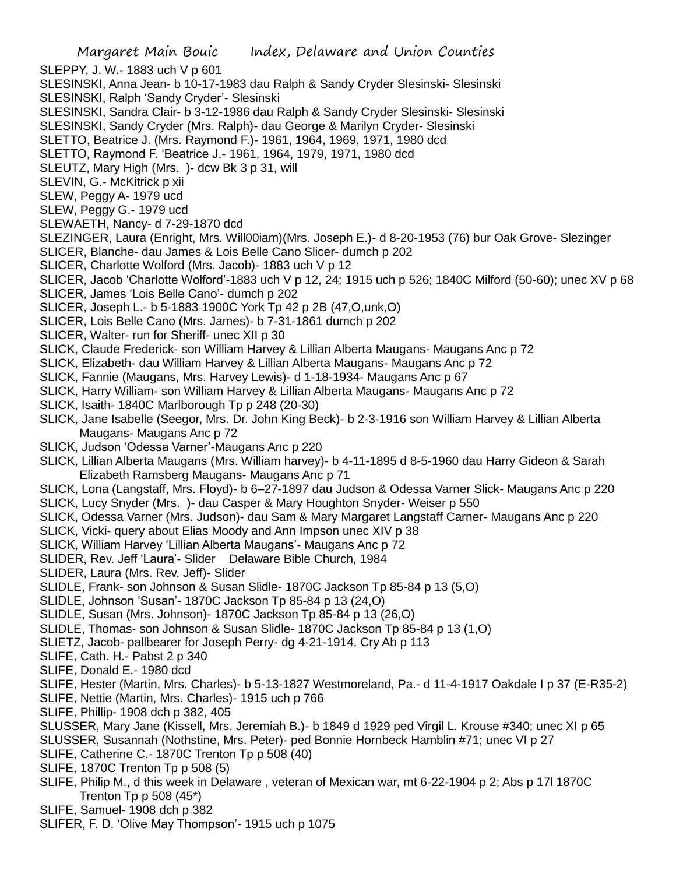Margaret Main Bouic Index, Delaware and Union Counties SLEPPY, J. W.- 1883 uch V p 601 SLESINSKI, Anna Jean- b 10-17-1983 dau Ralph & Sandy Cryder Slesinski- Slesinski SLESINSKI, Ralph 'Sandy Cryder'- Slesinski SLESINSKI, Sandra Clair- b 3-12-1986 dau Ralph & Sandy Cryder Slesinski- Slesinski SLESINSKI, Sandy Cryder (Mrs. Ralph)- dau George & Marilyn Cryder- Slesinski SLETTO, Beatrice J. (Mrs. Raymond F.)- 1961, 1964, 1969, 1971, 1980 dcd SLETTO, Raymond F. 'Beatrice J.- 1961, 1964, 1979, 1971, 1980 dcd SLEUTZ, Mary High (Mrs. )- dcw Bk 3 p 31, will SLEVIN, G.- McKitrick p xii SLEW, Peggy A- 1979 ucd SLEW, Peggy G.- 1979 ucd SLEWAETH, Nancy- d 7-29-1870 dcd SLEZINGER, Laura (Enright, Mrs. Will00iam)(Mrs. Joseph E.)- d 8-20-1953 (76) bur Oak Grove- Slezinger SLICER, Blanche- dau James & Lois Belle Cano Slicer- dumch p 202 SLICER, Charlotte Wolford (Mrs. Jacob)- 1883 uch V p 12 SLICER, Jacob 'Charlotte Wolford'-1883 uch V p 12, 24; 1915 uch p 526; 1840C Milford (50-60); unec XV p 68 SLICER, James 'Lois Belle Cano'- dumch p 202 SLICER, Joseph L.- b 5-1883 1900C York Tp 42 p 2B (47,O,unk,O) SLICER, Lois Belle Cano (Mrs. James)- b 7-31-1861 dumch p 202 SLICER, Walter- run for Sheriff- unec XII p 30 SLICK, Claude Frederick- son William Harvey & Lillian Alberta Maugans- Maugans Anc p 72 SLICK, Elizabeth- dau William Harvey & Lillian Alberta Maugans- Maugans Anc p 72 SLICK, Fannie (Maugans, Mrs. Harvey Lewis)- d 1-18-1934- Maugans Anc p 67 SLICK, Harry William- son William Harvey & Lillian Alberta Maugans- Maugans Anc p 72 SLICK, Isaith- 1840C Marlborough Tp p 248 (20-30) SLICK, Jane Isabelle (Seegor, Mrs. Dr. John King Beck)- b 2-3-1916 son William Harvey & Lillian Alberta Maugans- Maugans Anc p 72 SLICK, Judson 'Odessa Varner'-Maugans Anc p 220 SLICK, Lillian Alberta Maugans (Mrs. William harvey)- b 4-11-1895 d 8-5-1960 dau Harry Gideon & Sarah Elizabeth Ramsberg Maugans- Maugans Anc p 71 SLICK, Lona (Langstaff, Mrs. Floyd)- b 6–27-1897 dau Judson & Odessa Varner Slick- Maugans Anc p 220 SLICK, Lucy Snyder (Mrs. )- dau Casper & Mary Houghton Snyder- Weiser p 550 SLICK, Odessa Varner (Mrs. Judson)- dau Sam & Mary Margaret Langstaff Carner- Maugans Anc p 220 SLICK, Vicki- query about Elias Moody and Ann Impson unec XIV p 38 SLICK, William Harvey 'Lillian Alberta Maugans'- Maugans Anc p 72 SLIDER, Rev. Jeff 'Laura'- Slider Delaware Bible Church, 1984 SLIDER, Laura (Mrs. Rev. Jeff)- Slider SLIDLE, Frank- son Johnson & Susan Slidle- 1870C Jackson Tp 85-84 p 13 (5,O) SLIDLE, Johnson 'Susan'- 1870C Jackson Tp 85-84 p 13 (24,O) SLIDLE, Susan (Mrs. Johnson)- 1870C Jackson Tp 85-84 p 13 (26,O) SLIDLE, Thomas- son Johnson & Susan Slidle- 1870C Jackson Tp 85-84 p 13 (1,O) SLIETZ, Jacob- pallbearer for Joseph Perry- dg 4-21-1914, Cry Ab p 113 SLIFE, Cath. H.- Pabst 2 p 340 SLIFE, Donald E.- 1980 dcd SLIFE, Hester (Martin, Mrs. Charles)- b 5-13-1827 Westmoreland, Pa.- d 11-4-1917 Oakdale I p 37 (E-R35-2) SLIFE, Nettie (Martin, Mrs. Charles)- 1915 uch p 766 SLIFE, Phillip- 1908 dch p 382, 405 SLUSSER, Mary Jane (Kissell, Mrs. Jeremiah B.)- b 1849 d 1929 ped Virgil L. Krouse #340; unec XI p 65 SLUSSER, Susannah (Nothstine, Mrs. Peter)- ped Bonnie Hornbeck Hamblin #71; unec VI p 27 SLIFE, Catherine C.- 1870C Trenton Tp p 508 (40) SLIFE, 1870C Trenton Tp p 508 (5) SLIFE, Philip M., d this week in Delaware , veteran of Mexican war, mt 6-22-1904 p 2; Abs p 17l 1870C Trenton Tp  $p$  508 (45\*) SLIFE, Samuel- 1908 dch p 382 SLIFER, F. D. 'Olive May Thompson'- 1915 uch p 1075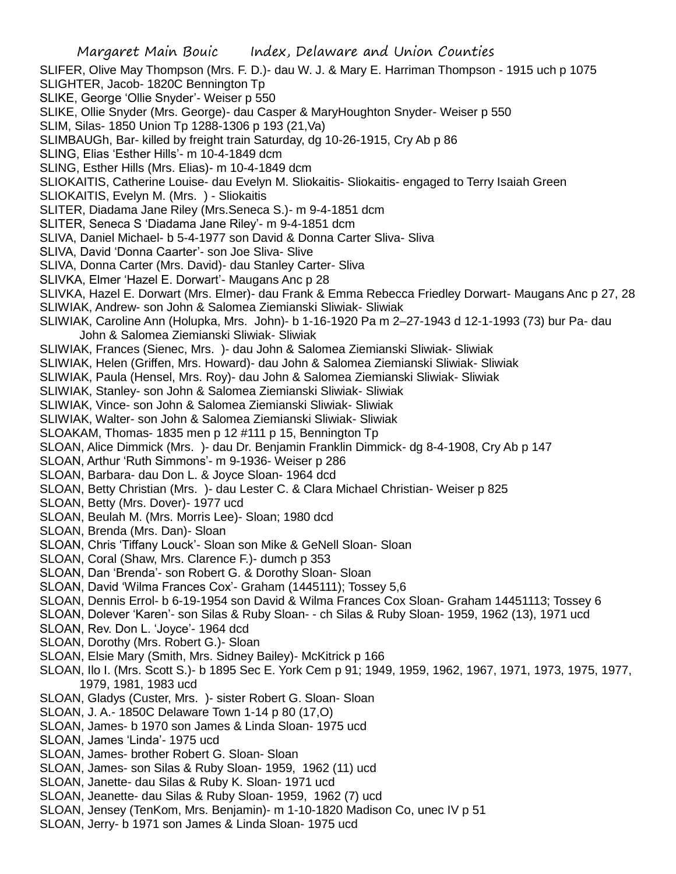Margaret Main Bouic Index, Delaware and Union Counties SLIFER, Olive May Thompson (Mrs. F. D.)- dau W. J. & Mary E. Harriman Thompson - 1915 uch p 1075 SLIGHTER, Jacob- 1820C Bennington Tp SLIKE, George 'Ollie Snyder'- Weiser p 550 SLIKE, Ollie Snyder (Mrs. George)- dau Casper & MaryHoughton Snyder- Weiser p 550 SLIM, Silas- 1850 Union Tp 1288-1306 p 193 (21,Va) SLIMBAUGh, Bar- killed by freight train Saturday, dg 10-26-1915, Cry Ab p 86 SLING, Elias 'Esther Hills'- m 10-4-1849 dcm SLING, Esther Hills (Mrs. Elias)- m 10-4-1849 dcm SLIOKAITIS, Catherine Louise- dau Evelyn M. Sliokaitis- Sliokaitis- engaged to Terry Isaiah Green SLIOKAITIS, Evelyn M. (Mrs. ) - Sliokaitis SLITER, Diadama Jane Riley (Mrs.Seneca S.)- m 9-4-1851 dcm SLITER, Seneca S 'Diadama Jane Riley'- m 9-4-1851 dcm SLIVA, Daniel Michael- b 5-4-1977 son David & Donna Carter Sliva- Sliva SLIVA, David 'Donna Caarter'- son Joe Sliva- Slive SLIVA, Donna Carter (Mrs. David)- dau Stanley Carter- Sliva SLIVKA, Elmer 'Hazel E. Dorwart'- Maugans Anc p 28 SLIVKA, Hazel E. Dorwart (Mrs. Elmer)- dau Frank & Emma Rebecca Friedley Dorwart- Maugans Anc p 27, 28 SLIWIAK, Andrew- son John & Salomea Ziemianski Sliwiak- Sliwiak SLIWIAK, Caroline Ann (Holupka, Mrs. John)- b 1-16-1920 Pa m 2–27-1943 d 12-1-1993 (73) bur Pa- dau John & Salomea Ziemianski Sliwiak- Sliwiak SLIWIAK, Frances (Sienec, Mrs. )- dau John & Salomea Ziemianski Sliwiak- Sliwiak SLIWIAK, Helen (Griffen, Mrs. Howard)- dau John & Salomea Ziemianski Sliwiak- Sliwiak SLIWIAK, Paula (Hensel, Mrs. Roy)- dau John & Salomea Ziemianski Sliwiak- Sliwiak SLIWIAK, Stanley- son John & Salomea Ziemianski Sliwiak- Sliwiak SLIWIAK, Vince- son John & Salomea Ziemianski Sliwiak- Sliwiak SLIWIAK, Walter- son John & Salomea Ziemianski Sliwiak- Sliwiak SLOAKAM, Thomas- 1835 men p 12 #111 p 15, Bennington Tp SLOAN, Alice Dimmick (Mrs. )- dau Dr. Benjamin Franklin Dimmick- dg 8-4-1908, Cry Ab p 147 SLOAN, Arthur 'Ruth Simmons'- m 9-1936- Weiser p 286 SLOAN, Barbara- dau Don L. & Joyce Sloan- 1964 dcd SLOAN, Betty Christian (Mrs. )- dau Lester C. & Clara Michael Christian- Weiser p 825 SLOAN, Betty (Mrs. Dover)- 1977 ucd SLOAN, Beulah M. (Mrs. Morris Lee)- Sloan; 1980 dcd SLOAN, Brenda (Mrs. Dan)- Sloan SLOAN, Chris 'Tiffany Louck'- Sloan son Mike & GeNell Sloan- Sloan SLOAN, Coral (Shaw, Mrs. Clarence F.)- dumch p 353 SLOAN, Dan 'Brenda'- son Robert G. & Dorothy Sloan- Sloan SLOAN, David 'Wilma Frances Cox'- Graham (1445111); Tossey 5,6 SLOAN, Dennis Errol- b 6-19-1954 son David & Wilma Frances Cox Sloan- Graham 14451113; Tossey 6 SLOAN, Dolever 'Karen'- son Silas & Ruby Sloan- - ch Silas & Ruby Sloan- 1959, 1962 (13), 1971 ucd SLOAN, Rev. Don L. 'Joyce'- 1964 dcd SLOAN, Dorothy (Mrs. Robert G.)- Sloan SLOAN, Elsie Mary (Smith, Mrs. Sidney Bailey)- McKitrick p 166 SLOAN, Ilo I. (Mrs. Scott S.)- b 1895 Sec E. York Cem p 91; 1949, 1959, 1962, 1967, 1971, 1973, 1975, 1977, 1979, 1981, 1983 ucd SLOAN, Gladys (Custer, Mrs. )- sister Robert G. Sloan- Sloan SLOAN, J. A.- 1850C Delaware Town 1-14 p 80 (17,O) SLOAN, James- b 1970 son James & Linda Sloan- 1975 ucd SLOAN, James 'Linda'- 1975 ucd SLOAN, James- brother Robert G. Sloan- Sloan SLOAN, James- son Silas & Ruby Sloan- 1959, 1962 (11) ucd SLOAN, Janette- dau Silas & Ruby K. Sloan- 1971 ucd

- SLOAN, Jeanette- dau Silas & Ruby Sloan- 1959, 1962 (7) ucd
- SLOAN, Jensey (TenKom, Mrs. Benjamin)- m 1-10-1820 Madison Co, unec IV p 51
- SLOAN, Jerry- b 1971 son James & Linda Sloan- 1975 ucd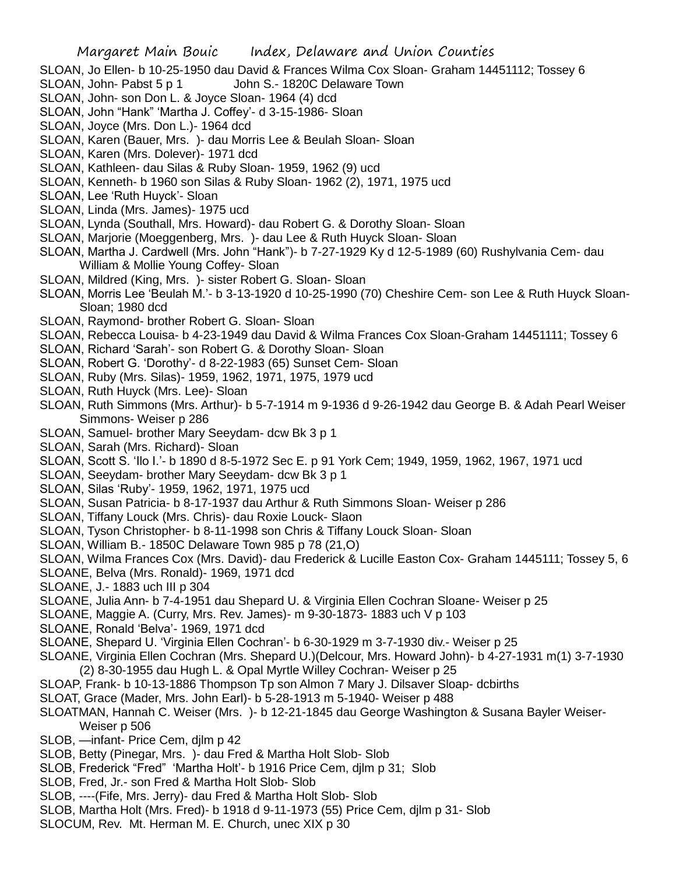- SLOAN, Jo Ellen- b 10-25-1950 dau David & Frances Wilma Cox Sloan- Graham 14451112; Tossey 6
- SLOAN, John- Pabst 5 p 1 John S.- 1820C Delaware Town
- SLOAN, John- son Don L. & Joyce Sloan- 1964 (4) dcd
- SLOAN, John "Hank" 'Martha J. Coffey'- d 3-15-1986- Sloan
- SLOAN, Joyce (Mrs. Don L.)- 1964 dcd
- SLOAN, Karen (Bauer, Mrs. )- dau Morris Lee & Beulah Sloan- Sloan
- SLOAN, Karen (Mrs. Dolever)- 1971 dcd
- SLOAN, Kathleen- dau Silas & Ruby Sloan- 1959, 1962 (9) ucd
- SLOAN, Kenneth- b 1960 son Silas & Ruby Sloan- 1962 (2), 1971, 1975 ucd
- SLOAN, Lee 'Ruth Huyck'- Sloan
- SLOAN, Linda (Mrs. James)- 1975 ucd
- SLOAN, Lynda (Southall, Mrs. Howard)- dau Robert G. & Dorothy Sloan- Sloan
- SLOAN, Marjorie (Moeggenberg, Mrs. )- dau Lee & Ruth Huyck Sloan- Sloan
- SLOAN, Martha J. Cardwell (Mrs. John "Hank")- b 7-27-1929 Ky d 12-5-1989 (60) Rushylvania Cem- dau William & Mollie Young Coffey- Sloan
- SLOAN, Mildred (King, Mrs. )- sister Robert G. Sloan- Sloan
- SLOAN, Morris Lee 'Beulah M.'- b 3-13-1920 d 10-25-1990 (70) Cheshire Cem- son Lee & Ruth Huyck Sloan-Sloan; 1980 dcd
- SLOAN, Raymond- brother Robert G. Sloan- Sloan
- SLOAN, Rebecca Louisa- b 4-23-1949 dau David & Wilma Frances Cox Sloan-Graham 14451111; Tossey 6
- SLOAN, Richard 'Sarah'- son Robert G. & Dorothy Sloan- Sloan
- SLOAN, Robert G. 'Dorothy'- d 8-22-1983 (65) Sunset Cem- Sloan
- SLOAN, Ruby (Mrs. Silas)- 1959, 1962, 1971, 1975, 1979 ucd
- SLOAN, Ruth Huyck (Mrs. Lee)- Sloan
- SLOAN, Ruth Simmons (Mrs. Arthur)- b 5-7-1914 m 9-1936 d 9-26-1942 dau George B. & Adah Pearl Weiser Simmons- Weiser p 286
- SLOAN, Samuel- brother Mary Seeydam- dcw Bk 3 p 1
- SLOAN, Sarah (Mrs. Richard)- Sloan
- SLOAN, Scott S. 'Ilo I.'- b 1890 d 8-5-1972 Sec E. p 91 York Cem; 1949, 1959, 1962, 1967, 1971 ucd
- SLOAN, Seeydam- brother Mary Seeydam- dcw Bk 3 p 1
- SLOAN, Silas 'Ruby'- 1959, 1962, 1971, 1975 ucd
- SLOAN, Susan Patricia- b 8-17-1937 dau Arthur & Ruth Simmons Sloan- Weiser p 286
- SLOAN, Tiffany Louck (Mrs. Chris)- dau Roxie Louck- Slaon
- SLOAN, Tyson Christopher- b 8-11-1998 son Chris & Tiffany Louck Sloan- Sloan
- SLOAN, William B.- 1850C Delaware Town 985 p 78 (21,O)
- SLOAN, Wilma Frances Cox (Mrs. David)- dau Frederick & Lucille Easton Cox- Graham 1445111; Tossey 5, 6
- SLOANE, Belva (Mrs. Ronald)- 1969, 1971 dcd
- SLOANE, J.- 1883 uch III p 304
- SLOANE, Julia Ann- b 7-4-1951 dau Shepard U. & Virginia Ellen Cochran Sloane- Weiser p 25
- SLOANE, Maggie A. (Curry, Mrs. Rev. James)- m 9-30-1873- 1883 uch V p 103
- SLOANE, Ronald 'Belva'- 1969, 1971 dcd
- SLOANE, Shepard U. 'Virginia Ellen Cochran'- b 6-30-1929 m 3-7-1930 div.- Weiser p 25
- SLOANE, Virginia Ellen Cochran (Mrs. Shepard U.)(Delcour, Mrs. Howard John)- b 4-27-1931 m(1) 3-7-1930 (2) 8-30-1955 dau Hugh L. & Opal Myrtle Willey Cochran- Weiser p 25
- SLOAP, Frank- b 10-13-1886 Thompson Tp son Almon 7 Mary J. Dilsaver Sloap- dcbirths
- SLOAT, Grace (Mader, Mrs. John Earl)- b 5-28-1913 m 5-1940- Weiser p 488
- SLOATMAN, Hannah C. Weiser (Mrs. )- b 12-21-1845 dau George Washington & Susana Bayler Weiser-Weiser p 506
- SLOB, —infant- Price Cem, djlm p 42
- SLOB, Betty (Pinegar, Mrs. )- dau Fred & Martha Holt Slob- Slob
- SLOB, Frederick "Fred" 'Martha Holt'- b 1916 Price Cem, djlm p 31; Slob
- SLOB, Fred, Jr.- son Fred & Martha Holt Slob- Slob
- SLOB, ----(Fife, Mrs. Jerry)- dau Fred & Martha Holt Slob- Slob
- SLOB, Martha Holt (Mrs. Fred)- b 1918 d 9-11-1973 (55) Price Cem, djlm p 31- Slob
- SLOCUM, Rev. Mt. Herman M. E. Church, unec XIX p 30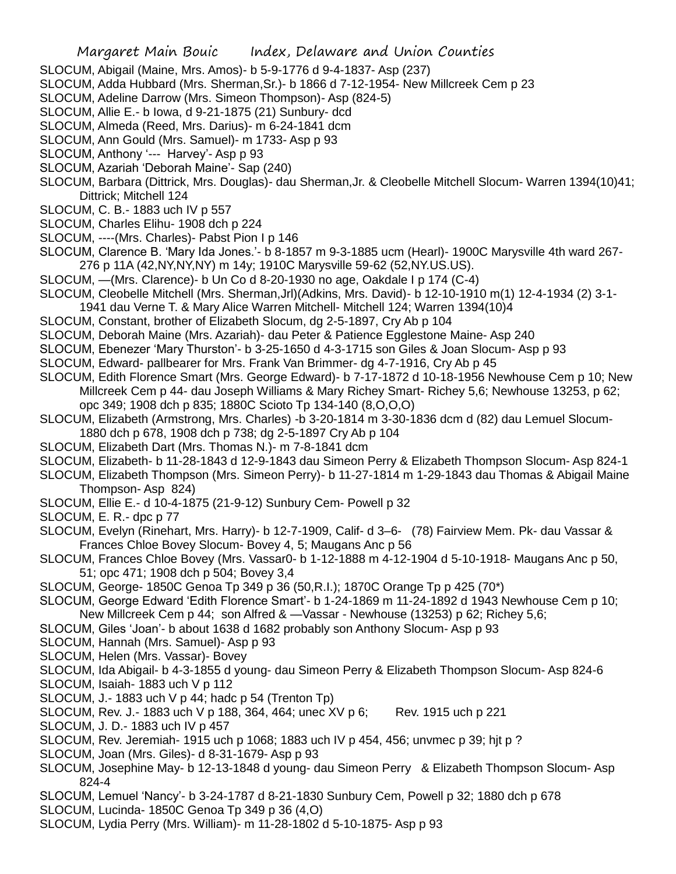- SLOCUM, Abigail (Maine, Mrs. Amos)- b 5-9-1776 d 9-4-1837- Asp (237)
- SLOCUM, Adda Hubbard (Mrs. Sherman,Sr.)- b 1866 d 7-12-1954- New Millcreek Cem p 23
- SLOCUM, Adeline Darrow (Mrs. Simeon Thompson)- Asp (824-5)
- SLOCUM, Allie E.- b Iowa, d 9-21-1875 (21) Sunbury- dcd
- SLOCUM, Almeda (Reed, Mrs. Darius)- m 6-24-1841 dcm
- SLOCUM, Ann Gould (Mrs. Samuel)- m 1733- Asp p 93
- SLOCUM, Anthony '--- Harvey'- Asp p 93
- SLOCUM, Azariah 'Deborah Maine'- Sap (240)
- SLOCUM, Barbara (Dittrick, Mrs. Douglas)- dau Sherman,Jr. & Cleobelle Mitchell Slocum- Warren 1394(10)41; Dittrick; Mitchell 124
- SLOCUM, C. B.- 1883 uch IV p 557
- SLOCUM, Charles Elihu- 1908 dch p 224
- SLOCUM, ----(Mrs. Charles)- Pabst Pion I p 146
- SLOCUM, Clarence B. 'Mary Ida Jones.'- b 8-1857 m 9-3-1885 ucm (Hearl)- 1900C Marysville 4th ward 267- 276 p 11A (42,NY,NY,NY) m 14y; 1910C Marysville 59-62 (52,NY.US.US).
- SLOCUM, —(Mrs. Clarence)- b Un Co d 8-20-1930 no age, Oakdale I p 174 (C-4)
- SLOCUM, Cleobelle Mitchell (Mrs. Sherman,Jrl)(Adkins, Mrs. David)- b 12-10-1910 m(1) 12-4-1934 (2) 3-1- 1941 dau Verne T. & Mary Alice Warren Mitchell- Mitchell 124; Warren 1394(10)4
- SLOCUM, Constant, brother of Elizabeth Slocum, dg 2-5-1897, Cry Ab p 104
- SLOCUM, Deborah Maine (Mrs. Azariah)- dau Peter & Patience Egglestone Maine- Asp 240
- SLOCUM, Ebenezer 'Mary Thurston'- b 3-25-1650 d 4-3-1715 son Giles & Joan Slocum- Asp p 93
- SLOCUM, Edward- pallbearer for Mrs. Frank Van Brimmer- dg 4-7-1916, Cry Ab p 45
- SLOCUM, Edith Florence Smart (Mrs. George Edward)- b 7-17-1872 d 10-18-1956 Newhouse Cem p 10; New Millcreek Cem p 44- dau Joseph Williams & Mary Richey Smart- Richey 5,6; Newhouse 13253, p 62; opc 349; 1908 dch p 835; 1880C Scioto Tp 134-140 (8,O,O,O)
- SLOCUM, Elizabeth (Armstrong, Mrs. Charles) -b 3-20-1814 m 3-30-1836 dcm d (82) dau Lemuel Slocum-1880 dch p 678, 1908 dch p 738; dg 2-5-1897 Cry Ab p 104
- SLOCUM, Elizabeth Dart (Mrs. Thomas N.)- m 7-8-1841 dcm
- SLOCUM, Elizabeth- b 11-28-1843 d 12-9-1843 dau Simeon Perry & Elizabeth Thompson Slocum- Asp 824-1
- SLOCUM, Elizabeth Thompson (Mrs. Simeon Perry)- b 11-27-1814 m 1-29-1843 dau Thomas & Abigail Maine Thompson- Asp 824)
- SLOCUM, Ellie E.- d 10-4-1875 (21-9-12) Sunbury Cem- Powell p 32
- SLOCUM, E. R.- dpc p 77
- SLOCUM, Evelyn (Rinehart, Mrs. Harry)- b 12-7-1909, Calif- d 3–6- (78) Fairview Mem. Pk- dau Vassar & Frances Chloe Bovey Slocum- Bovey 4, 5; Maugans Anc p 56
- SLOCUM, Frances Chloe Bovey (Mrs. Vassar0- b 1-12-1888 m 4-12-1904 d 5-10-1918- Maugans Anc p 50, 51; opc 471; 1908 dch p 504; Bovey 3,4
- SLOCUM, George- 1850C Genoa Tp 349 p 36 (50,R.I.); 1870C Orange Tp p 425 (70\*)
- SLOCUM, George Edward 'Edith Florence Smart'- b 1-24-1869 m 11-24-1892 d 1943 Newhouse Cem p 10; New Millcreek Cem p 44; son Alfred & —Vassar - Newhouse (13253) p 62; Richey 5,6;
- SLOCUM, Giles 'Joan'- b about 1638 d 1682 probably son Anthony Slocum- Asp p 93
- SLOCUM, Hannah (Mrs. Samuel)- Asp p 93
- SLOCUM, Helen (Mrs. Vassar)- Bovey
- SLOCUM, Ida Abigail- b 4-3-1855 d young- dau Simeon Perry & Elizabeth Thompson Slocum- Asp 824-6
- SLOCUM, Isaiah- 1883 uch V p 112
- SLOCUM, J.- 1883 uch V p 44; hadc p 54 (Trenton Tp)
- SLOCUM, Rev. J.- 1883 uch V p 188, 364, 464; unec XV p 6; Rev. 1915 uch p 221
- SLOCUM, J. D.- 1883 uch IV p 457
- SLOCUM, Rev. Jeremiah- 1915 uch p 1068; 1883 uch IV p 454, 456; unvmec p 39; hjt p ?
- SLOCUM, Joan (Mrs. Giles)- d 8-31-1679- Asp p 93
- SLOCUM, Josephine May- b 12-13-1848 d young- dau Simeon Perry & Elizabeth Thompson Slocum- Asp 824-4
- SLOCUM, Lemuel 'Nancy'- b 3-24-1787 d 8-21-1830 Sunbury Cem, Powell p 32; 1880 dch p 678
- SLOCUM, Lucinda- 1850C Genoa Tp 349 p 36 (4,O)
- SLOCUM, Lydia Perry (Mrs. William)- m 11-28-1802 d 5-10-1875- Asp p 93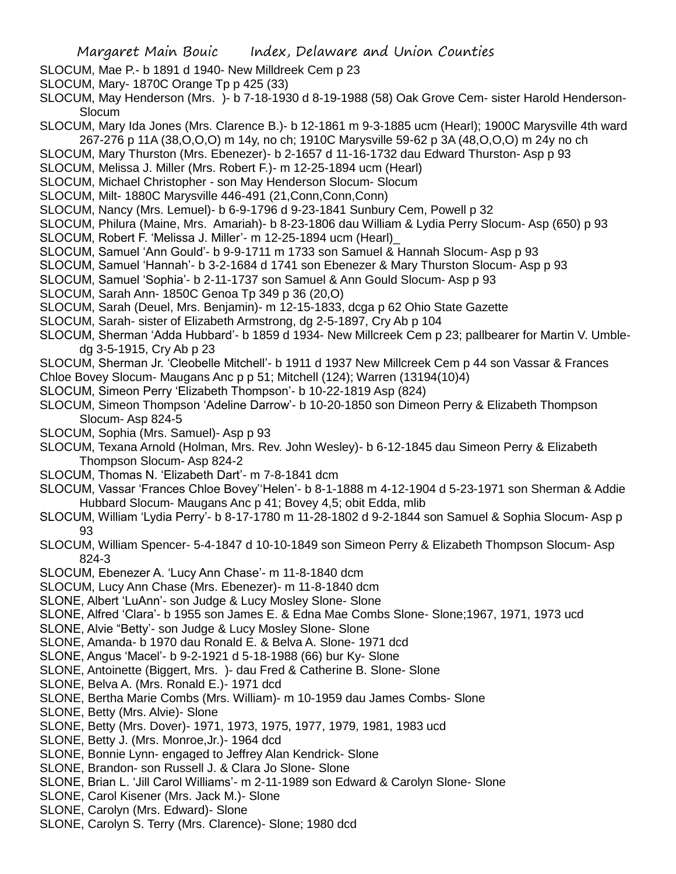- SLOCUM, Mae P.- b 1891 d 1940- New Milldreek Cem p 23
- SLOCUM, Mary- 1870C Orange Tp p 425 (33)
- SLOCUM, May Henderson (Mrs. )- b 7-18-1930 d 8-19-1988 (58) Oak Grove Cem- sister Harold Henderson-Slocum
- SLOCUM, Mary Ida Jones (Mrs. Clarence B.)- b 12-1861 m 9-3-1885 ucm (Hearl); 1900C Marysville 4th ward 267-276 p 11A (38,O,O,O) m 14y, no ch; 1910C Marysville 59-62 p 3A (48,O,O,O) m 24y no ch
- SLOCUM, Mary Thurston (Mrs. Ebenezer)- b 2-1657 d 11-16-1732 dau Edward Thurston- Asp p 93
- SLOCUM, Melissa J. Miller (Mrs. Robert F.)- m 12-25-1894 ucm (Hearl)
- SLOCUM, Michael Christopher son May Henderson Slocum- Slocum
- SLOCUM, Milt- 1880C Marysville 446-491 (21,Conn,Conn,Conn)
- SLOCUM, Nancy (Mrs. Lemuel)- b 6-9-1796 d 9-23-1841 Sunbury Cem, Powell p 32
- SLOCUM, Philura (Maine, Mrs. Amariah)- b 8-23-1806 dau William & Lydia Perry Slocum- Asp (650) p 93
- SLOCUM, Robert F. 'Melissa J. Miller'- m 12-25-1894 ucm (Hearl)\_
- SLOCUM, Samuel 'Ann Gould'- b 9-9-1711 m 1733 son Samuel & Hannah Slocum- Asp p 93
- SLOCUM, Samuel 'Hannah'- b 3-2-1684 d 1741 son Ebenezer & Mary Thurston Slocum- Asp p 93
- SLOCUM, Samuel 'Sophia'- b 2-11-1737 son Samuel & Ann Gould Slocum- Asp p 93
- SLOCUM, Sarah Ann- 1850C Genoa Tp 349 p 36 (20,O)
- SLOCUM, Sarah (Deuel, Mrs. Benjamin)- m 12-15-1833, dcga p 62 Ohio State Gazette
- SLOCUM, Sarah- sister of Elizabeth Armstrong, dg 2-5-1897, Cry Ab p 104
- SLOCUM, Sherman 'Adda Hubbard'- b 1859 d 1934- New Millcreek Cem p 23; pallbearer for Martin V. Umbledg 3-5-1915, Cry Ab p 23
- SLOCUM, Sherman Jr. 'Cleobelle Mitchell'- b 1911 d 1937 New Millcreek Cem p 44 son Vassar & Frances
- Chloe Bovey Slocum- Maugans Anc p p 51; Mitchell (124); Warren (13194(10)4)
- SLOCUM, Simeon Perry 'Elizabeth Thompson'- b 10-22-1819 Asp (824)
- SLOCUM, Simeon Thompson 'Adeline Darrow'- b 10-20-1850 son Dimeon Perry & Elizabeth Thompson Slocum- Asp 824-5
- SLOCUM, Sophia (Mrs. Samuel)- Asp p 93
- SLOCUM, Texana Arnold (Holman, Mrs. Rev. John Wesley)- b 6-12-1845 dau Simeon Perry & Elizabeth Thompson Slocum- Asp 824-2
- SLOCUM, Thomas N. 'Elizabeth Dart'- m 7-8-1841 dcm
- SLOCUM, Vassar 'Frances Chloe Bovey''Helen'- b 8-1-1888 m 4-12-1904 d 5-23-1971 son Sherman & Addie Hubbard Slocum- Maugans Anc p 41; Bovey 4,5; obit Edda, mlib
- SLOCUM, William 'Lydia Perry'- b 8-17-1780 m 11-28-1802 d 9-2-1844 son Samuel & Sophia Slocum- Asp p 93
- SLOCUM, William Spencer- 5-4-1847 d 10-10-1849 son Simeon Perry & Elizabeth Thompson Slocum- Asp 824-3
- SLOCUM, Ebenezer A. 'Lucy Ann Chase'- m 11-8-1840 dcm
- SLOCUM, Lucy Ann Chase (Mrs. Ebenezer)- m 11-8-1840 dcm
- SLONE, Albert 'LuAnn'- son Judge & Lucy Mosley Slone- Slone
- SLONE, Alfred 'Clara'- b 1955 son James E. & Edna Mae Combs Slone- Slone;1967, 1971, 1973 ucd
- SLONE, Alvie "Betty'- son Judge & Lucy Mosley Slone- Slone
- SLONE, Amanda- b 1970 dau Ronald E. & Belva A. Slone- 1971 dcd
- SLONE, Angus 'Macel'- b 9-2-1921 d 5-18-1988 (66) bur Ky- Slone
- SLONE, Antoinette (Biggert, Mrs. )- dau Fred & Catherine B. Slone- Slone
- SLONE, Belva A. (Mrs. Ronald E.)- 1971 dcd
- SLONE, Bertha Marie Combs (Mrs. William)- m 10-1959 dau James Combs- Slone
- SLONE, Betty (Mrs. Alvie)- Slone
- SLONE, Betty (Mrs. Dover)- 1971, 1973, 1975, 1977, 1979, 1981, 1983 ucd
- SLONE, Betty J. (Mrs. Monroe,Jr.)- 1964 dcd
- SLONE, Bonnie Lynn- engaged to Jeffrey Alan Kendrick- Slone
- SLONE, Brandon- son Russell J. & Clara Jo Slone- Slone
- SLONE, Brian L. 'Jill Carol Williams'- m 2-11-1989 son Edward & Carolyn Slone- Slone
- SLONE, Carol Kisener (Mrs. Jack M.)- Slone
- SLONE, Carolyn (Mrs. Edward)- Slone
- SLONE, Carolyn S. Terry (Mrs. Clarence)- Slone; 1980 dcd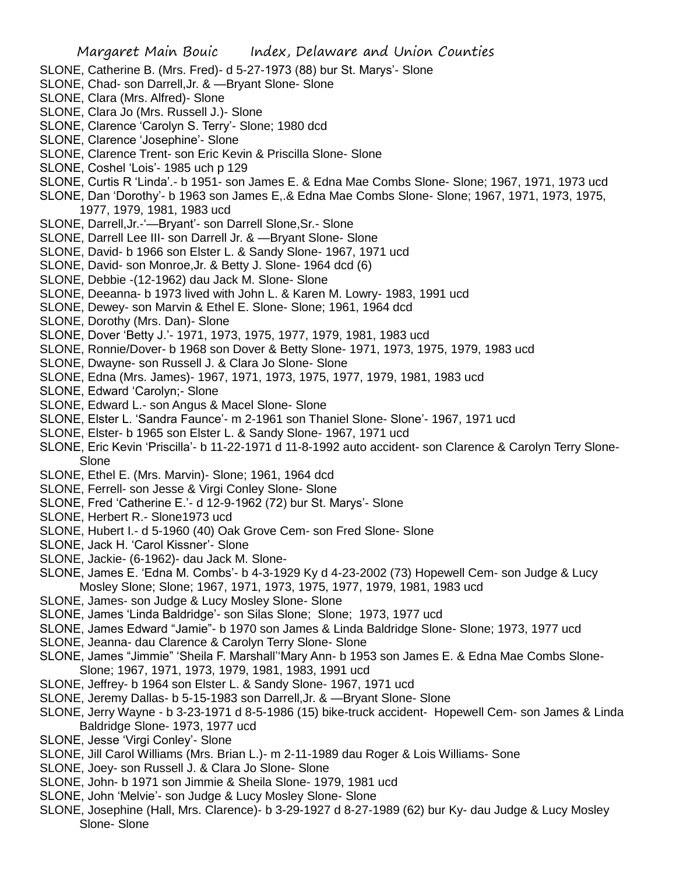- SLONE, Catherine B. (Mrs. Fred)- d 5-27-1973 (88) bur St. Marys'- Slone
- SLONE, Chad- son Darrell,Jr. & —Bryant Slone- Slone
- SLONE, Clara (Mrs. Alfred)- Slone
- SLONE, Clara Jo (Mrs. Russell J.)- Slone
- SLONE, Clarence 'Carolyn S. Terry'- Slone; 1980 dcd
- SLONE, Clarence 'Josephine'- Slone
- SLONE, Clarence Trent- son Eric Kevin & Priscilla Slone- Slone
- SLONE, Coshel 'Lois'- 1985 uch p 129
- SLONE, Curtis R 'Linda'.- b 1951- son James E. & Edna Mae Combs Slone- Slone; 1967, 1971, 1973 ucd
- SLONE, Dan 'Dorothy'- b 1963 son James E,.& Edna Mae Combs Slone- Slone; 1967, 1971, 1973, 1975, 1977, 1979, 1981, 1983 ucd
- SLONE, Darrell,Jr.-'—Bryant'- son Darrell Slone,Sr.- Slone
- SLONE, Darrell Lee III- son Darrell Jr. & —Bryant Slone- Slone
- SLONE, David- b 1966 son Elster L. & Sandy Slone- 1967, 1971 ucd
- SLONE, David- son Monroe,Jr. & Betty J. Slone- 1964 dcd (6)
- SLONE, Debbie -(12-1962) dau Jack M. Slone- Slone
- SLONE, Deeanna- b 1973 lived with John L. & Karen M. Lowry- 1983, 1991 ucd
- SLONE, Dewey- son Marvin & Ethel E. Slone- Slone; 1961, 1964 dcd
- SLONE, Dorothy (Mrs. Dan)- Slone
- SLONE, Dover 'Betty J.'- 1971, 1973, 1975, 1977, 1979, 1981, 1983 ucd
- SLONE, Ronnie/Dover- b 1968 son Dover & Betty Slone- 1971, 1973, 1975, 1979, 1983 ucd
- SLONE, Dwayne- son Russell J. & Clara Jo Slone- Slone
- SLONE, Edna (Mrs. James)- 1967, 1971, 1973, 1975, 1977, 1979, 1981, 1983 ucd
- SLONE, Edward 'Carolyn;- Slone
- SLONE, Edward L.- son Angus & Macel Slone- Slone
- SLONE, Elster L. 'Sandra Faunce'- m 2-1961 son Thaniel Slone- Slone'- 1967, 1971 ucd
- SLONE, Elster- b 1965 son Elster L. & Sandy Slone- 1967, 1971 ucd
- SLONE, Eric Kevin 'Priscilla'- b 11-22-1971 d 11-8-1992 auto accident- son Clarence & Carolyn Terry Slone-Slone
- SLONE, Ethel E. (Mrs. Marvin)- Slone; 1961, 1964 dcd
- SLONE, Ferrell- son Jesse & Virgi Conley Slone- Slone
- SLONE, Fred 'Catherine E.'- d 12-9-1962 (72) bur St. Marys'- Slone
- SLONE, Herbert R.- Slone1973 ucd
- SLONE, Hubert I.- d 5-1960 (40) Oak Grove Cem- son Fred Slone- Slone
- SLONE, Jack H. 'Carol Kissner'- Slone
- SLONE, Jackie- (6-1962)- dau Jack M. Slone-
- SLONE, James E. 'Edna M. Combs'- b 4-3-1929 Ky d 4-23-2002 (73) Hopewell Cem- son Judge & Lucy Mosley Slone; Slone; 1967, 1971, 1973, 1975, 1977, 1979, 1981, 1983 ucd
- SLONE, James- son Judge & Lucy Mosley Slone- Slone
- SLONE, James 'Linda Baldridge'- son Silas Slone; Slone; 1973, 1977 ucd
- SLONE, James Edward "Jamie"- b 1970 son James & Linda Baldridge Slone- Slone; 1973, 1977 ucd
- SLONE, Jeanna- dau Clarence & Carolyn Terry Slone- Slone
- SLONE, James "Jimmie" 'Sheila F. Marshall''Mary Ann- b 1953 son James E. & Edna Mae Combs Slone-Slone; 1967, 1971, 1973, 1979, 1981, 1983, 1991 ucd
- SLONE, Jeffrey- b 1964 son Elster L. & Sandy Slone- 1967, 1971 ucd
- SLONE, Jeremy Dallas- b 5-15-1983 son Darrell,Jr. & —Bryant Slone- Slone
- SLONE, Jerry Wayne b 3-23-1971 d 8-5-1986 (15) bike-truck accident- Hopewell Cem- son James & Linda Baldridge Slone- 1973, 1977 ucd
- SLONE, Jesse 'Virgi Conley'- Slone
- SLONE, Jill Carol Williams (Mrs. Brian L.)- m 2-11-1989 dau Roger & Lois Williams- Sone
- SLONE, Joey- son Russell J. & Clara Jo Slone- Slone
- SLONE, John- b 1971 son Jimmie & Sheila Slone- 1979, 1981 ucd
- SLONE, John 'Melvie'- son Judge & Lucy Mosley Slone- Slone
- SLONE, Josephine (Hall, Mrs. Clarence)- b 3-29-1927 d 8-27-1989 (62) bur Ky- dau Judge & Lucy Mosley Slone- Slone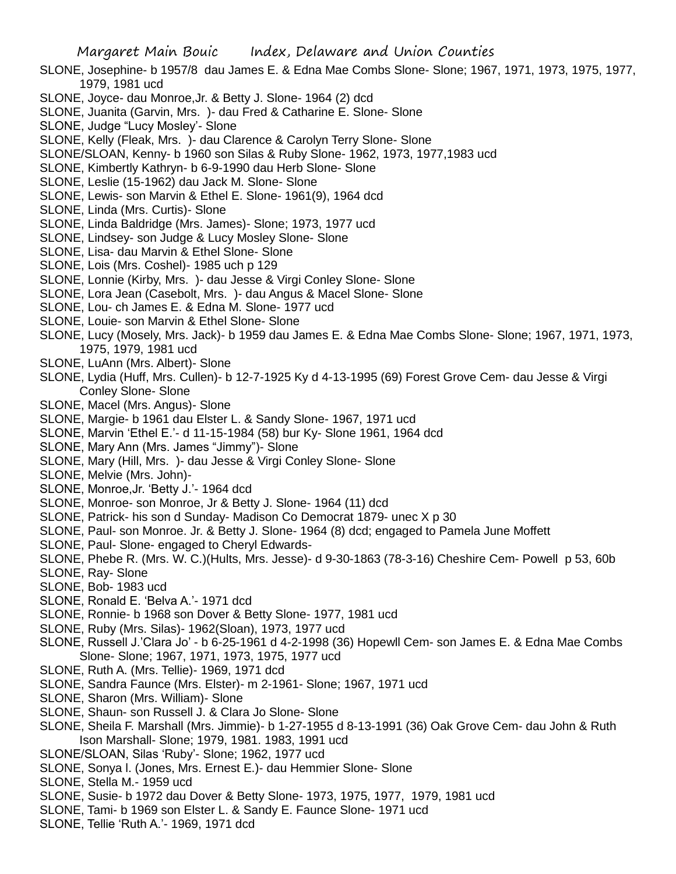- SLONE, Josephine- b 1957/8 dau James E. & Edna Mae Combs Slone- Slone; 1967, 1971, 1973, 1975, 1977, 1979, 1981 ucd
- SLONE, Joyce- dau Monroe,Jr. & Betty J. Slone- 1964 (2) dcd
- SLONE, Juanita (Garvin, Mrs. )- dau Fred & Catharine E. Slone- Slone
- SLONE, Judge "Lucy Mosley'- Slone
- SLONE, Kelly (Fleak, Mrs. )- dau Clarence & Carolyn Terry Slone- Slone
- SLONE/SLOAN, Kenny- b 1960 son Silas & Ruby Slone- 1962, 1973, 1977,1983 ucd
- SLONE, Kimbertly Kathryn- b 6-9-1990 dau Herb Slone- Slone
- SLONE, Leslie (15-1962) dau Jack M. Slone- Slone
- SLONE, Lewis- son Marvin & Ethel E. Slone- 1961(9), 1964 dcd
- SLONE, Linda (Mrs. Curtis)- Slone
- SLONE, Linda Baldridge (Mrs. James)- Slone; 1973, 1977 ucd
- SLONE, Lindsey- son Judge & Lucy Mosley Slone- Slone
- SLONE, Lisa- dau Marvin & Ethel Slone- Slone
- SLONE, Lois (Mrs. Coshel)- 1985 uch p 129
- SLONE, Lonnie (Kirby, Mrs. )- dau Jesse & Virgi Conley Slone- Slone
- SLONE, Lora Jean (Casebolt, Mrs. )- dau Angus & Macel Slone- Slone
- SLONE, Lou- ch James E. & Edna M. Slone- 1977 ucd
- SLONE, Louie- son Marvin & Ethel Slone- Slone
- SLONE, Lucy (Mosely, Mrs. Jack)- b 1959 dau James E. & Edna Mae Combs Slone- Slone; 1967, 1971, 1973, 1975, 1979, 1981 ucd
- SLONE, LuAnn (Mrs. Albert)- Slone
- SLONE, Lydia (Huff, Mrs. Cullen)- b 12-7-1925 Ky d 4-13-1995 (69) Forest Grove Cem- dau Jesse & Virgi Conley Slone- Slone
- SLONE, Macel (Mrs. Angus)- Slone
- SLONE, Margie- b 1961 dau Elster L. & Sandy Slone- 1967, 1971 ucd
- SLONE, Marvin 'Ethel E.'- d 11-15-1984 (58) bur Ky- Slone 1961, 1964 dcd
- SLONE, Mary Ann (Mrs. James "Jimmy")- Slone
- SLONE, Mary (Hill, Mrs. )- dau Jesse & Virgi Conley Slone- Slone
- SLONE, Melvie (Mrs. John)-
- SLONE, Monroe,Jr. 'Betty J.'- 1964 dcd
- SLONE, Monroe- son Monroe, Jr & Betty J. Slone- 1964 (11) dcd
- SLONE, Patrick- his son d Sunday- Madison Co Democrat 1879- unec X p 30
- SLONE, Paul- son Monroe. Jr. & Betty J. Slone- 1964 (8) dcd; engaged to Pamela June Moffett
- SLONE, Paul- Slone- engaged to Cheryl Edwards-
- SLONE, Phebe R. (Mrs. W. C.)(Hults, Mrs. Jesse)- d 9-30-1863 (78-3-16) Cheshire Cem- Powell p 53, 60b
- SLONE, Ray- Slone
- SLONE, Bob- 1983 ucd
- SLONE, Ronald E. 'Belva A.'- 1971 dcd
- SLONE, Ronnie- b 1968 son Dover & Betty Slone- 1977, 1981 ucd
- SLONE, Ruby (Mrs. Silas)- 1962(Sloan), 1973, 1977 ucd
- SLONE, Russell J.'Clara Jo' b 6-25-1961 d 4-2-1998 (36) Hopewll Cem- son James E. & Edna Mae Combs Slone- Slone; 1967, 1971, 1973, 1975, 1977 ucd
- SLONE, Ruth A. (Mrs. Tellie)- 1969, 1971 dcd
- SLONE, Sandra Faunce (Mrs. Elster)- m 2-1961- Slone; 1967, 1971 ucd
- SLONE, Sharon (Mrs. William)- Slone
- SLONE, Shaun- son Russell J. & Clara Jo Slone- Slone
- SLONE, Sheila F. Marshall (Mrs. Jimmie)- b 1-27-1955 d 8-13-1991 (36) Oak Grove Cem- dau John & Ruth Ison Marshall- Slone; 1979, 1981. 1983, 1991 ucd
- SLONE/SLOAN, Silas 'Ruby'- Slone; 1962, 1977 ucd
- SLONE, Sonya l. (Jones, Mrs. Ernest E.)- dau Hemmier Slone- Slone
- SLONE, Stella M.- 1959 ucd
- SLONE, Susie- b 1972 dau Dover & Betty Slone- 1973, 1975, 1977, 1979, 1981 ucd
- SLONE, Tami- b 1969 son Elster L. & Sandy E. Faunce Slone- 1971 ucd
- SLONE, Tellie 'Ruth A.'- 1969, 1971 dcd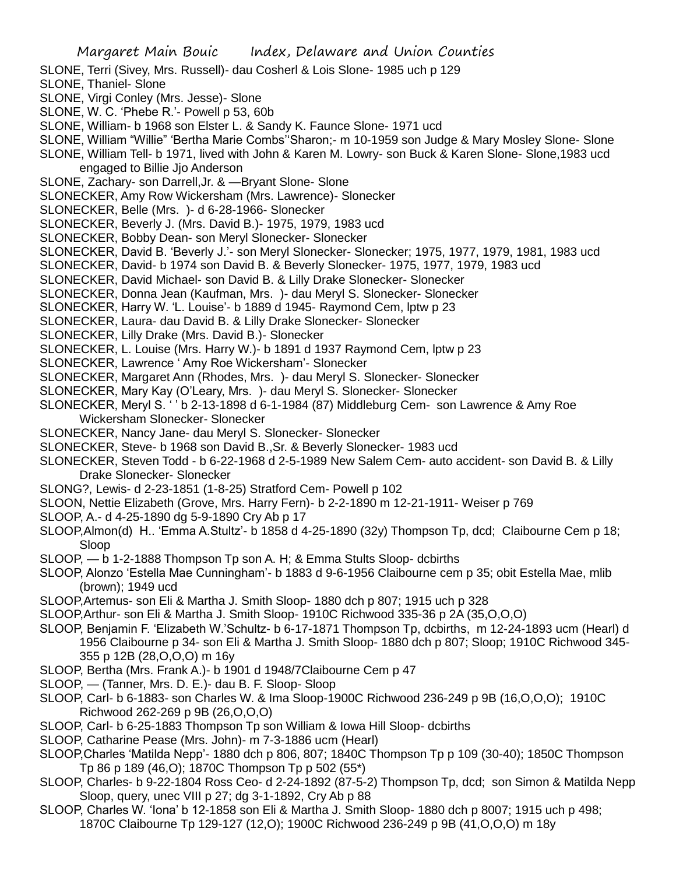- SLONE, Terri (Sivey, Mrs. Russell)- dau Cosherl & Lois Slone- 1985 uch p 129
- SLONE, Thaniel- Slone
- SLONE, Virgi Conley (Mrs. Jesse)- Slone
- SLONE, W. C. 'Phebe R.'- Powell p 53, 60b
- SLONE, William- b 1968 son Elster L. & Sandy K. Faunce Slone- 1971 ucd
- SLONE, William "Willie" 'Bertha Marie Combs''Sharon;- m 10-1959 son Judge & Mary Mosley Slone- Slone SLONE, William Tell- b 1971, lived with John & Karen M. Lowry- son Buck & Karen Slone- Slone,1983 ucd
- engaged to Billie Jjo Anderson
- SLONE, Zachary- son Darrell,Jr. & —Bryant Slone- Slone
- SLONECKER, Amy Row Wickersham (Mrs. Lawrence)- Slonecker
- SLONECKER, Belle (Mrs. )- d 6-28-1966- Slonecker
- SLONECKER, Beverly J. (Mrs. David B.)- 1975, 1979, 1983 ucd
- SLONECKER, Bobby Dean- son Meryl Slonecker- Slonecker
- SLONECKER, David B. 'Beverly J.'- son Meryl Slonecker- Slonecker; 1975, 1977, 1979, 1981, 1983 ucd
- SLONECKER, David- b 1974 son David B. & Beverly Slonecker- 1975, 1977, 1979, 1983 ucd
- SLONECKER, David Michael- son David B. & Lilly Drake Slonecker- Slonecker
- SLONECKER, Donna Jean (Kaufman, Mrs. )- dau Meryl S. Slonecker- Slonecker
- SLONECKER, Harry W. 'L. Louise'- b 1889 d 1945- Raymond Cem, lptw p 23
- SLONECKER, Laura- dau David B. & Lilly Drake Slonecker- Slonecker
- SLONECKER, Lilly Drake (Mrs. David B.)- Slonecker
- SLONECKER, L. Louise (Mrs. Harry W.)- b 1891 d 1937 Raymond Cem, lptw p 23
- SLONECKER, Lawrence ' Amy Roe Wickersham'- Slonecker
- SLONECKER, Margaret Ann (Rhodes, Mrs. )- dau Meryl S. Slonecker- Slonecker
- SLONECKER, Mary Kay (O'Leary, Mrs. )- dau Meryl S. Slonecker- Slonecker
- SLONECKER, Meryl S. ' ' b 2-13-1898 d 6-1-1984 (87) Middleburg Cem- son Lawrence & Amy Roe Wickersham Slonecker- Slonecker
- SLONECKER, Nancy Jane- dau Meryl S. Slonecker- Slonecker
- SLONECKER, Steve- b 1968 son David B.,Sr. & Beverly Slonecker- 1983 ucd
- SLONECKER, Steven Todd b 6-22-1968 d 2-5-1989 New Salem Cem- auto accident- son David B. & Lilly Drake Slonecker- Slonecker
- SLONG?, Lewis- d 2-23-1851 (1-8-25) Stratford Cem- Powell p 102
- SLOON, Nettie Elizabeth (Grove, Mrs. Harry Fern)- b 2-2-1890 m 12-21-1911- Weiser p 769
- SLOOP, A.- d 4-25-1890 dg 5-9-1890 Cry Ab p 17
- SLOOP,Almon(d) H.. 'Emma A.Stultz'- b 1858 d 4-25-1890 (32y) Thompson Tp, dcd; Claibourne Cem p 18; Sloop
- SLOOP, b 1-2-1888 Thompson Tp son A. H; & Emma Stults Sloop- dcbirths
- SLOOP, Alonzo 'Estella Mae Cunningham'- b 1883 d 9-6-1956 Claibourne cem p 35; obit Estella Mae, mlib (brown); 1949 ucd
- SLOOP,Artemus- son Eli & Martha J. Smith Sloop- 1880 dch p 807; 1915 uch p 328
- SLOOP,Arthur- son Eli & Martha J. Smith Sloop- 1910C Richwood 335-36 p 2A (35,O,O,O)
- SLOOP, Benjamin F. 'Elizabeth W.'Schultz- b 6-17-1871 Thompson Tp, dcbirths, m 12-24-1893 ucm (Hearl) d 1956 Claibourne p 34- son Eli & Martha J. Smith Sloop- 1880 dch p 807; Sloop; 1910C Richwood 345- 355 p 12B (28,O,O,O) m 16y
- SLOOP, Bertha (Mrs. Frank A.)- b 1901 d 1948/7Claibourne Cem p 47
- SLOOP, (Tanner, Mrs. D. E.)- dau B. F. Sloop- Sloop
- SLOOP, Carl- b 6-1883- son Charles W. & Ima Sloop-1900C Richwood 236-249 p 9B (16,O,O,O); 1910C Richwood 262-269 p 9B (26,O,O,O)
- SLOOP, Carl- b 6-25-1883 Thompson Tp son William & Iowa Hill Sloop- dcbirths
- SLOOP, Catharine Pease (Mrs. John)- m 7-3-1886 ucm (Hearl)
- SLOOP,Charles 'Matilda Nepp'- 1880 dch p 806, 807; 1840C Thompson Tp p 109 (30-40); 1850C Thompson Tp 86 p 189 (46,O); 1870C Thompson Tp p 502 (55\*)
- SLOOP, Charles- b 9-22-1804 Ross Ceo- d 2-24-1892 (87-5-2) Thompson Tp, dcd; son Simon & Matilda Nepp Sloop, query, unec VIII p 27; dg 3-1-1892, Cry Ab p 88
- SLOOP, Charles W. 'Iona' b 12-1858 son Eli & Martha J. Smith Sloop- 1880 dch p 8007; 1915 uch p 498; 1870C Claibourne Tp 129-127 (12,O); 1900C Richwood 236-249 p 9B (41,O,O,O) m 18y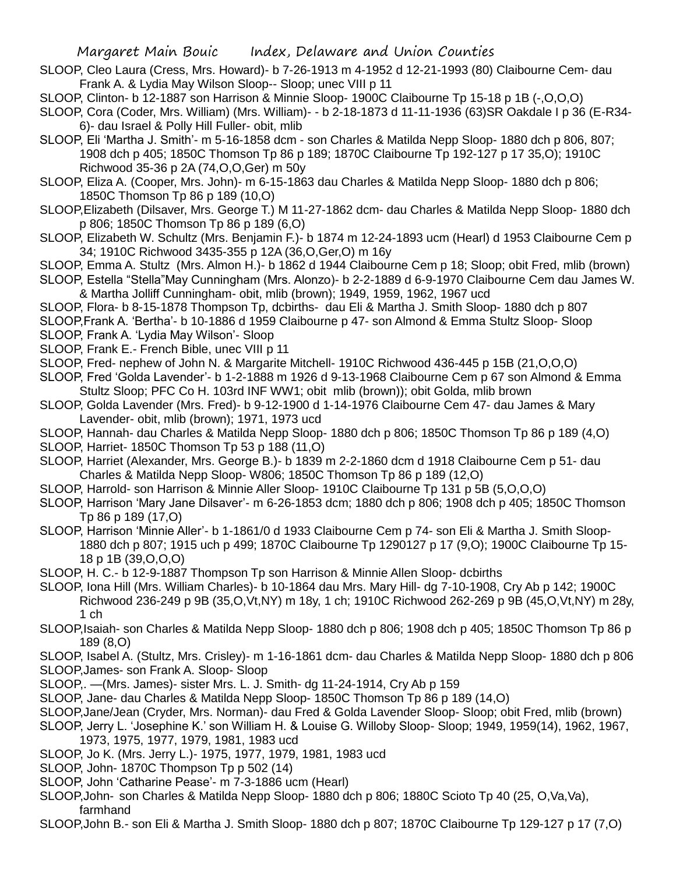- SLOOP, Cleo Laura (Cress, Mrs. Howard)- b 7-26-1913 m 4-1952 d 12-21-1993 (80) Claibourne Cem- dau Frank A. & Lydia May Wilson Sloop-- Sloop; unec VIII p 11
- SLOOP, Clinton- b 12-1887 son Harrison & Minnie Sloop- 1900C Claibourne Tp 15-18 p 1B (-,O,O,O)
- SLOOP, Cora (Coder, Mrs. William) (Mrs. William)- b 2-18-1873 d 11-11-1936 (63)SR Oakdale I p 36 (E-R34- 6)- dau Israel & Polly Hill Fuller- obit, mlib
- SLOOP, Eli 'Martha J. Smith'- m 5-16-1858 dcm son Charles & Matilda Nepp Sloop- 1880 dch p 806, 807; 1908 dch p 405; 1850C Thomson Tp 86 p 189; 1870C Claibourne Tp 192-127 p 17 35,O); 1910C Richwood 35-36 p 2A (74,O,O,Ger) m 50y
- SLOOP, Eliza A. (Cooper, Mrs. John)- m 6-15-1863 dau Charles & Matilda Nepp Sloop- 1880 dch p 806; 1850C Thomson Tp 86 p 189 (10,O)
- SLOOP,Elizabeth (Dilsaver, Mrs. George T.) M 11-27-1862 dcm- dau Charles & Matilda Nepp Sloop- 1880 dch p 806; 1850C Thomson Tp 86 p 189 (6,O)
- SLOOP, Elizabeth W. Schultz (Mrs. Benjamin F.)- b 1874 m 12-24-1893 ucm (Hearl) d 1953 Claibourne Cem p 34; 1910C Richwood 3435-355 p 12A (36,O,Ger,O) m 16y
- SLOOP, Emma A. Stultz (Mrs. Almon H.)- b 1862 d 1944 Claibourne Cem p 18; Sloop; obit Fred, mlib (brown)
- SLOOP, Estella "Stella"May Cunningham (Mrs. Alonzo)- b 2-2-1889 d 6-9-1970 Claibourne Cem dau James W. & Martha Jolliff Cunningham- obit, mlib (brown); 1949, 1959, 1962, 1967 ucd
- SLOOP, Flora- b 8-15-1878 Thompson Tp, dcbirths- dau Eli & Martha J. Smith Sloop- 1880 dch p 807
- SLOOP,Frank A. 'Bertha'- b 10-1886 d 1959 Claibourne p 47- son Almond & Emma Stultz Sloop- Sloop SLOOP, Frank A. 'Lydia May Wilson'- Sloop
- SLOOP, Frank E.- French Bible, unec VIII p 11
- SLOOP, Fred- nephew of John N. & Margarite Mitchell- 1910C Richwood 436-445 p 15B (21,O,O,O)
- SLOOP, Fred 'Golda Lavender'- b 1-2-1888 m 1926 d 9-13-1968 Claibourne Cem p 67 son Almond & Emma Stultz Sloop; PFC Co H. 103rd INF WW1; obit mlib (brown)); obit Golda, mlib brown
- SLOOP, Golda Lavender (Mrs. Fred)- b 9-12-1900 d 1-14-1976 Claibourne Cem 47- dau James & Mary Lavender- obit, mlib (brown); 1971, 1973 ucd
- SLOOP, Hannah- dau Charles & Matilda Nepp Sloop- 1880 dch p 806; 1850C Thomson Tp 86 p 189 (4,O) SLOOP, Harriet- 1850C Thomson Tp 53 p 188 (11,O)
- SLOOP, Harriet (Alexander, Mrs. George B.)- b 1839 m 2-2-1860 dcm d 1918 Claibourne Cem p 51- dau Charles & Matilda Nepp Sloop- W806; 1850C Thomson Tp 86 p 189 (12,O)
- SLOOP, Harrold- son Harrison & Minnie Aller Sloop- 1910C Claibourne Tp 131 p 5B (5,O,O,O)
- SLOOP, Harrison 'Mary Jane Dilsaver'- m 6-26-1853 dcm; 1880 dch p 806; 1908 dch p 405; 1850C Thomson Tp 86 p 189 (17,O)
- SLOOP, Harrison 'Minnie Aller'- b 1-1861/0 d 1933 Claibourne Cem p 74- son Eli & Martha J. Smith Sloop-1880 dch p 807; 1915 uch p 499; 1870C Claibourne Tp 1290127 p 17 (9,O); 1900C Claibourne Tp 15- 18 p 1B (39,O,O,O)
- SLOOP, H. C.- b 12-9-1887 Thompson Tp son Harrison & Minnie Allen Sloop- dcbirths
- SLOOP, Iona Hill (Mrs. William Charles)- b 10-1864 dau Mrs. Mary Hill- dg 7-10-1908, Cry Ab p 142; 1900C Richwood 236-249 p 9B (35,O,Vt,NY) m 18y, 1 ch; 1910C Richwood 262-269 p 9B (45,O,Vt,NY) m 28y, 1 ch
- SLOOP,Isaiah- son Charles & Matilda Nepp Sloop- 1880 dch p 806; 1908 dch p 405; 1850C Thomson Tp 86 p 189 (8,O)
- SLOOP, Isabel A. (Stultz, Mrs. Crisley)- m 1-16-1861 dcm- dau Charles & Matilda Nepp Sloop- 1880 dch p 806 SLOOP,James- son Frank A. Sloop- Sloop
- SLOOP,. —(Mrs. James)- sister Mrs. L. J. Smith- dg 11-24-1914, Cry Ab p 159
- SLOOP, Jane- dau Charles & Matilda Nepp Sloop- 1850C Thomson Tp 86 p 189 (14,O)
- SLOOP,Jane/Jean (Cryder, Mrs. Norman)- dau Fred & Golda Lavender Sloop- Sloop; obit Fred, mlib (brown)
- SLOOP, Jerry L. 'Josephine K.' son William H. & Louise G. Willoby Sloop- Sloop; 1949, 1959(14), 1962, 1967, 1973, 1975, 1977, 1979, 1981, 1983 ucd
- SLOOP, Jo K. (Mrs. Jerry L.)- 1975, 1977, 1979, 1981, 1983 ucd
- SLOOP, John- 1870C Thompson Tp p 502 (14)
- SLOOP, John 'Catharine Pease'- m 7-3-1886 ucm (Hearl)
- SLOOP,John- son Charles & Matilda Nepp Sloop- 1880 dch p 806; 1880C Scioto Tp 40 (25, O,Va,Va), farmhand
- SLOOP,John B.- son Eli & Martha J. Smith Sloop- 1880 dch p 807; 1870C Claibourne Tp 129-127 p 17 (7,O)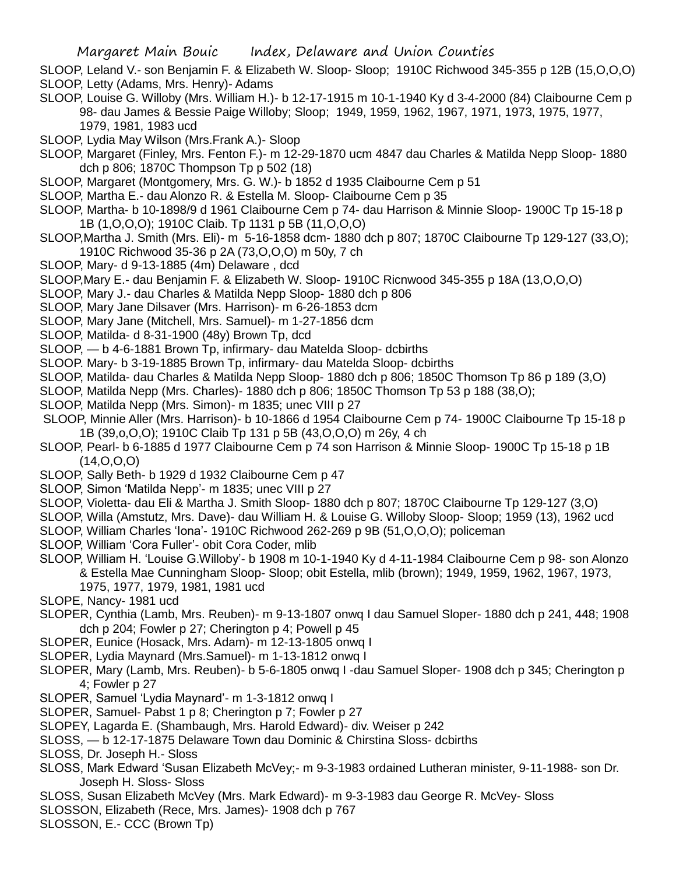- SLOOP, Leland V.- son Benjamin F. & Elizabeth W. Sloop- Sloop; 1910C Richwood 345-355 p 12B (15,O,O,O) SLOOP, Letty (Adams, Mrs. Henry)- Adams
- SLOOP, Louise G. Willoby (Mrs. William H.)- b 12-17-1915 m 10-1-1940 Ky d 3-4-2000 (84) Claibourne Cem p 98- dau James & Bessie Paige Willoby; Sloop; 1949, 1959, 1962, 1967, 1971, 1973, 1975, 1977, 1979, 1981, 1983 ucd
- SLOOP, Lydia May Wilson (Mrs.Frank A.)- Sloop
- SLOOP, Margaret (Finley, Mrs. Fenton F.)- m 12-29-1870 ucm 4847 dau Charles & Matilda Nepp Sloop- 1880 dch p 806; 1870C Thompson Tp p 502 (18)
- SLOOP, Margaret (Montgomery, Mrs. G. W.)- b 1852 d 1935 Claibourne Cem p 51
- SLOOP, Martha E.- dau Alonzo R. & Estella M. Sloop- Claibourne Cem p 35
- SLOOP, Martha- b 10-1898/9 d 1961 Claibourne Cem p 74- dau Harrison & Minnie Sloop- 1900C Tp 15-18 p 1B (1,O,O,O); 1910C Claib. Tp 1131 p 5B (11,O,O,O)
- SLOOP,Martha J. Smith (Mrs. Eli)- m 5-16-1858 dcm- 1880 dch p 807; 1870C Claibourne Tp 129-127 (33,O); 1910C Richwood 35-36 p 2A (73,O,O,O) m 50y, 7 ch
- SLOOP, Mary- d 9-13-1885 (4m) Delaware , dcd
- SLOOP,Mary E.- dau Benjamin F. & Elizabeth W. Sloop- 1910C Ricnwood 345-355 p 18A (13,O,O,O)
- SLOOP, Mary J.- dau Charles & Matilda Nepp Sloop- 1880 dch p 806
- SLOOP, Mary Jane Dilsaver (Mrs. Harrison)- m 6-26-1853 dcm
- SLOOP, Mary Jane (Mitchell, Mrs. Samuel)- m 1-27-1856 dcm
- SLOOP, Matilda- d 8-31-1900 (48y) Brown Tp, dcd
- SLOOP, b 4-6-1881 Brown Tp, infirmary- dau Matelda Sloop- dcbirths
- SLOOP. Mary- b 3-19-1885 Brown Tp, infirmary- dau Matelda Sloop- dcbirths
- SLOOP, Matilda- dau Charles & Matilda Nepp Sloop- 1880 dch p 806; 1850C Thomson Tp 86 p 189 (3,O)
- SLOOP, Matilda Nepp (Mrs. Charles)- 1880 dch p 806; 1850C Thomson Tp 53 p 188 (38,O);
- SLOOP, Matilda Nepp (Mrs. Simon)- m 1835; unec VIII p 27
- SLOOP, Minnie Aller (Mrs. Harrison)- b 10-1866 d 1954 Claibourne Cem p 74- 1900C Claibourne Tp 15-18 p 1B (39,o,O,O); 1910C Claib Tp 131 p 5B (43,O,O,O) m 26y, 4 ch
- SLOOP, Pearl- b 6-1885 d 1977 Claibourne Cem p 74 son Harrison & Minnie Sloop- 1900C Tp 15-18 p 1B (14,O,O,O)
- SLOOP, Sally Beth- b 1929 d 1932 Claibourne Cem p 47
- SLOOP, Simon 'Matilda Nepp'- m 1835; unec VIII p 27
- SLOOP, Violetta- dau Eli & Martha J. Smith Sloop- 1880 dch p 807; 1870C Claibourne Tp 129-127 (3,O)
- SLOOP, Willa (Amstutz, Mrs. Dave)- dau William H. & Louise G. Willoby Sloop- Sloop; 1959 (13), 1962 ucd
- SLOOP, William Charles 'Iona'- 1910C Richwood 262-269 p 9B (51,O,O,O); policeman
- SLOOP, William 'Cora Fuller'- obit Cora Coder, mlib
- SLOOP, William H. 'Louise G.Willoby'- b 1908 m 10-1-1940 Ky d 4-11-1984 Claibourne Cem p 98- son Alonzo & Estella Mae Cunningham Sloop- Sloop; obit Estella, mlib (brown); 1949, 1959, 1962, 1967, 1973, 1975, 1977, 1979, 1981, 1981 ucd
- SLOPE, Nancy- 1981 ucd
- SLOPER, Cynthia (Lamb, Mrs. Reuben)- m 9-13-1807 onwq I dau Samuel Sloper- 1880 dch p 241, 448; 1908 dch p 204; Fowler p 27; Cherington p 4; Powell p 45
- SLOPER, Eunice (Hosack, Mrs. Adam)- m 12-13-1805 onwq I
- SLOPER, Lydia Maynard (Mrs.Samuel)- m 1-13-1812 onwq I
- SLOPER, Mary (Lamb, Mrs. Reuben)- b 5-6-1805 onwq I -dau Samuel Sloper- 1908 dch p 345; Cherington p 4; Fowler p 27
- SLOPER, Samuel 'Lydia Maynard'- m 1-3-1812 onwq I
- SLOPER, Samuel- Pabst 1 p 8; Cherington p 7; Fowler p 27
- SLOPEY, Lagarda E. (Shambaugh, Mrs. Harold Edward)- div. Weiser p 242
- SLOSS, b 12-17-1875 Delaware Town dau Dominic & Chirstina Sloss- dcbirths
- SLOSS, Dr. Joseph H.- Sloss
- SLOSS, Mark Edward 'Susan Elizabeth McVey;- m 9-3-1983 ordained Lutheran minister, 9-11-1988- son Dr. Joseph H. Sloss- Sloss
- SLOSS, Susan Elizabeth McVey (Mrs. Mark Edward)- m 9-3-1983 dau George R. McVey- Sloss
- SLOSSON, Elizabeth (Rece, Mrs. James)- 1908 dch p 767
- SLOSSON, E.- CCC (Brown Tp)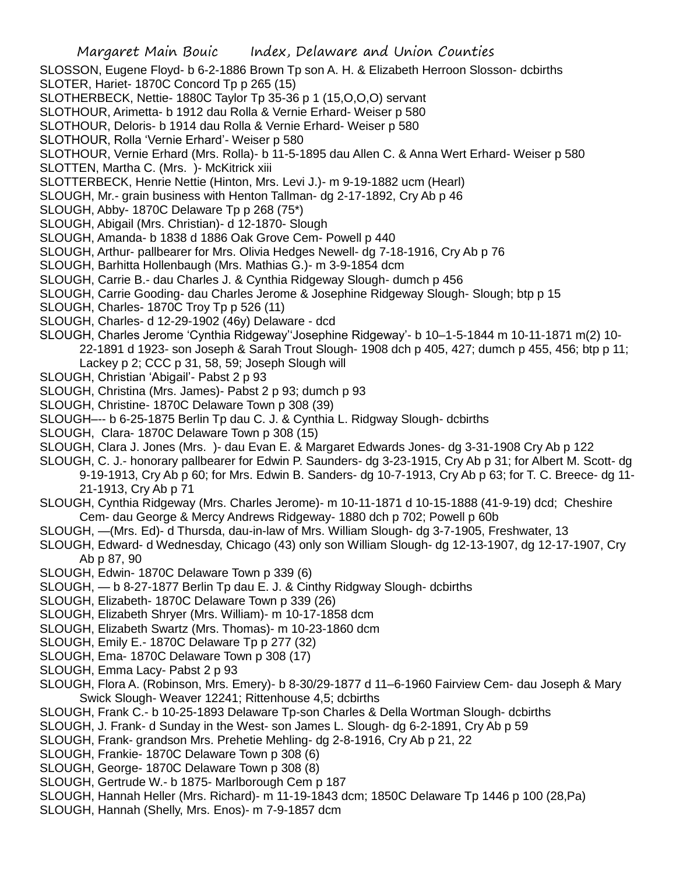SLOSSON, Eugene Floyd- b 6-2-1886 Brown Tp son A. H. & Elizabeth Herroon Slosson- dcbirths

- SLOTER, Hariet- 1870C Concord Tp p 265 (15)
- SLOTHERBECK, Nettie- 1880C Taylor Tp 35-36 p 1 (15,O,O,O) servant
- SLOTHOUR, Arimetta- b 1912 dau Rolla & Vernie Erhard- Weiser p 580
- SLOTHOUR, Deloris- b 1914 dau Rolla & Vernie Erhard- Weiser p 580
- SLOTHOUR, Rolla 'Vernie Erhard'- Weiser p 580
- SLOTHOUR, Vernie Erhard (Mrs. Rolla)- b 11-5-1895 dau Allen C. & Anna Wert Erhard- Weiser p 580
- SLOTTEN, Martha C. (Mrs.) McKitrick xiii
- SLOTTERBECK, Henrie Nettie (Hinton, Mrs. Levi J.)- m 9-19-1882 ucm (Hearl)
- SLOUGH, Mr.- grain business with Henton Tallman- dg 2-17-1892, Cry Ab p 46
- SLOUGH, Abby- 1870C Delaware Tp p 268 (75\*)
- SLOUGH, Abigail (Mrs. Christian)- d 12-1870- Slough
- SLOUGH, Amanda- b 1838 d 1886 Oak Grove Cem- Powell p 440
- SLOUGH, Arthur- pallbearer for Mrs. Olivia Hedges Newell- dg 7-18-1916, Cry Ab p 76
- SLOUGH, Barhitta Hollenbaugh (Mrs. Mathias G.)- m 3-9-1854 dcm
- SLOUGH, Carrie B.- dau Charles J. & Cynthia Ridgeway Slough- dumch p 456
- SLOUGH, Carrie Gooding- dau Charles Jerome & Josephine Ridgeway Slough- Slough; btp p 15
- SLOUGH, Charles- 1870C Troy Tp p 526 (11)
- SLOUGH, Charles- d 12-29-1902 (46y) Delaware dcd
- SLOUGH, Charles Jerome 'Cynthia Ridgeway''Josephine Ridgeway'- b 10–1-5-1844 m 10-11-1871 m(2) 10- 22-1891 d 1923- son Joseph & Sarah Trout Slough- 1908 dch p 405, 427; dumch p 455, 456; btp p 11; Lackey p 2; CCC p 31, 58, 59; Joseph Slough will
- SLOUGH, Christian 'Abigail'- Pabst 2 p 93
- SLOUGH, Christina (Mrs. James)- Pabst 2 p 93; dumch p 93
- SLOUGH, Christine- 1870C Delaware Town p 308 (39)
- SLOUGH–-- b 6-25-1875 Berlin Tp dau C. J. & Cynthia L. Ridgway Slough- dcbirths
- SLOUGH, Clara- 1870C Delaware Town p 308 (15)
- SLOUGH, Clara J. Jones (Mrs. )- dau Evan E. & Margaret Edwards Jones- dg 3-31-1908 Cry Ab p 122
- SLOUGH, C. J.- honorary pallbearer for Edwin P. Saunders- dg 3-23-1915, Cry Ab p 31; for Albert M. Scott- dg 9-19-1913, Cry Ab p 60; for Mrs. Edwin B. Sanders- dg 10-7-1913, Cry Ab p 63; for T. C. Breece- dg 11- 21-1913, Cry Ab p 71
- SLOUGH, Cynthia Ridgeway (Mrs. Charles Jerome)- m 10-11-1871 d 10-15-1888 (41-9-19) dcd; Cheshire Cem- dau George & Mercy Andrews Ridgeway- 1880 dch p 702; Powell p 60b
- SLOUGH, —(Mrs. Ed)- d Thursda, dau-in-law of Mrs. William Slough- dg 3-7-1905, Freshwater, 13
- SLOUGH, Edward- d Wednesday, Chicago (43) only son William Slough- dg 12-13-1907, dg 12-17-1907, Cry Ab p 87, 90
- SLOUGH, Edwin- 1870C Delaware Town p 339 (6)
- SLOUGH, b 8-27-1877 Berlin Tp dau E. J. & Cinthy Ridgway Slough- dcbirths
- SLOUGH, Elizabeth- 1870C Delaware Town p 339 (26)
- SLOUGH, Elizabeth Shryer (Mrs. William)- m 10-17-1858 dcm
- SLOUGH, Elizabeth Swartz (Mrs. Thomas)- m 10-23-1860 dcm
- SLOUGH, Emily E.- 1870C Delaware Tp p 277 (32)
- SLOUGH, Ema- 1870C Delaware Town p 308 (17)
- SLOUGH, Emma Lacy- Pabst 2 p 93
- SLOUGH, Flora A. (Robinson, Mrs. Emery)- b 8-30/29-1877 d 11–6-1960 Fairview Cem- dau Joseph & Mary Swick Slough- Weaver 12241; Rittenhouse 4,5; dcbirths
- SLOUGH, Frank C.- b 10-25-1893 Delaware Tp-son Charles & Della Wortman Slough- dcbirths
- SLOUGH, J. Frank- d Sunday in the West- son James L. Slough- dg 6-2-1891, Cry Ab p 59
- SLOUGH, Frank- grandson Mrs. Prehetie Mehling- dg 2-8-1916, Cry Ab p 21, 22
- SLOUGH, Frankie- 1870C Delaware Town p 308 (6)
- SLOUGH, George- 1870C Delaware Town p 308 (8)
- SLOUGH, Gertrude W.- b 1875- Marlborough Cem p 187
- SLOUGH, Hannah Heller (Mrs. Richard)- m 11-19-1843 dcm; 1850C Delaware Tp 1446 p 100 (28,Pa)
- SLOUGH, Hannah (Shelly, Mrs. Enos)- m 7-9-1857 dcm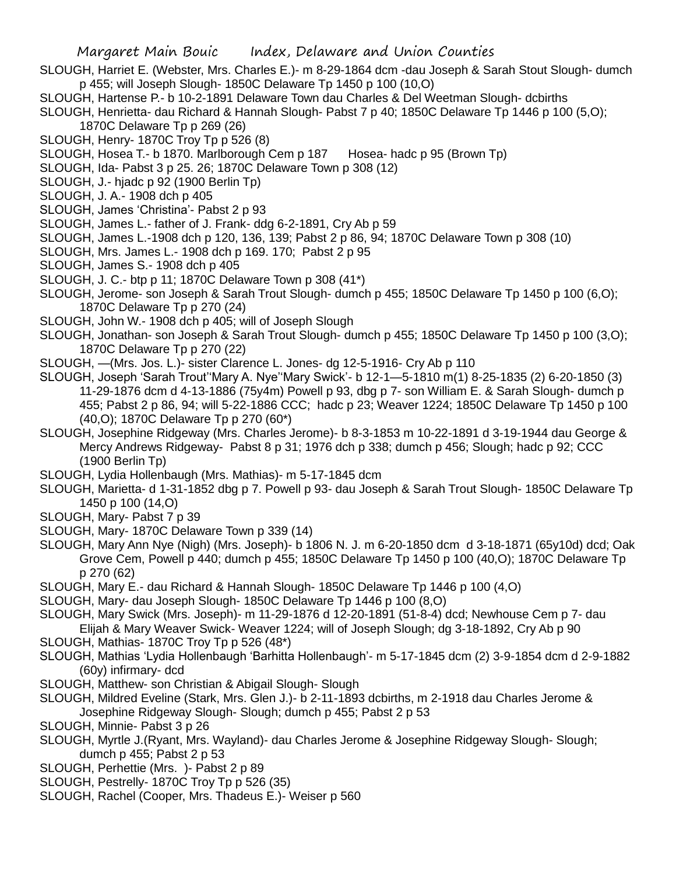- SLOUGH, Harriet E. (Webster, Mrs. Charles E.)- m 8-29-1864 dcm -dau Joseph & Sarah Stout Slough- dumch p 455; will Joseph Slough- 1850C Delaware Tp 1450 p 100 (10,O)
- SLOUGH, Hartense P.- b 10-2-1891 Delaware Town dau Charles & Del Weetman Slough- dcbirths
- SLOUGH, Henrietta- dau Richard & Hannah Slough- Pabst 7 p 40; 1850C Delaware Tp 1446 p 100 (5,O); 1870C Delaware Tp p 269 (26)
- SLOUGH, Henry- 1870C Troy Tp p 526 (8)
- SLOUGH, Hosea T.- b 1870. Marlborough Cem p 187 Hosea- hadc p 95 (Brown Tp)
- SLOUGH, Ida- Pabst 3 p 25. 26; 1870C Delaware Town p 308 (12)
- SLOUGH, J.- hjadc p 92 (1900 Berlin Tp)
- SLOUGH, J. A.- 1908 dch p 405
- SLOUGH, James 'Christina'- Pabst 2 p 93
- SLOUGH, James L.- father of J. Frank- ddg 6-2-1891, Cry Ab p 59
- SLOUGH, James L.-1908 dch p 120, 136, 139; Pabst 2 p 86, 94; 1870C Delaware Town p 308 (10)
- SLOUGH, Mrs. James L.- 1908 dch p 169. 170; Pabst 2 p 95
- SLOUGH, James S.- 1908 dch p 405
- SLOUGH, J. C.- btp p 11; 1870C Delaware Town p 308 (41\*)
- SLOUGH, Jerome- son Joseph & Sarah Trout Slough- dumch p 455; 1850C Delaware Tp 1450 p 100 (6,O); 1870C Delaware Tp p 270 (24)
- SLOUGH, John W.- 1908 dch p 405; will of Joseph Slough
- SLOUGH, Jonathan- son Joseph & Sarah Trout Slough- dumch p 455; 1850C Delaware Tp 1450 p 100 (3,O); 1870C Delaware Tp p 270 (22)
- SLOUGH, —(Mrs. Jos. L.)- sister Clarence L. Jones- dg 12-5-1916- Cry Ab p 110
- SLOUGH, Joseph 'Sarah Trout''Mary A. Nye''Mary Swick'- b 12-1—5-1810 m(1) 8-25-1835 (2) 6-20-1850 (3) 11-29-1876 dcm d 4-13-1886 (75y4m) Powell p 93, dbg p 7- son William E. & Sarah Slough- dumch p 455; Pabst 2 p 86, 94; will 5-22-1886 CCC; hadc p 23; Weaver 1224; 1850C Delaware Tp 1450 p 100 (40,O); 1870C Delaware Tp p 270 (60\*)
- SLOUGH, Josephine Ridgeway (Mrs. Charles Jerome)- b 8-3-1853 m 10-22-1891 d 3-19-1944 dau George & Mercy Andrews Ridgeway- Pabst 8 p 31; 1976 dch p 338; dumch p 456; Slough; hadc p 92; CCC (1900 Berlin Tp)
- SLOUGH, Lydia Hollenbaugh (Mrs. Mathias)- m 5-17-1845 dcm
- SLOUGH, Marietta- d 1-31-1852 dbg p 7. Powell p 93- dau Joseph & Sarah Trout Slough- 1850C Delaware Tp 1450 p 100 (14,O)
- SLOUGH, Mary- Pabst 7 p 39
- SLOUGH, Mary- 1870C Delaware Town p 339 (14)
- SLOUGH, Mary Ann Nye (Nigh) (Mrs. Joseph)- b 1806 N. J. m 6-20-1850 dcm d 3-18-1871 (65y10d) dcd; Oak Grove Cem, Powell p 440; dumch p 455; 1850C Delaware Tp 1450 p 100 (40,O); 1870C Delaware Tp p 270 (62)
- SLOUGH, Mary E.- dau Richard & Hannah Slough- 1850C Delaware Tp 1446 p 100 (4,O)
- SLOUGH, Mary- dau Joseph Slough- 1850C Delaware Tp 1446 p 100 (8,O)
- SLOUGH, Mary Swick (Mrs. Joseph)- m 11-29-1876 d 12-20-1891 (51-8-4) dcd; Newhouse Cem p 7- dau
- Elijah & Mary Weaver Swick- Weaver 1224; will of Joseph Slough; dg 3-18-1892, Cry Ab p 90 SLOUGH, Mathias- 1870C Troy Tp p 526 (48\*)
- SLOUGH, Mathias 'Lydia Hollenbaugh 'Barhitta Hollenbaugh'- m 5-17-1845 dcm (2) 3-9-1854 dcm d 2-9-1882 (60y) infirmary- dcd
- SLOUGH, Matthew- son Christian & Abigail Slough- Slough
- SLOUGH, Mildred Eveline (Stark, Mrs. Glen J.)- b 2-11-1893 dcbirths, m 2-1918 dau Charles Jerome & Josephine Ridgeway Slough- Slough; dumch p 455; Pabst 2 p 53
- SLOUGH, Minnie- Pabst 3 p 26
- SLOUGH, Myrtle J.(Ryant, Mrs. Wayland)- dau Charles Jerome & Josephine Ridgeway Slough- Slough; dumch p 455; Pabst 2 p 53
- SLOUGH, Perhettie (Mrs. )- Pabst 2 p 89
- SLOUGH, Pestrelly- 1870C Troy Tp p 526 (35)
- SLOUGH, Rachel (Cooper, Mrs. Thadeus E.)- Weiser p 560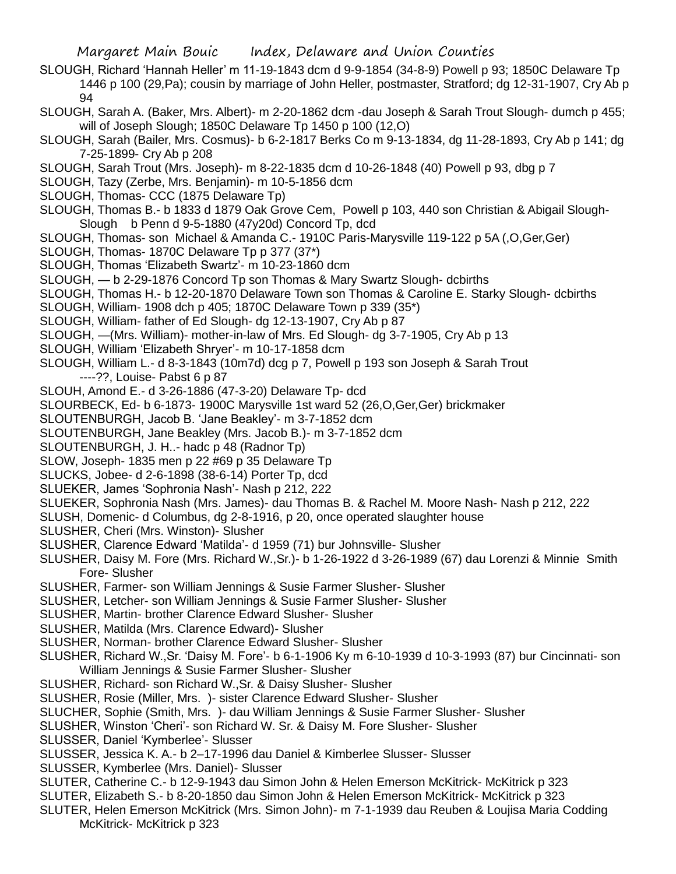- SLOUGH, Richard 'Hannah Heller' m 11-19-1843 dcm d 9-9-1854 (34-8-9) Powell p 93; 1850C Delaware Tp 1446 p 100 (29,Pa); cousin by marriage of John Heller, postmaster, Stratford; dg 12-31-1907, Cry Ab p 94
- SLOUGH, Sarah A. (Baker, Mrs. Albert)- m 2-20-1862 dcm -dau Joseph & Sarah Trout Slough- dumch p 455; will of Joseph Slough; 1850C Delaware Tp 1450 p 100 (12,O)
- SLOUGH, Sarah (Bailer, Mrs. Cosmus)- b 6-2-1817 Berks Co m 9-13-1834, dg 11-28-1893, Cry Ab p 141; dg 7-25-1899- Cry Ab p 208
- SLOUGH, Sarah Trout (Mrs. Joseph)- m 8-22-1835 dcm d 10-26-1848 (40) Powell p 93, dbg p 7
- SLOUGH, Tazy (Zerbe, Mrs. Benjamin)- m 10-5-1856 dcm
- SLOUGH, Thomas- CCC (1875 Delaware Tp)
- SLOUGH, Thomas B.- b 1833 d 1879 Oak Grove Cem, Powell p 103, 440 son Christian & Abigail Slough-Slough b Penn d 9-5-1880 (47y20d) Concord Tp, dcd
- SLOUGH, Thomas- son Michael & Amanda C.- 1910C Paris-Marysville 119-122 p 5A (,O,Ger,Ger)
- SLOUGH, Thomas- 1870C Delaware Tp p 377 (37\*)
- SLOUGH, Thomas 'Elizabeth Swartz'- m 10-23-1860 dcm
- SLOUGH, b 2-29-1876 Concord Tp son Thomas & Mary Swartz Slough- dcbirths
- SLOUGH, Thomas H.- b 12-20-1870 Delaware Town son Thomas & Caroline E. Starky Slough- dcbirths
- SLOUGH, William- 1908 dch p 405; 1870C Delaware Town p 339 (35\*)
- SLOUGH, William- father of Ed Slough- dg 12-13-1907, Cry Ab p 87
- SLOUGH, —(Mrs. William)- mother-in-law of Mrs. Ed Slough- dg 3-7-1905, Cry Ab p 13
- SLOUGH, William 'Elizabeth Shryer'- m 10-17-1858 dcm
- SLOUGH, William L.- d 8-3-1843 (10m7d) dcg p 7, Powell p 193 son Joseph & Sarah Trout
	- ----??, Louise- Pabst 6 p 87
- SLOUH, Amond E.- d 3-26-1886 (47-3-20) Delaware Tp- dcd
- SLOURBECK, Ed- b 6-1873- 1900C Marysville 1st ward 52 (26,O,Ger,Ger) brickmaker
- SLOUTENBURGH, Jacob B. 'Jane Beakley'- m 3-7-1852 dcm
- SLOUTENBURGH, Jane Beakley (Mrs. Jacob B.)- m 3-7-1852 dcm
- SLOUTENBURGH, J. H..- hadc p 48 (Radnor Tp)
- SLOW, Joseph- 1835 men p 22 #69 p 35 Delaware Tp
- SLUCKS, Jobee- d 2-6-1898 (38-6-14) Porter Tp, dcd
- SLUEKER, James 'Sophronia Nash'- Nash p 212, 222
- SLUEKER, Sophronia Nash (Mrs. James)- dau Thomas B. & Rachel M. Moore Nash- Nash p 212, 222
- SLUSH, Domenic- d Columbus, dg 2-8-1916, p 20, once operated slaughter house
- SLUSHER, Cheri (Mrs. Winston)- Slusher
- SLUSHER, Clarence Edward 'Matilda'- d 1959 (71) bur Johnsville- Slusher
- SLUSHER, Daisy M. Fore (Mrs. Richard W.,Sr.)- b 1-26-1922 d 3-26-1989 (67) dau Lorenzi & Minnie Smith Fore- Slusher
- SLUSHER, Farmer- son William Jennings & Susie Farmer Slusher- Slusher
- SLUSHER, Letcher- son William Jennings & Susie Farmer Slusher- Slusher
- SLUSHER, Martin- brother Clarence Edward Slusher- Slusher
- SLUSHER, Matilda (Mrs. Clarence Edward)- Slusher
- SLUSHER, Norman- brother Clarence Edward Slusher- Slusher
- SLUSHER, Richard W.,Sr. 'Daisy M. Fore'- b 6-1-1906 Ky m 6-10-1939 d 10-3-1993 (87) bur Cincinnati- son William Jennings & Susie Farmer Slusher- Slusher
- SLUSHER, Richard- son Richard W.,Sr. & Daisy Slusher- Slusher
- SLUSHER, Rosie (Miller, Mrs. )- sister Clarence Edward Slusher- Slusher
- SLUCHER, Sophie (Smith, Mrs. )- dau William Jennings & Susie Farmer Slusher- Slusher
- SLUSHER, Winston 'Cheri'- son Richard W. Sr. & Daisy M. Fore Slusher- Slusher
- SLUSSER, Daniel 'Kymberlee'- Slusser
- SLUSSER, Jessica K. A.- b 2–17-1996 dau Daniel & Kimberlee Slusser- Slusser
- SLUSSER, Kymberlee (Mrs. Daniel)- Slusser
- SLUTER, Catherine C.- b 12-9-1943 dau Simon John & Helen Emerson McKitrick- McKitrick p 323
- SLUTER, Elizabeth S.- b 8-20-1850 dau Simon John & Helen Emerson McKitrick- McKitrick p 323
- SLUTER, Helen Emerson McKitrick (Mrs. Simon John)- m 7-1-1939 dau Reuben & Loujisa Maria Codding McKitrick- McKitrick p 323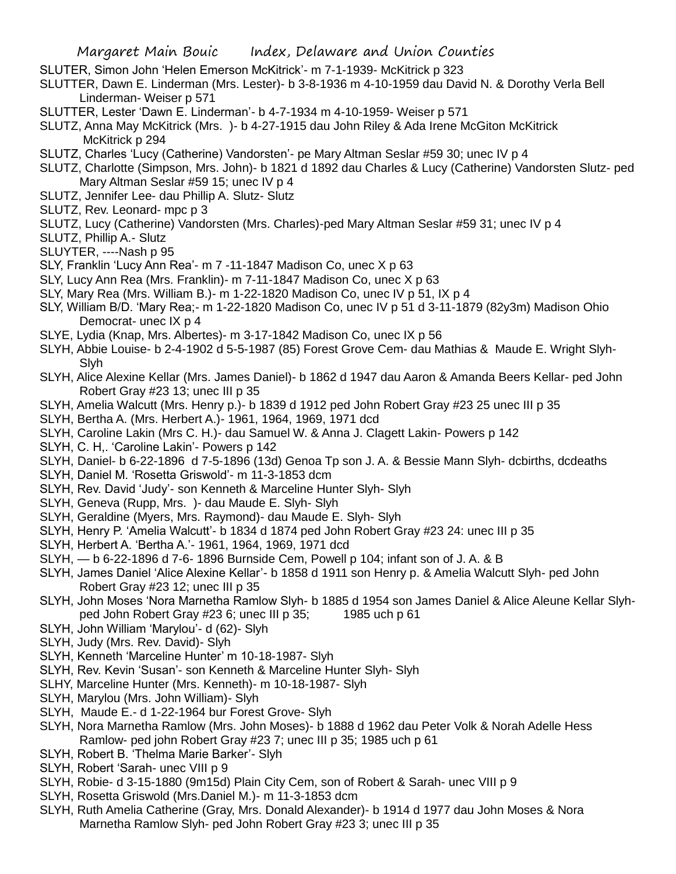- SLUTER, Simon John 'Helen Emerson McKitrick'- m 7-1-1939- McKitrick p 323
- SLUTTER, Dawn E. Linderman (Mrs. Lester)- b 3-8-1936 m 4-10-1959 dau David N. & Dorothy Verla Bell Linderman- Weiser p 571
- SLUTTER, Lester 'Dawn E. Linderman'- b 4-7-1934 m 4-10-1959- Weiser p 571
- SLUTZ, Anna May McKitrick (Mrs. )- b 4-27-1915 dau John Riley & Ada Irene McGiton McKitrick McKitrick p 294
- SLUTZ, Charles 'Lucy (Catherine) Vandorsten'- pe Mary Altman Seslar #59 30; unec IV p 4
- SLUTZ, Charlotte (Simpson, Mrs. John)- b 1821 d 1892 dau Charles & Lucy (Catherine) Vandorsten Slutz- ped Mary Altman Seslar #59 15; unec IV p 4
- SLUTZ, Jennifer Lee- dau Phillip A. Slutz- Slutz
- SLUTZ, Rev. Leonard- mpc p 3
- SLUTZ, Lucy (Catherine) Vandorsten (Mrs. Charles)-ped Mary Altman Seslar #59 31; unec IV p 4
- SLUTZ, Phillip A.- Slutz
- SLUYTER, ----Nash p 95
- SLY, Franklin 'Lucy Ann Rea'- m 7 -11-1847 Madison Co, unec X p 63
- SLY, Lucy Ann Rea (Mrs. Franklin)- m 7-11-1847 Madison Co, unec X p 63
- SLY, Mary Rea (Mrs. William B.)- m 1-22-1820 Madison Co, unec IV p 51, IX p 4
- SLY, William B/D. 'Mary Rea;- m 1-22-1820 Madison Co, unec IV p 51 d 3-11-1879 (82y3m) Madison Ohio Democrat- unec IX p 4
- SLYE, Lydia (Knap, Mrs. Albertes)- m 3-17-1842 Madison Co, unec IX p 56
- SLYH, Abbie Louise- b 2-4-1902 d 5-5-1987 (85) Forest Grove Cem- dau Mathias & Maude E. Wright Slyh-Slyh
- SLYH, Alice Alexine Kellar (Mrs. James Daniel)- b 1862 d 1947 dau Aaron & Amanda Beers Kellar- ped John Robert Gray #23 13; unec III p 35
- SLYH, Amelia Walcutt (Mrs. Henry p.)- b 1839 d 1912 ped John Robert Gray #23 25 unec III p 35
- SLYH, Bertha A. (Mrs. Herbert A.)- 1961, 1964, 1969, 1971 dcd
- SLYH, Caroline Lakin (Mrs C. H.)- dau Samuel W. & Anna J. Clagett Lakin- Powers p 142
- SLYH, C. H,. 'Caroline Lakin'- Powers p 142
- SLYH, Daniel- b 6-22-1896 d 7-5-1896 (13d) Genoa Tp son J. A. & Bessie Mann Slyh- dcbirths, dcdeaths
- SLYH, Daniel M. 'Rosetta Griswold'- m 11-3-1853 dcm
- SLYH, Rev. David 'Judy'- son Kenneth & Marceline Hunter Slyh- Slyh
- SLYH, Geneva (Rupp, Mrs. )- dau Maude E. Slyh- Slyh
- SLYH, Geraldine (Myers, Mrs. Raymond)- dau Maude E. Slyh- Slyh
- SLYH, Henry P. 'Amelia Walcutt'- b 1834 d 1874 ped John Robert Gray #23 24: unec III p 35
- SLYH, Herbert A. 'Bertha A.'- 1961, 1964, 1969, 1971 dcd
- SLYH, b 6-22-1896 d 7-6- 1896 Burnside Cem, Powell p 104; infant son of J. A. & B
- SLYH, James Daniel 'Alice Alexine Kellar'- b 1858 d 1911 son Henry p. & Amelia Walcutt Slyh- ped John Robert Gray #23 12; unec III p 35
- SLYH, John Moses 'Nora Marnetha Ramlow Slyh- b 1885 d 1954 son James Daniel & Alice Aleune Kellar Slyhped John Robert Gray #23 6; unec III p 35; 1985 uch p 61
- SLYH, John William 'Marylou'- d (62)- Slyh
- SLYH, Judy (Mrs. Rev. David)- Slyh
- SLYH, Kenneth 'Marceline Hunter' m 10-18-1987- Slyh
- SLYH, Rev. Kevin 'Susan'- son Kenneth & Marceline Hunter Slyh- Slyh
- SLHY, Marceline Hunter (Mrs. Kenneth)- m 10-18-1987- Slyh
- SLYH, Marylou (Mrs. John William)- Slyh
- SLYH, Maude E.- d 1-22-1964 bur Forest Grove- Slyh
- SLYH, Nora Marnetha Ramlow (Mrs. John Moses)- b 1888 d 1962 dau Peter Volk & Norah Adelle Hess Ramlow- ped john Robert Gray #23 7; unec III p 35; 1985 uch p 61
- SLYH, Robert B. 'Thelma Marie Barker'- Slyh
- SLYH, Robert 'Sarah- unec VIII p 9
- SLYH, Robie- d 3-15-1880 (9m15d) Plain City Cem, son of Robert & Sarah- unec VIII p 9
- SLYH, Rosetta Griswold (Mrs.Daniel M.)- m 11-3-1853 dcm
- SLYH, Ruth Amelia Catherine (Gray, Mrs. Donald Alexander)- b 1914 d 1977 dau John Moses & Nora Marnetha Ramlow Slyh- ped John Robert Gray #23 3; unec III p 35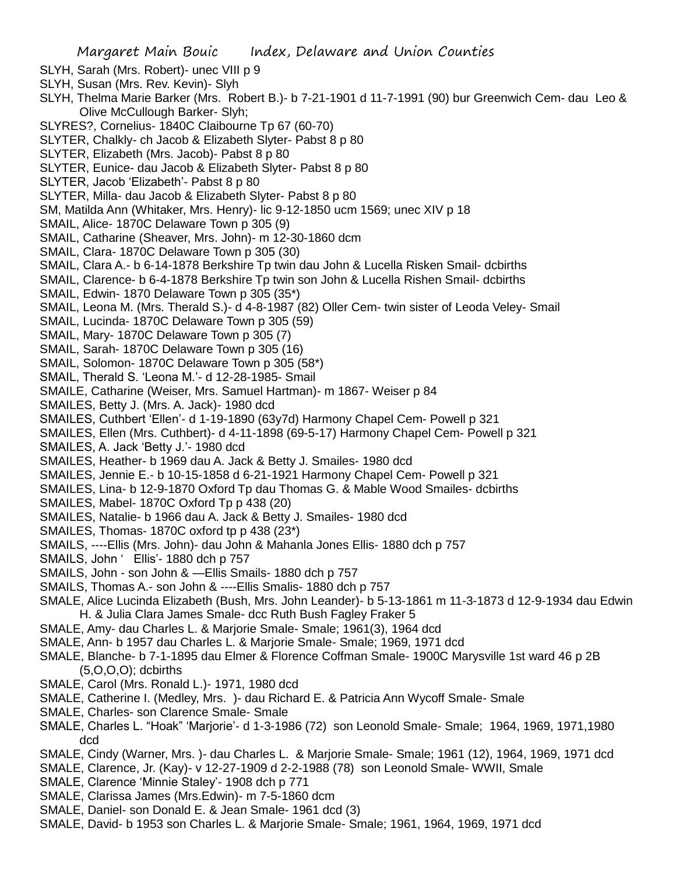- SLYH, Sarah (Mrs. Robert)- unec VIII p 9
- SLYH, Susan (Mrs. Rev. Kevin)- Slyh
- SLYH, Thelma Marie Barker (Mrs. Robert B.)- b 7-21-1901 d 11-7-1991 (90) bur Greenwich Cem- dau Leo & Olive McCullough Barker- Slyh;
- SLYRES?, Cornelius- 1840C Claibourne Tp 67 (60-70)
- SLYTER, Chalkly- ch Jacob & Elizabeth Slyter- Pabst 8 p 80
- SLYTER, Elizabeth (Mrs. Jacob)- Pabst 8 p 80
- SLYTER, Eunice- dau Jacob & Elizabeth Slyter- Pabst 8 p 80
- SLYTER, Jacob 'Elizabeth'- Pabst 8 p 80
- SLYTER, Milla- dau Jacob & Elizabeth Slyter- Pabst 8 p 80
- SM, Matilda Ann (Whitaker, Mrs. Henry)- lic 9-12-1850 ucm 1569; unec XIV p 18
- SMAIL, Alice- 1870C Delaware Town p 305 (9)
- SMAIL, Catharine (Sheaver, Mrs. John)- m 12-30-1860 dcm
- SMAIL, Clara- 1870C Delaware Town p 305 (30)
- SMAIL, Clara A.- b 6-14-1878 Berkshire Tp twin dau John & Lucella Risken Smail- dcbirths
- SMAIL, Clarence- b 6-4-1878 Berkshire Tp twin son John & Lucella Rishen Smail- dcbirths
- SMAIL, Edwin- 1870 Delaware Town p 305 (35\*)
- SMAIL, Leona M. (Mrs. Therald S.)- d 4-8-1987 (82) Oller Cem- twin sister of Leoda Veley- Smail
- SMAIL, Lucinda- 1870C Delaware Town p 305 (59)
- SMAIL, Mary- 1870C Delaware Town p 305 (7)
- SMAIL, Sarah- 1870C Delaware Town p 305 (16)
- SMAIL, Solomon- 1870C Delaware Town p 305 (58\*)
- SMAIL, Therald S. 'Leona M.'- d 12-28-1985- Smail
- SMAILE, Catharine (Weiser, Mrs. Samuel Hartman)- m 1867- Weiser p 84
- SMAILES, Betty J. (Mrs. A. Jack)- 1980 dcd
- SMAILES, Cuthbert 'Ellen'- d 1-19-1890 (63y7d) Harmony Chapel Cem- Powell p 321
- SMAILES, Ellen (Mrs. Cuthbert)- d 4-11-1898 (69-5-17) Harmony Chapel Cem- Powell p 321
- SMAILES, A. Jack 'Betty J.'- 1980 dcd
- SMAILES, Heather- b 1969 dau A. Jack & Betty J. Smailes- 1980 dcd
- SMAILES, Jennie E.- b 10-15-1858 d 6-21-1921 Harmony Chapel Cem- Powell p 321
- SMAILES, Lina- b 12-9-1870 Oxford Tp dau Thomas G. & Mable Wood Smailes- dcbirths
- SMAILES, Mabel- 1870C Oxford Tp p 438 (20)
- SMAILES, Natalie- b 1966 dau A. Jack & Betty J. Smailes- 1980 dcd
- SMAILES, Thomas- 1870C oxford tp p 438 (23\*)
- SMAILS, ----Ellis (Mrs. John)- dau John & Mahanla Jones Ellis- 1880 dch p 757
- SMAILS, John ' Ellis'- 1880 dch p 757
- SMAILS, John son John & —Ellis Smails- 1880 dch p 757
- SMAILS, Thomas A.- son John & ----Ellis Smalis- 1880 dch p 757
- SMALE, Alice Lucinda Elizabeth (Bush, Mrs. John Leander)- b 5-13-1861 m 11-3-1873 d 12-9-1934 dau Edwin H. & Julia Clara James Smale- dcc Ruth Bush Fagley Fraker 5
- SMALE, Amy- dau Charles L. & Marjorie Smale- Smale; 1961(3), 1964 dcd
- SMALE, Ann- b 1957 dau Charles L. & Marjorie Smale- Smale; 1969, 1971 dcd
- SMALE, Blanche- b 7-1-1895 dau Elmer & Florence Coffman Smale- 1900C Marysville 1st ward 46 p 2B (5,O,O,O); dcbirths
- SMALE, Carol (Mrs. Ronald L.)- 1971, 1980 dcd
- SMALE, Catherine I. (Medley, Mrs. )- dau Richard E. & Patricia Ann Wycoff Smale- Smale
- SMALE, Charles- son Clarence Smale- Smale
- SMALE, Charles L. "Hoak" 'Marjorie'- d 1-3-1986 (72) son Leonold Smale- Smale; 1964, 1969, 1971,1980 dcd
- SMALE, Cindy (Warner, Mrs. )- dau Charles L. & Marjorie Smale- Smale; 1961 (12), 1964, 1969, 1971 dcd
- SMALE, Clarence, Jr. (Kay)- v 12-27-1909 d 2-2-1988 (78) son Leonold Smale- WWII, Smale
- SMALE, Clarence 'Minnie Staley'- 1908 dch p 771
- SMALE, Clarissa James (Mrs.Edwin)- m 7-5-1860 dcm
- SMALE, Daniel- son Donald E. & Jean Smale- 1961 dcd (3)
- SMALE, David- b 1953 son Charles L. & Marjorie Smale- Smale; 1961, 1964, 1969, 1971 dcd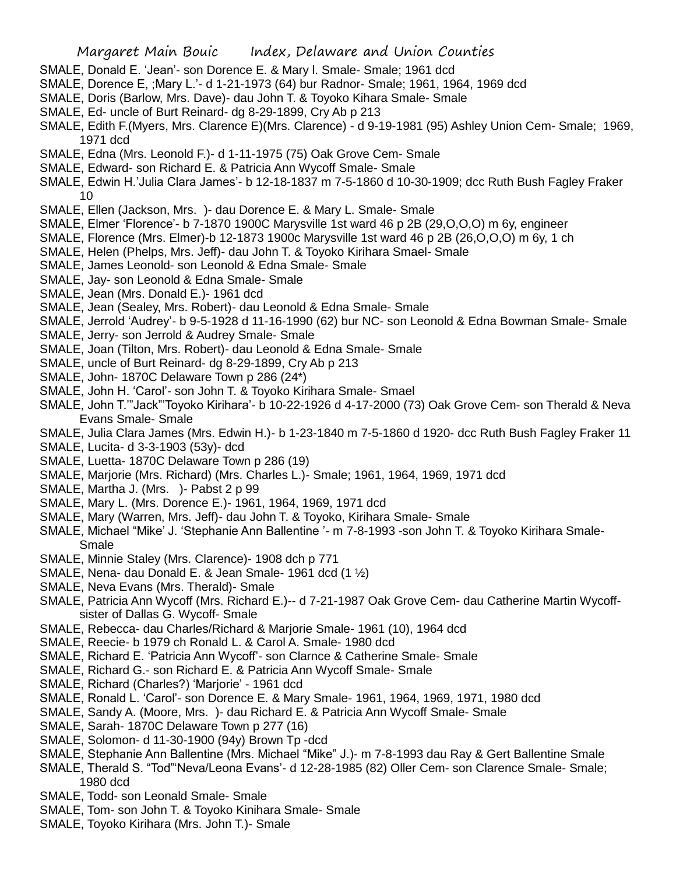- SMALE, Donald E. 'Jean'- son Dorence E. & Mary l. Smale- Smale; 1961 dcd
- SMALE, Dorence E, ;Mary L.'- d 1-21-1973 (64) bur Radnor- Smale; 1961, 1964, 1969 dcd
- SMALE, Doris (Barlow, Mrs. Dave)- dau John T. & Toyoko Kihara Smale- Smale
- SMALE, Ed- uncle of Burt Reinard- dg 8-29-1899, Cry Ab p 213
- SMALE, Edith F.(Myers, Mrs. Clarence E)(Mrs. Clarence) d 9-19-1981 (95) Ashley Union Cem- Smale; 1969, 1971 dcd
- SMALE, Edna (Mrs. Leonold F.)- d 1-11-1975 (75) Oak Grove Cem- Smale
- SMALE, Edward- son Richard E. & Patricia Ann Wycoff Smale- Smale
- SMALE, Edwin H.'Julia Clara James'- b 12-18-1837 m 7-5-1860 d 10-30-1909; dcc Ruth Bush Fagley Fraker 10
- SMALE, Ellen (Jackson, Mrs. )- dau Dorence E. & Mary L. Smale- Smale
- SMALE, Elmer 'Florence'- b 7-1870 1900C Marysville 1st ward 46 p 2B (29,O,O,O) m 6y, engineer
- SMALE, Florence (Mrs. Elmer)-b 12-1873 1900c Marysville 1st ward 46 p 2B (26,O,O,O) m 6y, 1 ch
- SMALE, Helen (Phelps, Mrs. Jeff)- dau John T. & Toyoko Kirihara Smael- Smale
- SMALE, James Leonold- son Leonold & Edna Smale- Smale
- SMALE, Jay- son Leonold & Edna Smale- Smale
- SMALE, Jean (Mrs. Donald E.)- 1961 dcd
- SMALE, Jean (Sealey, Mrs. Robert)- dau Leonold & Edna Smale- Smale
- SMALE, Jerrold 'Audrey'- b 9-5-1928 d 11-16-1990 (62) bur NC- son Leonold & Edna Bowman Smale- Smale
- SMALE, Jerry- son Jerrold & Audrey Smale- Smale
- SMALE, Joan (Tilton, Mrs. Robert)- dau Leonold & Edna Smale- Smale
- SMALE, uncle of Burt Reinard- dg 8-29-1899, Cry Ab p 213
- SMALE, John- 1870C Delaware Town p 286 (24\*)
- SMALE, John H. 'Carol'- son John T. & Toyoko Kirihara Smale- Smael
- SMALE, John T.'"Jack"'Toyoko Kirihara'- b 10-22-1926 d 4-17-2000 (73) Oak Grove Cem- son Therald & Neva Evans Smale- Smale
- SMALE, Julia Clara James (Mrs. Edwin H.)- b 1-23-1840 m 7-5-1860 d 1920- dcc Ruth Bush Fagley Fraker 11
- SMALE, Lucita- d 3-3-1903 (53y)- dcd
- SMALE, Luetta- 1870C Delaware Town p 286 (19)
- SMALE, Marjorie (Mrs. Richard) (Mrs. Charles L.)- Smale; 1961, 1964, 1969, 1971 dcd
- SMALE, Martha J. (Mrs. ) Pabst 2 p 99
- SMALE, Mary L. (Mrs. Dorence E.)- 1961, 1964, 1969, 1971 dcd
- SMALE, Mary (Warren, Mrs. Jeff)- dau John T. & Toyoko, Kirihara Smale- Smale
- SMALE, Michael "Mike' J. 'Stephanie Ann Ballentine '- m 7-8-1993 -son John T. & Toyoko Kirihara Smale-Smale
- SMALE, Minnie Staley (Mrs. Clarence)- 1908 dch p 771
- SMALE, Nena- dau Donald E. & Jean Smale- 1961 dcd  $(1 \frac{1}{2})$
- SMALE, Neva Evans (Mrs. Therald)- Smale
- SMALE, Patricia Ann Wycoff (Mrs. Richard E.)-- d 7-21-1987 Oak Grove Cem- dau Catherine Martin Wycoffsister of Dallas G. Wycoff- Smale
- SMALE, Rebecca- dau Charles/Richard & Marjorie Smale- 1961 (10), 1964 dcd
- SMALE, Reecie- b 1979 ch Ronald L. & Carol A. Smale- 1980 dcd
- SMALE, Richard E. 'Patricia Ann Wycoff'- son Clarnce & Catherine Smale- Smale
- SMALE, Richard G.- son Richard E. & Patricia Ann Wycoff Smale- Smale
- SMALE, Richard (Charles?) 'Marjorie' 1961 dcd
- SMALE, Ronald L. 'Carol'- son Dorence E. & Mary Smale- 1961, 1964, 1969, 1971, 1980 dcd
- SMALE, Sandy A. (Moore, Mrs. )- dau Richard E. & Patricia Ann Wycoff Smale- Smale
- SMALE, Sarah- 1870C Delaware Town p 277 (16)
- SMALE, Solomon- d 11-30-1900 (94y) Brown Tp -dcd
- SMALE, Stephanie Ann Ballentine (Mrs. Michael "Mike" J.)- m 7-8-1993 dau Ray & Gert Ballentine Smale
- SMALE, Therald S. "Tod"'Neva/Leona Evans'- d 12-28-1985 (82) Oller Cem- son Clarence Smale- Smale; 1980 dcd
- SMALE, Todd- son Leonald Smale- Smale
- SMALE, Tom- son John T. & Toyoko Kinihara Smale- Smale
- SMALE, Toyoko Kirihara (Mrs. John T.)- Smale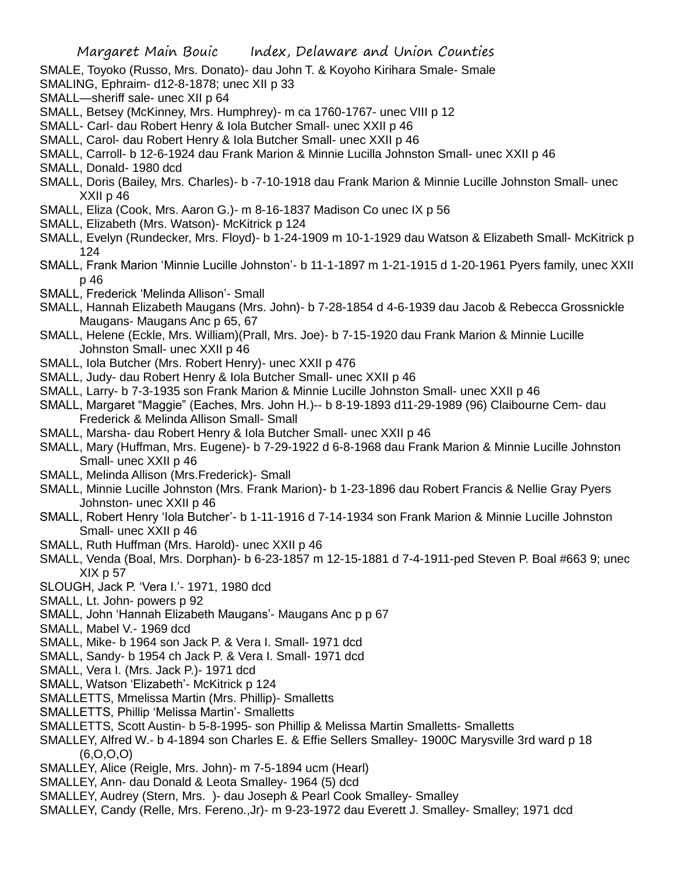SMALE, Toyoko (Russo, Mrs. Donato)- dau John T. & Koyoho Kirihara Smale- Smale

- SMALING, Ephraim- d12-8-1878; unec XII p 33
- SMALL—sheriff sale- unec XII p 64
- SMALL, Betsey (McKinney, Mrs. Humphrey)- m ca 1760-1767- unec VIII p 12
- SMALL- Carl- dau Robert Henry & Iola Butcher Small- unec XXII p 46
- SMALL, Carol- dau Robert Henry & Iola Butcher Small- unec XXII p 46
- SMALL, Carroll- b 12-6-1924 dau Frank Marion & Minnie Lucilla Johnston Small- unec XXII p 46
- SMALL, Donald- 1980 dcd
- SMALL, Doris (Bailey, Mrs. Charles)- b -7-10-1918 dau Frank Marion & Minnie Lucille Johnston Small- unec XXII p 46
- SMALL, Eliza (Cook, Mrs. Aaron G.)- m 8-16-1837 Madison Co unec IX p 56
- SMALL, Elizabeth (Mrs. Watson)- McKitrick p 124
- SMALL, Evelyn (Rundecker, Mrs. Floyd)- b 1-24-1909 m 10-1-1929 dau Watson & Elizabeth Small- McKitrick p 124
- SMALL, Frank Marion 'Minnie Lucille Johnston'- b 11-1-1897 m 1-21-1915 d 1-20-1961 Pyers family, unec XXII p 46
- SMALL, Frederick 'Melinda Allison'- Small
- SMALL, Hannah Elizabeth Maugans (Mrs. John)- b 7-28-1854 d 4-6-1939 dau Jacob & Rebecca Grossnickle Maugans- Maugans Anc p 65, 67
- SMALL, Helene (Eckle, Mrs. William)(Prall, Mrs. Joe)- b 7-15-1920 dau Frank Marion & Minnie Lucille Johnston Small- unec XXII p 46
- SMALL, Iola Butcher (Mrs. Robert Henry)- unec XXII p 476
- SMALL, Judy- dau Robert Henry & Iola Butcher Small- unec XXII p 46
- SMALL, Larry- b 7-3-1935 son Frank Marion & Minnie Lucille Johnston Small- unec XXII p 46
- SMALL, Margaret "Maggie" (Eaches, Mrs. John H.)-- b 8-19-1893 d11-29-1989 (96) Claibourne Cem- dau Frederick & Melinda Allison Small- Small
- SMALL, Marsha- dau Robert Henry & Iola Butcher Small- unec XXII p 46
- SMALL, Mary (Huffman, Mrs. Eugene)- b 7-29-1922 d 6-8-1968 dau Frank Marion & Minnie Lucille Johnston Small- unec XXII p 46
- SMALL, Melinda Allison (Mrs.Frederick)- Small
- SMALL, Minnie Lucille Johnston (Mrs. Frank Marion)- b 1-23-1896 dau Robert Francis & Nellie Gray Pyers Johnston- unec XXII p 46
- SMALL, Robert Henry 'Iola Butcher'- b 1-11-1916 d 7-14-1934 son Frank Marion & Minnie Lucille Johnston Small- unec XXII p 46
- SMALL, Ruth Huffman (Mrs. Harold)- unec XXII p 46
- SMALL, Venda (Boal, Mrs. Dorphan)- b 6-23-1857 m 12-15-1881 d 7-4-1911-ped Steven P. Boal #663 9; unec  $XIX$  p 57
- SLOUGH, Jack P. 'Vera I.'- 1971, 1980 dcd
- SMALL, Lt. John- powers p 92
- SMALL, John 'Hannah Elizabeth Maugans'- Maugans Anc p p 67
- SMALL, Mabel V.- 1969 dcd
- SMALL, Mike- b 1964 son Jack P. & Vera I. Small- 1971 dcd
- SMALL, Sandy- b 1954 ch Jack P. & Vera I. Small- 1971 dcd
- SMALL, Vera I. (Mrs. Jack P.)- 1971 dcd
- SMALL, Watson 'Elizabeth'- McKitrick p 124
- SMALLETTS, Mmelissa Martin (Mrs. Phillip)- Smalletts
- SMALLETTS, Phillip 'Melissa Martin'- Smalletts
- SMALLETTS, Scott Austin- b 5-8-1995- son Phillip & Melissa Martin Smalletts- Smalletts
- SMALLEY, Alfred W.- b 4-1894 son Charles E. & Effie Sellers Smalley- 1900C Marysville 3rd ward p 18  $(6, 0.0, 0)$
- SMALLEY, Alice (Reigle, Mrs. John)- m 7-5-1894 ucm (Hearl)
- SMALLEY, Ann- dau Donald & Leota Smalley- 1964 (5) dcd
- SMALLEY, Audrey (Stern, Mrs. )- dau Joseph & Pearl Cook Smalley- Smalley
- SMALLEY, Candy (Relle, Mrs. Fereno.,Jr)- m 9-23-1972 dau Everett J. Smalley- Smalley; 1971 dcd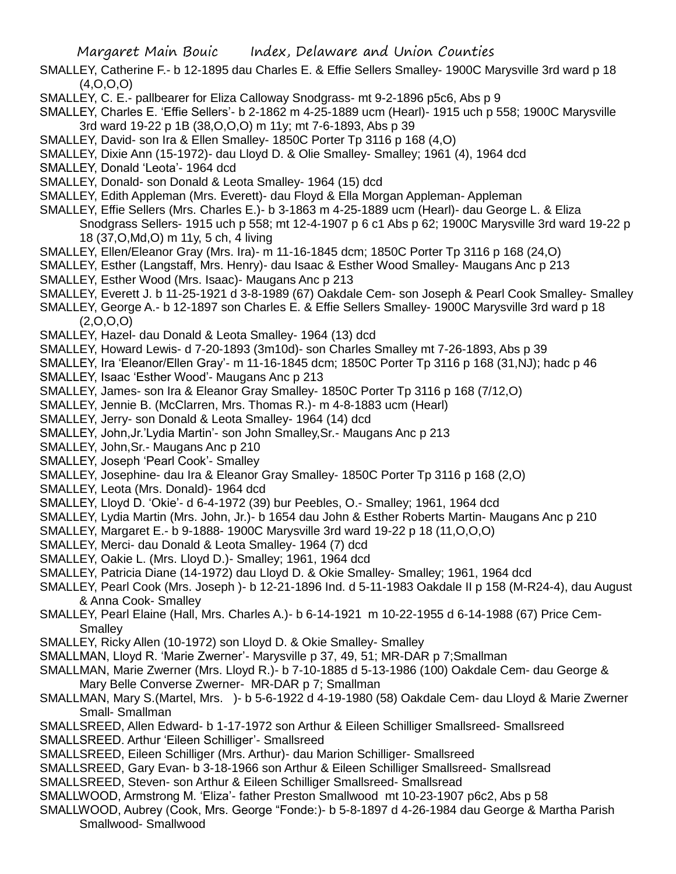- SMALLEY, Catherine F.- b 12-1895 dau Charles E. & Effie Sellers Smalley- 1900C Marysville 3rd ward p 18 (4,O,O,O)
- SMALLEY, C. E.- pallbearer for Eliza Calloway Snodgrass- mt 9-2-1896 p5c6, Abs p 9
- SMALLEY, Charles E. 'Effie Sellers'- b 2-1862 m 4-25-1889 ucm (Hearl)- 1915 uch p 558; 1900C Marysville 3rd ward 19-22 p 1B (38,O,O,O) m 11y; mt 7-6-1893, Abs p 39
- SMALLEY, David- son Ira & Ellen Smalley- 1850C Porter Tp 3116 p 168 (4,O)
- SMALLEY, Dixie Ann (15-1972)- dau Lloyd D. & Olie Smalley- Smalley; 1961 (4), 1964 dcd
- SMALLEY, Donald 'Leota'- 1964 dcd
- SMALLEY, Donald- son Donald & Leota Smalley- 1964 (15) dcd
- SMALLEY, Edith Appleman (Mrs. Everett)- dau Floyd & Ella Morgan Appleman- Appleman
- SMALLEY, Effie Sellers (Mrs. Charles E.)- b 3-1863 m 4-25-1889 ucm (Hearl)- dau George L. & Eliza Snodgrass Sellers- 1915 uch p 558; mt 12-4-1907 p 6 c1 Abs p 62; 1900C Marysville 3rd ward 19-22 p 18 (37,O,Md,O) m 11y, 5 ch, 4 living
- SMALLEY, Ellen/Eleanor Gray (Mrs. Ira)- m 11-16-1845 dcm; 1850C Porter Tp 3116 p 168 (24,O)
- SMALLEY, Esther (Langstaff, Mrs. Henry)- dau Isaac & Esther Wood Smalley- Maugans Anc p 213 SMALLEY, Esther Wood (Mrs. Isaac)- Maugans Anc p 213
- SMALLEY, Everett J. b 11-25-1921 d 3-8-1989 (67) Oakdale Cem- son Joseph & Pearl Cook Smalley- Smalley
- SMALLEY, George A.- b 12-1897 son Charles E. & Effie Sellers Smalley- 1900C Marysville 3rd ward p 18  $(2,0,0,0)$
- SMALLEY, Hazel- dau Donald & Leota Smalley- 1964 (13) dcd
- SMALLEY, Howard Lewis- d 7-20-1893 (3m10d)- son Charles Smalley mt 7-26-1893, Abs p 39
- SMALLEY, Ira 'Eleanor/Ellen Gray'- m 11-16-1845 dcm; 1850C Porter Tp 3116 p 168 (31,NJ); hadc p 46
- SMALLEY, Isaac 'Esther Wood'- Maugans Anc p 213
- SMALLEY, James- son Ira & Eleanor Gray Smalley- 1850C Porter Tp 3116 p 168 (7/12,O)
- SMALLEY, Jennie B. (McClarren, Mrs. Thomas R.)- m 4-8-1883 ucm (Hearl)
- SMALLEY, Jerry- son Donald & Leota Smalley- 1964 (14) dcd
- SMALLEY, John,Jr.'Lydia Martin'- son John Smalley,Sr.- Maugans Anc p 213
- SMALLEY, John,Sr.- Maugans Anc p 210
- SMALLEY, Joseph 'Pearl Cook'- Smalley
- SMALLEY, Josephine- dau Ira & Eleanor Gray Smalley- 1850C Porter Tp 3116 p 168 (2,O)
- SMALLEY, Leota (Mrs. Donald)- 1964 dcd
- SMALLEY, Lloyd D. 'Okie'- d 6-4-1972 (39) bur Peebles, O.- Smalley; 1961, 1964 dcd
- SMALLEY, Lydia Martin (Mrs. John, Jr.)- b 1654 dau John & Esther Roberts Martin- Maugans Anc p 210
- SMALLEY, Margaret E.- b 9-1888- 1900C Marysville 3rd ward 19-22 p 18 (11,O,O,O)
- SMALLEY, Merci- dau Donald & Leota Smalley- 1964 (7) dcd
- SMALLEY, Oakie L. (Mrs. Lloyd D.)- Smalley; 1961, 1964 dcd
- SMALLEY, Patricia Diane (14-1972) dau Lloyd D. & Okie Smalley- Smalley; 1961, 1964 dcd
- SMALLEY, Pearl Cook (Mrs. Joseph )- b 12-21-1896 Ind. d 5-11-1983 Oakdale II p 158 (M-R24-4), dau August & Anna Cook- Smalley
- SMALLEY, Pearl Elaine (Hall, Mrs. Charles A.)- b 6-14-1921 m 10-22-1955 d 6-14-1988 (67) Price Cem-**Smalley**
- SMALLEY, Ricky Allen (10-1972) son Lloyd D. & Okie Smalley- Smalley
- SMALLMAN, Lloyd R. 'Marie Zwerner'- Marysville p 37, 49, 51; MR-DAR p 7;Smallman
- SMALLMAN, Marie Zwerner (Mrs. Lloyd R.)- b 7-10-1885 d 5-13-1986 (100) Oakdale Cem- dau George & Mary Belle Converse Zwerner- MR-DAR p 7; Smallman
- SMALLMAN, Mary S.(Martel, Mrs. )- b 5-6-1922 d 4-19-1980 (58) Oakdale Cem- dau Lloyd & Marie Zwerner Small- Smallman
- SMALLSREED, Allen Edward- b 1-17-1972 son Arthur & Eileen Schilliger Smallsreed- Smallsreed SMALLSREED. Arthur 'Eileen Schilliger'- Smallsreed
- SMALLSREED, Eileen Schilliger (Mrs. Arthur)- dau Marion Schilliger- Smallsreed
- SMALLSREED, Gary Evan- b 3-18-1966 son Arthur & Eileen Schilliger Smallsreed- Smallsread
- SMALLSREED, Steven- son Arthur & Eileen Schilliger Smallsreed- Smallsread
- SMALLWOOD, Armstrong M. 'Eliza'- father Preston Smallwood mt 10-23-1907 p6c2, Abs p 58
- SMALLWOOD, Aubrey (Cook, Mrs. George "Fonde:)- b 5-8-1897 d 4-26-1984 dau George & Martha Parish Smallwood- Smallwood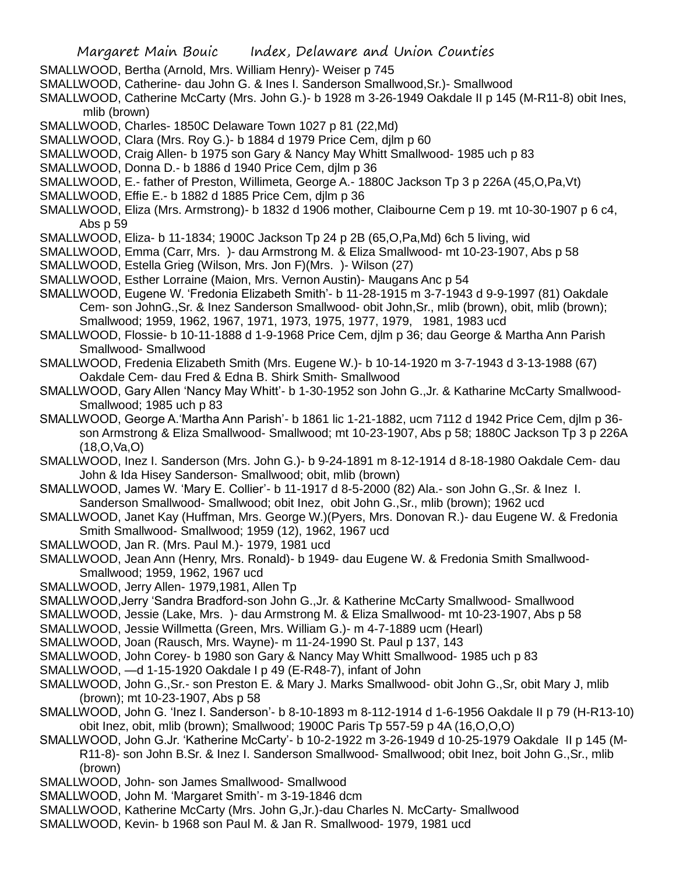- SMALLWOOD, Bertha (Arnold, Mrs. William Henry)- Weiser p 745
- SMALLWOOD, Catherine- dau John G. & Ines I. Sanderson Smallwood,Sr.)- Smallwood
- SMALLWOOD, Catherine McCarty (Mrs. John G.)- b 1928 m 3-26-1949 Oakdale II p 145 (M-R11-8) obit Ines, mlib (brown)
- SMALLWOOD, Charles- 1850C Delaware Town 1027 p 81 (22,Md)
- SMALLWOOD, Clara (Mrs. Roy G.)- b 1884 d 1979 Price Cem, djlm p 60
- SMALLWOOD, Craig Allen- b 1975 son Gary & Nancy May Whitt Smallwood- 1985 uch p 83
- SMALLWOOD, Donna D.- b 1886 d 1940 Price Cem, djlm p 36
- SMALLWOOD, E.- father of Preston, Willimeta, George A.- 1880C Jackson Tp 3 p 226A (45,O,Pa,Vt)
- SMALLWOOD, Effie E.- b 1882 d 1885 Price Cem, djlm p 36
- SMALLWOOD, Eliza (Mrs. Armstrong)- b 1832 d 1906 mother, Claibourne Cem p 19. mt 10-30-1907 p 6 c4, Abs p 59
- SMALLWOOD, Eliza- b 11-1834; 1900C Jackson Tp 24 p 2B (65,O,Pa,Md) 6ch 5 living, wid
- SMALLWOOD, Emma (Carr, Mrs. )- dau Armstrong M. & Eliza Smallwood- mt 10-23-1907, Abs p 58
- SMALLWOOD, Estella Grieg (Wilson, Mrs. Jon F)(Mrs. )- Wilson (27)
- SMALLWOOD, Esther Lorraine (Maion, Mrs. Vernon Austin)- Maugans Anc p 54
- SMALLWOOD, Eugene W. 'Fredonia Elizabeth Smith'- b 11-28-1915 m 3-7-1943 d 9-9-1997 (81) Oakdale Cem- son JohnG.,Sr. & Inez Sanderson Smallwood- obit John,Sr., mlib (brown), obit, mlib (brown); Smallwood; 1959, 1962, 1967, 1971, 1973, 1975, 1977, 1979, 1981, 1983 ucd
- SMALLWOOD, Flossie- b 10-11-1888 d 1-9-1968 Price Cem, djlm p 36; dau George & Martha Ann Parish Smallwood- Smallwood
- SMALLWOOD, Fredenia Elizabeth Smith (Mrs. Eugene W.)- b 10-14-1920 m 3-7-1943 d 3-13-1988 (67) Oakdale Cem- dau Fred & Edna B. Shirk Smith- Smallwood
- SMALLWOOD, Gary Allen 'Nancy May Whitt'- b 1-30-1952 son John G.,Jr. & Katharine McCarty Smallwood-Smallwood; 1985 uch p 83
- SMALLWOOD, George A.'Martha Ann Parish'- b 1861 lic 1-21-1882, ucm 7112 d 1942 Price Cem, djlm p 36 son Armstrong & Eliza Smallwood- Smallwood; mt 10-23-1907, Abs p 58; 1880C Jackson Tp 3 p 226A (18,O,Va,O)
- SMALLWOOD, Inez I. Sanderson (Mrs. John G.)- b 9-24-1891 m 8-12-1914 d 8-18-1980 Oakdale Cem- dau John & Ida Hisey Sanderson- Smallwood; obit, mlib (brown)
- SMALLWOOD, James W. 'Mary E. Collier'- b 11-1917 d 8-5-2000 (82) Ala.- son John G.,Sr. & Inez I. Sanderson Smallwood- Smallwood; obit Inez, obit John G.,Sr., mlib (brown); 1962 ucd
- SMALLWOOD, Janet Kay (Huffman, Mrs. George W.)(Pyers, Mrs. Donovan R.)- dau Eugene W. & Fredonia Smith Smallwood- Smallwood; 1959 (12), 1962, 1967 ucd
- SMALLWOOD, Jan R. (Mrs. Paul M.)- 1979, 1981 ucd
- SMALLWOOD, Jean Ann (Henry, Mrs. Ronald)- b 1949- dau Eugene W. & Fredonia Smith Smallwood-Smallwood; 1959, 1962, 1967 ucd
- SMALLWOOD, Jerry Allen- 1979,1981, Allen Tp
- SMALLWOOD,Jerry 'Sandra Bradford-son John G.,Jr. & Katherine McCarty Smallwood- Smallwood
- SMALLWOOD, Jessie (Lake, Mrs. )- dau Armstrong M. & Eliza Smallwood- mt 10-23-1907, Abs p 58
- SMALLWOOD, Jessie Willmetta (Green, Mrs. William G.)- m 4-7-1889 ucm (Hearl)
- SMALLWOOD, Joan (Rausch, Mrs. Wayne)- m 11-24-1990 St. Paul p 137, 143
- SMALLWOOD, John Corey- b 1980 son Gary & Nancy May Whitt Smallwood- 1985 uch p 83
- SMALLWOOD, —d 1-15-1920 Oakdale I p 49 (E-R48-7), infant of John
- SMALLWOOD, John G.,Sr.- son Preston E. & Mary J. Marks Smallwood- obit John G.,Sr, obit Mary J, mlib (brown); mt 10-23-1907, Abs p 58
- SMALLWOOD, John G. 'Inez I. Sanderson'- b 8-10-1893 m 8-112-1914 d 1-6-1956 Oakdale II p 79 (H-R13-10) obit Inez, obit, mlib (brown); Smallwood; 1900C Paris Tp 557-59 p 4A (16,O,O,O)
- SMALLWOOD, John G.Jr. 'Katherine McCarty'- b 10-2-1922 m 3-26-1949 d 10-25-1979 Oakdale II p 145 (M-R11-8)- son John B.Sr. & Inez I. Sanderson Smallwood- Smallwood; obit Inez, boit John G.,Sr., mlib (brown)
- SMALLWOOD, John- son James Smallwood- Smallwood
- SMALLWOOD, John M. 'Margaret Smith'- m 3-19-1846 dcm
- SMALLWOOD, Katherine McCarty (Mrs. John G,Jr.)-dau Charles N. McCarty- Smallwood
- SMALLWOOD, Kevin- b 1968 son Paul M. & Jan R. Smallwood- 1979, 1981 ucd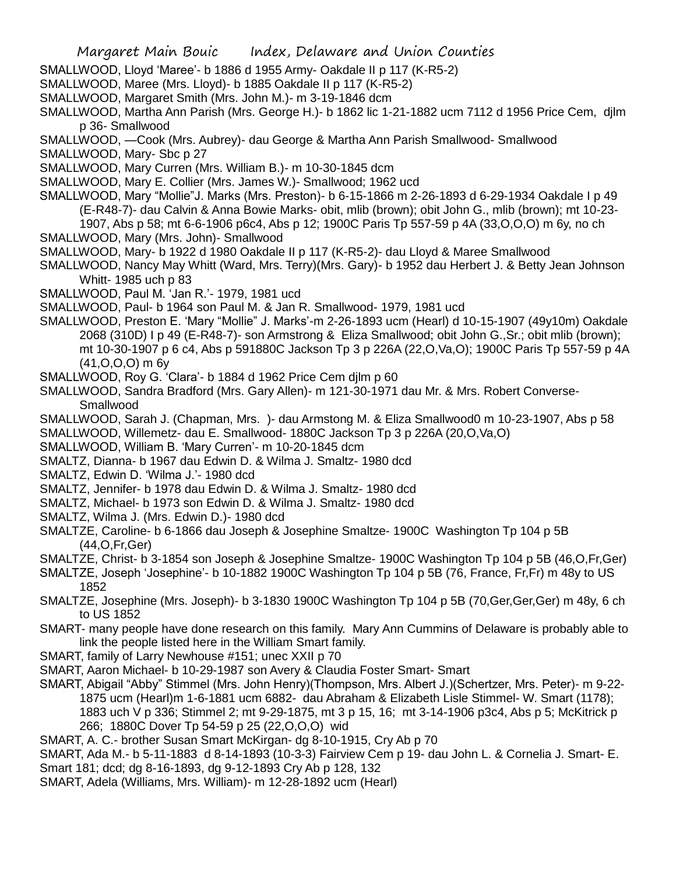- SMALLWOOD, Lloyd 'Maree'- b 1886 d 1955 Army- Oakdale II p 117 (K-R5-2)
- SMALLWOOD, Maree (Mrs. Lloyd)- b 1885 Oakdale II p 117 (K-R5-2)
- SMALLWOOD, Margaret Smith (Mrs. John M.)- m 3-19-1846 dcm
- SMALLWOOD, Martha Ann Parish (Mrs. George H.)- b 1862 lic 1-21-1882 ucm 7112 d 1956 Price Cem, djlm p 36- Smallwood
- SMALLWOOD, —Cook (Mrs. Aubrey)- dau George & Martha Ann Parish Smallwood- Smallwood
- SMALLWOOD, Mary- Sbc p 27
- SMALLWOOD, Mary Curren (Mrs. William B.)- m 10-30-1845 dcm
- SMALLWOOD, Mary E. Collier (Mrs. James W.)- Smallwood; 1962 ucd
- SMALLWOOD, Mary "Mollie"J. Marks (Mrs. Preston)- b 6-15-1866 m 2-26-1893 d 6-29-1934 Oakdale I p 49 (E-R48-7)- dau Calvin & Anna Bowie Marks- obit, mlib (brown); obit John G., mlib (brown); mt 10-23- 1907, Abs p 58; mt 6-6-1906 p6c4, Abs p 12; 1900C Paris Tp 557-59 p 4A (33,O,O,O) m 6y, no ch
- SMALLWOOD, Mary (Mrs. John)- Smallwood
- SMALLWOOD, Mary- b 1922 d 1980 Oakdale II p 117 (K-R5-2)- dau Lloyd & Maree Smallwood
- SMALLWOOD, Nancy May Whitt (Ward, Mrs. Terry)(Mrs. Gary)- b 1952 dau Herbert J. & Betty Jean Johnson Whitt- 1985 uch p 83
- SMALLWOOD, Paul M. 'Jan R.'- 1979, 1981 ucd
- SMALLWOOD, Paul- b 1964 son Paul M. & Jan R. Smallwood- 1979, 1981 ucd
- SMALLWOOD, Preston E. 'Mary "Mollie" J. Marks'-m 2-26-1893 ucm (Hearl) d 10-15-1907 (49y10m) Oakdale 2068 (310D) I p 49 (E-R48-7)- son Armstrong & Eliza Smallwood; obit John G.,Sr.; obit mlib (brown); mt 10-30-1907 p 6 c4, Abs p 591880C Jackson Tp 3 p 226A (22,O,Va,O); 1900C Paris Tp 557-59 p 4A (41,O,O,O) m 6y
- SMALLWOOD, Roy G. 'Clara'- b 1884 d 1962 Price Cem djlm p 60
- SMALLWOOD, Sandra Bradford (Mrs. Gary Allen)- m 121-30-1971 dau Mr. & Mrs. Robert Converse-Smallwood
- SMALLWOOD, Sarah J. (Chapman, Mrs. )- dau Armstong M. & Eliza Smallwood0 m 10-23-1907, Abs p 58
- SMALLWOOD, Willemetz- dau E. Smallwood- 1880C Jackson Tp 3 p 226A (20,O,Va,O)
- SMALLWOOD, William B. 'Mary Curren'- m 10-20-1845 dcm
- SMALTZ, Dianna- b 1967 dau Edwin D. & Wilma J. Smaltz- 1980 dcd
- SMALTZ, Edwin D. 'Wilma J.'- 1980 dcd
- SMALTZ, Jennifer- b 1978 dau Edwin D. & Wilma J. Smaltz- 1980 dcd
- SMALTZ, Michael- b 1973 son Edwin D. & Wilma J. Smaltz- 1980 dcd
- SMALTZ, Wilma J. (Mrs. Edwin D.)- 1980 dcd
- SMALTZE, Caroline- b 6-1866 dau Joseph & Josephine Smaltze- 1900C Washington Tp 104 p 5B (44,O,Fr,Ger)
- SMALTZE, Christ- b 3-1854 son Joseph & Josephine Smaltze- 1900C Washington Tp 104 p 5B (46,O,Fr,Ger)
- SMALTZE, Joseph 'Josephine'- b 10-1882 1900C Washington Tp 104 p 5B (76, France, Fr,Fr) m 48y to US 1852
- SMALTZE, Josephine (Mrs. Joseph)- b 3-1830 1900C Washington Tp 104 p 5B (70,Ger,Ger,Ger) m 48y, 6 ch to US 1852
- SMART- many people have done research on this family. Mary Ann Cummins of Delaware is probably able to link the people listed here in the William Smart family.
- SMART, family of Larry Newhouse #151; unec XXII p 70
- SMART, Aaron Michael- b 10-29-1987 son Avery & Claudia Foster Smart- Smart
- SMART, Abigail "Abby" Stimmel (Mrs. John Henry)(Thompson, Mrs. Albert J.)(Schertzer, Mrs. Peter)- m 9-22- 1875 ucm (Hearl)m 1-6-1881 ucm 6882- dau Abraham & Elizabeth Lisle Stimmel- W. Smart (1178); 1883 uch V p 336; Stimmel 2; mt 9-29-1875, mt 3 p 15, 16; mt 3-14-1906 p3c4, Abs p 5; McKitrick p 266; 1880C Dover Tp 54-59 p 25 (22,O,O,O) wid
- SMART, A. C.- brother Susan Smart McKirgan- dg 8-10-1915, Cry Ab p 70
- SMART, Ada M.- b 5-11-1883 d 8-14-1893 (10-3-3) Fairview Cem p 19- dau John L. & Cornelia J. Smart- E. Smart 181; dcd; dg 8-16-1893, dg 9-12-1893 Cry Ab p 128, 132
- 
- SMART, Adela (Williams, Mrs. William)- m 12-28-1892 ucm (Hearl)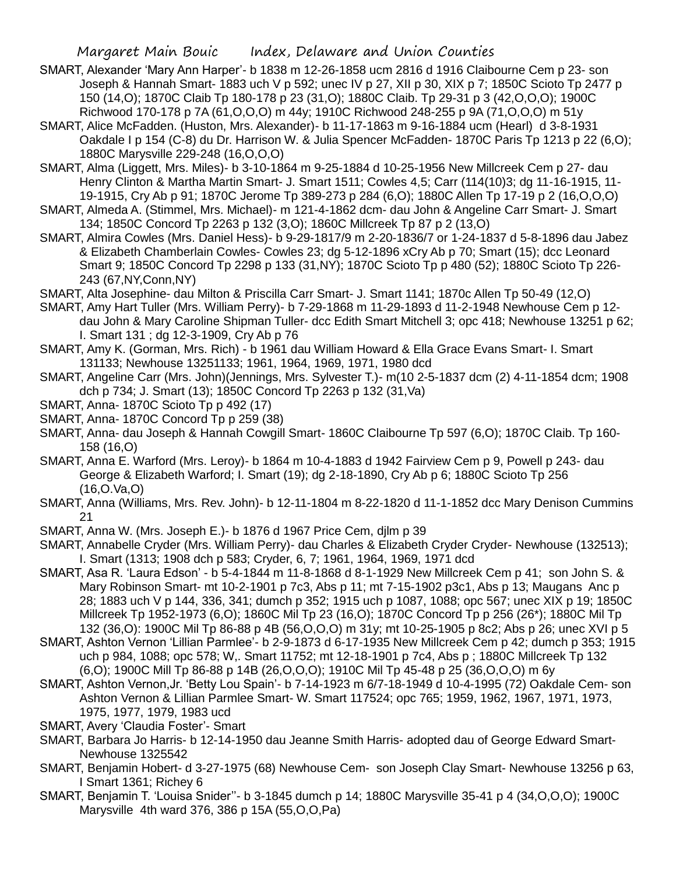- SMART, Alexander 'Mary Ann Harper'- b 1838 m 12-26-1858 ucm 2816 d 1916 Claibourne Cem p 23- son Joseph & Hannah Smart- 1883 uch V p 592; unec IV p 27, XII p 30, XIX p 7; 1850C Scioto Tp 2477 p 150 (14,O); 1870C Claib Tp 180-178 p 23 (31,O); 1880C Claib. Tp 29-31 p 3 (42,O,O,O); 1900C Richwood 170-178 p 7A (61,O,O,O) m 44y; 1910C Richwood 248-255 p 9A (71,O,O,O) m 51y
- SMART, Alice McFadden. (Huston, Mrs. Alexander)- b 11-17-1863 m 9-16-1884 ucm (Hearl) d 3-8-1931 Oakdale I p 154 (C-8) du Dr. Harrison W. & Julia Spencer McFadden- 1870C Paris Tp 1213 p 22 (6,O); 1880C Marysville 229-248 (16,O,O,O)
- SMART, Alma (Liggett, Mrs. Miles)- b 3-10-1864 m 9-25-1884 d 10-25-1956 New Millcreek Cem p 27- dau Henry Clinton & Martha Martin Smart- J. Smart 1511; Cowles 4,5; Carr (114(10)3; dg 11-16-1915, 11- 19-1915, Cry Ab p 91; 1870C Jerome Tp 389-273 p 284 (6,O); 1880C Allen Tp 17-19 p 2 (16,O,O,O)
- SMART, Almeda A. (Stimmel, Mrs. Michael)- m 121-4-1862 dcm- dau John & Angeline Carr Smart- J. Smart 134; 1850C Concord Tp 2263 p 132 (3,O); 1860C Millcreek Tp 87 p 2 (13,O)
- SMART, Almira Cowles (Mrs. Daniel Hess)- b 9-29-1817/9 m 2-20-1836/7 or 1-24-1837 d 5-8-1896 dau Jabez & Elizabeth Chamberlain Cowles- Cowles 23; dg 5-12-1896 xCry Ab p 70; Smart (15); dcc Leonard Smart 9; 1850C Concord Tp 2298 p 133 (31,NY); 1870C Scioto Tp p 480 (52); 1880C Scioto Tp 226- 243 (67,NY,Conn,NY)
- SMART, Alta Josephine- dau Milton & Priscilla Carr Smart- J. Smart 1141; 1870c Allen Tp 50-49 (12,O)
- SMART, Amy Hart Tuller (Mrs. William Perry)- b 7-29-1868 m 11-29-1893 d 11-2-1948 Newhouse Cem p 12 dau John & Mary Caroline Shipman Tuller- dcc Edith Smart Mitchell 3; opc 418; Newhouse 13251 p 62; I. Smart 131 ; dg 12-3-1909, Cry Ab p 76
- SMART, Amy K. (Gorman, Mrs. Rich) b 1961 dau William Howard & Ella Grace Evans Smart- I. Smart 131133; Newhouse 13251133; 1961, 1964, 1969, 1971, 1980 dcd
- SMART, Angeline Carr (Mrs. John)(Jennings, Mrs. Sylvester T.)- m(10 2-5-1837 dcm (2) 4-11-1854 dcm; 1908 dch p 734; J. Smart (13); 1850C Concord Tp 2263 p 132 (31,Va)
- SMART, Anna- 1870C Scioto Tp p 492 (17)
- SMART, Anna- 1870C Concord Tp p 259 (38)
- SMART, Anna- dau Joseph & Hannah Cowgill Smart- 1860C Claibourne Tp 597 (6,O); 1870C Claib. Tp 160- 158 (16,O)
- SMART, Anna E. Warford (Mrs. Leroy)- b 1864 m 10-4-1883 d 1942 Fairview Cem p 9, Powell p 243- dau George & Elizabeth Warford; I. Smart (19); dg 2-18-1890, Cry Ab p 6; 1880C Scioto Tp 256 (16,O.Va,O)
- SMART, Anna (Williams, Mrs. Rev. John)- b 12-11-1804 m 8-22-1820 d 11-1-1852 dcc Mary Denison Cummins 21
- SMART, Anna W. (Mrs. Joseph E.)- b 1876 d 1967 Price Cem, djlm p 39
- SMART, Annabelle Cryder (Mrs. William Perry)- dau Charles & Elizabeth Cryder Cryder- Newhouse (132513); I. Smart (1313; 1908 dch p 583; Cryder, 6, 7; 1961, 1964, 1969, 1971 dcd
- SMART, Asa R. 'Laura Edson' b 5-4-1844 m 11-8-1868 d 8-1-1929 New Millcreek Cem p 41; son John S. & Mary Robinson Smart- mt 10-2-1901 p 7c3, Abs p 11; mt 7-15-1902 p3c1, Abs p 13; Maugans Anc p 28; 1883 uch V p 144, 336, 341; dumch p 352; 1915 uch p 1087, 1088; opc 567; unec XIX p 19; 1850C Millcreek Tp 1952-1973 (6,O); 1860C Mil Tp 23 (16,O); 1870C Concord Tp p 256 (26\*); 1880C Mil Tp 132 (36,O): 1900C Mil Tp 86-88 p 4B (56,O,O,O) m 31y; mt 10-25-1905 p 8c2; Abs p 26; unec XVI p 5
- SMART, Ashton Vernon 'Lillian Parmlee'- b 2-9-1873 d 6-17-1935 New Millcreek Cem p 42; dumch p 353; 1915 uch p 984, 1088; opc 578; W,. Smart 11752; mt 12-18-1901 p 7c4, Abs p ; 1880C Millcreek Tp 132 (6,O); 1900C Mill Tp 86-88 p 14B (26,O,O,O); 1910C Mil Tp 45-48 p 25 (36,O,O,O) m 6y
- SMART, Ashton Vernon,Jr. 'Betty Lou Spain'- b 7-14-1923 m 6/7-18-1949 d 10-4-1995 (72) Oakdale Cem- son Ashton Vernon & Lillian Parmlee Smart- W. Smart 117524; opc 765; 1959, 1962, 1967, 1971, 1973, 1975, 1977, 1979, 1983 ucd
- SMART, Avery 'Claudia Foster'- Smart
- SMART, Barbara Jo Harris- b 12-14-1950 dau Jeanne Smith Harris- adopted dau of George Edward Smart-Newhouse 1325542
- SMART, Benjamin Hobert- d 3-27-1975 (68) Newhouse Cem- son Joseph Clay Smart- Newhouse 13256 p 63, I Smart 1361; Richey 6
- SMART, Benjamin T. 'Louisa Snider''- b 3-1845 dumch p 14; 1880C Marysville 35-41 p 4 (34,O,O,O); 1900C Marysville 4th ward 376, 386 p 15A (55,O,O,Pa)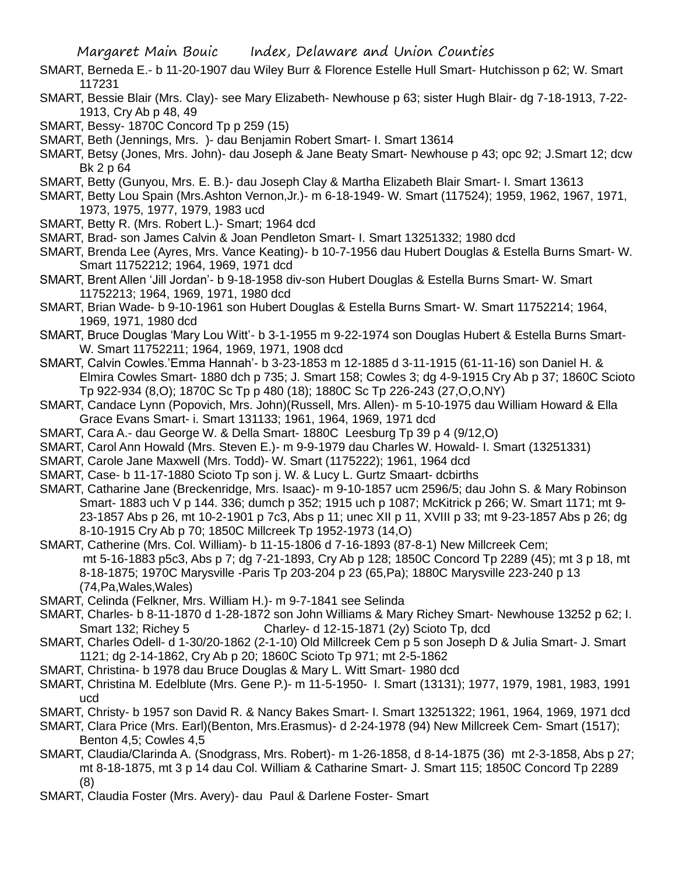- SMART, Berneda E.- b 11-20-1907 dau Wiley Burr & Florence Estelle Hull Smart- Hutchisson p 62; W. Smart 117231
- SMART, Bessie Blair (Mrs. Clay)- see Mary Elizabeth- Newhouse p 63; sister Hugh Blair- dg 7-18-1913, 7-22- 1913, Cry Ab p 48, 49
- SMART, Bessy- 1870C Concord Tp p 259 (15)
- SMART, Beth (Jennings, Mrs. )- dau Benjamin Robert Smart- I. Smart 13614
- SMART, Betsy (Jones, Mrs. John)- dau Joseph & Jane Beaty Smart- Newhouse p 43; opc 92; J.Smart 12; dcw Bk 2 p 64
- SMART, Betty (Gunyou, Mrs. E. B.)- dau Joseph Clay & Martha Elizabeth Blair Smart- I. Smart 13613
- SMART, Betty Lou Spain (Mrs.Ashton Vernon,Jr.)- m 6-18-1949- W. Smart (117524); 1959, 1962, 1967, 1971, 1973, 1975, 1977, 1979, 1983 ucd
- SMART, Betty R. (Mrs. Robert L.)- Smart; 1964 dcd
- SMART, Brad- son James Calvin & Joan Pendleton Smart- I. Smart 13251332; 1980 dcd
- SMART, Brenda Lee (Ayres, Mrs. Vance Keating)- b 10-7-1956 dau Hubert Douglas & Estella Burns Smart- W. Smart 11752212; 1964, 1969, 1971 dcd
- SMART, Brent Allen 'Jill Jordan'- b 9-18-1958 div-son Hubert Douglas & Estella Burns Smart- W. Smart 11752213; 1964, 1969, 1971, 1980 dcd
- SMART, Brian Wade- b 9-10-1961 son Hubert Douglas & Estella Burns Smart- W. Smart 11752214; 1964, 1969, 1971, 1980 dcd
- SMART, Bruce Douglas 'Mary Lou Witt'- b 3-1-1955 m 9-22-1974 son Douglas Hubert & Estella Burns Smart-W. Smart 11752211; 1964, 1969, 1971, 1908 dcd
- SMART, Calvin Cowles.'Emma Hannah'- b 3-23-1853 m 12-1885 d 3-11-1915 (61-11-16) son Daniel H. & Elmira Cowles Smart- 1880 dch p 735; J. Smart 158; Cowles 3; dg 4-9-1915 Cry Ab p 37; 1860C Scioto Tp 922-934 (8,O); 1870C Sc Tp p 480 (18); 1880C Sc Tp 226-243 (27,O,O,NY)
- SMART, Candace Lynn (Popovich, Mrs. John)(Russell, Mrs. Allen)- m 5-10-1975 dau William Howard & Ella Grace Evans Smart- i. Smart 131133; 1961, 1964, 1969, 1971 dcd
- SMART, Cara A.- dau George W. & Della Smart- 1880C Leesburg Tp 39 p 4 (9/12,O)
- SMART, Carol Ann Howald (Mrs. Steven E.)- m 9-9-1979 dau Charles W. Howald- I. Smart (13251331)
- SMART, Carole Jane Maxwell (Mrs. Todd)- W. Smart (1175222); 1961, 1964 dcd
- SMART, Case- b 11-17-1880 Scioto Tp son j. W. & Lucy L. Gurtz Smaart- dcbirths
- SMART, Catharine Jane (Breckenridge, Mrs. Isaac)- m 9-10-1857 ucm 2596/5; dau John S. & Mary Robinson Smart- 1883 uch V p 144. 336; dumch p 352; 1915 uch p 1087; McKitrick p 266; W. Smart 1171; mt 9- 23-1857 Abs p 26, mt 10-2-1901 p 7c3, Abs p 11; unec XII p 11, XVIII p 33; mt 9-23-1857 Abs p 26; dg 8-10-1915 Cry Ab p 70; 1850C Millcreek Tp 1952-1973 (14,O)
- SMART, Catherine (Mrs. Col. William)- b 11-15-1806 d 7-16-1893 (87-8-1) New Millcreek Cem; mt 5-16-1883 p5c3, Abs p 7; dg 7-21-1893, Cry Ab p 128; 1850C Concord Tp 2289 (45); mt 3 p 18, mt 8-18-1875; 1970C Marysville -Paris Tp 203-204 p 23 (65,Pa); 1880C Marysville 223-240 p 13 (74,Pa,Wales,Wales)
- SMART, Celinda (Felkner, Mrs. William H.)- m 9-7-1841 see Selinda
- SMART, Charles- b 8-11-1870 d 1-28-1872 son John Williams & Mary Richey Smart- Newhouse 13252 p 62; I. Smart 132; Richey 5 Charley- d 12-15-1871 (2y) Scioto Tp, dcd
- SMART, Charles Odell- d 1-30/20-1862 (2-1-10) Old Millcreek Cem p 5 son Joseph D & Julia Smart- J. Smart 1121; dg 2-14-1862, Cry Ab p 20; 1860C Scioto Tp 971; mt 2-5-1862
- SMART, Christina- b 1978 dau Bruce Douglas & Mary L. Witt Smart- 1980 dcd
- SMART, Christina M. Edelblute (Mrs. Gene P.)- m 11-5-1950- I. Smart (13131); 1977, 1979, 1981, 1983, 1991 ucd
- SMART, Christy- b 1957 son David R. & Nancy Bakes Smart- I. Smart 13251322; 1961, 1964, 1969, 1971 dcd
- SMART, Clara Price (Mrs. Earl)(Benton, Mrs.Erasmus)- d 2-24-1978 (94) New Millcreek Cem- Smart (1517); Benton 4,5; Cowles 4,5
- SMART, Claudia/Clarinda A. (Snodgrass, Mrs. Robert)- m 1-26-1858, d 8-14-1875 (36) mt 2-3-1858, Abs p 27; mt 8-18-1875, mt 3 p 14 dau Col. William & Catharine Smart- J. Smart 115; 1850C Concord Tp 2289 (8)
- SMART, Claudia Foster (Mrs. Avery)- dau Paul & Darlene Foster- Smart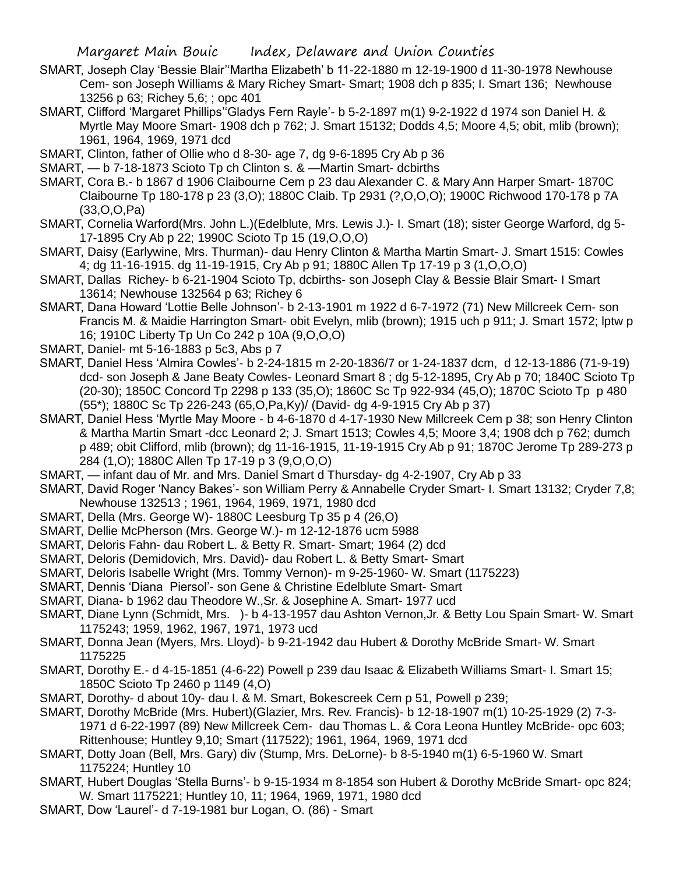- SMART, Joseph Clay 'Bessie Blair''Martha Elizabeth' b 11-22-1880 m 12-19-1900 d 11-30-1978 Newhouse Cem- son Joseph Williams & Mary Richey Smart- Smart; 1908 dch p 835; I. Smart 136; Newhouse 13256 p 63; Richey 5,6; ; opc 401
- SMART, Clifford 'Margaret Phillips''Gladys Fern Rayle'- b 5-2-1897 m(1) 9-2-1922 d 1974 son Daniel H. & Myrtle May Moore Smart- 1908 dch p 762; J. Smart 15132; Dodds 4,5; Moore 4,5; obit, mlib (brown); 1961, 1964, 1969, 1971 dcd
- SMART, Clinton, father of Ollie who d 8-30- age 7, dg 9-6-1895 Cry Ab p 36
- SMART, b 7-18-1873 Scioto Tp ch Clinton s. & —Martin Smart- dcbirths
- SMART, Cora B.- b 1867 d 1906 Claibourne Cem p 23 dau Alexander C. & Mary Ann Harper Smart- 1870C Claibourne Tp 180-178 p 23 (3,O); 1880C Claib. Tp 2931 (?,O,O,O); 1900C Richwood 170-178 p 7A (33,O,O,Pa)
- SMART, Cornelia Warford(Mrs. John L.)(Edelblute, Mrs. Lewis J.)- I. Smart (18); sister George Warford, dg 5- 17-1895 Cry Ab p 22; 1990C Scioto Tp 15 (19,O,O,O)
- SMART, Daisy (Earlywine, Mrs. Thurman)- dau Henry Clinton & Martha Martin Smart- J. Smart 1515: Cowles 4; dg 11-16-1915. dg 11-19-1915, Cry Ab p 91; 1880C Allen Tp 17-19 p 3 (1,O,O,O)
- SMART, Dallas Richey- b 6-21-1904 Scioto Tp, dcbirths- son Joseph Clay & Bessie Blair Smart- I Smart 13614; Newhouse 132564 p 63; Richey 6
- SMART, Dana Howard 'Lottie Belle Johnson'- b 2-13-1901 m 1922 d 6-7-1972 (71) New Millcreek Cem- son Francis M. & Maidie Harrington Smart- obit Evelyn, mlib (brown); 1915 uch p 911; J. Smart 1572; lptw p 16; 1910C Liberty Tp Un Co 242 p 10A (9,O,O,O)
- SMART, Daniel- mt 5-16-1883 p 5c3, Abs p 7
- SMART, Daniel Hess 'Almira Cowles'- b 2-24-1815 m 2-20-1836/7 or 1-24-1837 dcm, d 12-13-1886 (71-9-19) dcd- son Joseph & Jane Beaty Cowles- Leonard Smart 8 ; dg 5-12-1895, Cry Ab p 70; 1840C Scioto Tp (20-30); 1850C Concord Tp 2298 p 133 (35,O); 1860C Sc Tp 922-934 (45,O); 1870C Scioto Tp p 480 (55\*); 1880C Sc Tp 226-243 (65,O,Pa,Ky)/ (David- dg 4-9-1915 Cry Ab p 37)
- SMART, Daniel Hess 'Myrtle May Moore b 4-6-1870 d 4-17-1930 New Millcreek Cem p 38; son Henry Clinton & Martha Martin Smart -dcc Leonard 2; J. Smart 1513; Cowles 4,5; Moore 3,4; 1908 dch p 762; dumch p 489; obit Clifford, mlib (brown); dg 11-16-1915, 11-19-1915 Cry Ab p 91; 1870C Jerome Tp 289-273 p 284 (1,O); 1880C Allen Tp 17-19 p 3 (9,O,O,O)
- SMART, infant dau of Mr. and Mrs. Daniel Smart d Thursday- dg 4-2-1907, Cry Ab p 33
- SMART, David Roger 'Nancy Bakes'- son William Perry & Annabelle Cryder Smart- I. Smart 13132; Cryder 7,8; Newhouse 132513 ; 1961, 1964, 1969, 1971, 1980 dcd
- SMART, Della (Mrs. George W)- 1880C Leesburg Tp 35 p 4 (26,O)
- SMART, Dellie McPherson (Mrs. George W.)- m 12-12-1876 ucm 5988
- SMART, Deloris Fahn- dau Robert L. & Betty R. Smart- Smart; 1964 (2) dcd
- SMART, Deloris (Demidovich, Mrs. David)- dau Robert L. & Betty Smart- Smart
- SMART, Deloris Isabelle Wright (Mrs. Tommy Vernon)- m 9-25-1960- W. Smart (1175223)
- SMART, Dennis 'Diana Piersol'- son Gene & Christine Edelblute Smart- Smart
- SMART, Diana- b 1962 dau Theodore W.,Sr. & Josephine A. Smart- 1977 ucd
- SMART, Diane Lynn (Schmidt, Mrs. )- b 4-13-1957 dau Ashton Vernon, Jr. & Betty Lou Spain Smart- W. Smart 1175243; 1959, 1962, 1967, 1971, 1973 ucd
- SMART, Donna Jean (Myers, Mrs. Lloyd)- b 9-21-1942 dau Hubert & Dorothy McBride Smart- W. Smart 1175225
- SMART, Dorothy E.- d 4-15-1851 (4-6-22) Powell p 239 dau Isaac & Elizabeth Williams Smart- I. Smart 15; 1850C Scioto Tp 2460 p 1149 (4,O)
- SMART, Dorothy- d about 10y- dau I. & M. Smart, Bokescreek Cem p 51, Powell p 239;
- SMART, Dorothy McBride (Mrs. Hubert)(Glazier, Mrs. Rev. Francis)- b 12-18-1907 m(1) 10-25-1929 (2) 7-3- 1971 d 6-22-1997 (89) New Millcreek Cem- dau Thomas L. & Cora Leona Huntley McBride- opc 603; Rittenhouse; Huntley 9,10; Smart (117522); 1961, 1964, 1969, 1971 dcd
- SMART, Dotty Joan (Bell, Mrs. Gary) div (Stump, Mrs. DeLorne)- b 8-5-1940 m(1) 6-5-1960 W. Smart 1175224; Huntley 10
- SMART, Hubert Douglas 'Stella Burns'- b 9-15-1934 m 8-1854 son Hubert & Dorothy McBride Smart- opc 824; W. Smart 1175221; Huntley 10, 11; 1964, 1969, 1971, 1980 dcd
- SMART, Dow 'Laurel'- d 7-19-1981 bur Logan, O. (86) Smart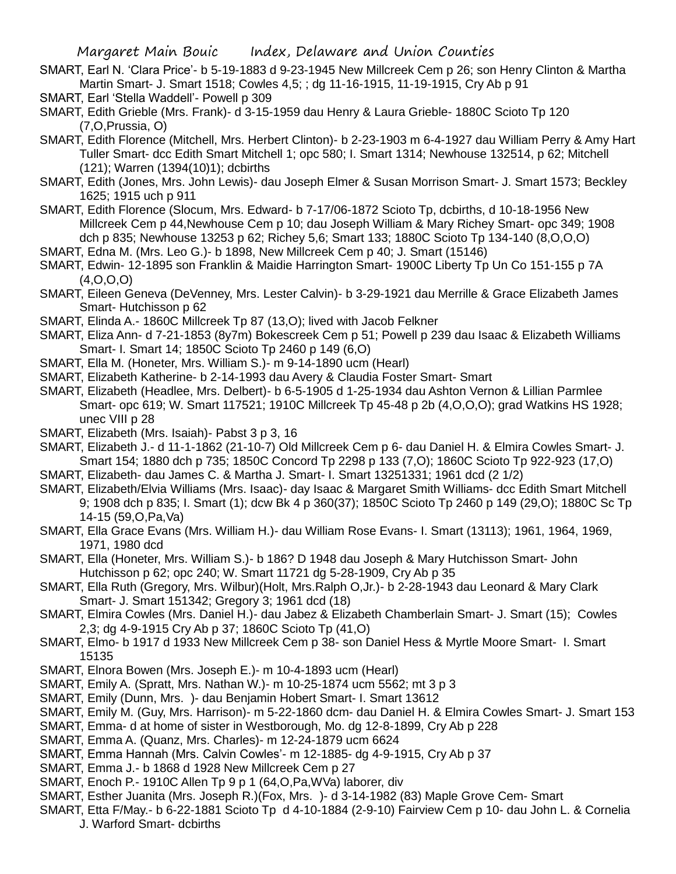SMART, Earl N. 'Clara Price'- b 5-19-1883 d 9-23-1945 New Millcreek Cem p 26; son Henry Clinton & Martha Martin Smart- J. Smart 1518; Cowles 4,5; ; dg 11-16-1915, 11-19-1915, Cry Ab p 91

- SMART, Earl 'Stella Waddell'- Powell p 309
- SMART, Edith Grieble (Mrs. Frank)- d 3-15-1959 dau Henry & Laura Grieble- 1880C Scioto Tp 120 (7,O,Prussia, O)
- SMART, Edith Florence (Mitchell, Mrs. Herbert Clinton)- b 2-23-1903 m 6-4-1927 dau William Perry & Amy Hart Tuller Smart- dcc Edith Smart Mitchell 1; opc 580; I. Smart 1314; Newhouse 132514, p 62; Mitchell (121); Warren (1394(10)1); dcbirths
- SMART, Edith (Jones, Mrs. John Lewis)- dau Joseph Elmer & Susan Morrison Smart- J. Smart 1573; Beckley 1625; 1915 uch p 911
- SMART, Edith Florence (Slocum, Mrs. Edward- b 7-17/06-1872 Scioto Tp, dcbirths, d 10-18-1956 New Millcreek Cem p 44,Newhouse Cem p 10; dau Joseph William & Mary Richey Smart- opc 349; 1908 dch p 835; Newhouse 13253 p 62; Richey 5,6; Smart 133; 1880C Scioto Tp 134-140 (8,O,O,O)
- SMART, Edna M. (Mrs. Leo G.)- b 1898, New Millcreek Cem p 40; J. Smart (15146)
- SMART, Edwin- 12-1895 son Franklin & Maidie Harrington Smart- 1900C Liberty Tp Un Co 151-155 p 7A (4,O,O,O)
- SMART, Eileen Geneva (DeVenney, Mrs. Lester Calvin)- b 3-29-1921 dau Merrille & Grace Elizabeth James Smart- Hutchisson p 62
- SMART, Elinda A.- 1860C Millcreek Tp 87 (13,O); lived with Jacob Felkner
- SMART, Eliza Ann- d 7-21-1853 (8y7m) Bokescreek Cem p 51; Powell p 239 dau Isaac & Elizabeth Williams Smart- I. Smart 14; 1850C Scioto Tp 2460 p 149 (6,O)
- SMART, Ella M. (Honeter, Mrs. William S.)- m 9-14-1890 ucm (Hearl)
- SMART, Elizabeth Katherine- b 2-14-1993 dau Avery & Claudia Foster Smart- Smart
- SMART, Elizabeth (Headlee, Mrs. Delbert)- b 6-5-1905 d 1-25-1934 dau Ashton Vernon & Lillian Parmlee Smart- opc 619; W. Smart 117521; 1910C Millcreek Tp 45-48 p 2b (4,O,O,O); grad Watkins HS 1928; unec VIII p 28
- SMART, Elizabeth (Mrs. Isaiah)- Pabst 3 p 3, 16
- SMART, Elizabeth J.- d 11-1-1862 (21-10-7) Old Millcreek Cem p 6- dau Daniel H. & Elmira Cowles Smart- J. Smart 154; 1880 dch p 735; 1850C Concord Tp 2298 p 133 (7,O); 1860C Scioto Tp 922-923 (17,O)
- SMART, Elizabeth- dau James C. & Martha J. Smart- I. Smart 13251331; 1961 dcd (2 1/2)
- SMART, Elizabeth/Elvia Williams (Mrs. Isaac)- day Isaac & Margaret Smith Williams- dcc Edith Smart Mitchell 9; 1908 dch p 835; I. Smart (1); dcw Bk 4 p 360(37); 1850C Scioto Tp 2460 p 149 (29,O); 1880C Sc Tp 14-15 (59,O,Pa,Va)
- SMART, Ella Grace Evans (Mrs. William H.)- dau William Rose Evans- I. Smart (13113); 1961, 1964, 1969, 1971, 1980 dcd
- SMART, Ella (Honeter, Mrs. William S.)- b 186? D 1948 dau Joseph & Mary Hutchisson Smart- John Hutchisson p 62; opc 240; W. Smart 11721 dg 5-28-1909, Cry Ab p 35
- SMART, Ella Ruth (Gregory, Mrs. Wilbur)(Holt, Mrs.Ralph O,Jr.)- b 2-28-1943 dau Leonard & Mary Clark Smart- J. Smart 151342; Gregory 3; 1961 dcd (18)
- SMART, Elmira Cowles (Mrs. Daniel H.)- dau Jabez & Elizabeth Chamberlain Smart- J. Smart (15); Cowles 2,3; dg 4-9-1915 Cry Ab p 37; 1860C Scioto Tp (41,O)
- SMART, Elmo- b 1917 d 1933 New Millcreek Cem p 38- son Daniel Hess & Myrtle Moore Smart- I. Smart 15135
- SMART, Elnora Bowen (Mrs. Joseph E.)- m 10-4-1893 ucm (Hearl)
- SMART, Emily A. (Spratt, Mrs. Nathan W.)- m 10-25-1874 ucm 5562; mt 3 p 3
- SMART, Emily (Dunn, Mrs. )- dau Benjamin Hobert Smart- I. Smart 13612
- SMART, Emily M. (Guy, Mrs. Harrison)- m 5-22-1860 dcm- dau Daniel H. & Elmira Cowles Smart- J. Smart 153
- SMART, Emma- d at home of sister in Westborough, Mo. dg 12-8-1899, Cry Ab p 228
- SMART, Emma A. (Quanz, Mrs. Charles)- m 12-24-1879 ucm 6624
- SMART, Emma Hannah (Mrs. Calvin Cowles'- m 12-1885- dg 4-9-1915, Cry Ab p 37
- SMART, Emma J.- b 1868 d 1928 New Millcreek Cem p 27
- SMART, Enoch P.- 1910C Allen Tp 9 p 1 (64,O,Pa,WVa) laborer, div
- SMART, Esther Juanita (Mrs. Joseph R.)(Fox, Mrs. )- d 3-14-1982 (83) Maple Grove Cem- Smart
- SMART, Etta F/May.- b 6-22-1881 Scioto Tp d 4-10-1884 (2-9-10) Fairview Cem p 10- dau John L. & Cornelia
	- J. Warford Smart- dcbirths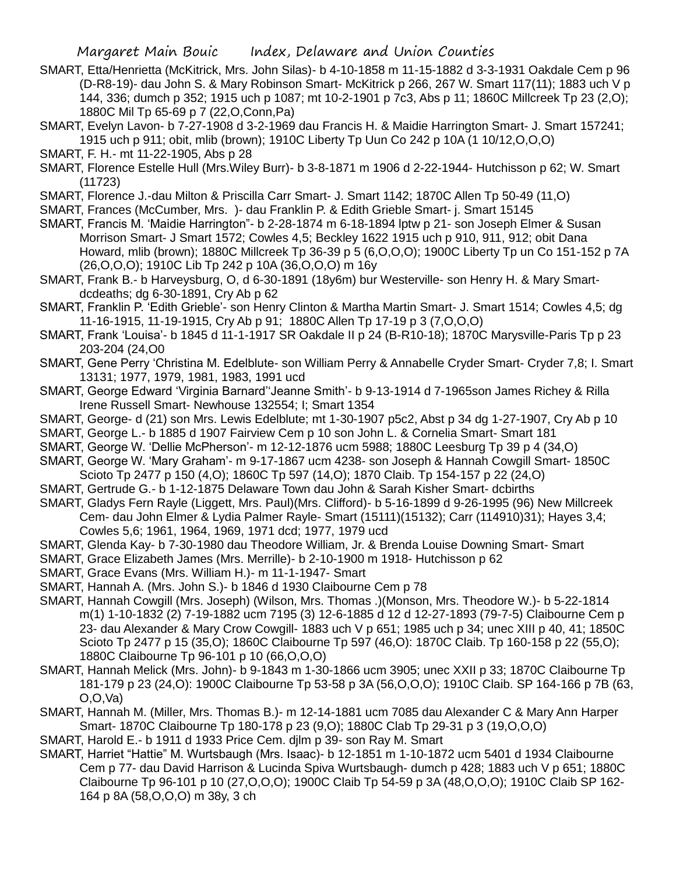- SMART, Etta/Henrietta (McKitrick, Mrs. John Silas)- b 4-10-1858 m 11-15-1882 d 3-3-1931 Oakdale Cem p 96 (D-R8-19)- dau John S. & Mary Robinson Smart- McKitrick p 266, 267 W. Smart 117(11); 1883 uch V p 144, 336; dumch p 352; 1915 uch p 1087; mt 10-2-1901 p 7c3, Abs p 11; 1860C Millcreek Tp 23 (2,O); 1880C Mil Tp 65-69 p 7 (22,O,Conn,Pa)
- SMART, Evelyn Lavon- b 7-27-1908 d 3-2-1969 dau Francis H. & Maidie Harrington Smart- J. Smart 157241; 1915 uch p 911; obit, mlib (brown); 1910C Liberty Tp Uun Co 242 p 10A (1 10/12,O,O,O)
- SMART, F. H.- mt 11-22-1905, Abs p 28
- SMART, Florence Estelle Hull (Mrs.Wiley Burr)- b 3-8-1871 m 1906 d 2-22-1944- Hutchisson p 62; W. Smart (11723)
- SMART, Florence J.-dau Milton & Priscilla Carr Smart- J. Smart 1142; 1870C Allen Tp 50-49 (11,O)
- SMART, Frances (McCumber, Mrs. )- dau Franklin P. & Edith Grieble Smart- j. Smart 15145
- SMART, Francis M. 'Maidie Harrington"- b 2-28-1874 m 6-18-1894 lptw p 21- son Joseph Elmer & Susan Morrison Smart- J Smart 1572; Cowles 4,5; Beckley 1622 1915 uch p 910, 911, 912; obit Dana Howard, mlib (brown); 1880C Millcreek Tp 36-39 p 5 (6,O,O,O); 1900C Liberty Tp un Co 151-152 p 7A (26,O,O,O); 1910C Lib Tp 242 p 10A (36,O,O,O) m 16y
- SMART, Frank B.- b Harveysburg, O, d 6-30-1891 (18y6m) bur Westerville- son Henry H. & Mary Smartdcdeaths; dg 6-30-1891, Cry Ab p 62
- SMART, Franklin P. 'Edith Grieble'- son Henry Clinton & Martha Martin Smart- J. Smart 1514; Cowles 4,5; dg 11-16-1915, 11-19-1915, Cry Ab p 91; 1880C Allen Tp 17-19 p 3 (7,O,O,O)
- SMART, Frank 'Louisa'- b 1845 d 11-1-1917 SR Oakdale II p 24 (B-R10-18); 1870C Marysville-Paris Tp p 23 203-204 (24,O0
- SMART, Gene Perry 'Christina M. Edelblute- son William Perry & Annabelle Cryder Smart- Cryder 7,8; I. Smart 13131; 1977, 1979, 1981, 1983, 1991 ucd
- SMART, George Edward 'Virginia Barnard''Jeanne Smith'- b 9-13-1914 d 7-1965son James Richey & Rilla Irene Russell Smart- Newhouse 132554; I; Smart 1354
- SMART, George- d (21) son Mrs. Lewis Edelblute; mt 1-30-1907 p5c2, Abst p 34 dg 1-27-1907, Cry Ab p 10
- SMART, George L.- b 1885 d 1907 Fairview Cem p 10 son John L. & Cornelia Smart- Smart 181
- SMART, George W. 'Dellie McPherson'- m 12-12-1876 ucm 5988; 1880C Leesburg Tp 39 p 4 (34,O)
- SMART, George W. 'Mary Graham'- m 9-17-1867 ucm 4238- son Joseph & Hannah Cowgill Smart- 1850C Scioto Tp 2477 p 150 (4,O); 1860C Tp 597 (14,O); 1870 Claib. Tp 154-157 p 22 (24,O)
- SMART, Gertrude G.- b 1-12-1875 Delaware Town dau John & Sarah Kisher Smart- dcbirths
- SMART, Gladys Fern Rayle (Liggett, Mrs. Paul)(Mrs. Clifford)- b 5-16-1899 d 9-26-1995 (96) New Millcreek Cem- dau John Elmer & Lydia Palmer Rayle- Smart (15111)(15132); Carr (114910)31); Hayes 3,4; Cowles 5,6; 1961, 1964, 1969, 1971 dcd; 1977, 1979 ucd
- SMART, Glenda Kay- b 7-30-1980 dau Theodore William, Jr. & Brenda Louise Downing Smart- Smart
- SMART, Grace Elizabeth James (Mrs. Merrille)- b 2-10-1900 m 1918- Hutchisson p 62
- SMART, Grace Evans (Mrs. William H.)- m 11-1-1947- Smart
- SMART, Hannah A. (Mrs. John S.)- b 1846 d 1930 Claibourne Cem p 78
- SMART, Hannah Cowgill (Mrs. Joseph) (Wilson, Mrs. Thomas .)(Monson, Mrs. Theodore W.)- b 5-22-1814 m(1) 1-10-1832 (2) 7-19-1882 ucm 7195 (3) 12-6-1885 d 12 d 12-27-1893 (79-7-5) Claibourne Cem p 23- dau Alexander & Mary Crow Cowgill- 1883 uch V p 651; 1985 uch p 34; unec XIII p 40, 41; 1850C Scioto Tp 2477 p 15 (35,O); 1860C Claibourne Tp 597 (46,O): 1870C Claib. Tp 160-158 p 22 (55,O); 1880C Claibourne Tp 96-101 p 10 (66,O,O,O)
- SMART, Hannah Melick (Mrs. John)- b 9-1843 m 1-30-1866 ucm 3905; unec XXII p 33; 1870C Claibourne Tp 181-179 p 23 (24,O): 1900C Claibourne Tp 53-58 p 3A (56,O,O,O); 1910C Claib. SP 164-166 p 7B (63, O,O,Va)
- SMART, Hannah M. (Miller, Mrs. Thomas B.)- m 12-14-1881 ucm 7085 dau Alexander C & Mary Ann Harper Smart- 1870C Claibourne Tp 180-178 p 23 (9,O); 1880C Clab Tp 29-31 p 3 (19,O,O,O)
- SMART, Harold E.- b 1911 d 1933 Price Cem. djlm p 39- son Ray M. Smart
- SMART, Harriet "Hattie" M. Wurtsbaugh (Mrs. Isaac)- b 12-1851 m 1-10-1872 ucm 5401 d 1934 Claibourne Cem p 77- dau David Harrison & Lucinda Spiva Wurtsbaugh- dumch p 428; 1883 uch V p 651; 1880C Claibourne Tp 96-101 p 10 (27,O,O,O); 1900C Claib Tp 54-59 p 3A (48,O,O,O); 1910C Claib SP 162- 164 p 8A (58,O,O,O) m 38y, 3 ch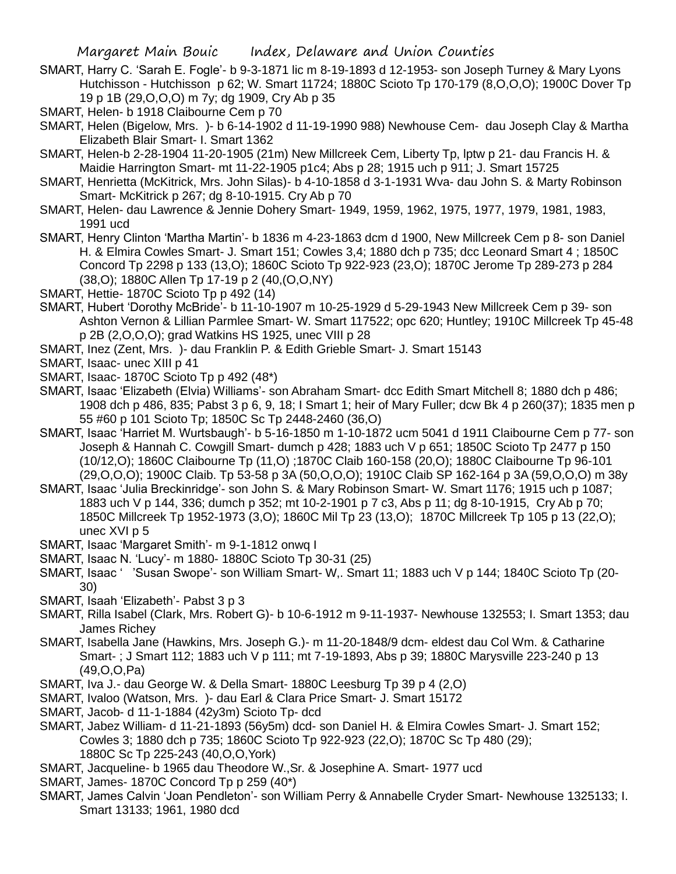SMART, Harry C. 'Sarah E. Fogle'- b 9-3-1871 lic m 8-19-1893 d 12-1953- son Joseph Turney & Mary Lyons Hutchisson - Hutchisson p 62; W. Smart 11724; 1880C Scioto Tp 170-179 (8,O,O,O); 1900C Dover Tp 19 p 1B (29,O,O,O) m 7y; dg 1909, Cry Ab p 35

- SMART, Helen- b 1918 Claibourne Cem p 70
- SMART, Helen (Bigelow, Mrs. )- b 6-14-1902 d 11-19-1990 988) Newhouse Cem- dau Joseph Clay & Martha Elizabeth Blair Smart- I. Smart 1362
- SMART, Helen-b 2-28-1904 11-20-1905 (21m) New Millcreek Cem, Liberty Tp, lptw p 21- dau Francis H. & Maidie Harrington Smart- mt 11-22-1905 p1c4; Abs p 28; 1915 uch p 911; J. Smart 15725
- SMART, Henrietta (McKitrick, Mrs. John Silas)- b 4-10-1858 d 3-1-1931 Wva- dau John S. & Marty Robinson Smart- McKitrick p 267; dg 8-10-1915. Cry Ab p 70
- SMART, Helen- dau Lawrence & Jennie Dohery Smart- 1949, 1959, 1962, 1975, 1977, 1979, 1981, 1983, 1991 ucd
- SMART, Henry Clinton 'Martha Martin'- b 1836 m 4-23-1863 dcm d 1900, New Millcreek Cem p 8- son Daniel H. & Elmira Cowles Smart- J. Smart 151; Cowles 3,4; 1880 dch p 735; dcc Leonard Smart 4 ; 1850C Concord Tp 2298 p 133 (13,O); 1860C Scioto Tp 922-923 (23,O); 1870C Jerome Tp 289-273 p 284 (38,O); 1880C Allen Tp 17-19 p 2 (40,(O,O,NY)
- SMART, Hettie- 1870C Scioto Tp p 492 (14)
- SMART, Hubert 'Dorothy McBride'- b 11-10-1907 m 10-25-1929 d 5-29-1943 New Millcreek Cem p 39- son Ashton Vernon & Lillian Parmlee Smart- W. Smart 117522; opc 620; Huntley; 1910C Millcreek Tp 45-48 p 2B (2,O,O,O); grad Watkins HS 1925, unec VIII p 28
- SMART, Inez (Zent, Mrs. )- dau Franklin P. & Edith Grieble Smart- J. Smart 15143
- SMART, Isaac- unec XIII p 41
- SMART, Isaac- 1870C Scioto Tp p 492 (48\*)
- SMART, Isaac 'Elizabeth (Elvia) Williams'- son Abraham Smart- dcc Edith Smart Mitchell 8; 1880 dch p 486; 1908 dch p 486, 835; Pabst 3 p 6, 9, 18; I Smart 1; heir of Mary Fuller; dcw Bk 4 p 260(37); 1835 men p 55 #60 p 101 Scioto Tp; 1850C Sc Tp 2448-2460 (36,O)
- SMART, Isaac 'Harriet M. Wurtsbaugh'- b 5-16-1850 m 1-10-1872 ucm 5041 d 1911 Claibourne Cem p 77- son Joseph & Hannah C. Cowgill Smart- dumch p 428; 1883 uch V p 651; 1850C Scioto Tp 2477 p 150 (10/12,O); 1860C Claibourne Tp (11,O) ;1870C Claib 160-158 (20,O); 1880C Claibourne Tp 96-101 (29,O,O,O); 1900C Claib. Tp 53-58 p 3A (50,O,O,O); 1910C Claib SP 162-164 p 3A (59,O,O,O) m 38y
- SMART, Isaac 'Julia Breckinridge'- son John S. & Mary Robinson Smart- W. Smart 1176; 1915 uch p 1087; 1883 uch V p 144, 336; dumch p 352; mt 10-2-1901 p 7 c3, Abs p 11; dg 8-10-1915, Cry Ab p 70; 1850C Millcreek Tp 1952-1973 (3,O); 1860C Mil Tp 23 (13,O); 1870C Millcreek Tp 105 p 13 (22,O); unec XVI p 5
- SMART, Isaac 'Margaret Smith'- m 9-1-1812 onwq I
- SMART, Isaac N. 'Lucy'- m 1880- 1880C Scioto Tp 30-31 (25)
- SMART, Isaac ' 'Susan Swope'- son William Smart- W,. Smart 11; 1883 uch V p 144; 1840C Scioto Tp (20- 30)
- SMART, Isaah 'Elizabeth'- Pabst 3 p 3
- SMART, Rilla Isabel (Clark, Mrs. Robert G)- b 10-6-1912 m 9-11-1937- Newhouse 132553; I. Smart 1353; dau James Richey
- SMART, Isabella Jane (Hawkins, Mrs. Joseph G.)- m 11-20-1848/9 dcm- eldest dau Col Wm. & Catharine Smart- ; J Smart 112; 1883 uch V p 111; mt 7-19-1893, Abs p 39; 1880C Marysville 223-240 p 13 (49,O,O,Pa)
- SMART, Iva J.- dau George W. & Della Smart- 1880C Leesburg Tp 39 p 4 (2,O)
- SMART, Ivaloo (Watson, Mrs. )- dau Earl & Clara Price Smart- J. Smart 15172
- SMART, Jacob- d 11-1-1884 (42y3m) Scioto Tp- dcd
- SMART, Jabez William- d 11-21-1893 (56y5m) dcd- son Daniel H. & Elmira Cowles Smart- J. Smart 152; Cowles 3; 1880 dch p 735; 1860C Scioto Tp 922-923 (22,O); 1870C Sc Tp 480 (29); 1880C Sc Tp 225-243 (40,O,O,York)
- SMART, Jacqueline- b 1965 dau Theodore W.,Sr. & Josephine A. Smart- 1977 ucd
- SMART, James- 1870C Concord Tp p 259 (40\*)
- SMART, James Calvin 'Joan Pendleton'- son William Perry & Annabelle Cryder Smart- Newhouse 1325133; I. Smart 13133; 1961, 1980 dcd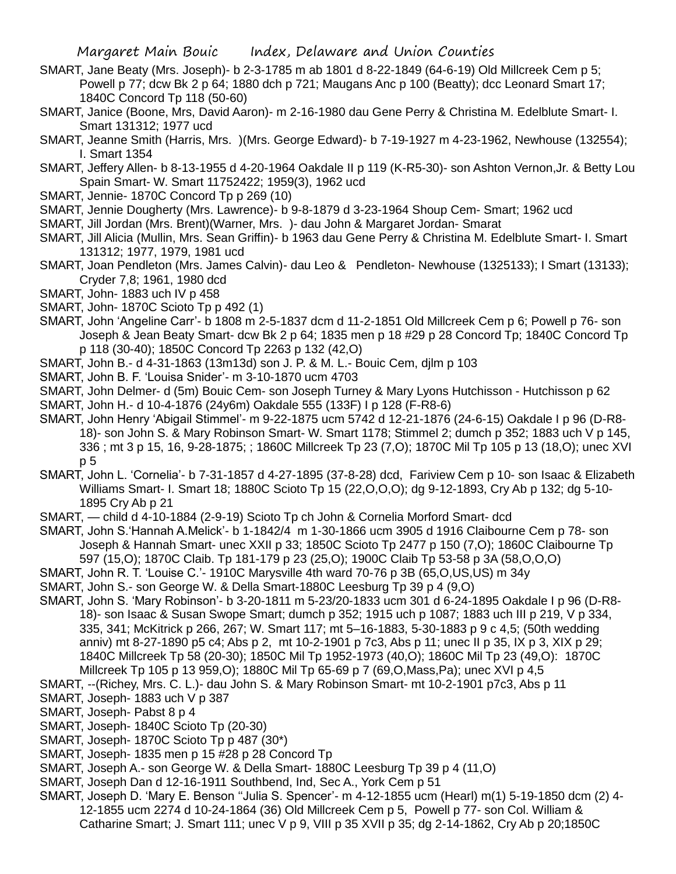- SMART, Jane Beaty (Mrs. Joseph)- b 2-3-1785 m ab 1801 d 8-22-1849 (64-6-19) Old Millcreek Cem p 5; Powell p 77; dcw Bk 2 p 64; 1880 dch p 721; Maugans Anc p 100 (Beatty); dcc Leonard Smart 17; 1840C Concord Tp 118 (50-60)
- SMART, Janice (Boone, Mrs, David Aaron)- m 2-16-1980 dau Gene Perry & Christina M. Edelblute Smart- I. Smart 131312; 1977 ucd
- SMART, Jeanne Smith (Harris, Mrs. )(Mrs. George Edward)- b 7-19-1927 m 4-23-1962, Newhouse (132554); I. Smart 1354
- SMART, Jeffery Allen- b 8-13-1955 d 4-20-1964 Oakdale II p 119 (K-R5-30)- son Ashton Vernon,Jr. & Betty Lou Spain Smart- W. Smart 11752422; 1959(3), 1962 ucd
- SMART, Jennie- 1870C Concord Tp p 269 (10)
- SMART, Jennie Dougherty (Mrs. Lawrence)- b 9-8-1879 d 3-23-1964 Shoup Cem- Smart; 1962 ucd
- SMART, Jill Jordan (Mrs. Brent)(Warner, Mrs. )- dau John & Margaret Jordan- Smarat
- SMART, Jill Alicia (Mullin, Mrs. Sean Griffin)- b 1963 dau Gene Perry & Christina M. Edelblute Smart- I. Smart 131312; 1977, 1979, 1981 ucd
- SMART, Joan Pendleton (Mrs. James Calvin)- dau Leo & Pendleton- Newhouse (1325133); I Smart (13133); Cryder 7,8; 1961, 1980 dcd
- SMART, John- 1883 uch IV p 458
- SMART, John- 1870C Scioto Tp p 492 (1)
- SMART, John 'Angeline Carr'- b 1808 m 2-5-1837 dcm d 11-2-1851 Old Millcreek Cem p 6; Powell p 76- son Joseph & Jean Beaty Smart- dcw Bk 2 p 64; 1835 men p 18 #29 p 28 Concord Tp; 1840C Concord Tp p 118 (30-40); 1850C Concord Tp 2263 p 132 (42,O)
- SMART, John B.- d 4-31-1863 (13m13d) son J. P. & M. L.- Bouic Cem, djlm p 103
- SMART, John B. F. 'Louisa Snider'- m 3-10-1870 ucm 4703
- SMART, John Delmer- d (5m) Bouic Cem- son Joseph Turney & Mary Lyons Hutchisson Hutchisson p 62
- SMART, John H.- d 10-4-1876 (24y6m) Oakdale 555 (133F) I p 128 (F-R8-6)
- SMART, John Henry 'Abigail Stimmel'- m 9-22-1875 ucm 5742 d 12-21-1876 (24-6-15) Oakdale I p 96 (D-R8- 18)- son John S. & Mary Robinson Smart- W. Smart 1178; Stimmel 2; dumch p 352; 1883 uch V p 145, 336 ; mt 3 p 15, 16, 9-28-1875; ; 1860C Millcreek Tp 23 (7,O); 1870C Mil Tp 105 p 13 (18,O); unec XVI p 5
- SMART, John L. 'Cornelia'- b 7-31-1857 d 4-27-1895 (37-8-28) dcd, Fariview Cem p 10- son Isaac & Elizabeth Williams Smart- I. Smart 18; 1880C Scioto Tp 15 (22,O,O,O); dg 9-12-1893, Cry Ab p 132; dg 5-10- 1895 Cry Ab p 21
- SMART, child d 4-10-1884 (2-9-19) Scioto Tp ch John & Cornelia Morford Smart- dcd
- SMART, John S.'Hannah A.Melick'- b 1-1842/4 m 1-30-1866 ucm 3905 d 1916 Claibourne Cem p 78- son Joseph & Hannah Smart- unec XXII p 33; 1850C Scioto Tp 2477 p 150 (7,O); 1860C Claibourne Tp 597 (15,O); 1870C Claib. Tp 181-179 p 23 (25,O); 1900C Claib Tp 53-58 p 3A (58,O,O,O)
- SMART, John R. T. 'Louise C.'- 1910C Marysville 4th ward 70-76 p 3B (65,O,US,US) m 34y
- SMART, John S.- son George W. & Della Smart-1880C Leesburg Tp 39 p 4 (9,O)
- SMART, John S. 'Mary Robinson'- b 3-20-1811 m 5-23/20-1833 ucm 301 d 6-24-1895 Oakdale I p 96 (D-R8- 18)- son Isaac & Susan Swope Smart; dumch p 352; 1915 uch p 1087; 1883 uch III p 219, V p 334, 335, 341; McKitrick p 266, 267; W. Smart 117; mt 5–16-1883, 5-30-1883 p 9 c 4,5; (50th wedding anniv) mt 8-27-1890 p5 c4; Abs p 2, mt 10-2-1901 p 7c3, Abs p 11; unec II p 35, IX p 3, XIX p 29; 1840C Millcreek Tp 58 (20-30); 1850C Mil Tp 1952-1973 (40,O); 1860C Mil Tp 23 (49,O): 1870C Millcreek Tp 105 p 13 959,O); 1880C Mil Tp 65-69 p 7 (69,O,Mass,Pa); unec XVI p 4,5
- SMART, --(Richey, Mrs. C. L.)- dau John S. & Mary Robinson Smart- mt 10-2-1901 p7c3, Abs p 11
- SMART, Joseph- 1883 uch V p 387
- SMART, Joseph- Pabst 8 p 4
- SMART, Joseph- 1840C Scioto Tp (20-30)
- SMART, Joseph- 1870C Scioto Tp p 487 (30\*)
- SMART, Joseph- 1835 men p 15 #28 p 28 Concord Tp
- SMART, Joseph A.- son George W. & Della Smart- 1880C Leesburg Tp 39 p 4 (11,O)
- SMART, Joseph Dan d 12-16-1911 Southbend, Ind, Sec A., York Cem p 51
- SMART, Joseph D. 'Mary E. Benson ''Julia S. Spencer'- m 4-12-1855 ucm (Hearl) m(1) 5-19-1850 dcm (2) 4- 12-1855 ucm 2274 d 10-24-1864 (36) Old Millcreek Cem p 5, Powell p 77- son Col. William & Catharine Smart; J. Smart 111; unec V p 9, VIII p 35 XVII p 35; dg 2-14-1862, Cry Ab p 20;1850C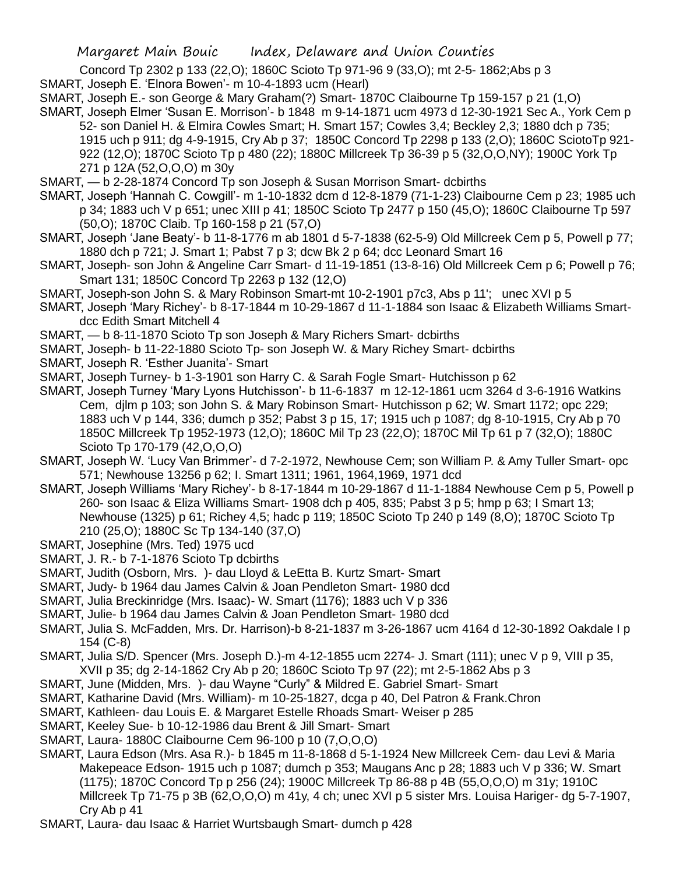Concord Tp 2302 p 133 (22,O); 1860C Scioto Tp 971-96 9 (33,O); mt 2-5- 1862;Abs p 3

- SMART, Joseph E. 'Elnora Bowen'- m 10-4-1893 ucm (Hearl)
- SMART, Joseph E.- son George & Mary Graham(?) Smart- 1870C Claibourne Tp 159-157 p 21 (1,O)
- SMART, Joseph Elmer 'Susan E. Morrison'- b 1848 m 9-14-1871 ucm 4973 d 12-30-1921 Sec A., York Cem p 52- son Daniel H. & Elmira Cowles Smart; H. Smart 157; Cowles 3,4; Beckley 2,3; 1880 dch p 735; 1915 uch p 911; dg 4-9-1915, Cry Ab p 37; 1850C Concord Tp 2298 p 133 (2,O); 1860C SciotoTp 921- 922 (12,O); 1870C Scioto Tp p 480 (22); 1880C Millcreek Tp 36-39 p 5 (32,O,O,NY); 1900C York Tp 271 p 12A (52,O,O,O) m 30y
- SMART, b 2-28-1874 Concord Tp son Joseph & Susan Morrison Smart- dcbirths
- SMART, Joseph 'Hannah C. Cowgill'- m 1-10-1832 dcm d 12-8-1879 (71-1-23) Claibourne Cem p 23; 1985 uch p 34; 1883 uch V p 651; unec XIII p 41; 1850C Scioto Tp 2477 p 150 (45,O); 1860C Claibourne Tp 597 (50,O); 1870C Claib. Tp 160-158 p 21 (57,O)
- SMART, Joseph 'Jane Beaty'- b 11-8-1776 m ab 1801 d 5-7-1838 (62-5-9) Old Millcreek Cem p 5, Powell p 77; 1880 dch p 721; J. Smart 1; Pabst 7 p 3; dcw Bk 2 p 64; dcc Leonard Smart 16
- SMART, Joseph- son John & Angeline Carr Smart- d 11-19-1851 (13-8-16) Old Millcreek Cem p 6; Powell p 76; Smart 131; 1850C Concord Tp 2263 p 132 (12,O)
- SMART, Joseph-son John S. & Mary Robinson Smart-mt 10-2-1901 p7c3, Abs p 11'; unec XVI p 5
- SMART, Joseph 'Mary Richey'- b 8-17-1844 m 10-29-1867 d 11-1-1884 son Isaac & Elizabeth Williams Smartdcc Edith Smart Mitchell 4
- SMART, b 8-11-1870 Scioto Tp son Joseph & Mary Richers Smart- dcbirths
- SMART, Joseph- b 11-22-1880 Scioto Tp- son Joseph W. & Mary Richey Smart- dcbirths
- SMART, Joseph R. 'Esther Juanita'- Smart
- SMART, Joseph Turney- b 1-3-1901 son Harry C. & Sarah Fogle Smart- Hutchisson p 62
- SMART, Joseph Turney 'Mary Lyons Hutchisson'- b 11-6-1837 m 12-12-1861 ucm 3264 d 3-6-1916 Watkins Cem, djlm p 103; son John S. & Mary Robinson Smart- Hutchisson p 62; W. Smart 1172; opc 229; 1883 uch V p 144, 336; dumch p 352; Pabst 3 p 15, 17; 1915 uch p 1087; dg 8-10-1915, Cry Ab p 70 1850C Millcreek Tp 1952-1973 (12,O); 1860C Mil Tp 23 (22,O); 1870C Mil Tp 61 p 7 (32,O); 1880C Scioto Tp 170-179 (42,O,O,O)
- SMART, Joseph W. 'Lucy Van Brimmer'- d 7-2-1972, Newhouse Cem; son William P. & Amy Tuller Smart- opc 571; Newhouse 13256 p 62; I. Smart 1311; 1961, 1964,1969, 1971 dcd
- SMART, Joseph Williams 'Mary Richey'- b 8-17-1844 m 10-29-1867 d 11-1-1884 Newhouse Cem p 5, Powell p 260- son Isaac & Eliza Williams Smart- 1908 dch p 405, 835; Pabst 3 p 5; hmp p 63; I Smart 13; Newhouse (1325) p 61; Richey 4,5; hadc p 119; 1850C Scioto Tp 240 p 149 (8,O); 1870C Scioto Tp 210 (25,O); 1880C Sc Tp 134-140 (37,O)
- SMART, Josephine (Mrs. Ted) 1975 ucd
- SMART, J. R.- b 7-1-1876 Scioto Tp dcbirths
- SMART, Judith (Osborn, Mrs. )- dau Lloyd & LeEtta B. Kurtz Smart- Smart
- SMART, Judy- b 1964 dau James Calvin & Joan Pendleton Smart- 1980 dcd
- SMART, Julia Breckinridge (Mrs. Isaac)- W. Smart (1176); 1883 uch V p 336
- SMART, Julie- b 1964 dau James Calvin & Joan Pendleton Smart- 1980 dcd
- SMART, Julia S. McFadden, Mrs. Dr. Harrison)-b 8-21-1837 m 3-26-1867 ucm 4164 d 12-30-1892 Oakdale I p 154 (C-8)
- SMART, Julia S/D. Spencer (Mrs. Joseph D.)-m 4-12-1855 ucm 2274- J. Smart (111); unec V p 9, VIII p 35, XVII p 35; dg 2-14-1862 Cry Ab p 20; 1860C Scioto Tp 97 (22); mt 2-5-1862 Abs p 3
- SMART, June (Midden, Mrs. )- dau Wayne "Curly" & Mildred E. Gabriel Smart- Smart
- SMART, Katharine David (Mrs. William)- m 10-25-1827, dcga p 40, Del Patron & Frank.Chron
- SMART, Kathleen- dau Louis E. & Margaret Estelle Rhoads Smart- Weiser p 285
- SMART, Keeley Sue- b 10-12-1986 dau Brent & Jill Smart- Smart
- SMART, Laura- 1880C Claibourne Cem 96-100 p 10 (7,O,O,O)
- SMART, Laura Edson (Mrs. Asa R.)- b 1845 m 11-8-1868 d 5-1-1924 New Millcreek Cem- dau Levi & Maria Makepeace Edson- 1915 uch p 1087; dumch p 353; Maugans Anc p 28; 1883 uch V p 336; W. Smart (1175); 1870C Concord Tp p 256 (24); 1900C Millcreek Tp 86-88 p 4B (55,O,O,O) m 31y; 1910C Millcreek Tp 71-75 p 3B (62,O,O,O) m 41y, 4 ch; unec XVI p 5 sister Mrs. Louisa Hariger- dg 5-7-1907, Cry Ab p 41
- SMART, Laura- dau Isaac & Harriet Wurtsbaugh Smart- dumch p 428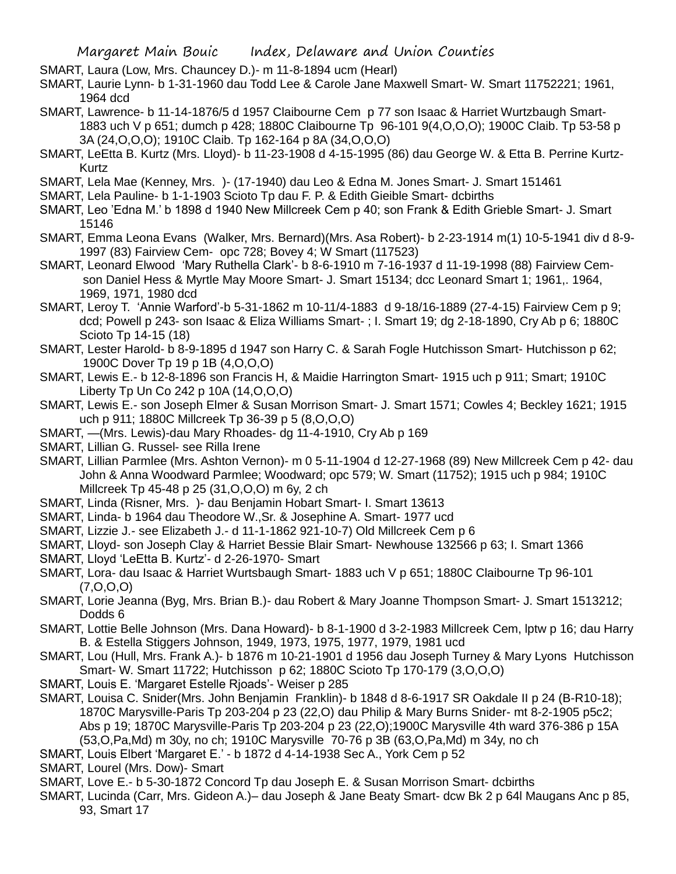SMART, Laura (Low, Mrs. Chauncey D.)- m 11-8-1894 ucm (Hearl)

SMART, Laurie Lynn- b 1-31-1960 dau Todd Lee & Carole Jane Maxwell Smart- W. Smart 11752221; 1961, 1964 dcd

- SMART, Lawrence- b 11-14-1876/5 d 1957 Claibourne Cem p 77 son Isaac & Harriet Wurtzbaugh Smart-1883 uch V p 651; dumch p 428; 1880C Claibourne Tp 96-101 9(4,O,O,O); 1900C Claib. Tp 53-58 p 3A (24,O,O,O); 1910C Claib. Tp 162-164 p 8A (34,O,O,O)
- SMART, LeEtta B. Kurtz (Mrs. Lloyd)- b 11-23-1908 d 4-15-1995 (86) dau George W. & Etta B. Perrine Kurtz-Kurtz
- SMART, Lela Mae (Kenney, Mrs. )- (17-1940) dau Leo & Edna M. Jones Smart- J. Smart 151461
- SMART, Lela Pauline- b 1-1-1903 Scioto Tp dau F. P. & Edith Gieible Smart- dcbirths
- SMART, Leo 'Edna M.' b 1898 d 1940 New Millcreek Cem p 40; son Frank & Edith Grieble Smart- J. Smart 15146
- SMART, Emma Leona Evans (Walker, Mrs. Bernard)(Mrs. Asa Robert)- b 2-23-1914 m(1) 10-5-1941 div d 8-9- 1997 (83) Fairview Cem- opc 728; Bovey 4; W Smart (117523)
- SMART, Leonard Elwood 'Mary Ruthella Clark'- b 8-6-1910 m 7-16-1937 d 11-19-1998 (88) Fairview Cemson Daniel Hess & Myrtle May Moore Smart- J. Smart 15134; dcc Leonard Smart 1; 1961,. 1964, 1969, 1971, 1980 dcd
- SMART, Leroy T. 'Annie Warford'-b 5-31-1862 m 10-11/4-1883 d 9-18/16-1889 (27-4-15) Fairview Cem p 9; dcd; Powell p 243- son Isaac & Eliza Williams Smart- ; I. Smart 19; dg 2-18-1890, Cry Ab p 6; 1880C Scioto Tp 14-15 (18)
- SMART, Lester Harold- b 8-9-1895 d 1947 son Harry C. & Sarah Fogle Hutchisson Smart- Hutchisson p 62; 1900C Dover Tp 19 p 1B (4,O,O,O)
- SMART, Lewis E.- b 12-8-1896 son Francis H, & Maidie Harrington Smart- 1915 uch p 911; Smart; 1910C Liberty Tp Un Co 242 p 10A (14,O,O,O)
- SMART, Lewis E.- son Joseph Elmer & Susan Morrison Smart- J. Smart 1571; Cowles 4; Beckley 1621; 1915 uch p 911; 1880C Millcreek Tp 36-39 p 5 (8,O,O,O)
- SMART, —(Mrs. Lewis)-dau Mary Rhoades- dg 11-4-1910, Cry Ab p 169
- SMART, Lillian G. Russel- see Rilla Irene
- SMART, Lillian Parmlee (Mrs. Ashton Vernon)- m 0 5-11-1904 d 12-27-1968 (89) New Millcreek Cem p 42- dau John & Anna Woodward Parmlee; Woodward; opc 579; W. Smart (11752); 1915 uch p 984; 1910C Millcreek Tp 45-48 p 25 (31,O,O,O) m 6y, 2 ch
- SMART, Linda (Risner, Mrs. )- dau Benjamin Hobart Smart- I. Smart 13613
- SMART, Linda- b 1964 dau Theodore W.,Sr. & Josephine A. Smart- 1977 ucd
- SMART, Lizzie J.- see Elizabeth J.- d 11-1-1862 921-10-7) Old Millcreek Cem p 6
- SMART, Lloyd- son Joseph Clay & Harriet Bessie Blair Smart- Newhouse 132566 p 63; I. Smart 1366
- SMART, Lloyd 'LeEtta B. Kurtz'- d 2-26-1970- Smart
- SMART, Lora- dau Isaac & Harriet Wurtsbaugh Smart- 1883 uch V p 651; 1880C Claibourne Tp 96-101 (7,O,O,O)
- SMART, Lorie Jeanna (Byg, Mrs. Brian B.)- dau Robert & Mary Joanne Thompson Smart- J. Smart 1513212; Dodds 6
- SMART, Lottie Belle Johnson (Mrs. Dana Howard)- b 8-1-1900 d 3-2-1983 Millcreek Cem, lptw p 16; dau Harry B. & Estella Stiggers Johnson, 1949, 1973, 1975, 1977, 1979, 1981 ucd
- SMART, Lou (Hull, Mrs. Frank A.)- b 1876 m 10-21-1901 d 1956 dau Joseph Turney & Mary Lyons Hutchisson Smart- W. Smart 11722; Hutchisson p 62; 1880C Scioto Tp 170-179 (3,O,O,O)
- SMART, Louis E. 'Margaret Estelle Rjoads'- Weiser p 285
- SMART, Louisa C. Snider(Mrs. John Benjamin Franklin)- b 1848 d 8-6-1917 SR Oakdale II p 24 (B-R10-18); 1870C Marysville-Paris Tp 203-204 p 23 (22,O) dau Philip & Mary Burns Snider- mt 8-2-1905 p5c2; Abs p 19; 1870C Marysville-Paris Tp 203-204 p 23 (22,O);1900C Marysville 4th ward 376-386 p 15A (53,O,Pa,Md) m 30y, no ch; 1910C Marysville 70-76 p 3B (63,O,Pa,Md) m 34y, no ch
- SMART, Louis Elbert 'Margaret E.' b 1872 d 4-14-1938 Sec A., York Cem p 52
- SMART, Lourel (Mrs. Dow)- Smart
- SMART, Love E.- b 5-30-1872 Concord Tp dau Joseph E. & Susan Morrison Smart- dcbirths
- SMART, Lucinda (Carr, Mrs. Gideon A.)– dau Joseph & Jane Beaty Smart- dcw Bk 2 p 64l Maugans Anc p 85, 93, Smart 17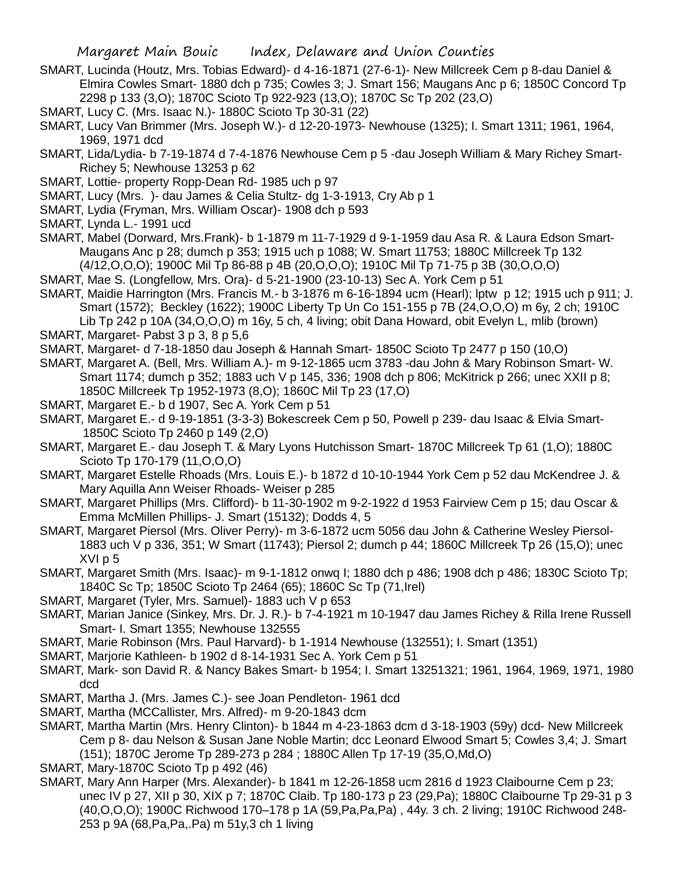- SMART, Lucinda (Houtz, Mrs. Tobias Edward)- d 4-16-1871 (27-6-1)- New Millcreek Cem p 8-dau Daniel & Elmira Cowles Smart- 1880 dch p 735; Cowles 3; J. Smart 156; Maugans Anc p 6; 1850C Concord Tp 2298 p 133 (3,O); 1870C Scioto Tp 922-923 (13,O); 1870C Sc Tp 202 (23,O)
- SMART, Lucy C. (Mrs. Isaac N.)- 1880C Scioto Tp 30-31 (22)
- SMART, Lucy Van Brimmer (Mrs. Joseph W.)- d 12-20-1973- Newhouse (1325); I. Smart 1311; 1961, 1964, 1969, 1971 dcd
- SMART, Lida/Lydia- b 7-19-1874 d 7-4-1876 Newhouse Cem p 5 -dau Joseph William & Mary Richey Smart-Richey 5; Newhouse 13253 p 62
- SMART, Lottie- property Ropp-Dean Rd- 1985 uch p 97
- SMART, Lucy (Mrs. )- dau James & Celia Stultz- dg 1-3-1913, Cry Ab p 1
- SMART, Lydia (Fryman, Mrs. William Oscar)- 1908 dch p 593
- SMART, Lynda L.- 1991 ucd
- SMART, Mabel (Dorward, Mrs.Frank)- b 1-1879 m 11-7-1929 d 9-1-1959 dau Asa R. & Laura Edson Smart-Maugans Anc p 28; dumch p 353; 1915 uch p 1088; W. Smart 11753; 1880C Millcreek Tp 132 (4/12,O,O,O); 1900C Mil Tp 86-88 p 4B (20,O,O,O); 1910C Mil Tp 71-75 p 3B (30,O,O,O)
- SMART, Mae S. (Longfellow, Mrs. Ora)- d 5-21-1900 (23-10-13) Sec A. York Cem p 51
- SMART, Maidie Harrington (Mrs. Francis M.- b 3-1876 m 6-16-1894 ucm (Hearl); lptw p 12; 1915 uch p 911; J. Smart (1572); Beckley (1622); 1900C Liberty Tp Un Co 151-155 p 7B (24,O,O,O) m 6y, 2 ch; 1910C Lib Tp 242 p 10A (34,O,O,O) m 16y, 5 ch, 4 living; obit Dana Howard, obit Evelyn L, mlib (brown)
- SMART, Margaret- Pabst 3 p 3, 8 p 5,6
- SMART, Margaret- d 7-18-1850 dau Joseph & Hannah Smart- 1850C Scioto Tp 2477 p 150 (10,O)
- SMART, Margaret A. (Bell, Mrs. William A.)- m 9-12-1865 ucm 3783 -dau John & Mary Robinson Smart- W. Smart 1174; dumch p 352; 1883 uch V p 145, 336; 1908 dch p 806; McKitrick p 266; unec XXII p 8; 1850C Millcreek Tp 1952-1973 (8,O); 1860C Mil Tp 23 (17,O)
- SMART, Margaret E.- b d 1907, Sec A. York Cem p 51
- SMART, Margaret E.- d 9-19-1851 (3-3-3) Bokescreek Cem p 50, Powell p 239- dau Isaac & Elvia Smart-1850C Scioto Tp 2460 p 149 (2,O)
- SMART, Margaret E.- dau Joseph T. & Mary Lyons Hutchisson Smart- 1870C Millcreek Tp 61 (1,O); 1880C Scioto Tp 170-179 (11,O,O,O)
- SMART, Margaret Estelle Rhoads (Mrs. Louis E.)- b 1872 d 10-10-1944 York Cem p 52 dau McKendree J. & Mary Aquilla Ann Weiser Rhoads- Weiser p 285
- SMART, Margaret Phillips (Mrs. Clifford)- b 11-30-1902 m 9-2-1922 d 1953 Fairview Cem p 15; dau Oscar & Emma McMillen Phillips- J. Smart (15132); Dodds 4, 5
- SMART, Margaret Piersol (Mrs. Oliver Perry)- m 3-6-1872 ucm 5056 dau John & Catherine Wesley Piersol-1883 uch V p 336, 351; W Smart (11743); Piersol 2; dumch p 44; 1860C Millcreek Tp 26 (15,O); unec XVI p 5
- SMART, Margaret Smith (Mrs. Isaac)- m 9-1-1812 onwq I; 1880 dch p 486; 1908 dch p 486; 1830C Scioto Tp; 1840C Sc Tp; 1850C Scioto Tp 2464 (65); 1860C Sc Tp (71,Irel)
- SMART, Margaret (Tyler, Mrs. Samuel)- 1883 uch V p 653
- SMART, Marian Janice (Sinkey, Mrs. Dr. J. R.)- b 7-4-1921 m 10-1947 dau James Richey & Rilla Irene Russell Smart- I. Smart 1355; Newhouse 132555
- SMART, Marie Robinson (Mrs. Paul Harvard)- b 1-1914 Newhouse (132551); I. Smart (1351)
- SMART, Marjorie Kathleen- b 1902 d 8-14-1931 Sec A. York Cem p 51
- SMART, Mark- son David R. & Nancy Bakes Smart- b 1954; I. Smart 13251321; 1961, 1964, 1969, 1971, 1980 dcd
- SMART, Martha J. (Mrs. James C.)- see Joan Pendleton- 1961 dcd
- SMART, Martha (MCCallister, Mrs. Alfred)- m 9-20-1843 dcm
- SMART, Martha Martin (Mrs. Henry Clinton)- b 1844 m 4-23-1863 dcm d 3-18-1903 (59y) dcd- New Millcreek Cem p 8- dau Nelson & Susan Jane Noble Martin; dcc Leonard Elwood Smart 5; Cowles 3,4; J. Smart (151); 1870C Jerome Tp 289-273 p 284 ; 1880C Allen Tp 17-19 (35,O,Md,O)
- SMART, Mary-1870C Scioto Tp p 492 (46)
- SMART, Mary Ann Harper (Mrs. Alexander)- b 1841 m 12-26-1858 ucm 2816 d 1923 Claibourne Cem p 23; unec IV p 27, XII p 30, XIX p 7; 1870C Claib. Tp 180-173 p 23 (29,Pa); 1880C Claibourne Tp 29-31 p 3 (40,O,O,O); 1900C Richwood 170–178 p 1A (59,Pa,Pa,Pa) , 44y. 3 ch. 2 living; 1910C Richwood 248- 253 p 9A (68,Pa,Pa,.Pa) m 51y,3 ch 1 living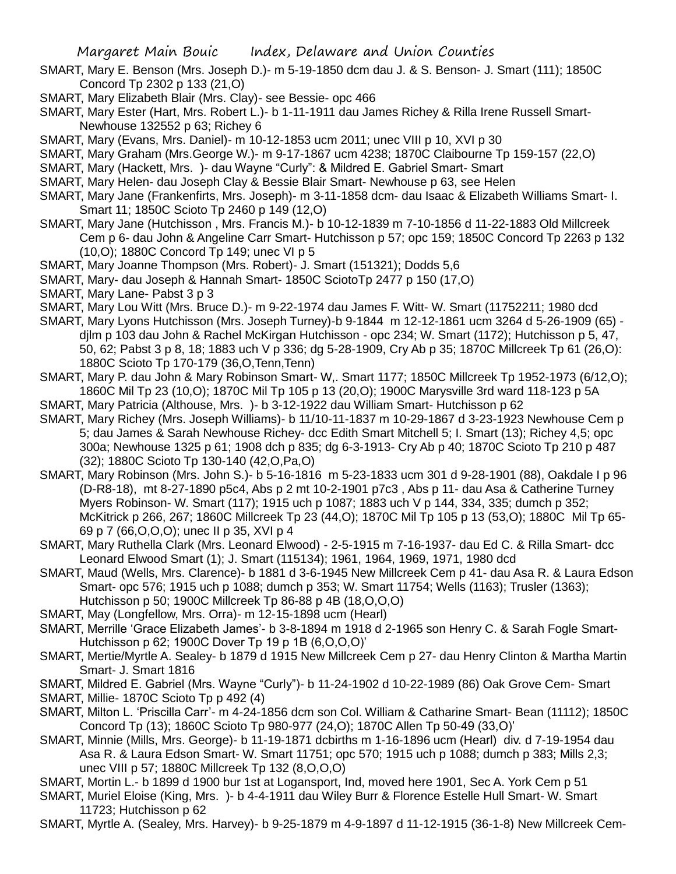- SMART, Mary E. Benson (Mrs. Joseph D.)- m 5-19-1850 dcm dau J. & S. Benson- J. Smart (111); 1850C Concord Tp 2302 p 133 (21,O)
- SMART, Mary Elizabeth Blair (Mrs. Clay)- see Bessie- opc 466
- SMART, Mary Ester (Hart, Mrs. Robert L.)- b 1-11-1911 dau James Richey & Rilla Irene Russell Smart-Newhouse 132552 p 63; Richey 6
- SMART, Mary (Evans, Mrs. Daniel)- m 10-12-1853 ucm 2011; unec VIII p 10, XVI p 30
- SMART, Mary Graham (Mrs.George W.)- m 9-17-1867 ucm 4238; 1870C Claibourne Tp 159-157 (22,O)
- SMART, Mary (Hackett, Mrs. )- dau Wayne "Curly": & Mildred E. Gabriel Smart- Smart
- SMART, Mary Helen- dau Joseph Clay & Bessie Blair Smart- Newhouse p 63, see Helen
- SMART, Mary Jane (Frankenfirts, Mrs. Joseph)- m 3-11-1858 dcm- dau Isaac & Elizabeth Williams Smart- I. Smart 11; 1850C Scioto Tp 2460 p 149 (12,O)
- SMART, Mary Jane (Hutchisson , Mrs. Francis M.)- b 10-12-1839 m 7-10-1856 d 11-22-1883 Old Millcreek Cem p 6- dau John & Angeline Carr Smart- Hutchisson p 57; opc 159; 1850C Concord Tp 2263 p 132 (10,O); 1880C Concord Tp 149; unec VI p 5
- SMART, Mary Joanne Thompson (Mrs. Robert)- J. Smart (151321); Dodds 5,6
- SMART, Mary- dau Joseph & Hannah Smart- 1850C SciotoTp 2477 p 150 (17,O)
- SMART, Mary Lane- Pabst 3 p 3
- SMART, Mary Lou Witt (Mrs. Bruce D.)- m 9-22-1974 dau James F. Witt- W. Smart (11752211; 1980 dcd
- SMART, Mary Lyons Hutchisson (Mrs. Joseph Turney)-b 9-1844 m 12-12-1861 ucm 3264 d 5-26-1909 (65) djlm p 103 dau John & Rachel McKirgan Hutchisson - opc 234; W. Smart (1172); Hutchisson p 5, 47, 50, 62; Pabst 3 p 8, 18; 1883 uch V p 336; dg 5-28-1909, Cry Ab p 35; 1870C Millcreek Tp 61 (26,O): 1880C Scioto Tp 170-179 (36,O,Tenn,Tenn)
- SMART, Mary P. dau John & Mary Robinson Smart- W,. Smart 1177; 1850C Millcreek Tp 1952-1973 (6/12,O); 1860C Mil Tp 23 (10,O); 1870C Mil Tp 105 p 13 (20,O); 1900C Marysville 3rd ward 118-123 p 5A
- SMART, Mary Patricia (Althouse, Mrs. )- b 3-12-1922 dau William Smart- Hutchisson p 62
- SMART, Mary Richey (Mrs. Joseph Williams)- b 11/10-11-1837 m 10-29-1867 d 3-23-1923 Newhouse Cem p 5; dau James & Sarah Newhouse Richey- dcc Edith Smart Mitchell 5; I. Smart (13); Richey 4,5; opc 300a; Newhouse 1325 p 61; 1908 dch p 835; dg 6-3-1913- Cry Ab p 40; 1870C Scioto Tp 210 p 487 (32); 1880C Scioto Tp 130-140 (42,O,Pa,O)
- SMART, Mary Robinson (Mrs. John S.)- b 5-16-1816 m 5-23-1833 ucm 301 d 9-28-1901 (88), Oakdale I p 96 (D-R8-18), mt 8-27-1890 p5c4, Abs p 2 mt 10-2-1901 p7c3 , Abs p 11- dau Asa & Catherine Turney Myers Robinson- W. Smart (117); 1915 uch p 1087; 1883 uch V p 144, 334, 335; dumch p 352; McKitrick p 266, 267; 1860C Millcreek Tp 23 (44,O); 1870C Mil Tp 105 p 13 (53,O); 1880C Mil Tp 65- 69 p 7 (66,O,O,O); unec II p 35, XVI p 4
- SMART, Mary Ruthella Clark (Mrs. Leonard Elwood) 2-5-1915 m 7-16-1937- dau Ed C. & Rilla Smart- dcc Leonard Elwood Smart (1); J. Smart (115134); 1961, 1964, 1969, 1971, 1980 dcd
- SMART, Maud (Wells, Mrs. Clarence)- b 1881 d 3-6-1945 New Millcreek Cem p 41- dau Asa R. & Laura Edson Smart- opc 576; 1915 uch p 1088; dumch p 353; W. Smart 11754; Wells (1163); Trusler (1363); Hutchisson p 50; 1900C Millcreek Tp 86-88 p 4B (18,O,O,O)
- SMART, May (Longfellow, Mrs. Orra)- m 12-15-1898 ucm (Hearl)
- SMART, Merrille 'Grace Elizabeth James'- b 3-8-1894 m 1918 d 2-1965 son Henry C. & Sarah Fogle Smart-Hutchisson p 62; 1900C Dover Tp 19 p 1B (6,O,O,O)'
- SMART, Mertie/Myrtle A. Sealey- b 1879 d 1915 New Millcreek Cem p 27- dau Henry Clinton & Martha Martin Smart- J. Smart 1816
- SMART, Mildred E. Gabriel (Mrs. Wayne "Curly")- b 11-24-1902 d 10-22-1989 (86) Oak Grove Cem- Smart SMART, Millie- 1870C Scioto Tp p 492 (4)
- SMART, Milton L. 'Priscilla Carr'- m 4-24-1856 dcm son Col. William & Catharine Smart- Bean (11112); 1850C Concord Tp (13); 1860C Scioto Tp 980-977 (24,O); 1870C Allen Tp 50-49 (33,O)'
- SMART, Minnie (Mills, Mrs. George)- b 11-19-1871 dcbirths m 1-16-1896 ucm (Hearl) div. d 7-19-1954 dau Asa R. & Laura Edson Smart- W. Smart 11751; opc 570; 1915 uch p 1088; dumch p 383; Mills 2,3; unec VIII p 57; 1880C Millcreek Tp 132 (8,O,O,O)
- SMART, Mortin L.- b 1899 d 1900 bur 1st at Logansport, Ind, moved here 1901, Sec A. York Cem p 51
- SMART, Muriel Eloise (King, Mrs. )- b 4-4-1911 dau Wiley Burr & Florence Estelle Hull Smart- W. Smart 11723; Hutchisson p 62
- SMART, Myrtle A. (Sealey, Mrs. Harvey)- b 9-25-1879 m 4-9-1897 d 11-12-1915 (36-1-8) New Millcreek Cem-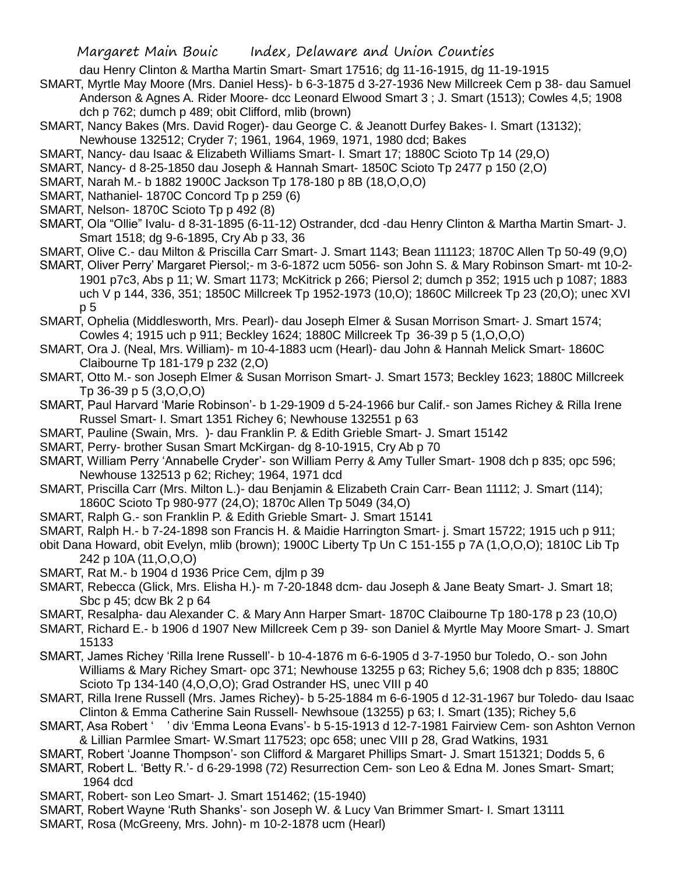dau Henry Clinton & Martha Martin Smart- Smart 17516; dg 11-16-1915, dg 11-19-1915

- SMART, Myrtle May Moore (Mrs. Daniel Hess)- b 6-3-1875 d 3-27-1936 New Millcreek Cem p 38- dau Samuel Anderson & Agnes A. Rider Moore- dcc Leonard Elwood Smart 3 ; J. Smart (1513); Cowles 4,5; 1908 dch p 762; dumch p 489; obit Clifford, mlib (brown)
- SMART, Nancy Bakes (Mrs. David Roger)- dau George C. & Jeanott Durfey Bakes- I. Smart (13132); Newhouse 132512; Cryder 7; 1961, 1964, 1969, 1971, 1980 dcd; Bakes
- SMART, Nancy- dau Isaac & Elizabeth Williams Smart- I. Smart 17; 1880C Scioto Tp 14 (29,O)
- SMART, Nancy- d 8-25-1850 dau Joseph & Hannah Smart- 1850C Scioto Tp 2477 p 150 (2,O)
- SMART, Narah M.- b 1882 1900C Jackson Tp 178-180 p 8B (18,O,O,O)
- SMART, Nathaniel- 1870C Concord Tp p 259 (6)
- SMART, Nelson- 1870C Scioto Tp p 492 (8)
- SMART, Ola "Ollie" Ivalu- d 8-31-1895 (6-11-12) Ostrander, dcd -dau Henry Clinton & Martha Martin Smart- J. Smart 1518; dg 9-6-1895, Cry Ab p 33, 36
- SMART, Olive C.- dau Milton & Priscilla Carr Smart- J. Smart 1143; Bean 111123; 1870C Allen Tp 50-49 (9,O)
- SMART, Oliver Perry' Margaret Piersol;- m 3-6-1872 ucm 5056- son John S. & Mary Robinson Smart- mt 10-2- 1901 p7c3, Abs p 11; W. Smart 1173; McKitrick p 266; Piersol 2; dumch p 352; 1915 uch p 1087; 1883 uch V p 144, 336, 351; 1850C Millcreek Tp 1952-1973 (10,O); 1860C Millcreek Tp 23 (20,O); unec XVI p 5
- SMART, Ophelia (Middlesworth, Mrs. Pearl)- dau Joseph Elmer & Susan Morrison Smart- J. Smart 1574; Cowles 4; 1915 uch p 911; Beckley 1624; 1880C Millcreek Tp 36-39 p 5 (1,O,O,O)
- SMART, Ora J. (Neal, Mrs. William)- m 10-4-1883 ucm (Hearl)- dau John & Hannah Melick Smart- 1860C Claibourne Tp 181-179 p 232 (2,O)
- SMART, Otto M.- son Joseph Elmer & Susan Morrison Smart- J. Smart 1573; Beckley 1623; 1880C Millcreek Tp 36-39 p 5 (3,O,O,O)
- SMART, Paul Harvard 'Marie Robinson'- b 1-29-1909 d 5-24-1966 bur Calif.- son James Richey & Rilla Irene Russel Smart- I. Smart 1351 Richey 6; Newhouse 132551 p 63
- SMART, Pauline (Swain, Mrs. )- dau Franklin P. & Edith Grieble Smart- J. Smart 15142
- SMART, Perry- brother Susan Smart McKirgan- dg 8-10-1915, Cry Ab p 70
- SMART, William Perry 'Annabelle Cryder'- son William Perry & Amy Tuller Smart- 1908 dch p 835; opc 596; Newhouse 132513 p 62; Richey; 1964, 1971 dcd
- SMART, Priscilla Carr (Mrs. Milton L.)- dau Benjamin & Elizabeth Crain Carr- Bean 11112; J. Smart (114); 1860C Scioto Tp 980-977 (24,O); 1870c Allen Tp 5049 (34,O)
- SMART, Ralph G.- son Franklin P. & Edith Grieble Smart- J. Smart 15141
- SMART, Ralph H.- b 7-24-1898 son Francis H. & Maidie Harrington Smart- j. Smart 15722; 1915 uch p 911;
- obit Dana Howard, obit Evelyn, mlib (brown); 1900C Liberty Tp Un C 151-155 p 7A (1,O,O,O); 1810C Lib Tp 242 p 10A (11,O,O,O)
- SMART, Rat M.- b 1904 d 1936 Price Cem, djlm p 39
- SMART, Rebecca (Glick, Mrs. Elisha H.)- m 7-20-1848 dcm- dau Joseph & Jane Beaty Smart- J. Smart 18; Sbc p 45; dcw Bk 2 p 64
- SMART, Resalpha- dau Alexander C. & Mary Ann Harper Smart- 1870C Claibourne Tp 180-178 p 23 (10,O)
- SMART, Richard E.- b 1906 d 1907 New Millcreek Cem p 39- son Daniel & Myrtle May Moore Smart- J. Smart 15133
- SMART, James Richey 'Rilla Irene Russell'- b 10-4-1876 m 6-6-1905 d 3-7-1950 bur Toledo, O.- son John Williams & Mary Richey Smart- opc 371; Newhouse 13255 p 63; Richey 5,6; 1908 dch p 835; 1880C Scioto Tp 134-140 (4,O,O,O); Grad Ostrander HS, unec VIII p 40
- SMART, Rilla Irene Russell (Mrs. James Richey)- b 5-25-1884 m 6-6-1905 d 12-31-1967 bur Toledo- dau Isaac Clinton & Emma Catherine Sain Russell- Newhsoue (13255) p 63; I. Smart (135); Richey 5,6
- SMART, Asa Robert ' ' div 'Emma Leona Evans'- b 5-15-1913 d 12-7-1981 Fairview Cem- son Ashton Vernon & Lillian Parmlee Smart- W.Smart 117523; opc 658; unec VIII p 28, Grad Watkins, 1931
- SMART, Robert 'Joanne Thompson'- son Clifford & Margaret Phillips Smart- J. Smart 151321; Dodds 5, 6
- SMART, Robert L. 'Betty R.'- d 6-29-1998 (72) Resurrection Cem- son Leo & Edna M. Jones Smart- Smart; 1964 dcd
- SMART, Robert- son Leo Smart- J. Smart 151462; (15-1940)
- SMART, Robert Wayne 'Ruth Shanks'- son Joseph W. & Lucy Van Brimmer Smart- I. Smart 13111
- SMART, Rosa (McGreeny, Mrs. John)- m 10-2-1878 ucm (Hearl)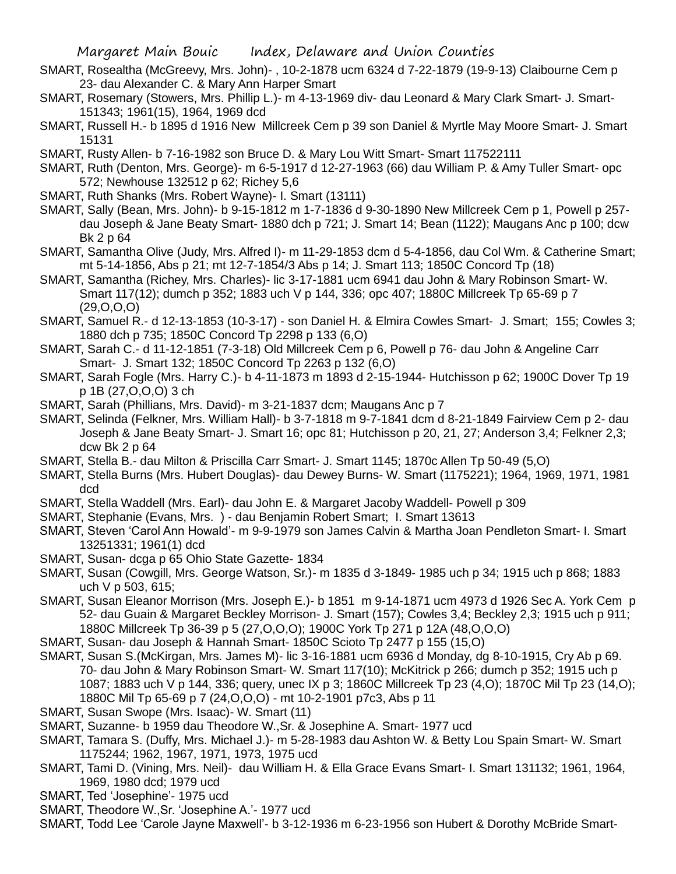- SMART, Rosealtha (McGreevy, Mrs. John)- , 10-2-1878 ucm 6324 d 7-22-1879 (19-9-13) Claibourne Cem p 23- dau Alexander C. & Mary Ann Harper Smart
- SMART, Rosemary (Stowers, Mrs. Phillip L.)- m 4-13-1969 div- dau Leonard & Mary Clark Smart- J. Smart-151343; 1961(15), 1964, 1969 dcd
- SMART, Russell H.- b 1895 d 1916 New Millcreek Cem p 39 son Daniel & Myrtle May Moore Smart- J. Smart 15131
- SMART, Rusty Allen- b 7-16-1982 son Bruce D. & Mary Lou Witt Smart- Smart 117522111
- SMART, Ruth (Denton, Mrs. George)- m 6-5-1917 d 12-27-1963 (66) dau William P. & Amy Tuller Smart- opc 572; Newhouse 132512 p 62; Richey 5,6
- SMART, Ruth Shanks (Mrs. Robert Wayne)- I. Smart (13111)
- SMART, Sally (Bean, Mrs. John)- b 9-15-1812 m 1-7-1836 d 9-30-1890 New Millcreek Cem p 1, Powell p 257 dau Joseph & Jane Beaty Smart- 1880 dch p 721; J. Smart 14; Bean (1122); Maugans Anc p 100; dcw Bk 2 p 64
- SMART, Samantha Olive (Judy, Mrs. Alfred I)- m 11-29-1853 dcm d 5-4-1856, dau Col Wm. & Catherine Smart; mt 5-14-1856, Abs p 21; mt 12-7-1854/3 Abs p 14; J. Smart 113; 1850C Concord Tp (18)
- SMART, Samantha (Richey, Mrs. Charles)- lic 3-17-1881 ucm 6941 dau John & Mary Robinson Smart- W. Smart 117(12); dumch p 352; 1883 uch V p 144, 336; opc 407; 1880C Millcreek Tp 65-69 p 7 (29,O,O,O)
- SMART, Samuel R.- d 12-13-1853 (10-3-17) son Daniel H. & Elmira Cowles Smart- J. Smart; 155; Cowles 3; 1880 dch p 735; 1850C Concord Tp 2298 p 133 (6,O)
- SMART, Sarah C.- d 11-12-1851 (7-3-18) Old Millcreek Cem p 6, Powell p 76- dau John & Angeline Carr Smart- J. Smart 132; 1850C Concord Tp 2263 p 132 (6,O)
- SMART, Sarah Fogle (Mrs. Harry C.)- b 4-11-1873 m 1893 d 2-15-1944- Hutchisson p 62; 1900C Dover Tp 19 p 1B (27,O,O,O) 3 ch
- SMART, Sarah (Phillians, Mrs. David)- m 3-21-1837 dcm; Maugans Anc p 7
- SMART, Selinda (Felkner, Mrs. William Hall)- b 3-7-1818 m 9-7-1841 dcm d 8-21-1849 Fairview Cem p 2- dau Joseph & Jane Beaty Smart- J. Smart 16; opc 81; Hutchisson p 20, 21, 27; Anderson 3,4; Felkner 2,3; dcw Bk 2 p 64
- SMART, Stella B.- dau Milton & Priscilla Carr Smart- J. Smart 1145; 1870c Allen Tp 50-49 (5,O)
- SMART, Stella Burns (Mrs. Hubert Douglas)- dau Dewey Burns- W. Smart (1175221); 1964, 1969, 1971, 1981 dcd
- SMART, Stella Waddell (Mrs. Earl)- dau John E. & Margaret Jacoby Waddell- Powell p 309
- SMART, Stephanie (Evans, Mrs. ) dau Benjamin Robert Smart; I. Smart 13613
- SMART, Steven 'Carol Ann Howald'- m 9-9-1979 son James Calvin & Martha Joan Pendleton Smart- I. Smart 13251331; 1961(1) dcd
- SMART, Susan- dcga p 65 Ohio State Gazette- 1834
- SMART, Susan (Cowgill, Mrs. George Watson, Sr.)- m 1835 d 3-1849- 1985 uch p 34; 1915 uch p 868; 1883 uch V p 503, 615;
- SMART, Susan Eleanor Morrison (Mrs. Joseph E.)- b 1851 m 9-14-1871 ucm 4973 d 1926 Sec A. York Cem p 52- dau Guain & Margaret Beckley Morrison- J. Smart (157); Cowles 3,4; Beckley 2,3; 1915 uch p 911; 1880C Millcreek Tp 36-39 p 5 (27,O,O,O); 1900C York Tp 271 p 12A (48,O,O,O)
- SMART, Susan- dau Joseph & Hannah Smart- 1850C Scioto Tp 2477 p 155 (15,O)
- SMART, Susan S.(McKirgan, Mrs. James M)- lic 3-16-1881 ucm 6936 d Monday, dg 8-10-1915, Cry Ab p 69. 70- dau John & Mary Robinson Smart- W. Smart 117(10); McKitrick p 266; dumch p 352; 1915 uch p 1087; 1883 uch V p 144, 336; query, unec IX p 3; 1860C Millcreek Tp 23 (4,O); 1870C Mil Tp 23 (14,O); 1880C Mil Tp 65-69 p 7 (24,O,O,O) - mt 10-2-1901 p7c3, Abs p 11
- SMART, Susan Swope (Mrs. Isaac)- W. Smart (11)
- SMART, Suzanne- b 1959 dau Theodore W.,Sr. & Josephine A. Smart- 1977 ucd
- SMART, Tamara S. (Duffy, Mrs. Michael J.)- m 5-28-1983 dau Ashton W. & Betty Lou Spain Smart- W. Smart 1175244; 1962, 1967, 1971, 1973, 1975 ucd
- SMART, Tami D. (Vining, Mrs. Neil)- dau William H. & Ella Grace Evans Smart- I. Smart 131132; 1961, 1964, 1969, 1980 dcd; 1979 ucd
- SMART, Ted 'Josephine'- 1975 ucd
- SMART, Theodore W.,Sr. 'Josephine A.'- 1977 ucd
- SMART, Todd Lee 'Carole Jayne Maxwell'- b 3-12-1936 m 6-23-1956 son Hubert & Dorothy McBride Smart-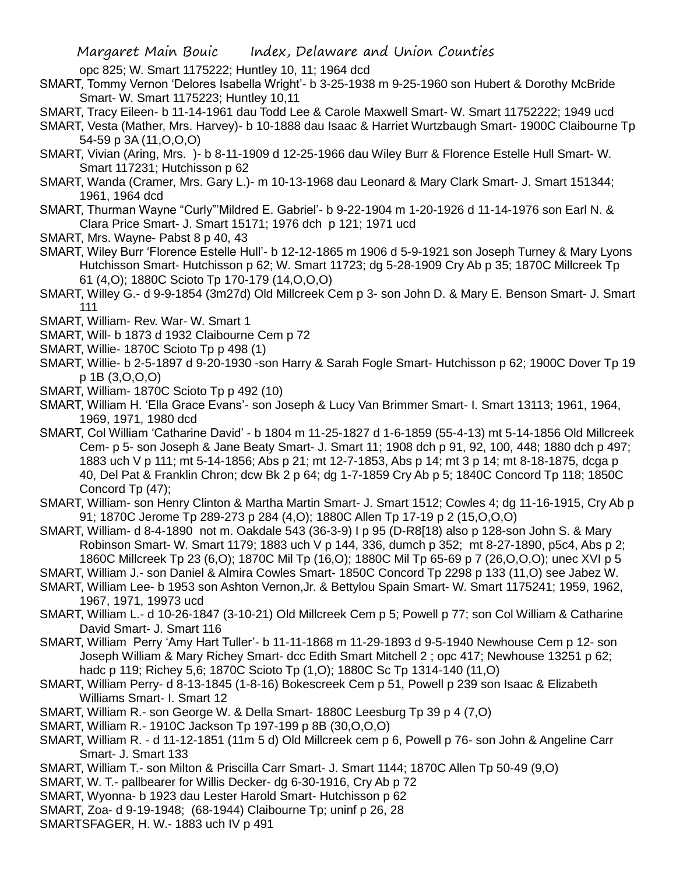opc 825; W. Smart 1175222; Huntley 10, 11; 1964 dcd

- SMART, Tommy Vernon 'Delores Isabella Wright'- b 3-25-1938 m 9-25-1960 son Hubert & Dorothy McBride Smart- W. Smart 1175223; Huntley 10,11
- SMART, Tracy Eileen- b 11-14-1961 dau Todd Lee & Carole Maxwell Smart- W. Smart 11752222; 1949 ucd
- SMART, Vesta (Mather, Mrs. Harvey)- b 10-1888 dau Isaac & Harriet Wurtzbaugh Smart- 1900C Claibourne Tp 54-59 p 3A (11,O,O,O)
- SMART, Vivian (Aring, Mrs. )- b 8-11-1909 d 12-25-1966 dau Wiley Burr & Florence Estelle Hull Smart- W. Smart 117231; Hutchisson p 62
- SMART, Wanda (Cramer, Mrs. Gary L.)- m 10-13-1968 dau Leonard & Mary Clark Smart- J. Smart 151344; 1961, 1964 dcd
- SMART, Thurman Wayne "Curly"'Mildred E. Gabriel'- b 9-22-1904 m 1-20-1926 d 11-14-1976 son Earl N. & Clara Price Smart- J. Smart 15171; 1976 dch p 121; 1971 ucd
- SMART, Mrs. Wayne- Pabst 8 p 40, 43
- SMART, Wiley Burr 'Florence Estelle Hull'- b 12-12-1865 m 1906 d 5-9-1921 son Joseph Turney & Mary Lyons Hutchisson Smart- Hutchisson p 62; W. Smart 11723; dg 5-28-1909 Cry Ab p 35; 1870C Millcreek Tp 61 (4,O); 1880C Scioto Tp 170-179 (14,O,O,O)
- SMART, Willey G.- d 9-9-1854 (3m27d) Old Millcreek Cem p 3- son John D. & Mary E. Benson Smart- J. Smart 111
- SMART, William- Rev. War- W. Smart 1
- SMART, Will- b 1873 d 1932 Claibourne Cem p 72
- SMART, Willie- 1870C Scioto Tp p 498 (1)
- SMART, Willie- b 2-5-1897 d 9-20-1930 -son Harry & Sarah Fogle Smart- Hutchisson p 62; 1900C Dover Tp 19 p 1B (3,O,O,O)
- SMART, William- 1870C Scioto Tp p 492 (10)
- SMART, William H. 'Ella Grace Evans'- son Joseph & Lucy Van Brimmer Smart- I. Smart 13113; 1961, 1964, 1969, 1971, 1980 dcd
- SMART, Col William 'Catharine David' b 1804 m 11-25-1827 d 1-6-1859 (55-4-13) mt 5-14-1856 Old Millcreek Cem- p 5- son Joseph & Jane Beaty Smart- J. Smart 11; 1908 dch p 91, 92, 100, 448; 1880 dch p 497; 1883 uch V p 111; mt 5-14-1856; Abs p 21; mt 12-7-1853, Abs p 14; mt 3 p 14; mt 8-18-1875, dcga p 40, Del Pat & Franklin Chron; dcw Bk 2 p 64; dg 1-7-1859 Cry Ab p 5; 1840C Concord Tp 118; 1850C Concord Tp (47);
- SMART, William- son Henry Clinton & Martha Martin Smart- J. Smart 1512; Cowles 4; dg 11-16-1915, Cry Ab p 91; 1870C Jerome Tp 289-273 p 284 (4,O); 1880C Allen Tp 17-19 p 2 (15,O,O,O)
- SMART, William- d 8-4-1890 not m. Oakdale 543 (36-3-9) I p 95 (D-R8[18) also p 128-son John S. & Mary Robinson Smart- W. Smart 1179; 1883 uch V p 144, 336, dumch p 352; mt 8-27-1890, p5c4, Abs p 2; 1860C Millcreek Tp 23 (6,O); 1870C Mil Tp (16,O); 1880C Mil Tp 65-69 p 7 (26,O,O,O); unec XVI p 5
- SMART, William J.- son Daniel & Almira Cowles Smart- 1850C Concord Tp 2298 p 133 (11,O) see Jabez W.
- SMART, William Lee- b 1953 son Ashton Vernon,Jr. & Bettylou Spain Smart- W. Smart 1175241; 1959, 1962, 1967, 1971, 19973 ucd
- SMART, William L.- d 10-26-1847 (3-10-21) Old Millcreek Cem p 5; Powell p 77; son Col William & Catharine David Smart- J. Smart 116
- SMART, William Perry 'Amy Hart Tuller'- b 11-11-1868 m 11-29-1893 d 9-5-1940 Newhouse Cem p 12- son Joseph William & Mary Richey Smart- dcc Edith Smart Mitchell 2 ; opc 417; Newhouse 13251 p 62; hadc p 119; Richey 5,6; 1870C Scioto Tp (1,O); 1880C Sc Tp 1314-140 (11,O)
- SMART, William Perry- d 8-13-1845 (1-8-16) Bokescreek Cem p 51, Powell p 239 son Isaac & Elizabeth Williams Smart- I. Smart 12
- SMART, William R.- son George W. & Della Smart- 1880C Leesburg Tp 39 p 4 (7,O)
- SMART, William R.- 1910C Jackson Tp 197-199 p 8B (30,O,O,O)
- SMART, William R. d 11-12-1851 (11m 5 d) Old Millcreek cem p 6, Powell p 76- son John & Angeline Carr Smart- J. Smart 133
- SMART, William T.- son Milton & Priscilla Carr Smart- J. Smart 1144; 1870C Allen Tp 50-49 (9,O)
- SMART, W. T.- pallbearer for Willis Decker- dg 6-30-1916, Cry Ab p 72
- SMART, Wyonna- b 1923 dau Lester Harold Smart- Hutchisson p 62
- SMART, Zoa- d 9-19-1948; (68-1944) Claibourne Tp; uninf p 26, 28
- SMARTSFAGER, H. W.- 1883 uch IV p 491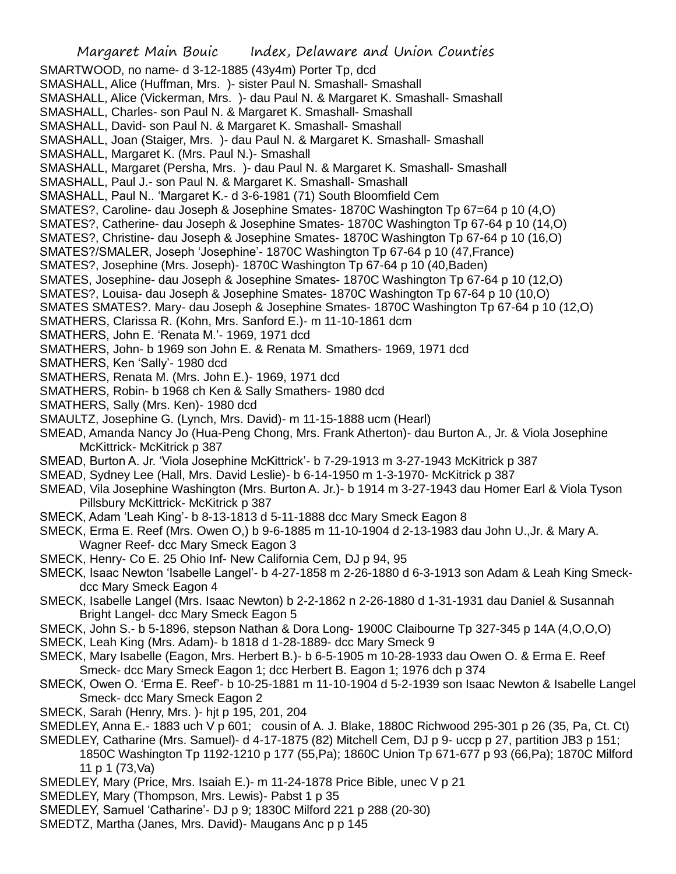Margaret Main Bouic Index, Delaware and Union Counties SMARTWOOD, no name- d 3-12-1885 (43y4m) Porter Tp, dcd SMASHALL, Alice (Huffman, Mrs. )- sister Paul N. Smashall- Smashall SMASHALL, Alice (Vickerman, Mrs. )- dau Paul N. & Margaret K. Smashall- Smashall SMASHALL, Charles- son Paul N. & Margaret K. Smashall- Smashall SMASHALL, David- son Paul N. & Margaret K. Smashall- Smashall SMASHALL, Joan (Staiger, Mrs. )- dau Paul N. & Margaret K. Smashall- Smashall SMASHALL, Margaret K. (Mrs. Paul N.)- Smashall SMASHALL, Margaret (Persha, Mrs. )- dau Paul N. & Margaret K. Smashall- Smashall SMASHALL, Paul J.- son Paul N. & Margaret K. Smashall- Smashall SMASHALL, Paul N.. 'Margaret K.- d 3-6-1981 (71) South Bloomfield Cem SMATES?, Caroline- dau Joseph & Josephine Smates- 1870C Washington Tp 67=64 p 10 (4,O) SMATES?, Catherine- dau Joseph & Josephine Smates- 1870C Washington Tp 67-64 p 10 (14,O) SMATES?, Christine- dau Joseph & Josephine Smates- 1870C Washington Tp 67-64 p 10 (16,O) SMATES?/SMALER, Joseph 'Josephine'- 1870C Washington Tp 67-64 p 10 (47,France) SMATES?, Josephine (Mrs. Joseph)- 1870C Washington Tp 67-64 p 10 (40,Baden) SMATES, Josephine- dau Joseph & Josephine Smates- 1870C Washington Tp 67-64 p 10 (12,O) SMATES?, Louisa- dau Joseph & Josephine Smates- 1870C Washington Tp 67-64 p 10 (10,O) SMATES SMATES?. Mary- dau Joseph & Josephine Smates- 1870C Washington Tp 67-64 p 10 (12,O) SMATHERS, Clarissa R. (Kohn, Mrs. Sanford E.)- m 11-10-1861 dcm SMATHERS, John E. 'Renata M.'- 1969, 1971 dcd SMATHERS, John- b 1969 son John E. & Renata M. Smathers- 1969, 1971 dcd SMATHERS, Ken 'Sally'- 1980 dcd SMATHERS, Renata M. (Mrs. John E.)- 1969, 1971 dcd SMATHERS, Robin- b 1968 ch Ken & Sally Smathers- 1980 dcd SMATHERS, Sally (Mrs. Ken)- 1980 dcd SMAULTZ, Josephine G. (Lynch, Mrs. David)- m 11-15-1888 ucm (Hearl) SMEAD, Amanda Nancy Jo (Hua-Peng Chong, Mrs. Frank Atherton)- dau Burton A., Jr. & Viola Josephine McKittrick- McKitrick p 387 SMEAD, Burton A. Jr. 'Viola Josephine McKittrick'- b 7-29-1913 m 3-27-1943 McKitrick p 387 SMEAD, Sydney Lee (Hall, Mrs. David Leslie)- b 6-14-1950 m 1-3-1970- McKitrick p 387 SMEAD, Vila Josephine Washington (Mrs. Burton A. Jr.)- b 1914 m 3-27-1943 dau Homer Earl & Viola Tyson Pillsbury McKittrick- McKitrick p 387 SMECK, Adam 'Leah King'- b 8-13-1813 d 5-11-1888 dcc Mary Smeck Eagon 8 SMECK, Erma E. Reef (Mrs. Owen O,) b 9-6-1885 m 11-10-1904 d 2-13-1983 dau John U.,Jr. & Mary A. Wagner Reef- dcc Mary Smeck Eagon 3 SMECK, Henry- Co E. 25 Ohio Inf- New California Cem, DJ p 94, 95 SMECK, Isaac Newton 'Isabelle Langel'- b 4-27-1858 m 2-26-1880 d 6-3-1913 son Adam & Leah King Smeckdcc Mary Smeck Eagon 4 SMECK, Isabelle Langel (Mrs. Isaac Newton) b 2-2-1862 n 2-26-1880 d 1-31-1931 dau Daniel & Susannah Bright Langel- dcc Mary Smeck Eagon 5 SMECK, John S.- b 5-1896, stepson Nathan & Dora Long- 1900C Claibourne Tp 327-345 p 14A (4,O,O,O) SMECK, Leah King (Mrs. Adam)- b 1818 d 1-28-1889- dcc Mary Smeck 9 SMECK, Mary Isabelle (Eagon, Mrs. Herbert B.)- b 6-5-1905 m 10-28-1933 dau Owen O. & Erma E. Reef Smeck- dcc Mary Smeck Eagon 1; dcc Herbert B. Eagon 1; 1976 dch p 374 SMECK, Owen O. 'Erma E. Reef'- b 10-25-1881 m 11-10-1904 d 5-2-1939 son Isaac Newton & Isabelle Langel Smeck- dcc Mary Smeck Eagon 2 SMECK, Sarah (Henry, Mrs. )- hjt p 195, 201, 204 SMEDLEY, Anna E.- 1883 uch V p 601; cousin of A. J. Blake, 1880C Richwood 295-301 p 26 (35, Pa, Ct. Ct) SMEDLEY, Catharine (Mrs. Samuel)- d 4-17-1875 (82) Mitchell Cem, DJ p 9- uccp p 27, partition JB3 p 151; 1850C Washington Tp 1192-1210 p 177 (55,Pa); 1860C Union Tp 671-677 p 93 (66,Pa); 1870C Milford 11 p 1 (73,Va) SMEDLEY, Mary (Price, Mrs. Isaiah E.)- m 11-24-1878 Price Bible, unec V p 21 SMEDLEY, Mary (Thompson, Mrs. Lewis)- Pabst 1 p 35 SMEDLEY, Samuel 'Catharine'- DJ p 9; 1830C Milford 221 p 288 (20-30)

SMEDTZ, Martha (Janes, Mrs. David)- Maugans Anc p p 145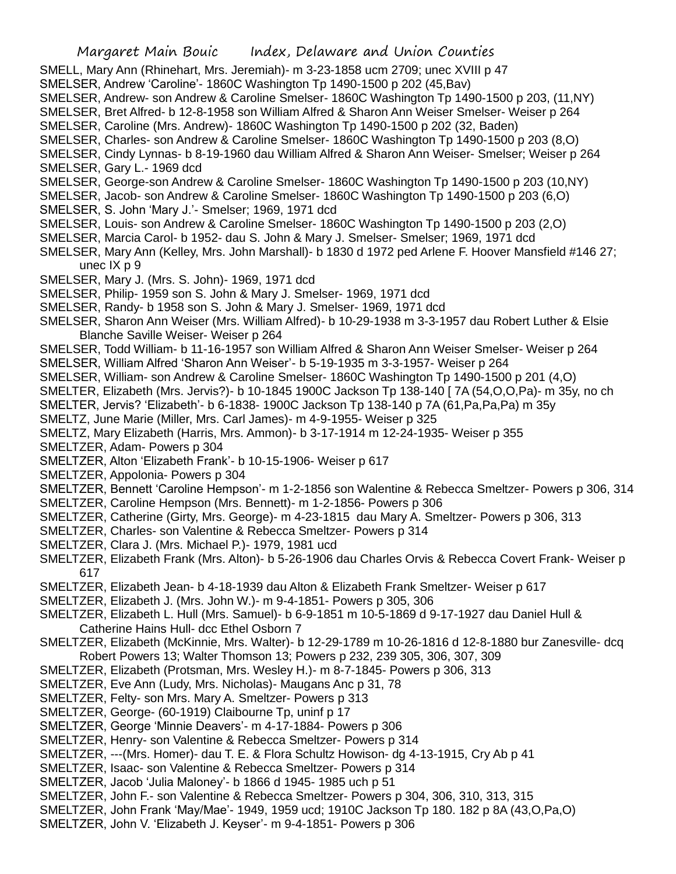SMELL, Mary Ann (Rhinehart, Mrs. Jeremiah)- m 3-23-1858 ucm 2709; unec XVIII p 47

SMELSER, Andrew 'Caroline'- 1860C Washington Tp 1490-1500 p 202 (45,Bav)

SMELSER, Andrew- son Andrew & Caroline Smelser- 1860C Washington Tp 1490-1500 p 203, (11,NY)

SMELSER, Bret Alfred- b 12-8-1958 son William Alfred & Sharon Ann Weiser Smelser- Weiser p 264 SMELSER, Caroline (Mrs. Andrew)- 1860C Washington Tp 1490-1500 p 202 (32, Baden)

SMELSER, Charles- son Andrew & Caroline Smelser- 1860C Washington Tp 1490-1500 p 203 (8,O)

SMELSER, Cindy Lynnas- b 8-19-1960 dau William Alfred & Sharon Ann Weiser- Smelser; Weiser p 264

SMELSER, Gary L.- 1969 dcd

SMELSER, George-son Andrew & Caroline Smelser- 1860C Washington Tp 1490-1500 p 203 (10,NY)

SMELSER, Jacob- son Andrew & Caroline Smelser- 1860C Washington Tp 1490-1500 p 203 (6,O)

- SMELSER, S. John 'Mary J.'- Smelser; 1969, 1971 dcd
- SMELSER, Louis- son Andrew & Caroline Smelser- 1860C Washington Tp 1490-1500 p 203 (2,O)
- SMELSER, Marcia Carol- b 1952- dau S. John & Mary J. Smelser- Smelser; 1969, 1971 dcd
- SMELSER, Mary Ann (Kelley, Mrs. John Marshall)- b 1830 d 1972 ped Arlene F. Hoover Mansfield #146 27; unec IX p 9
- SMELSER, Mary J. (Mrs. S. John)- 1969, 1971 dcd
- SMELSER, Philip- 1959 son S. John & Mary J. Smelser- 1969, 1971 dcd
- SMELSER, Randy- b 1958 son S. John & Mary J. Smelser- 1969, 1971 dcd
- SMELSER, Sharon Ann Weiser (Mrs. William Alfred)- b 10-29-1938 m 3-3-1957 dau Robert Luther & Elsie Blanche Saville Weiser- Weiser p 264
- SMELSER, Todd William- b 11-16-1957 son William Alfred & Sharon Ann Weiser Smelser- Weiser p 264
- SMELSER, William Alfred 'Sharon Ann Weiser'- b 5-19-1935 m 3-3-1957- Weiser p 264
- SMELSER, William- son Andrew & Caroline Smelser- 1860C Washington Tp 1490-1500 p 201 (4,O)
- SMELTER, Elizabeth (Mrs. Jervis?)- b 10-1845 1900C Jackson Tp 138-140 [ 7A (54,O,O,Pa)- m 35y, no ch
- SMELTER, Jervis? 'Elizabeth'- b 6-1838- 1900C Jackson Tp 138-140 p 7A (61,Pa,Pa,Pa) m 35y
- SMELTZ, June Marie (Miller, Mrs. Carl James)- m 4-9-1955- Weiser p 325

SMELTZ, Mary Elizabeth (Harris, Mrs. Ammon)- b 3-17-1914 m 12-24-1935- Weiser p 355

- SMELTZER, Adam- Powers p 304
- SMELTZER, Alton 'Elizabeth Frank'- b 10-15-1906- Weiser p 617
- SMELTZER, Appolonia- Powers p 304
- SMELTZER, Bennett 'Caroline Hempson'- m 1-2-1856 son Walentine & Rebecca Smeltzer- Powers p 306, 314
- SMELTZER, Caroline Hempson (Mrs. Bennett)- m 1-2-1856- Powers p 306
- SMELTZER, Catherine (Girty, Mrs. George)- m 4-23-1815 dau Mary A. Smeltzer- Powers p 306, 313
- SMELTZER, Charles- son Valentine & Rebecca Smeltzer- Powers p 314
- SMELTZER, Clara J. (Mrs. Michael P.)- 1979, 1981 ucd
- SMELTZER, Elizabeth Frank (Mrs. Alton)- b 5-26-1906 dau Charles Orvis & Rebecca Covert Frank- Weiser p 617
- SMELTZER, Elizabeth Jean- b 4-18-1939 dau Alton & Elizabeth Frank Smeltzer- Weiser p 617
- SMELTZER, Elizabeth J. (Mrs. John W.)- m 9-4-1851- Powers p 305, 306
- SMELTZER, Elizabeth L. Hull (Mrs. Samuel)- b 6-9-1851 m 10-5-1869 d 9-17-1927 dau Daniel Hull & Catherine Hains Hull- dcc Ethel Osborn 7
- SMELTZER, Elizabeth (McKinnie, Mrs. Walter)- b 12-29-1789 m 10-26-1816 d 12-8-1880 bur Zanesville- dcq Robert Powers 13; Walter Thomson 13; Powers p 232, 239 305, 306, 307, 309
- SMELTZER, Elizabeth (Protsman, Mrs. Wesley H.)- m 8-7-1845- Powers p 306, 313
- SMELTZER, Eve Ann (Ludy, Mrs. Nicholas)- Maugans Anc p 31, 78
- SMELTZER, Felty- son Mrs. Mary A. Smeltzer- Powers p 313
- SMELTZER, George- (60-1919) Claibourne Tp, uninf p 17
- SMELTZER, George 'Minnie Deavers'- m 4-17-1884- Powers p 306
- SMELTZER, Henry- son Valentine & Rebecca Smeltzer- Powers p 314
- SMELTZER, ---(Mrs. Homer)- dau T. E. & Flora Schultz Howison- dg 4-13-1915, Cry Ab p 41
- SMELTZER, Isaac- son Valentine & Rebecca Smeltzer- Powers p 314
- SMELTZER, Jacob 'Julia Maloney'- b 1866 d 1945- 1985 uch p 51
- SMELTZER, John F.- son Valentine & Rebecca Smeltzer- Powers p 304, 306, 310, 313, 315
- SMELTZER, John Frank 'May/Mae'- 1949, 1959 ucd; 1910C Jackson Tp 180. 182 p 8A (43,O,Pa,O)
- SMELTZER, John V. 'Elizabeth J. Keyser'- m 9-4-1851- Powers p 306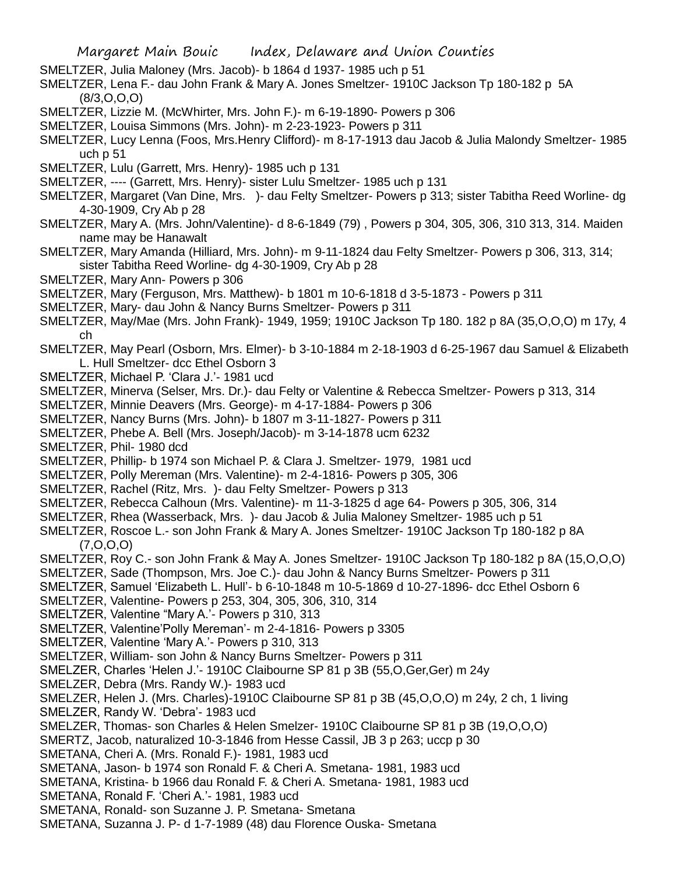- SMELTZER, Julia Maloney (Mrs. Jacob)- b 1864 d 1937- 1985 uch p 51
- SMELTZER, Lena F.- dau John Frank & Mary A. Jones Smeltzer- 1910C Jackson Tp 180-182 p 5A (8/3,O,O,O)
- SMELTZER, Lizzie M. (McWhirter, Mrs. John F.)- m 6-19-1890- Powers p 306
- SMELTZER, Louisa Simmons (Mrs. John)- m 2-23-1923- Powers p 311
- SMELTZER, Lucy Lenna (Foos, Mrs.Henry Clifford)- m 8-17-1913 dau Jacob & Julia Malondy Smeltzer- 1985 uch p 51
- SMELTZER, Lulu (Garrett, Mrs. Henry)- 1985 uch p 131
- SMELTZER, ---- (Garrett, Mrs. Henry)- sister Lulu Smeltzer- 1985 uch p 131
- SMELTZER, Margaret (Van Dine, Mrs. )- dau Felty Smeltzer- Powers p 313; sister Tabitha Reed Worline- dg 4-30-1909, Cry Ab p 28
- SMELTZER, Mary A. (Mrs. John/Valentine)- d 8-6-1849 (79) , Powers p 304, 305, 306, 310 313, 314. Maiden name may be Hanawalt
- SMELTZER, Mary Amanda (Hilliard, Mrs. John)- m 9-11-1824 dau Felty Smeltzer- Powers p 306, 313, 314; sister Tabitha Reed Worline- dg 4-30-1909, Cry Ab p 28
- SMELTZER, Mary Ann- Powers p 306
- SMELTZER, Mary (Ferguson, Mrs. Matthew)- b 1801 m 10-6-1818 d 3-5-1873 Powers p 311
- SMELTZER, Mary- dau John & Nancy Burns Smeltzer- Powers p 311
- SMELTZER, May/Mae (Mrs. John Frank)- 1949, 1959; 1910C Jackson Tp 180. 182 p 8A (35,O,O,O) m 17y, 4 ch
- SMELTZER, May Pearl (Osborn, Mrs. Elmer)- b 3-10-1884 m 2-18-1903 d 6-25-1967 dau Samuel & Elizabeth L. Hull Smeltzer- dcc Ethel Osborn 3
- SMELTZER, Michael P. 'Clara J.'- 1981 ucd
- SMELTZER, Minerva (Selser, Mrs. Dr.)- dau Felty or Valentine & Rebecca Smeltzer- Powers p 313, 314
- SMELTZER, Minnie Deavers (Mrs. George)- m 4-17-1884- Powers p 306
- SMELTZER, Nancy Burns (Mrs. John)- b 1807 m 3-11-1827- Powers p 311
- SMELTZER, Phebe A. Bell (Mrs. Joseph/Jacob)- m 3-14-1878 ucm 6232
- SMELTZER, Phil- 1980 dcd
- SMELTZER, Phillip- b 1974 son Michael P. & Clara J. Smeltzer- 1979, 1981 ucd
- SMELTZER, Polly Mereman (Mrs. Valentine)- m 2-4-1816- Powers p 305, 306
- SMELTZER, Rachel (Ritz, Mrs. )- dau Felty Smeltzer- Powers p 313
- SMELTZER, Rebecca Calhoun (Mrs. Valentine)- m 11-3-1825 d age 64- Powers p 305, 306, 314
- SMELTZER, Rhea (Wasserback, Mrs. )- dau Jacob & Julia Maloney Smeltzer- 1985 uch p 51
- SMELTZER, Roscoe L.- son John Frank & Mary A. Jones Smeltzer- 1910C Jackson Tp 180-182 p 8A (7,O,O,O)
- SMELTZER, Roy C.- son John Frank & May A. Jones Smeltzer- 1910C Jackson Tp 180-182 p 8A (15,O,O,O)
- SMELTZER, Sade (Thompson, Mrs. Joe C.)- dau John & Nancy Burns Smeltzer- Powers p 311
- SMELTZER, Samuel 'Elizabeth L. Hull'- b 6-10-1848 m 10-5-1869 d 10-27-1896- dcc Ethel Osborn 6
- SMELTZER, Valentine- Powers p 253, 304, 305, 306, 310, 314
- SMELTZER, Valentine "Mary A.'- Powers p 310, 313
- SMELTZER, Valentine'Polly Mereman'- m 2-4-1816- Powers p 3305
- SMELTZER, Valentine 'Mary A.'- Powers p 310, 313
- SMELTZER, William- son John & Nancy Burns Smeltzer- Powers p 311
- SMELZER, Charles 'Helen J.'- 1910C Claibourne SP 81 p 3B (55,O,Ger,Ger) m 24y
- SMELZER, Debra (Mrs. Randy W.)- 1983 ucd
- SMELZER, Helen J. (Mrs. Charles)-1910C Claibourne SP 81 p 3B (45,O,O,O) m 24y, 2 ch, 1 living
- SMELZER, Randy W. 'Debra'- 1983 ucd
- SMELZER, Thomas- son Charles & Helen Smelzer- 1910C Claibourne SP 81 p 3B (19,O,O,O)
- SMERTZ, Jacob, naturalized 10-3-1846 from Hesse Cassil, JB 3 p 263; uccp p 30
- SMETANA, Cheri A. (Mrs. Ronald F.)- 1981, 1983 ucd
- SMETANA, Jason- b 1974 son Ronald F. & Cheri A. Smetana- 1981, 1983 ucd
- SMETANA, Kristina- b 1966 dau Ronald F. & Cheri A. Smetana- 1981, 1983 ucd
- SMETANA, Ronald F. 'Cheri A.'- 1981, 1983 ucd
- SMETANA, Ronald- son Suzanne J. P. Smetana- Smetana
- SMETANA, Suzanna J. P- d 1-7-1989 (48) dau Florence Ouska- Smetana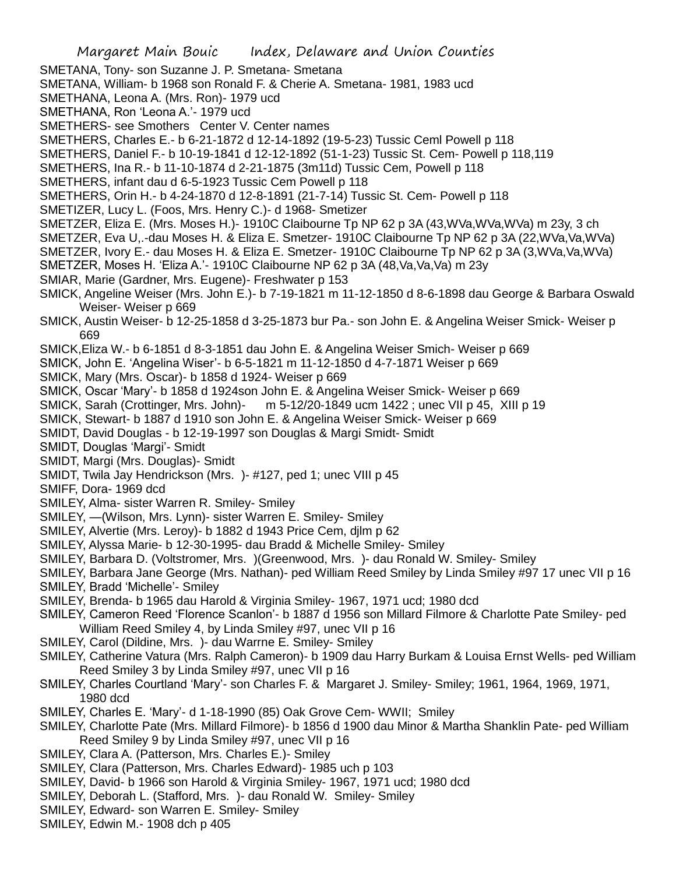- SMETANA, Tony- son Suzanne J. P. Smetana- Smetana
- SMETANA, William- b 1968 son Ronald F. & Cherie A. Smetana- 1981, 1983 ucd
- SMETHANA, Leona A. (Mrs. Ron)- 1979 ucd
- SMETHANA, Ron 'Leona A.'- 1979 ucd
- SMETHERS- see Smothers Center V. Center names
- SMETHERS, Charles E.- b 6-21-1872 d 12-14-1892 (19-5-23) Tussic Ceml Powell p 118
- SMETHERS, Daniel F.- b 10-19-1841 d 12-12-1892 (51-1-23) Tussic St. Cem- Powell p 118,119
- SMETHERS, Ina R.- b 11-10-1874 d 2-21-1875 (3m11d) Tussic Cem, Powell p 118
- SMETHERS, infant dau d 6-5-1923 Tussic Cem Powell p 118
- SMETHERS, Orin H.- b 4-24-1870 d 12-8-1891 (21-7-14) Tussic St. Cem- Powell p 118
- SMETIZER, Lucy L. (Foos, Mrs. Henry C.)- d 1968- Smetizer
- SMETZER, Eliza E. (Mrs. Moses H.)- 1910C Claibourne Tp NP 62 p 3A (43,WVa,WVa,WVa) m 23y, 3 ch
- SMETZER, Eva U,.-dau Moses H. & Eliza E. Smetzer- 1910C Claibourne Tp NP 62 p 3A (22,WVa,Va,WVa)
- SMETZER, Ivory E.- dau Moses H. & Eliza E. Smetzer- 1910C Claibourne Tp NP 62 p 3A (3,WVa,Va,WVa)
- SMETZER, Moses H. 'Eliza A.'- 1910C Claibourne NP 62 p 3A (48,Va,Va,Va) m 23y
- SMIAR, Marie (Gardner, Mrs. Eugene)- Freshwater p 153
- SMICK, Angeline Weiser (Mrs. John E.)- b 7-19-1821 m 11-12-1850 d 8-6-1898 dau George & Barbara Oswald Weiser- Weiser p 669
- SMICK, Austin Weiser- b 12-25-1858 d 3-25-1873 bur Pa.- son John E. & Angelina Weiser Smick- Weiser p 669
- SMICK,Eliza W.- b 6-1851 d 8-3-1851 dau John E. & Angelina Weiser Smich- Weiser p 669
- SMICK, John E. 'Angelina Wiser'- b 6-5-1821 m 11-12-1850 d 4-7-1871 Weiser p 669
- SMICK, Mary (Mrs. Oscar)- b 1858 d 1924- Weiser p 669
- SMICK, Oscar 'Mary'- b 1858 d 1924son John E. & Angelina Weiser Smick- Weiser p 669
- SMICK, Sarah (Crottinger, Mrs. John)- m 5-12/20-1849 ucm 1422 ; unec VII p 45, XIII p 19
- SMICK, Stewart- b 1887 d 1910 son John E. & Angelina Weiser Smick- Weiser p 669
- SMIDT, David Douglas b 12-19-1997 son Douglas & Margi Smidt- Smidt
- SMIDT, Douglas 'Margi'- Smidt
- SMIDT, Margi (Mrs. Douglas)- Smidt
- SMIDT, Twila Jay Hendrickson (Mrs. )- #127, ped 1; unec VIII p 45
- SMIFF, Dora- 1969 dcd
- SMILEY, Alma- sister Warren R. Smiley- Smiley
- SMILEY, —(Wilson, Mrs. Lynn)- sister Warren E. Smiley- Smiley
- SMILEY, Alvertie (Mrs. Leroy)- b 1882 d 1943 Price Cem, djlm p 62
- SMILEY, Alyssa Marie- b 12-30-1995- dau Bradd & Michelle Smiley- Smiley
- SMILEY, Barbara D. (Voltstromer, Mrs. )(Greenwood, Mrs. )- dau Ronald W. Smiley- Smiley
- SMILEY, Barbara Jane George (Mrs. Nathan)- ped William Reed Smiley by Linda Smiley #97 17 unec VII p 16 SMILEY, Bradd 'Michelle'- Smiley
- SMILEY, Brenda- b 1965 dau Harold & Virginia Smiley- 1967, 1971 ucd; 1980 dcd
- SMILEY, Cameron Reed 'Florence Scanlon'- b 1887 d 1956 son Millard Filmore & Charlotte Pate Smiley- ped William Reed Smiley 4, by Linda Smiley #97, unec VII p 16
- SMILEY, Carol (Dildine, Mrs. )- dau Warrne E. Smiley- Smiley
- SMILEY, Catherine Vatura (Mrs. Ralph Cameron)- b 1909 dau Harry Burkam & Louisa Ernst Wells- ped William Reed Smiley 3 by Linda Smiley #97, unec VII p 16
- SMILEY, Charles Courtland 'Mary'- son Charles F. & Margaret J. Smiley- Smiley; 1961, 1964, 1969, 1971, 1980 dcd
- SMILEY, Charles E. 'Mary'- d 1-18-1990 (85) Oak Grove Cem- WWII; Smiley
- SMILEY, Charlotte Pate (Mrs. Millard Filmore)- b 1856 d 1900 dau Minor & Martha Shanklin Pate- ped William Reed Smiley 9 by Linda Smiley #97, unec VII p 16
- SMILEY, Clara A. (Patterson, Mrs. Charles E.)- Smiley
- SMILEY, Clara (Patterson, Mrs. Charles Edward)- 1985 uch p 103
- SMILEY, David- b 1966 son Harold & Virginia Smiley- 1967, 1971 ucd; 1980 dcd
- SMILEY, Deborah L. (Stafford, Mrs. )- dau Ronald W. Smiley- Smiley
- SMILEY, Edward- son Warren E. Smiley- Smiley
- SMILEY, Edwin M.- 1908 dch p 405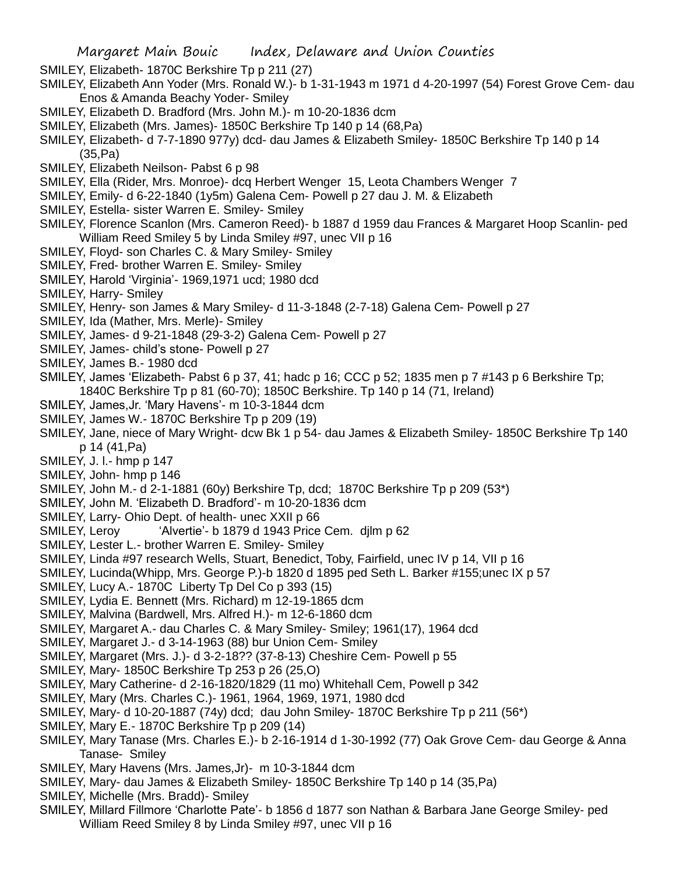- SMILEY, Elizabeth- 1870C Berkshire Tp p 211 (27)
- SMILEY, Elizabeth Ann Yoder (Mrs. Ronald W.)- b 1-31-1943 m 1971 d 4-20-1997 (54) Forest Grove Cem- dau Enos & Amanda Beachy Yoder- Smiley
- SMILEY, Elizabeth D. Bradford (Mrs. John M.)- m 10-20-1836 dcm
- SMILEY, Elizabeth (Mrs. James)- 1850C Berkshire Tp 140 p 14 (68,Pa)
- SMILEY, Elizabeth- d 7-7-1890 977y) dcd- dau James & Elizabeth Smiley- 1850C Berkshire Tp 140 p 14 (35,Pa)
- SMILEY, Elizabeth Neilson- Pabst 6 p 98
- SMILEY, Ella (Rider, Mrs. Monroe)- dcq Herbert Wenger 15, Leota Chambers Wenger 7
- SMILEY, Emily- d 6-22-1840 (1y5m) Galena Cem- Powell p 27 dau J. M. & Elizabeth
- SMILEY, Estella- sister Warren E. Smiley- Smiley
- SMILEY, Florence Scanlon (Mrs. Cameron Reed)- b 1887 d 1959 dau Frances & Margaret Hoop Scanlin- ped William Reed Smiley 5 by Linda Smiley #97, unec VII p 16
- SMILEY, Floyd- son Charles C. & Mary Smiley- Smiley
- SMILEY, Fred- brother Warren E. Smiley- Smiley
- SMILEY, Harold 'Virginia'- 1969,1971 ucd; 1980 dcd
- SMILEY, Harry- Smiley
- SMILEY, Henry- son James & Mary Smiley- d 11-3-1848 (2-7-18) Galena Cem- Powell p 27
- SMILEY, Ida (Mather, Mrs. Merle)- Smiley
- SMILEY, James- d 9-21-1848 (29-3-2) Galena Cem- Powell p 27
- SMILEY, James- child's stone- Powell p 27
- SMILEY, James B.- 1980 dcd
- SMILEY, James 'Elizabeth- Pabst 6 p 37, 41; hadc p 16; CCC p 52; 1835 men p 7 #143 p 6 Berkshire Tp; 1840C Berkshire Tp p 81 (60-70); 1850C Berkshire. Tp 140 p 14 (71, Ireland)
- SMILEY, James,Jr. 'Mary Havens'- m 10-3-1844 dcm
- SMILEY, James W.- 1870C Berkshire Tp p 209 (19)
- SMILEY, Jane, niece of Mary Wright- dcw Bk 1 p 54- dau James & Elizabeth Smiley- 1850C Berkshire Tp 140 p 14 (41,Pa)
- SMILEY, J. l.- hmp p 147
- SMILEY, John- hmp p 146
- SMILEY, John M.- d 2-1-1881 (60y) Berkshire Tp, dcd; 1870C Berkshire Tp p 209 (53\*)
- SMILEY, John M. 'Elizabeth D. Bradford'- m 10-20-1836 dcm
- SMILEY, Larry- Ohio Dept. of health- unec XXII p 66
- SMILEY, Leroy 'Alvertie'- b 1879 d 1943 Price Cem. djlm p 62
- SMILEY, Lester L.- brother Warren E. Smiley- Smiley
- SMILEY, Linda #97 research Wells, Stuart, Benedict, Toby, Fairfield, unec IV p 14, VII p 16
- SMILEY, Lucinda(Whipp, Mrs. George P.)-b 1820 d 1895 ped Seth L. Barker #155;unec IX p 57
- SMILEY, Lucy A.- 1870C Liberty Tp Del Co p 393 (15)
- SMILEY, Lydia E. Bennett (Mrs. Richard) m 12-19-1865 dcm
- SMILEY, Malvina (Bardwell, Mrs. Alfred H.)- m 12-6-1860 dcm
- SMILEY, Margaret A.- dau Charles C. & Mary Smiley- Smiley; 1961(17), 1964 dcd
- SMILEY, Margaret J.- d 3-14-1963 (88) bur Union Cem- Smiley
- SMILEY, Margaret (Mrs. J.)- d 3-2-18?? (37-8-13) Cheshire Cem- Powell p 55
- SMILEY, Mary- 1850C Berkshire Tp 253 p 26 (25,O)
- SMILEY, Mary Catherine- d 2-16-1820/1829 (11 mo) Whitehall Cem, Powell p 342
- SMILEY, Mary (Mrs. Charles C.)- 1961, 1964, 1969, 1971, 1980 dcd
- SMILEY, Mary- d 10-20-1887 (74y) dcd; dau John Smiley- 1870C Berkshire Tp p 211 (56\*)
- SMILEY, Mary E.- 1870C Berkshire Tp p 209 (14)
- SMILEY, Mary Tanase (Mrs. Charles E.)- b 2-16-1914 d 1-30-1992 (77) Oak Grove Cem- dau George & Anna Tanase- Smiley
- SMILEY, Mary Havens (Mrs. James,Jr)- m 10-3-1844 dcm
- SMILEY, Mary- dau James & Elizabeth Smiley- 1850C Berkshire Tp 140 p 14 (35,Pa)
- SMILEY, Michelle (Mrs. Bradd)- Smiley
- SMILEY, Millard Fillmore 'Charlotte Pate'- b 1856 d 1877 son Nathan & Barbara Jane George Smiley- ped William Reed Smiley 8 by Linda Smiley #97, unec VII p 16